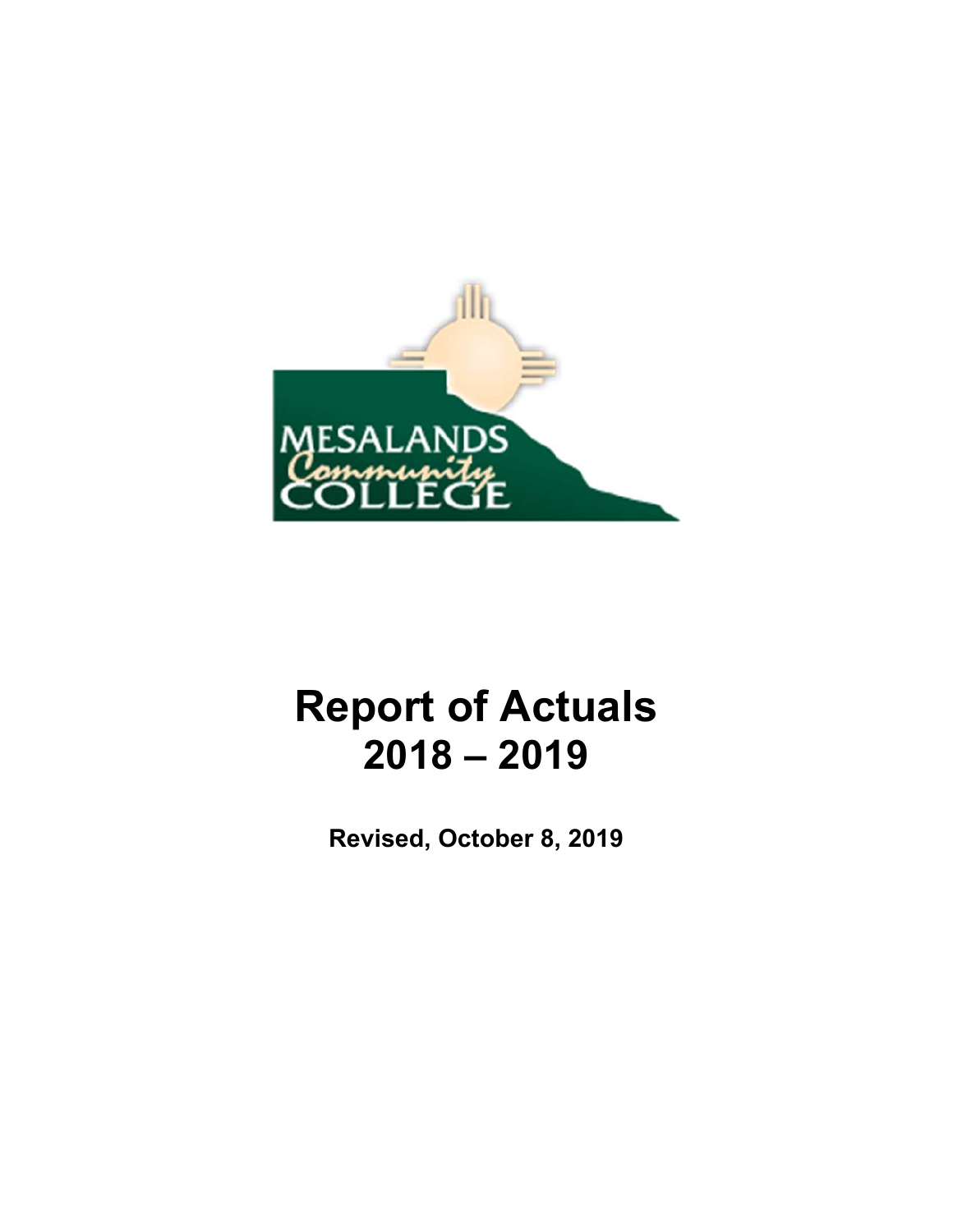

# **Report of Actuals 2018 – 2019**

**Revised, October 8, 2019**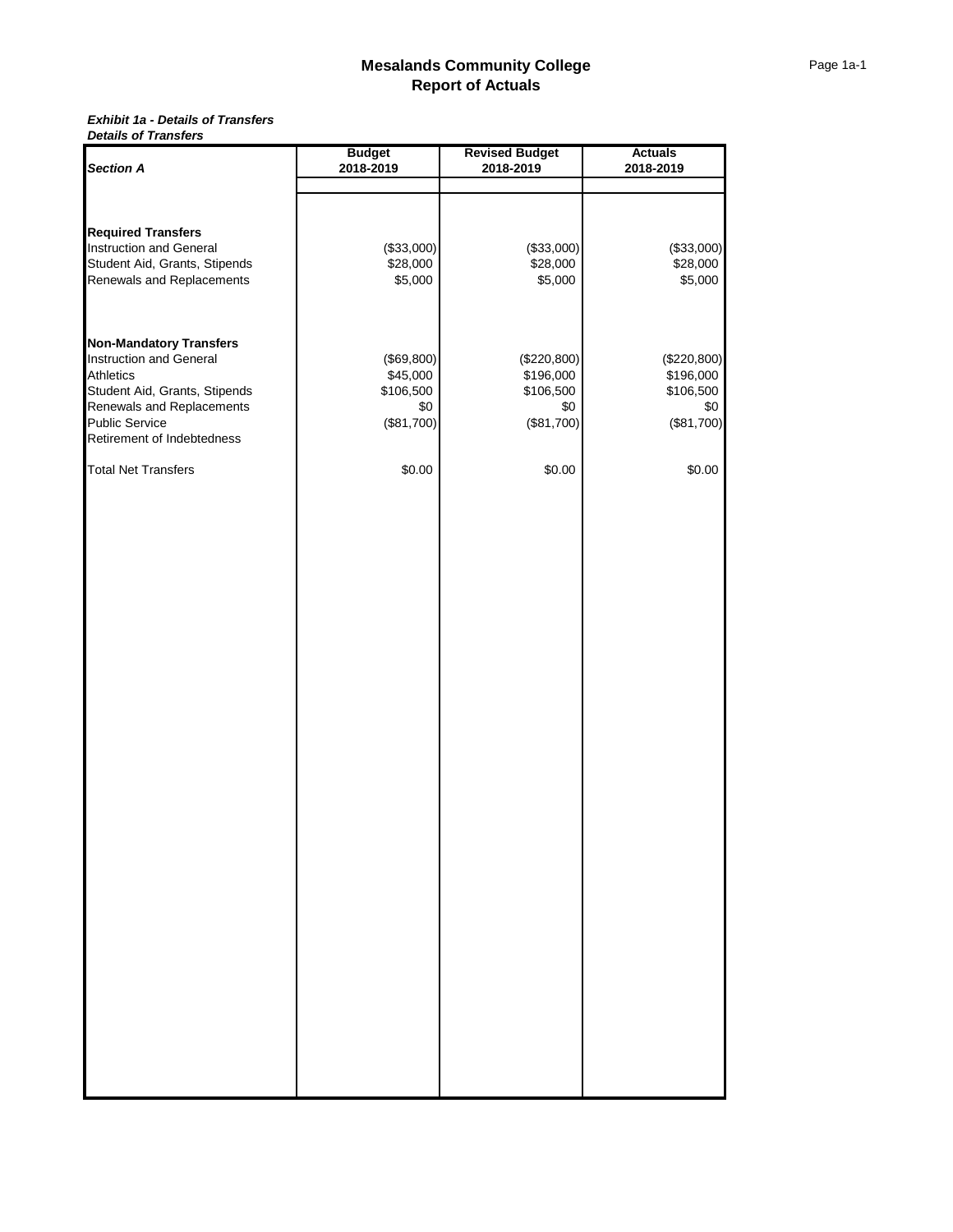#### *Exhibit 1a - Details of Transfers Details of Transfers*

|                                | <b>Budget</b> | <b>Revised Budget</b> | <b>Actuals</b> |
|--------------------------------|---------------|-----------------------|----------------|
| <b>Section A</b>               | 2018-2019     | 2018-2019             | 2018-2019      |
|                                |               |                       |                |
|                                |               |                       |                |
| <b>Required Transfers</b>      |               |                       |                |
| Instruction and General        | (\$33,000)    | (\$33,000)            | (\$33,000)     |
| Student Aid, Grants, Stipends  | \$28,000      | \$28,000              | \$28,000       |
| Renewals and Replacements      | \$5,000       | \$5,000               | \$5,000        |
|                                |               |                       |                |
|                                |               |                       |                |
| <b>Non-Mandatory Transfers</b> |               |                       |                |
| Instruction and General        | (\$69,800)    | (\$220,800)           | (\$220,800)    |
| <b>Athletics</b>               | \$45,000      | \$196,000             | \$196,000      |
| Student Aid, Grants, Stipends  | \$106,500     | \$106,500             | \$106,500      |
| Renewals and Replacements      | \$0           | \$0                   | \$0            |
| Public Service                 | (\$81,700)    | (\$81,700)            | (\$81,700)     |
| Retirement of Indebtedness     |               |                       |                |
| <b>Total Net Transfers</b>     | \$0.00        | \$0.00                | \$0.00         |
|                                |               |                       |                |
|                                |               |                       |                |
|                                |               |                       |                |
|                                |               |                       |                |
|                                |               |                       |                |
|                                |               |                       |                |
|                                |               |                       |                |
|                                |               |                       |                |
|                                |               |                       |                |
|                                |               |                       |                |
|                                |               |                       |                |
|                                |               |                       |                |
|                                |               |                       |                |
|                                |               |                       |                |
|                                |               |                       |                |
|                                |               |                       |                |
|                                |               |                       |                |
|                                |               |                       |                |
|                                |               |                       |                |
|                                |               |                       |                |
|                                |               |                       |                |
|                                |               |                       |                |
|                                |               |                       |                |
|                                |               |                       |                |
|                                |               |                       |                |
|                                |               |                       |                |
|                                |               |                       |                |
|                                |               |                       |                |
|                                |               |                       |                |
|                                |               |                       |                |
|                                |               |                       |                |
|                                |               |                       |                |
|                                |               |                       |                |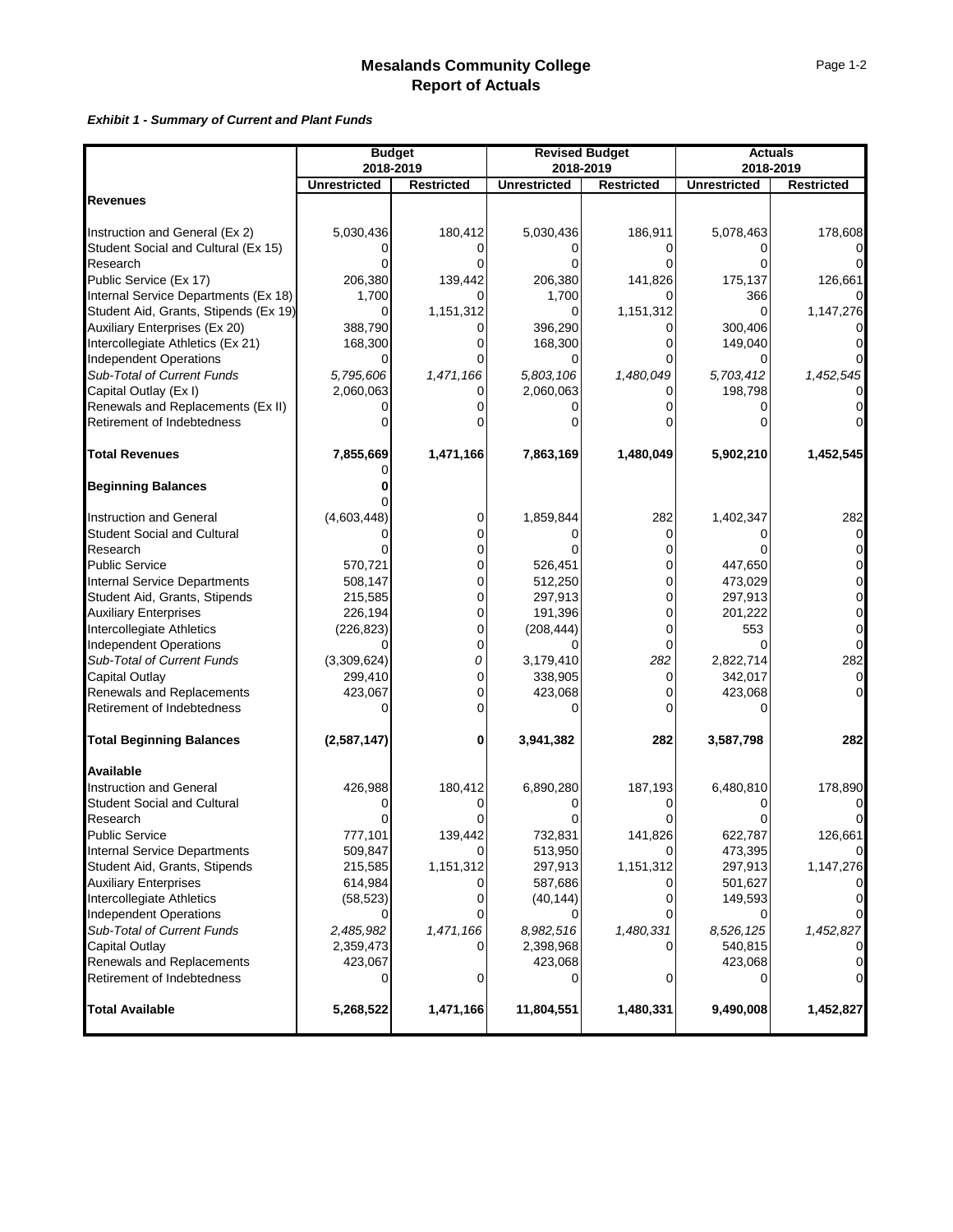#### *Exhibit 1 - Summary of Current and Plant Funds*

|                                                         | <b>Budget</b>       |                   | <b>Revised Budget</b> |                   | <b>Actuals</b>      |                   |
|---------------------------------------------------------|---------------------|-------------------|-----------------------|-------------------|---------------------|-------------------|
|                                                         | 2018-2019           |                   | 2018-2019             |                   | 2018-2019           |                   |
|                                                         | <b>Unrestricted</b> | <b>Restricted</b> | <b>Unrestricted</b>   | <b>Restricted</b> | <b>Unrestricted</b> | <b>Restricted</b> |
| <b>Revenues</b>                                         |                     |                   |                       |                   |                     |                   |
|                                                         |                     |                   |                       |                   |                     |                   |
| Instruction and General (Ex 2)                          | 5,030,436           | 180,412           | 5,030,436             | 186,911           | 5,078,463           | 178,608           |
| Student Social and Cultural (Ex 15)                     |                     |                   |                       |                   |                     |                   |
| Research                                                |                     |                   |                       |                   |                     |                   |
| Public Service (Ex 17)                                  | 206,380             | 139,442           | 206,380               | 141,826           | 175,137             | 126,661           |
| Internal Service Departments (Ex 18)                    | 1,700               |                   | 1,700                 |                   | 366                 |                   |
| Student Aid, Grants, Stipends (Ex 19)                   | 0                   | 1,151,312         | 0                     | 1,151,312         | $\Omega$            | 1,147,276         |
| Auxiliary Enterprises (Ex 20)                           | 388,790             |                   | 396,290               |                   | 300,406             |                   |
| Intercollegiate Athletics (Ex 21)                       | 168,300             |                   | 168,300               |                   | 149,040             |                   |
| <b>Independent Operations</b>                           |                     |                   | 0                     |                   | O                   |                   |
| Sub-Total of Current Funds                              | 5,795,606           | 1,471,166         | 5,803,106             | 1,480,049         | 5,703,412           | 1,452,545         |
| Capital Outlay (Ex I)                                   | 2,060,063           | 0                 | 2,060,063             |                   | 198,798             |                   |
| Renewals and Replacements (Ex II)                       |                     |                   |                       |                   |                     |                   |
| Retirement of Indebtedness                              |                     |                   |                       |                   |                     |                   |
| <b>Total Revenues</b>                                   | 7,855,669           | 1,471,166         | 7,863,169             | 1,480,049         | 5,902,210           | 1,452,545         |
| <b>Beginning Balances</b>                               |                     |                   |                       |                   |                     |                   |
|                                                         |                     |                   |                       |                   |                     |                   |
| <b>Instruction and General</b>                          | (4,603,448)         | 0                 | 1,859,844             | 282               | 1,402,347           | 282               |
| <b>Student Social and Cultural</b>                      |                     |                   |                       | 0                 |                     |                   |
| Research                                                |                     | 0                 |                       |                   |                     |                   |
| <b>Public Service</b>                                   | 570,721             |                   | 526,451               |                   | 447,650             |                   |
| <b>Internal Service Departments</b>                     | 508,147             | 0                 | 512,250               | $\Omega$          | 473,029             | 0                 |
| Student Aid, Grants, Stipends                           | 215,585             | 0                 | 297,913               | 0                 | 297,913             | 0                 |
| <b>Auxiliary Enterprises</b>                            | 226,194             | 0                 | 191,396               | 0                 | 201,222             | 0                 |
| Intercollegiate Athletics                               | (226, 823)          | 0                 | (208, 444)            | $\Omega$          | 553                 | 0                 |
| <b>Independent Operations</b>                           |                     | 0                 |                       | $\Omega$          |                     | $\Omega$          |
| Sub-Total of Current Funds                              | (3,309,624)         | 0                 | 3,179,410             | 282               | 2,822,714           | 282               |
| Capital Outlay                                          | 299,410             | 0                 | 338,905               | 0                 | 342,017             | 0                 |
| Renewals and Replacements                               | 423,067             | 0                 | 423,068               | 0                 | 423,068             |                   |
| Retirement of Indebtedness                              |                     | O                 |                       |                   |                     |                   |
| <b>Total Beginning Balances</b>                         | (2,587,147)         | 0                 | 3,941,382             | 282               | 3,587,798           | 282               |
| Available                                               |                     |                   |                       |                   |                     |                   |
| Instruction and General                                 | 426,988             | 180,412           | 6,890,280             | 187,193           | 6,480,810           | 178,890           |
| <b>Student Social and Cultural</b>                      |                     |                   |                       |                   |                     |                   |
| Research                                                |                     |                   |                       |                   |                     |                   |
| <b>Public Service</b>                                   | 777,101             | 139,442           | 732,831               | 141,826           | 622,787             | 126,661           |
| <b>Internal Service Departments</b>                     | 509,847             |                   | 513,950               |                   | 473,395             |                   |
| Student Aid, Grants, Stipends                           | 215,585             | 1,151,312         | 297,913               | 1,151,312         | 297,913             | 1,147,276         |
| <b>Auxiliary Enterprises</b>                            | 614,984             |                   | 587,686               |                   | 501,627             |                   |
| Intercollegiate Athletics                               | (58, 523)           |                   | (40, 144)             |                   | 149,593             |                   |
| <b>Independent Operations</b>                           |                     |                   |                       |                   | 0                   |                   |
| Sub-Total of Current Funds                              | 2,485,982           | 1,471,166         | 8,982,516             | 1,480,331         | 8,526,125           | 1,452,827         |
| Capital Outlay                                          | 2,359,473           |                   | 2,398,968             |                   | 540,815             |                   |
| Renewals and Replacements<br>Retirement of Indebtedness | 423,067<br>0        | 0                 | 423,068<br>0          | 0                 | 423,068<br>0        |                   |
| <b>Total Available</b>                                  | 5,268,522           | 1,471,166         | 11,804,551            | 1,480,331         | 9,490,008           | 1,452,827         |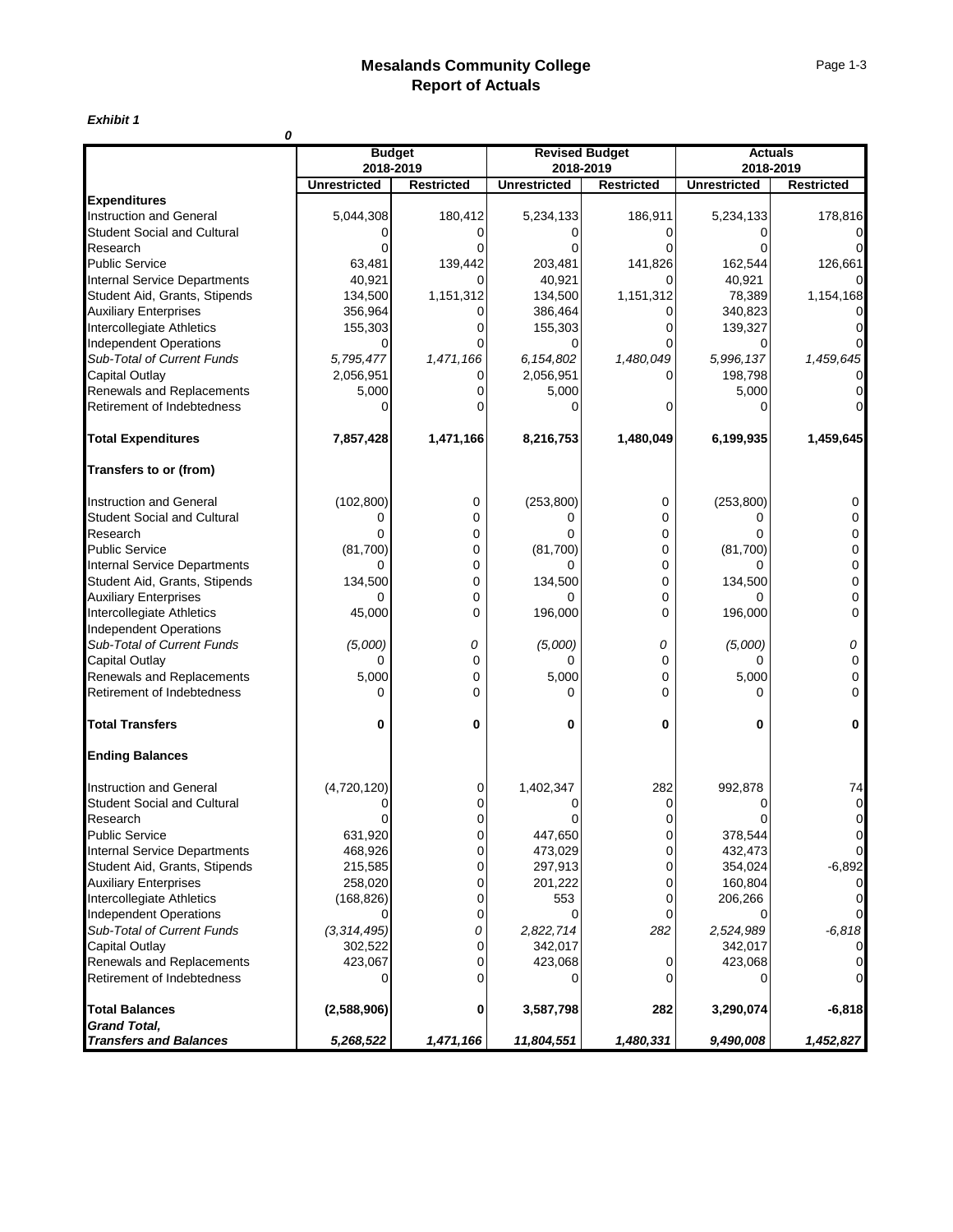*Exhibit 1*

| 0                                                       |                            |                   |                                    |                   |                             |                   |
|---------------------------------------------------------|----------------------------|-------------------|------------------------------------|-------------------|-----------------------------|-------------------|
|                                                         | <b>Budget</b><br>2018-2019 |                   | <b>Revised Budget</b><br>2018-2019 |                   | <b>Actuals</b><br>2018-2019 |                   |
|                                                         | <b>Unrestricted</b>        | <b>Restricted</b> | <b>Unrestricted</b>                | <b>Restricted</b> | <b>Unrestricted</b>         | <b>Restricted</b> |
| <b>Expenditures</b>                                     |                            |                   |                                    |                   |                             |                   |
| <b>Instruction and General</b>                          | 5,044,308                  | 180,412           | 5,234,133                          | 186,911           | 5,234,133                   | 178,816           |
| Student Social and Cultural                             |                            |                   |                                    |                   |                             |                   |
| Research                                                | O                          |                   |                                    | U                 |                             | $\Omega$          |
| <b>Public Service</b>                                   | 63,481                     | 139,442           | 203,481                            | 141,826           | 162,544                     | 126,661           |
| <b>Internal Service Departments</b>                     | 40,921                     |                   | 40,921                             |                   | 40,921                      |                   |
| Student Aid, Grants, Stipends                           | 134,500                    | 1,151,312         | 134,500                            | 1,151,312         | 78,389                      | 1,154,168         |
| <b>Auxiliary Enterprises</b>                            | 356,964                    |                   | 386,464                            |                   | 340,823                     |                   |
| Intercollegiate Athletics                               | 155,303                    |                   | 155,303                            |                   | 139,327                     |                   |
| <b>Independent Operations</b>                           | O                          |                   |                                    |                   |                             |                   |
| Sub-Total of Current Funds                              | 5,795,477                  | 1,471,166         | 6,154,802                          | 1,480,049         | 5,996,137                   | 1,459,645         |
| Capital Outlay                                          | 2,056,951                  |                   | 2,056,951                          |                   | 198,798                     |                   |
| Renewals and Replacements                               | 5,000                      |                   | 5,000                              |                   | 5,000                       |                   |
| Retirement of Indebtedness                              | O                          |                   | U                                  |                   |                             |                   |
| <b>Total Expenditures</b>                               | 7,857,428                  | 1,471,166         | 8,216,753                          | 1,480,049         | 6,199,935                   | 1,459,645         |
| Transfers to or (from)                                  |                            |                   |                                    |                   |                             |                   |
| <b>Instruction and General</b>                          | (102, 800)                 | 0                 | (253, 800)                         | 0                 | (253, 800)                  | 0                 |
| <b>Student Social and Cultural</b>                      | 0                          | 0                 | 0                                  | 0                 | 0                           | 0                 |
| Research                                                | 0                          | 0                 | $\Omega$                           | 0                 | $\Omega$                    | 0                 |
| <b>Public Service</b>                                   | (81,700)                   | 0                 | (81,700)                           | 0                 | (81,700)                    | 0                 |
| Internal Service Departments                            | 0                          | 0                 | 0                                  | 0                 | 0                           | 0                 |
| Student Aid, Grants, Stipends                           | 134,500                    | 0                 | 134,500                            | 0                 | 134,500                     | 0                 |
| <b>Auxiliary Enterprises</b>                            | 0                          | 0                 | 0                                  | 0                 | U                           | 0                 |
| Intercollegiate Athletics                               | 45,000                     | $\Omega$          | 196,000                            | 0                 | 196,000                     | 0                 |
| <b>Independent Operations</b>                           |                            |                   |                                    |                   |                             |                   |
| Sub-Total of Current Funds                              | (5,000)                    | 0                 | (5,000)                            | 0                 | (5,000)                     | 0                 |
| Capital Outlay                                          | 0                          | $\Omega$          | 0                                  | $\Omega$          | 0                           | 0                 |
| Renewals and Replacements                               | 5,000                      | 0                 | 5,000                              | 0                 | 5,000                       | 0                 |
| Retirement of Indebtedness                              | 0                          | 0                 | 0                                  | $\Omega$          | 0                           | 0                 |
| <b>Total Transfers</b>                                  | 0                          | 0                 | 0                                  | 0                 | 0                           | 0                 |
| <b>Ending Balances</b>                                  |                            |                   |                                    |                   |                             |                   |
| Instruction and General                                 | (4,720,120)                | 0                 | 1,402,347                          | 282               | 992,878                     | 74                |
| <b>Student Social and Cultural</b>                      |                            |                   |                                    |                   |                             | $\overline{0}$    |
| Research                                                |                            |                   |                                    |                   |                             | 0                 |
| <b>Public Service</b>                                   | 631,920                    | 0                 | 447,650                            | 0                 | 378,544                     | $\overline{0}$    |
| <b>Internal Service Departments</b>                     | 468,926                    | 0                 | 473,029                            | 0                 | 432,473                     | $\mathbf 0$       |
| Student Aid, Grants, Stipends                           | 215,585                    | 0                 | 297,913                            | 0                 | 354,024                     | $-6,892$          |
| <b>Auxiliary Enterprises</b>                            | 258,020                    | $\overline{0}$    | 201,222                            | $\overline{0}$    | 160,804                     | 0                 |
| Intercollegiate Athletics                               | (168, 826)                 | 0                 | 553                                | 0                 | 206,266                     | 0                 |
| <b>Independent Operations</b>                           |                            | 0                 |                                    | 0                 |                             | $\mathbf 0$       |
| Sub-Total of Current Funds                              | (3, 314, 495)              | 0                 | 2,822,714                          | 282               | 2,524,989                   | $-6,818$          |
| Capital Outlay                                          | 302,522                    | 0                 | 342,017                            |                   | 342,017                     | 0                 |
| Renewals and Replacements<br>Retirement of Indebtedness | 423,067                    | 0<br>0            | 423,068                            | 0<br>0            | 423,068                     | 0<br>$\mathbf 0$  |
|                                                         |                            |                   |                                    |                   |                             |                   |
| <b>Total Balances</b><br><b>Grand Total,</b>            | (2,588,906)                | 0                 | 3,587,798                          | 282               | 3,290,074                   | $-6,818$          |
| <b>Transfers and Balances</b>                           | 5,268,522                  | 1,471,166         | 11,804,551                         | 1,480,331         | 9,490,008                   | 1,452,827         |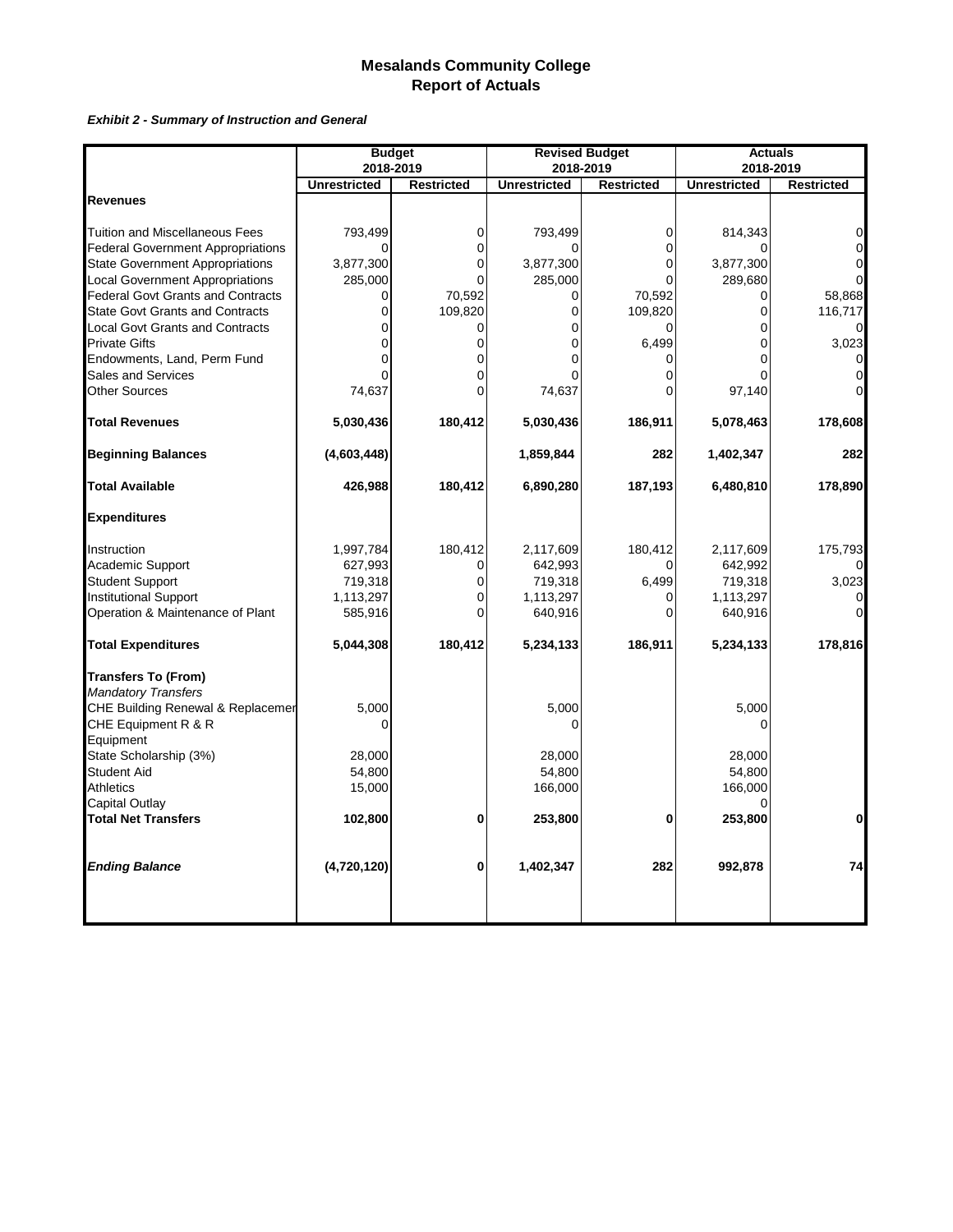*Exhibit 2 - Summary of Instruction and General*

|                                          |                     | <b>Budget</b>     | <b>Revised Budget</b> |                   |                     | <b>Actuals</b>    |
|------------------------------------------|---------------------|-------------------|-----------------------|-------------------|---------------------|-------------------|
|                                          | 2018-2019           |                   | 2018-2019             |                   |                     | 2018-2019         |
|                                          | <b>Unrestricted</b> | <b>Restricted</b> | <b>Unrestricted</b>   | <b>Restricted</b> | <b>Unrestricted</b> | <b>Restricted</b> |
| <b>Revenues</b>                          |                     |                   |                       |                   |                     |                   |
| <b>Tuition and Miscellaneous Fees</b>    | 793,499             | 0                 | 793,499               | $\mathbf{0}$      | 814,343             | $\mathbf 0$       |
| <b>Federal Government Appropriations</b> |                     | 0                 |                       | $\Omega$          |                     | $\mathbf 0$       |
| <b>State Government Appropriations</b>   | 3,877,300           | 0                 | 3,877,300             | $\Omega$          | 3,877,300           | $\mathbf 0$       |
| <b>Local Government Appropriations</b>   | 285,000             |                   | 285,000               |                   | 289,680             | $\Omega$          |
| <b>Federal Govt Grants and Contracts</b> | 0                   | 70,592            | 0                     | 70,592            | 0                   | 58,868            |
| <b>State Govt Grants and Contracts</b>   | 0                   | 109,820           | 0                     | 109,820           | 0                   | 116,717           |
| <b>Local Govt Grants and Contracts</b>   | 0                   |                   | 0                     |                   | 0                   | $\mathbf{0}$      |
| <b>Private Gifts</b>                     | 0                   | 0                 | 0                     | 6,499             | 0                   | 3,023             |
| Endowments, Land, Perm Fund              | $\Omega$            |                   |                       |                   |                     | 0                 |
| Sales and Services                       |                     |                   |                       | $\Omega$          |                     | $\Omega$          |
| <b>Other Sources</b>                     | 74,637              | 0                 | 74,637                | $\Omega$          | 97,140              | $\Omega$          |
| <b>Total Revenues</b>                    | 5,030,436           | 180,412           | 5,030,436             | 186,911           | 5,078,463           | 178,608           |
| <b>Beginning Balances</b>                | (4,603,448)         |                   | 1,859,844             | 282               | 1,402,347           | 282               |
|                                          |                     |                   |                       |                   |                     |                   |
| <b>Total Available</b>                   | 426,988             | 180,412           | 6,890,280             | 187,193           | 6,480,810           | 178,890           |
| <b>Expenditures</b>                      |                     |                   |                       |                   |                     |                   |
| Instruction                              | 1,997,784           | 180,412           | 2,117,609             | 180,412           | 2,117,609           | 175,793           |
| Academic Support                         | 627,993             | $\Omega$          | 642,993               |                   | 642,992             |                   |
| <b>Student Support</b>                   | 719,318             | $\Omega$          | 719,318               | 6,499             | 719,318             | 3,023             |
| <b>Institutional Support</b>             | 1,113,297           | $\overline{0}$    | 1,113,297             | $\Omega$          | 1,113,297           |                   |
| Operation & Maintenance of Plant         | 585,916             | $\Omega$          | 640,916               | $\Omega$          | 640,916             | $\Omega$          |
| <b>Total Expenditures</b>                | 5,044,308           | 180,412           | 5,234,133             | 186,911           | 5,234,133           | 178,816           |
| <b>Transfers To (From)</b>               |                     |                   |                       |                   |                     |                   |
| <b>Mandatory Transfers</b>               |                     |                   |                       |                   |                     |                   |
| CHE Building Renewal & Replacemer        | 5,000               |                   | 5,000                 |                   | 5,000               |                   |
| CHE Equipment R & R                      | $\Omega$            |                   | 0                     |                   | $\Omega$            |                   |
| Equipment                                |                     |                   |                       |                   |                     |                   |
| State Scholarship (3%)                   | 28,000              |                   | 28,000                |                   | 28,000              |                   |
| <b>Student Aid</b>                       | 54,800              |                   | 54,800                |                   | 54,800              |                   |
| <b>Athletics</b>                         | 15,000              |                   | 166,000               |                   | 166,000             |                   |
| Capital Outlay                           |                     |                   |                       |                   |                     |                   |
| <b>Total Net Transfers</b>               | 102,800             | 0                 | 253,800               | 0                 | 253,800             | $\mathbf{0}$      |
| <b>Ending Balance</b>                    | (4,720,120)         | 0                 | 1,402,347             | 282               | 992,878             | 74                |
|                                          |                     |                   |                       |                   |                     |                   |
|                                          |                     |                   |                       |                   |                     |                   |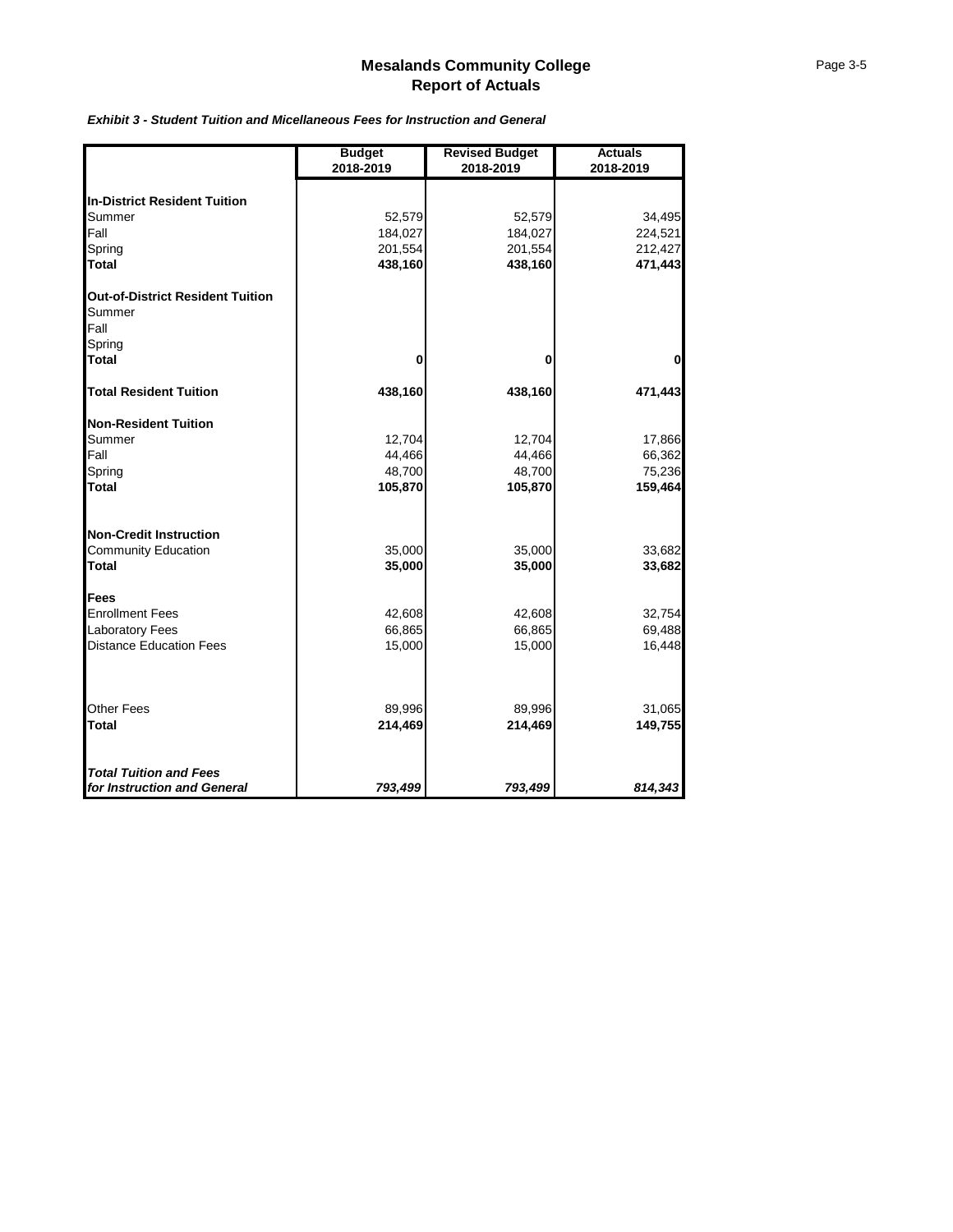| Page 3-5 |  |
|----------|--|
|----------|--|

|                                         | <b>Budget</b><br>2018-2019 | <b>Revised Budget</b><br>2018-2019 | <b>Actuals</b><br>2018-2019 |
|-----------------------------------------|----------------------------|------------------------------------|-----------------------------|
| <b>In-District Resident Tuition</b>     |                            |                                    |                             |
| Summer                                  | 52,579                     | 52,579                             | 34,495                      |
| Fall                                    | 184,027                    | 184,027                            | 224,521                     |
| Spring                                  | 201,554                    | 201,554                            | 212,427                     |
| <b>Total</b>                            | 438,160                    | 438,160                            | 471,443                     |
| <b>Out-of-District Resident Tuition</b> |                            |                                    |                             |
| Summer                                  |                            |                                    |                             |
| Fall                                    |                            |                                    |                             |
| Spring                                  |                            |                                    |                             |
| <b>Total</b>                            | 0                          | 0                                  | $\mathbf 0$                 |
| <b>Total Resident Tuition</b>           | 438,160                    | 438,160                            | 471,443                     |
| <b>Non-Resident Tuition</b>             |                            |                                    |                             |
| Summer                                  | 12,704                     | 12,704                             | 17,866                      |
| Fall                                    | 44,466                     | 44,466                             | 66,362                      |
| Spring                                  | 48,700                     | 48,700                             | 75,236                      |
| <b>Total</b>                            | 105,870                    | 105,870                            | 159,464                     |
| <b>Non-Credit Instruction</b>           |                            |                                    |                             |
| <b>Community Education</b>              | 35,000                     | 35,000                             | 33,682                      |
| <b>Total</b>                            | 35,000                     | 35,000                             | 33,682                      |
| <b>Fees</b>                             |                            |                                    |                             |
| <b>Enrollment Fees</b>                  | 42,608                     | 42,608                             | 32,754                      |
| <b>Laboratory Fees</b>                  | 66,865                     | 66,865                             | 69,488                      |
| <b>Distance Education Fees</b>          | 15,000                     | 15,000                             | 16,448                      |
| <b>Other Fees</b>                       | 89,996                     | 89,996                             | 31,065                      |
| <b>Total</b>                            | 214,469                    | 214,469                            | 149,755                     |
| <b>Total Tuition and Fees</b>           |                            |                                    |                             |
| for Instruction and General             | 793,499                    | 793,499                            | 814,343                     |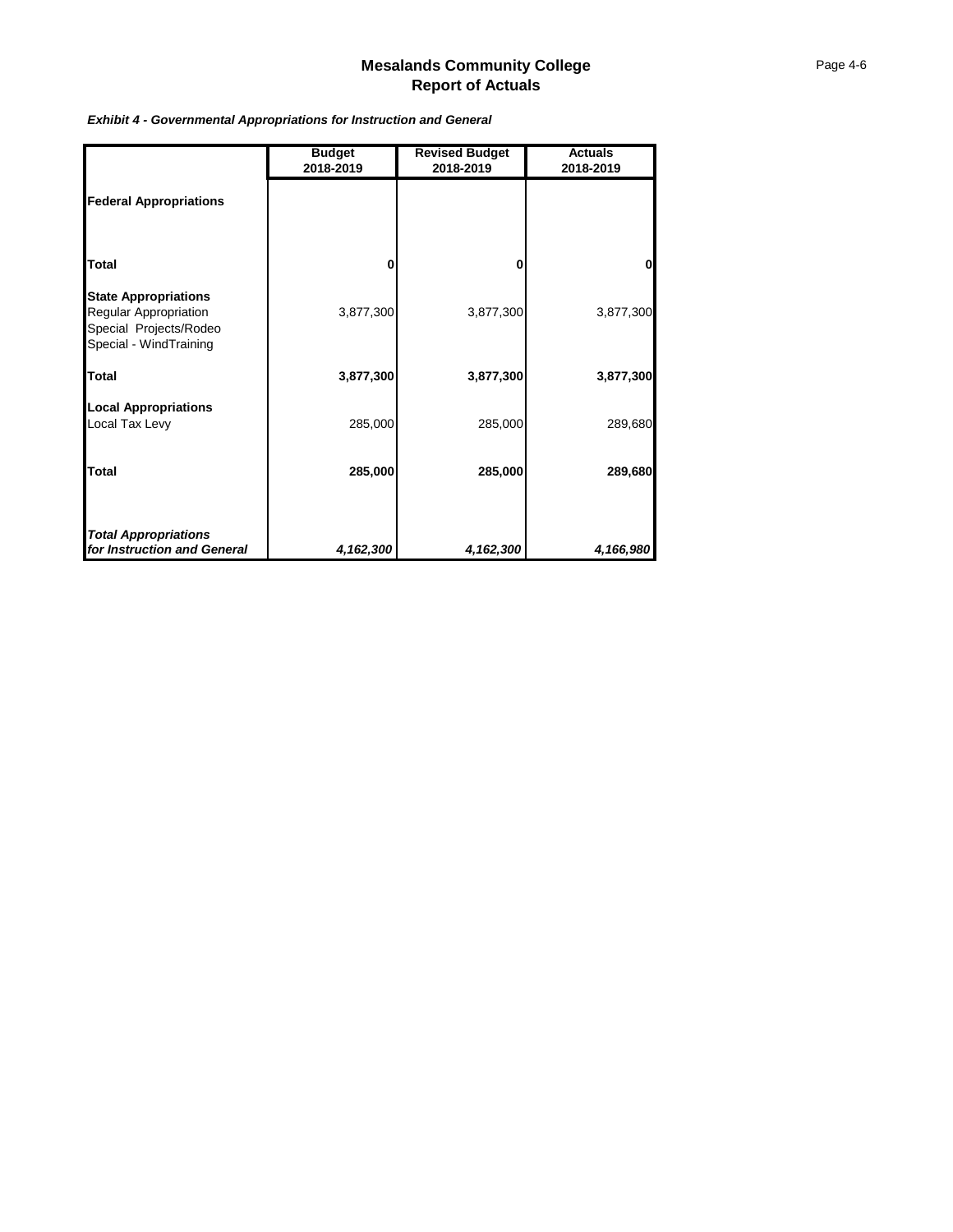|                                                                                                          | <b>Budget</b><br>2018-2019 | <b>Revised Budget</b><br>2018-2019 | <b>Actuals</b><br>2018-2019 |
|----------------------------------------------------------------------------------------------------------|----------------------------|------------------------------------|-----------------------------|
| <b>Federal Appropriations</b>                                                                            |                            |                                    |                             |
| <b>Total</b>                                                                                             | 0                          | 0                                  |                             |
| <b>State Appropriations</b><br>Regular Appropriation<br>Special Projects/Rodeo<br>Special - WindTraining | 3,877,300                  | 3,877,300                          | 3,877,300                   |
| <b>Total</b>                                                                                             | 3,877,300                  | 3,877,300                          | 3,877,300                   |
| <b>Local Appropriations</b><br>Local Tax Levy                                                            | 285,000                    | 285,000                            | 289,680                     |
| <b>Total</b>                                                                                             | 285,000                    | 285,000                            | 289,680                     |
|                                                                                                          |                            |                                    |                             |
| <b>Total Appropriations</b><br>for Instruction and General                                               | 4,162,300                  | 4,162,300                          | 4,166,980                   |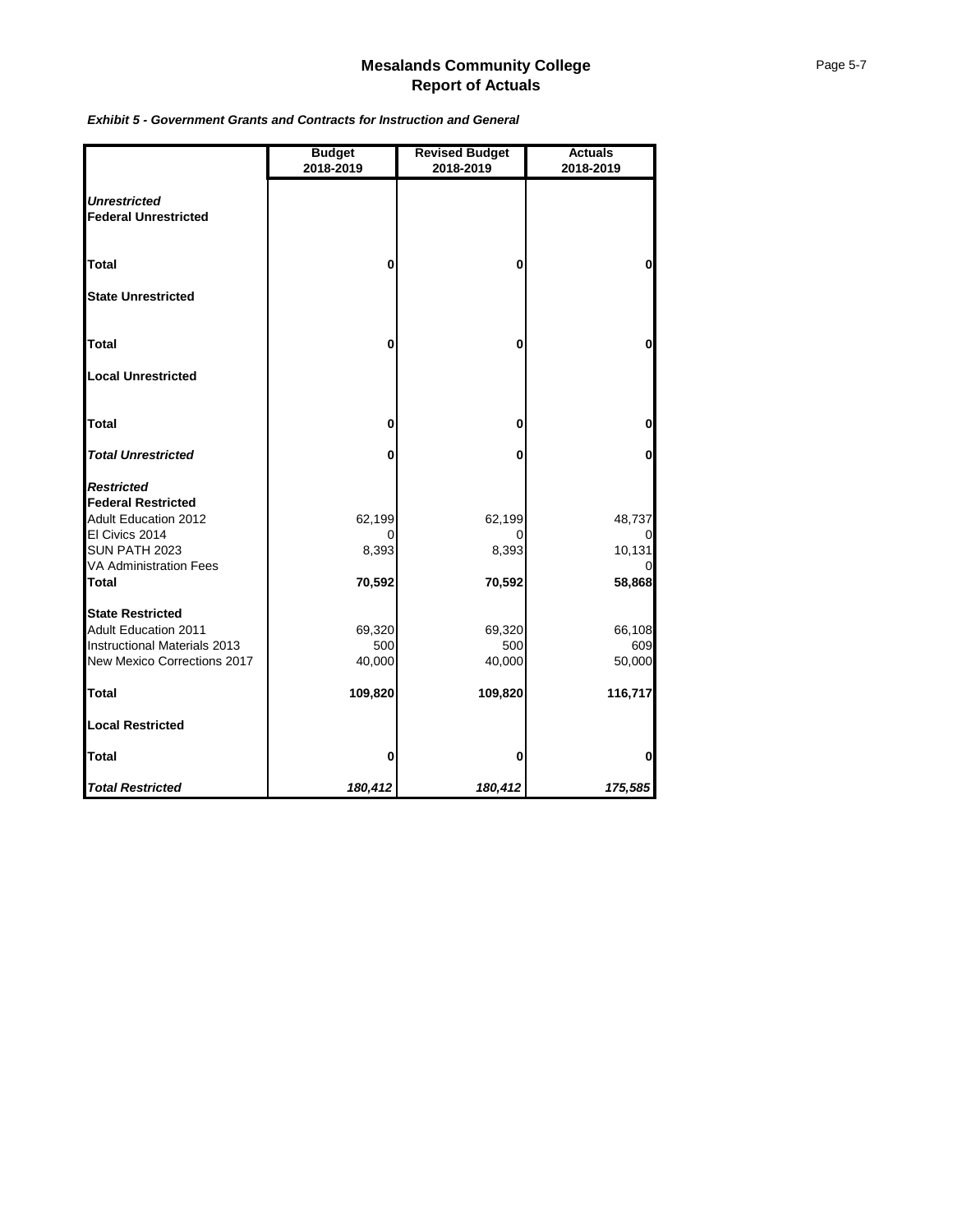| <b>Mesalands Community College</b> |
|------------------------------------|
| <b>Report of Actuals</b>           |
|                                    |

|                                                                                                                                                                   | <b>Budget</b><br>2018-2019 | <b>Revised Budget</b><br>2018-2019 | <b>Actuals</b><br>2018-2019                 |
|-------------------------------------------------------------------------------------------------------------------------------------------------------------------|----------------------------|------------------------------------|---------------------------------------------|
| <b>Unrestricted</b><br><b>Federal Unrestricted</b>                                                                                                                |                            |                                    |                                             |
| <b>Total</b>                                                                                                                                                      | $\mathbf 0$                | $\mathbf{0}$                       | $\mathbf 0$                                 |
| <b>State Unrestricted</b>                                                                                                                                         |                            |                                    |                                             |
| <b>Total</b>                                                                                                                                                      | 0                          | 0                                  | $\bf{0}$                                    |
| <b>Local Unrestricted</b>                                                                                                                                         |                            |                                    |                                             |
| <b>Total</b>                                                                                                                                                      | 0                          | $\bf{0}$                           | $\bf{0}$                                    |
| <b>Total Unrestricted</b>                                                                                                                                         | 0                          | 0                                  | 0                                           |
| <b>Restricted</b><br><b>Federal Restricted</b><br><b>Adult Education 2012</b><br>El Civics 2014<br>SUN PATH 2023<br><b>VA Administration Fees</b><br><b>Total</b> | 62,199<br>8,393<br>70,592  | 62,199<br>Ω<br>8,393<br>70,592     | 48,737<br>$\Omega$<br>10,131<br>0<br>58,868 |
| <b>State Restricted</b><br><b>Adult Education 2011</b><br>Instructional Materials 2013<br>New Mexico Corrections 2017                                             | 69,320<br>500<br>40,000    | 69,320<br>500<br>40,000            | 66,108<br>609<br>50,000                     |
| <b>Total</b>                                                                                                                                                      | 109,820                    | 109,820                            | 116,717                                     |
| <b>Local Restricted</b>                                                                                                                                           |                            |                                    |                                             |
| <b>Total</b>                                                                                                                                                      | 0                          | 0                                  | 0                                           |
| <b>Total Restricted</b>                                                                                                                                           | 180,412                    | 180,412                            | 175,585                                     |

*Exhibit 5 - Government Grants and Contracts for Instruction and General*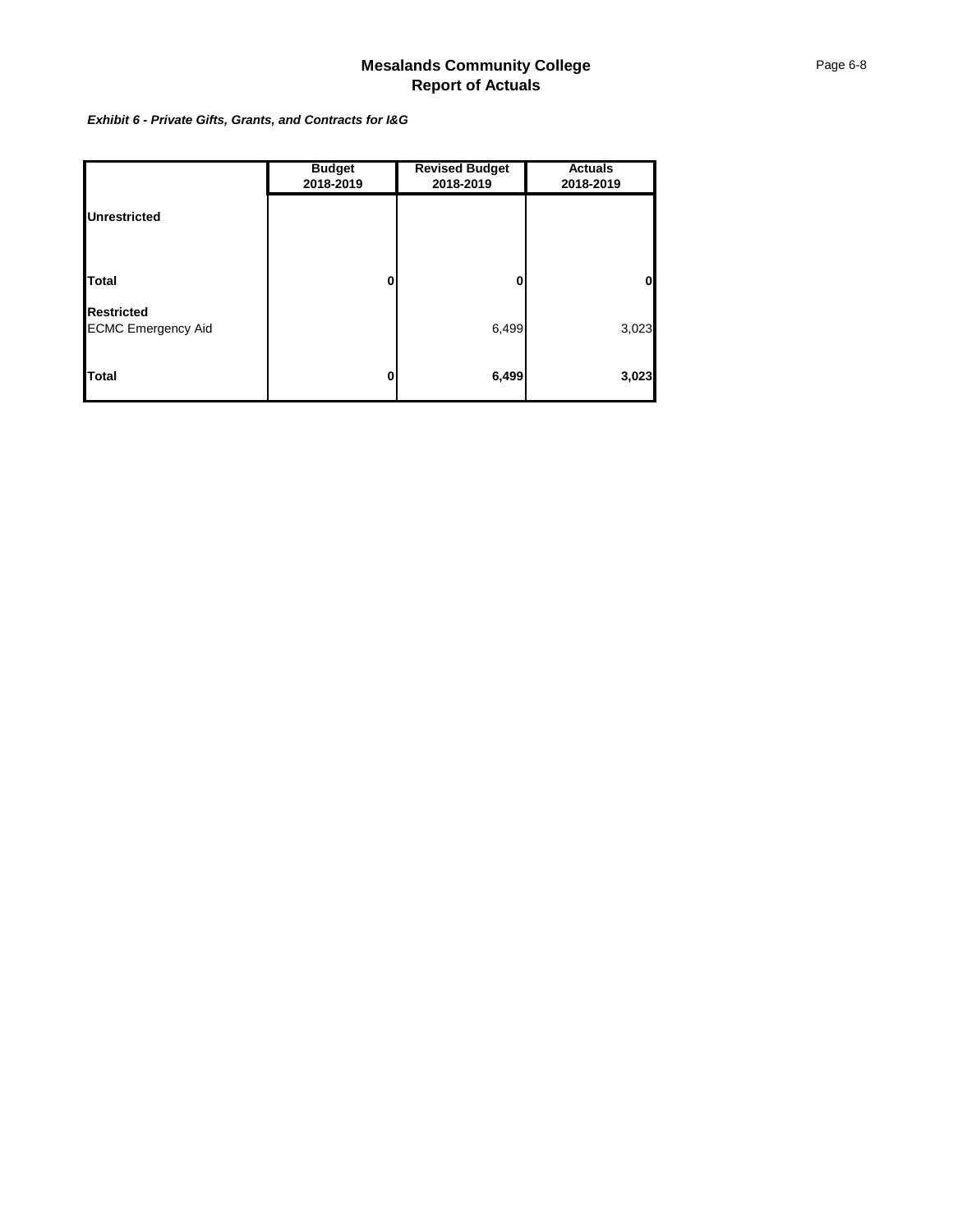*Exhibit 6 - Private Gifts, Grants, and Contracts for I&G*

|                                                | <b>Budget</b><br>2018-2019 | <b>Revised Budget</b><br>2018-2019 | <b>Actuals</b><br>2018-2019 |
|------------------------------------------------|----------------------------|------------------------------------|-----------------------------|
| <b>Unrestricted</b>                            |                            |                                    |                             |
|                                                |                            |                                    |                             |
| <b>Total</b>                                   | 0                          | 0                                  | $\Omega$                    |
| <b>Restricted</b><br><b>ECMC Emergency Aid</b> |                            | 6,499                              | 3,023                       |
| Total                                          | 0                          | 6,499                              | 3,023                       |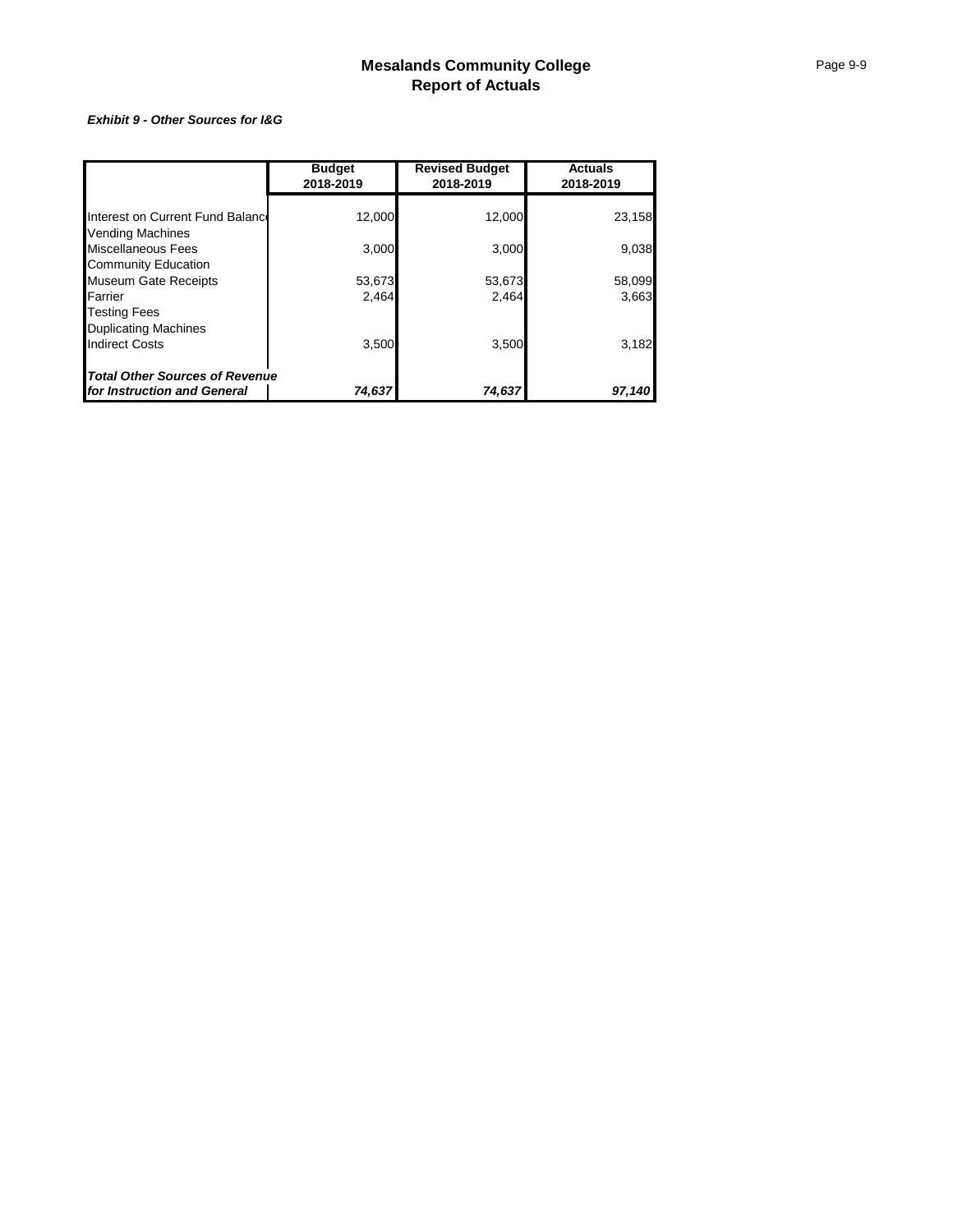#### *Exhibit 9 - Other Sources for I&G*

|                                       | <b>Budget</b><br>2018-2019 | <b>Revised Budget</b><br>2018-2019 | <b>Actuals</b><br>2018-2019 |
|---------------------------------------|----------------------------|------------------------------------|-----------------------------|
|                                       |                            |                                    |                             |
| Interest on Current Fund Balance      | 12,000                     | 12,000                             | 23,158                      |
| Vending Machines                      |                            |                                    |                             |
| Miscellaneous Fees                    | 3,000                      | 3,000                              | 9,038                       |
| <b>Community Education</b>            |                            |                                    |                             |
| <b>Museum Gate Receipts</b>           | 53,673                     | 53,673                             | 58,099                      |
| Farrier                               | 2.464                      | 2.464                              | 3,663                       |
| <b>Testing Fees</b>                   |                            |                                    |                             |
| <b>Duplicating Machines</b>           |                            |                                    |                             |
| <b>Indirect Costs</b>                 | 3,500                      | 3,500                              | 3,182                       |
| <b>Total Other Sources of Revenue</b> |                            |                                    |                             |
| for Instruction and General           | 74,637                     | 74,637                             | 97,140                      |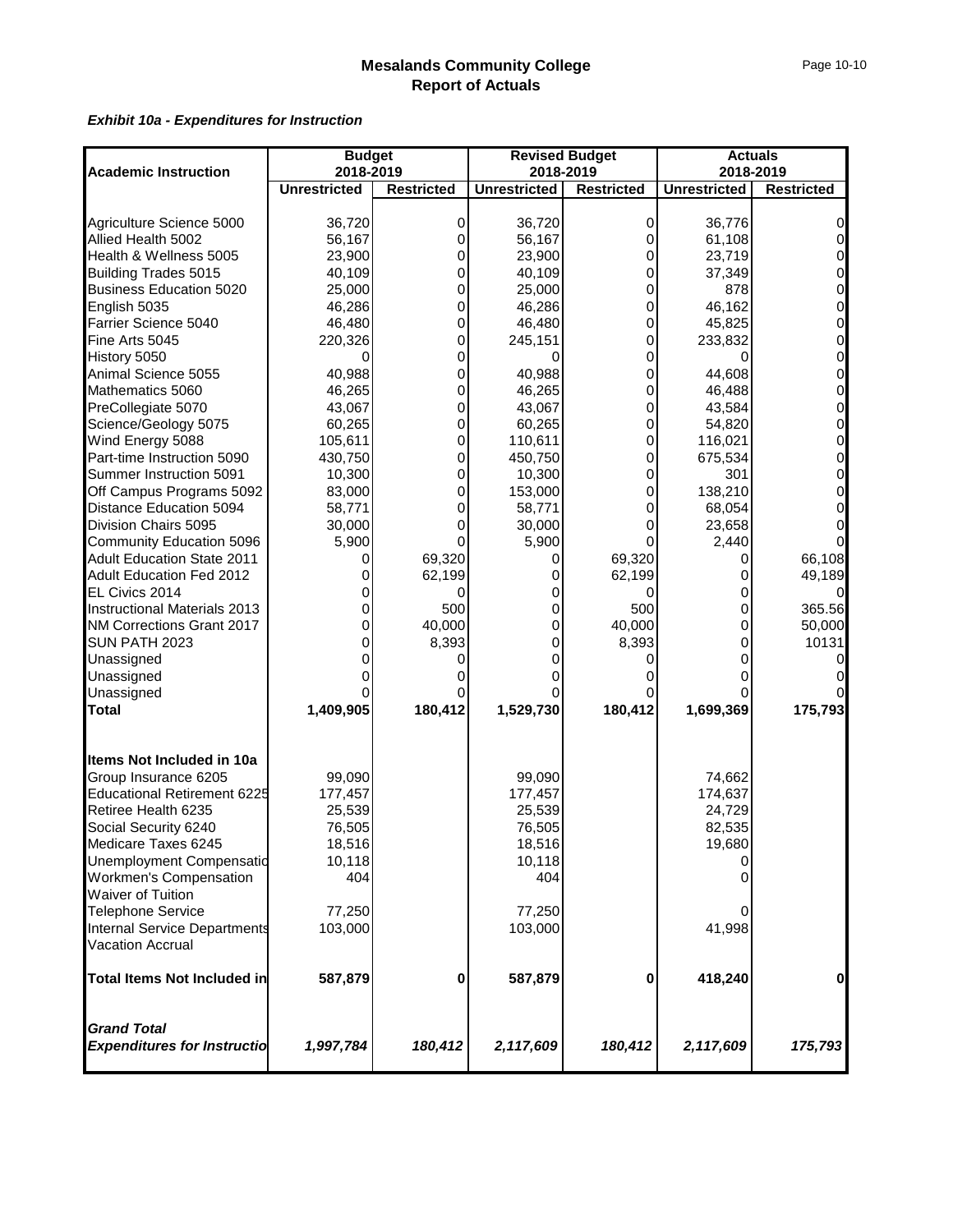|                                                          | <b>Budget</b>       |                   |                     | <b>Revised Budget</b> | <b>Actuals</b>      |                   |
|----------------------------------------------------------|---------------------|-------------------|---------------------|-----------------------|---------------------|-------------------|
| <b>Academic Instruction</b>                              | 2018-2019           |                   | 2018-2019           |                       | 2018-2019           |                   |
|                                                          | <b>Unrestricted</b> | <b>Restricted</b> | <b>Unrestricted</b> | <b>Restricted</b>     | <b>Unrestricted</b> | <b>Restricted</b> |
|                                                          |                     |                   |                     |                       |                     |                   |
| Agriculture Science 5000                                 | 36,720              | 0                 | 36,720              | 0                     | 36,776              | 0                 |
| Allied Health 5002                                       | 56,167              | 0                 | 56,167              | 0                     | 61,108              | $\Omega$          |
| Health & Wellness 5005                                   | 23,900              | 0                 | 23,900              | 0                     | 23,719              | 0                 |
| <b>Building Trades 5015</b>                              | 40,109              | 0                 | 40,109              | 0                     | 37,349              | 0                 |
| <b>Business Education 5020</b>                           | 25,000              | 0                 | 25,000              | 0                     | 878                 |                   |
| English 5035                                             | 46,286              | 0                 | 46,286              | 0                     | 46,162              | $\Omega$          |
| Farrier Science 5040                                     | 46,480              | 0                 | 46,480              | 0                     | 45,825              | 0                 |
| Fine Arts 5045                                           | 220,326             | 0                 | 245,151             | 0                     | 233,832             | 0                 |
| History 5050                                             | 0                   | 0                 |                     | 0                     |                     | 0                 |
| Animal Science 5055                                      | 40,988              | 0                 | 40,988              | 0                     | 44,608              | 0                 |
| Mathematics 5060                                         | 46,265              | 0                 | 46,265              | 0                     | 46,488              | $\mathbf{O}$      |
| PreCollegiate 5070                                       | 43,067              | 0                 | 43,067              | 0                     | 43,584              | 0                 |
| Science/Geology 5075                                     | 60,265              | 0                 | 60,265              | 0                     | 54,820              | 0                 |
| Wind Energy 5088                                         | 105,611             | 0                 | 110,611             | 0                     | 116,021             | 0                 |
| Part-time Instruction 5090                               | 430,750             | 0                 | 450,750             | 0                     | 675,534             | 0                 |
| Summer Instruction 5091                                  | 10,300              | 0                 | 10,300              | 0                     | 301                 | 0                 |
| Off Campus Programs 5092                                 | 83,000              | 0                 | 153,000             | 0                     | 138,210             | $\Omega$          |
| Distance Education 5094                                  | 58,771              | 0                 | 58,771              | 0                     | 68,054              | 0                 |
| Division Chairs 5095                                     | 30,000              |                   | 30,000              |                       | 23,658              |                   |
| Community Education 5096                                 | 5,900               |                   | 5,900               | O                     | 2,440               |                   |
| <b>Adult Education State 2011</b>                        | Ω                   | 69,320            | 0                   | 69,320                | Ω                   | 66,108            |
| Adult Education Fed 2012                                 | 0                   | 62,199            | 0                   | 62,199                | 0                   | 49,189            |
| EL Civics 2014                                           |                     |                   | 0                   |                       |                     |                   |
| <b>Instructional Materials 2013</b>                      |                     | 500               | 0                   | 500                   | 0                   | 365.56            |
| NM Corrections Grant 2017                                | 0                   | 40,000            | 0                   | 40,000                | 0                   | 50,000            |
| SUN PATH 2023                                            | 0                   | 8,393             | 0                   | 8,393                 | 0                   | 10131             |
| Unassigned                                               | 0                   |                   |                     | O                     | 0                   |                   |
| Unassigned                                               |                     |                   |                     |                       |                     |                   |
| Unassigned                                               |                     |                   |                     |                       |                     |                   |
| Total                                                    | 1,409,905           | 180,412           | 1,529,730           | 180,412               | 1,699,369           | 175,793           |
| Items Not Included in 10a                                |                     |                   |                     |                       |                     |                   |
| Group Insurance 6205                                     | 99,090              |                   | 99,090              |                       | 74,662              |                   |
| <b>Educational Retirement 6225</b>                       | 177,457             |                   | 177,457             |                       | 174,637             |                   |
| Retiree Health 6235                                      | 25,539              |                   | 25,539              |                       | 24,729              |                   |
| Social Security 6240                                     | 76,505              |                   | 76,505              |                       | 82,535              |                   |
| Medicare Taxes 6245                                      | 18,516              |                   | 18,516              |                       | 19,680              |                   |
| Unemployment Compensatio                                 | 10,118              |                   | 10,118              |                       |                     |                   |
| <b>Workmen's Compensation</b>                            | 404                 |                   | 404                 |                       |                     |                   |
| <b>Waiver of Tuition</b>                                 |                     |                   |                     |                       |                     |                   |
| <b>Telephone Service</b>                                 | 77,250              |                   | 77,250              |                       |                     |                   |
| Internal Service Departments                             | 103,000             |                   | 103,000             |                       | 41,998              |                   |
| Vacation Accrual                                         |                     |                   |                     |                       |                     |                   |
| <b>Total Items Not Included in</b>                       | 587,879             | 0                 | 587,879             | 0                     | 418,240             | 0                 |
| <b>Grand Total</b><br><b>Expenditures for Instructio</b> | 1,997,784           | 180,412           | 2,117,609           | 180,412               | 2,117,609           | 175,793           |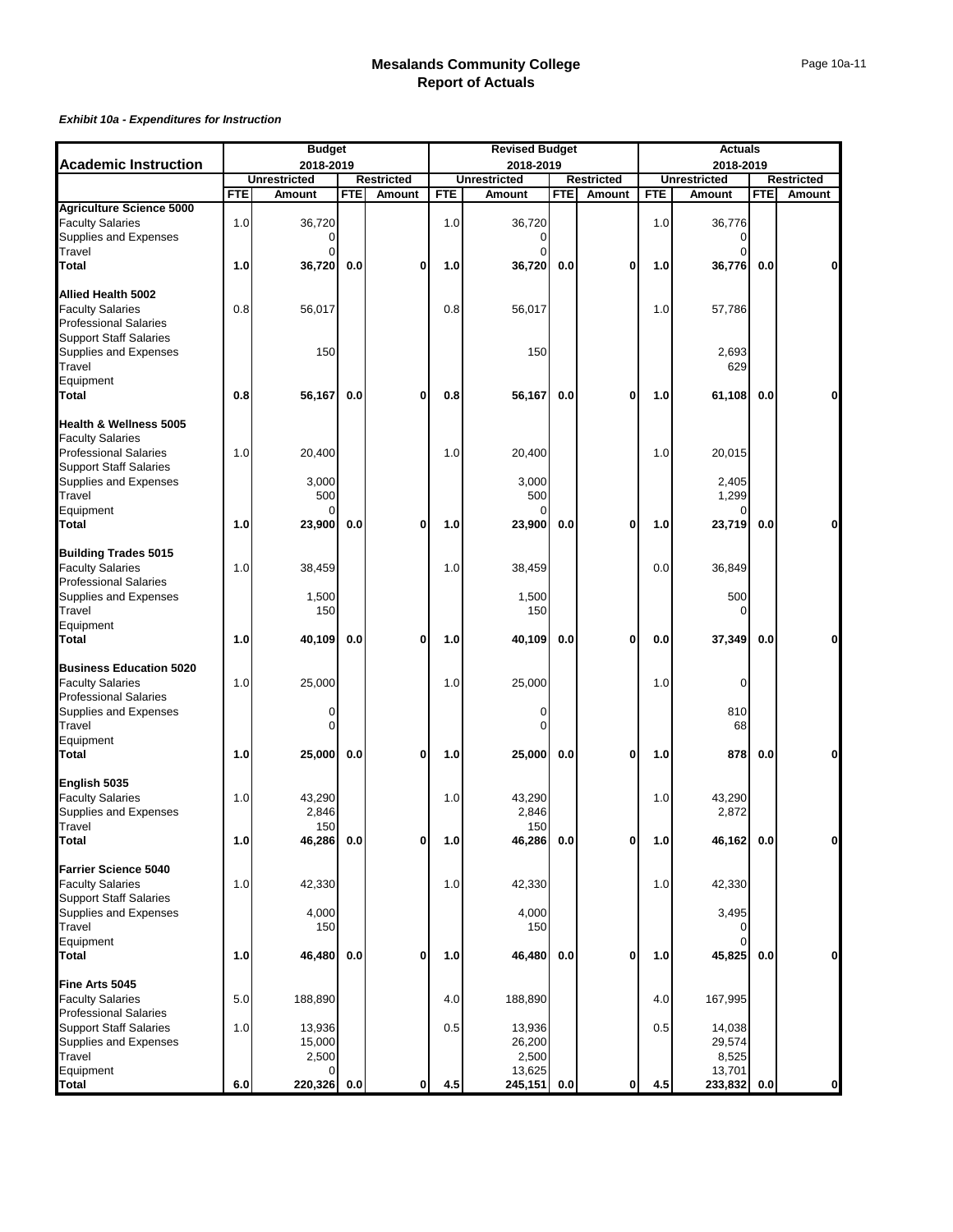|                                                            |            | <b>Budget</b>       |            |                   |            | <b>Revised Budget</b> |            |                   |            | <b>Actuals</b>      |            |                   |
|------------------------------------------------------------|------------|---------------------|------------|-------------------|------------|-----------------------|------------|-------------------|------------|---------------------|------------|-------------------|
| <b>Academic Instruction</b>                                |            | 2018-2019           |            |                   |            | 2018-2019             |            |                   |            | 2018-2019           |            |                   |
|                                                            |            | <b>Unrestricted</b> |            | <b>Restricted</b> |            | <b>Unrestricted</b>   |            | <b>Restricted</b> |            | <b>Unrestricted</b> |            | <b>Restricted</b> |
|                                                            | <b>FTE</b> | Amount              | <b>FTE</b> | Amount            | <b>FTE</b> | Amount                | <b>FTE</b> | Amount            | <b>FTE</b> | Amount              | <b>FTE</b> | Amount            |
| <b>Agriculture Science 5000</b><br><b>Faculty Salaries</b> | 1.0        | 36.720              |            |                   | 1.0        | 36,720                |            |                   | 1.0        | 36,776              |            |                   |
| Supplies and Expenses                                      |            | $\Omega$            |            |                   |            | $\Omega$              |            |                   |            | $\Omega$            |            |                   |
| Travel                                                     |            | $\Omega$            |            |                   |            | $\Omega$              |            |                   |            | $\Omega$            |            |                   |
| <b>Total</b>                                               | 1.0        | 36,720              | 0.0        | $\mathbf{0}$      | 1.0        | 36,720                | 0.0        | 0                 | 1.0        | 36,776              | 0.0        | 0                 |
|                                                            |            |                     |            |                   |            |                       |            |                   |            |                     |            |                   |
| Allied Health 5002                                         |            |                     |            |                   |            |                       |            |                   |            |                     |            |                   |
| <b>Faculty Salaries</b>                                    | 0.8        | 56,017              |            |                   | 0.8        | 56,017                |            |                   | 1.0        | 57,786              |            |                   |
| <b>Professional Salaries</b>                               |            |                     |            |                   |            |                       |            |                   |            |                     |            |                   |
| <b>Support Staff Salaries</b>                              |            |                     |            |                   |            |                       |            |                   |            |                     |            |                   |
| Supplies and Expenses                                      |            | 150                 |            |                   |            | 150                   |            |                   |            | 2,693               |            |                   |
| Travel<br>Equipment                                        |            |                     |            |                   |            |                       |            |                   |            | 629                 |            |                   |
| <b>Total</b>                                               | 0.8        | 56,167              | 0.0        | 0                 | 0.8        | 56,167                | 0.0        | 0                 | 1.0        | 61,108              | 0.0        | 0                 |
|                                                            |            |                     |            |                   |            |                       |            |                   |            |                     |            |                   |
| Health & Wellness 5005                                     |            |                     |            |                   |            |                       |            |                   |            |                     |            |                   |
| <b>Faculty Salaries</b>                                    |            |                     |            |                   |            |                       |            |                   |            |                     |            |                   |
| <b>Professional Salaries</b>                               | 1.0        | 20,400              |            |                   | 1.0        | 20,400                |            |                   | 1.0        | 20,015              |            |                   |
| <b>Support Staff Salaries</b>                              |            |                     |            |                   |            |                       |            |                   |            |                     |            |                   |
| Supplies and Expenses                                      |            | 3,000               |            |                   |            | 3,000                 |            |                   |            | 2,405               |            |                   |
| Travel                                                     |            | 500                 |            |                   |            | 500                   |            |                   |            | 1,299               |            |                   |
| Equipment                                                  |            |                     |            |                   |            | O                     |            |                   |            |                     |            |                   |
| <b>Total</b>                                               | 1.0        | 23,900              | 0.0        | $\mathbf{0}$      | 1.0        | 23,900                | 0.0        | 0                 | 1.0        | 23,719              | 0.0        | 0                 |
| <b>Building Trades 5015</b>                                |            |                     |            |                   |            |                       |            |                   |            |                     |            |                   |
| <b>Faculty Salaries</b>                                    | 1.0        | 38,459              |            |                   | 1.0        | 38,459                |            |                   | 0.0        | 36,849              |            |                   |
| <b>Professional Salaries</b>                               |            |                     |            |                   |            |                       |            |                   |            |                     |            |                   |
| Supplies and Expenses                                      |            | 1,500               |            |                   |            | 1,500                 |            |                   |            | 500                 |            |                   |
| Travel                                                     |            | 150                 |            |                   |            | 150                   |            |                   |            | 0                   |            |                   |
| Equipment                                                  |            |                     |            |                   |            |                       |            |                   |            |                     |            |                   |
| <b>Total</b>                                               | 1.0        | 40,109              | 0.0        | $\mathbf{0}$      | 1.0        | 40,109                | 0.0        | 0                 | 0.0        | 37,349              | 0.0        | 0                 |
| <b>Business Education 5020</b>                             |            |                     |            |                   |            |                       |            |                   |            |                     |            |                   |
| <b>Faculty Salaries</b>                                    | 1.0        | 25,000              |            |                   | 1.0        | 25,000                |            |                   | 1.0        | 0                   |            |                   |
| <b>Professional Salaries</b>                               |            |                     |            |                   |            |                       |            |                   |            |                     |            |                   |
| Supplies and Expenses                                      |            | 0                   |            |                   |            | 0                     |            |                   |            | 810                 |            |                   |
| Travel                                                     |            | 0                   |            |                   |            | $\Omega$              |            |                   |            | 68                  |            |                   |
| Equipment                                                  |            |                     |            |                   |            |                       |            |                   |            |                     |            |                   |
| <b>Total</b>                                               | 1.0        | 25,000              | 0.0        | $\mathbf{0}$      | 1.0        | 25,000                | 0.0        | 0                 | 1.0        | 878                 | 0.0        | 0                 |
| English 5035                                               |            |                     |            |                   |            |                       |            |                   |            |                     |            |                   |
| <b>Faculty Salaries</b>                                    | 1.0        | 43,290              |            |                   | 1.0        | 43,290                |            |                   | 1.0        | 43,290              |            |                   |
| Supplies and Expenses                                      |            | 2,846               |            |                   |            | 2,846                 |            |                   |            | 2,872               |            |                   |
| Travel                                                     |            | 150                 |            |                   |            | 150                   |            |                   |            |                     |            |                   |
| Total                                                      | 1.0        | 46,286 0.0          |            | oı                | 1.0        | 46,286   0.0          |            | o                 | 1.0        | 46,162   0.0        |            |                   |
|                                                            |            |                     |            |                   |            |                       |            |                   |            |                     |            |                   |
| <b>Farrier Science 5040</b>                                |            |                     |            |                   |            |                       |            |                   |            |                     |            |                   |
| <b>Faculty Salaries</b><br><b>Support Staff Salaries</b>   | 1.0        | 42,330              |            |                   | 1.0        | 42,330                |            |                   | 1.0        | 42,330              |            |                   |
| Supplies and Expenses                                      |            | 4,000               |            |                   |            | 4,000                 |            |                   |            | 3,495               |            |                   |
| Travel                                                     |            | 150                 |            |                   |            | 150                   |            |                   |            |                     |            |                   |
| Equipment                                                  |            |                     |            |                   |            |                       |            |                   |            | $\Omega$            |            |                   |
| <b>Total</b>                                               | 1.0        | 46,480              | 0.0        | $\mathbf{0}$      | 1.0        | 46,480                | 0.0        | 0                 | 1.0        | 45,825              | 0.0        | $\mathbf{0}$      |
|                                                            |            |                     |            |                   |            |                       |            |                   |            |                     |            |                   |
| Fine Arts 5045                                             |            |                     |            |                   |            |                       |            |                   |            |                     |            |                   |
| <b>Faculty Salaries</b><br><b>Professional Salaries</b>    | 5.0        | 188,890             |            |                   | 4.0        | 188,890               |            |                   | 4.0        | 167,995             |            |                   |
| <b>Support Staff Salaries</b>                              | 1.0        | 13,936              |            |                   | 0.5        | 13,936                |            |                   | 0.5        | 14,038              |            |                   |
| Supplies and Expenses                                      |            | 15,000              |            |                   |            | 26,200                |            |                   |            | 29,574              |            |                   |
| Travel                                                     |            | 2,500               |            |                   |            | 2,500                 |            |                   |            | 8,525               |            |                   |
| Equipment                                                  |            | O                   |            |                   |            | 13,625                |            |                   |            | 13,701              |            |                   |
| <b>Total</b>                                               | 6.0        | 220,326             | 0.0        | $\mathbf{0}$      | 4.5        | 245,151               | 0.0        | 0                 | 4.5        | 233,832             | 0.0        | $\mathbf{0}$      |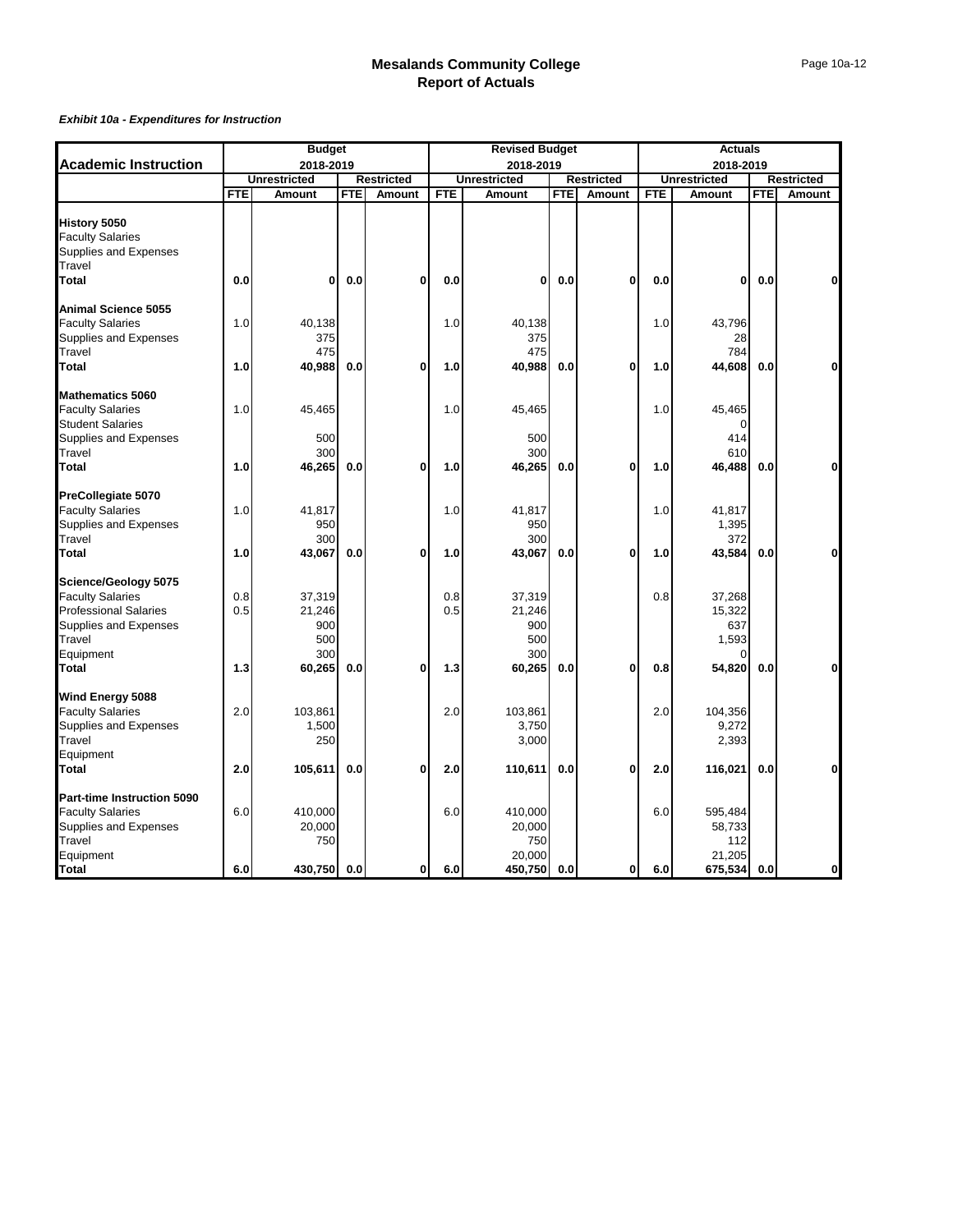|                              |            | <b>Budget</b>       |            |                   |            | <b>Revised Budget</b> |     |                   |            | <b>Actuals</b>      |     |                   |
|------------------------------|------------|---------------------|------------|-------------------|------------|-----------------------|-----|-------------------|------------|---------------------|-----|-------------------|
| <b>Academic Instruction</b>  |            | 2018-2019           |            |                   |            | 2018-2019             |     |                   |            | 2018-2019           |     |                   |
|                              |            | <b>Unrestricted</b> |            | <b>Restricted</b> |            | <b>Unrestricted</b>   |     | <b>Restricted</b> |            | <b>Unrestricted</b> |     | <b>Restricted</b> |
|                              | <b>FTE</b> | Amount              | <b>FTE</b> | Amount            | <b>FTE</b> | Amount                | FTE | Amount            | <b>FTE</b> | Amount              | FTE | Amount            |
| <b>History 5050</b>          |            |                     |            |                   |            |                       |     |                   |            |                     |     |                   |
|                              |            |                     |            |                   |            |                       |     |                   |            |                     |     |                   |
| <b>Faculty Salaries</b>      |            |                     |            |                   |            |                       |     |                   |            |                     |     |                   |
| Supplies and Expenses        |            |                     |            |                   |            |                       |     |                   |            |                     |     |                   |
| Travel                       | 0.0        | 0                   |            | $\mathbf{0}$      |            | 0                     |     | 0                 |            | 0                   |     | $\mathbf 0$       |
| <b>Total</b>                 |            |                     | 0.0        |                   | 0.0        |                       | 0.0 |                   | 0.0        |                     | 0.0 |                   |
| <b>Animal Science 5055</b>   |            |                     |            |                   |            |                       |     |                   |            |                     |     |                   |
| <b>Faculty Salaries</b>      | 1.0        | 40,138              |            |                   | 1.0        | 40,138                |     |                   | 1.0        | 43,796              |     |                   |
| Supplies and Expenses        |            | 375                 |            |                   |            | 375                   |     |                   |            | 28                  |     |                   |
| Travel                       |            | 475                 |            |                   |            | 475                   |     |                   |            | 784                 |     |                   |
| Total                        | 1.0        | 40,988              | 0.0        | $\mathbf{0}$      | 1.0        | 40,988                | 0.0 | $\mathbf{0}$      | 1.0        | 44,608              | 0.0 | $\mathbf{0}$      |
|                              |            |                     |            |                   |            |                       |     |                   |            |                     |     |                   |
| <b>Mathematics 5060</b>      |            |                     |            |                   |            |                       |     |                   |            |                     |     |                   |
| <b>Faculty Salaries</b>      | 1.0        | 45,465              |            |                   | 1.0        | 45,465                |     |                   | 1.0        | 45,465              |     |                   |
| <b>Student Salaries</b>      |            |                     |            |                   |            |                       |     |                   |            | O                   |     |                   |
| Supplies and Expenses        |            | 500                 |            |                   |            | 500                   |     |                   |            | 414                 |     |                   |
| Travel                       |            | 300                 |            |                   |            | 300                   |     |                   |            | 610                 |     |                   |
| Total                        | 1.0        | 46,265              | 0.0        | $\mathbf{0}$      | 1.0        | 46,265                | 0.0 | $\mathbf 0$       | 1.0        | 46,488              | 0.0 | $\mathbf{0}$      |
| PreCollegiate 5070           |            |                     |            |                   |            |                       |     |                   |            |                     |     |                   |
| <b>Faculty Salaries</b>      | 1.0        | 41,817              |            |                   | 1.0        | 41,817                |     |                   | 1.0        | 41,817              |     |                   |
| Supplies and Expenses        |            | 950                 |            |                   |            | 950                   |     |                   |            | 1,395               |     |                   |
| Travel                       |            | 300                 |            |                   |            | 300                   |     |                   |            | 372                 |     |                   |
| Total                        | 1.0        | 43,067              | 0.0        | $\mathbf{0}$      | 1.0        | 43,067                | 0.0 | 0                 | 1.0        | 43,584              | 0.0 | 0                 |
|                              |            |                     |            |                   |            |                       |     |                   |            |                     |     |                   |
| Science/Geology 5075         |            |                     |            |                   |            |                       |     |                   |            |                     |     |                   |
| <b>Faculty Salaries</b>      | 0.8        | 37,319              |            |                   | 0.8        | 37,319                |     |                   | 0.8        | 37,268              |     |                   |
| <b>Professional Salaries</b> | 0.5        | 21,246              |            |                   | 0.5        | 21,246                |     |                   |            | 15,322              |     |                   |
| Supplies and Expenses        |            | 900                 |            |                   |            | 900                   |     |                   |            | 637                 |     |                   |
| Travel                       |            | 500                 |            |                   |            | 500                   |     |                   |            | 1,593               |     |                   |
| Equipment                    |            | 300                 |            |                   |            | 300                   |     |                   |            | O                   |     |                   |
| <b>Total</b>                 | 1.3        | 60,265              | 0.0        | $\mathbf{0}$      | 1.3        | 60,265                | 0.0 | 0                 | 0.8        | 54,820              | 0.0 | 0                 |
| Wind Energy 5088             |            |                     |            |                   |            |                       |     |                   |            |                     |     |                   |
| <b>Faculty Salaries</b>      | 2.0        | 103,861             |            |                   | 2.0        | 103,861               |     |                   | 2.0        | 104,356             |     |                   |
| Supplies and Expenses        |            | 1,500               |            |                   |            | 3,750                 |     |                   |            | 9,272               |     |                   |
| Travel                       |            | 250                 |            |                   |            | 3,000                 |     |                   |            | 2,393               |     |                   |
| Equipment                    |            |                     |            |                   |            |                       |     |                   |            |                     |     |                   |
| Total                        | 2.0        | 105,611             | 0.0        | $\mathbf{0}$      | 2.0        | 110,611               | 0.0 | $\mathbf{0}$      | 2.0        | 116,021             | 0.0 | 0                 |
|                              |            |                     |            |                   |            |                       |     |                   |            |                     |     |                   |
| Part-time Instruction 5090   |            |                     |            |                   |            |                       |     |                   |            |                     |     |                   |
| <b>Faculty Salaries</b>      | 6.0        | 410,000             |            |                   | 6.0        | 410,000               |     |                   | 6.0        | 595,484             |     |                   |
| Supplies and Expenses        |            | 20,000              |            |                   |            | 20,000                |     |                   |            | 58,733              |     |                   |
| Travel                       |            | 750                 |            |                   |            | 750                   |     |                   |            | 112                 |     |                   |
| Equipment                    |            |                     |            |                   |            | 20,000                |     |                   |            | 21,205              |     |                   |
| <b>Total</b>                 | 6.0        | 430,750             | 0.0        | οI                | 6.0        | 450,750               | 0.0 | 0                 | 6.0        | 675,534             | 0.0 | $\mathbf{0}$      |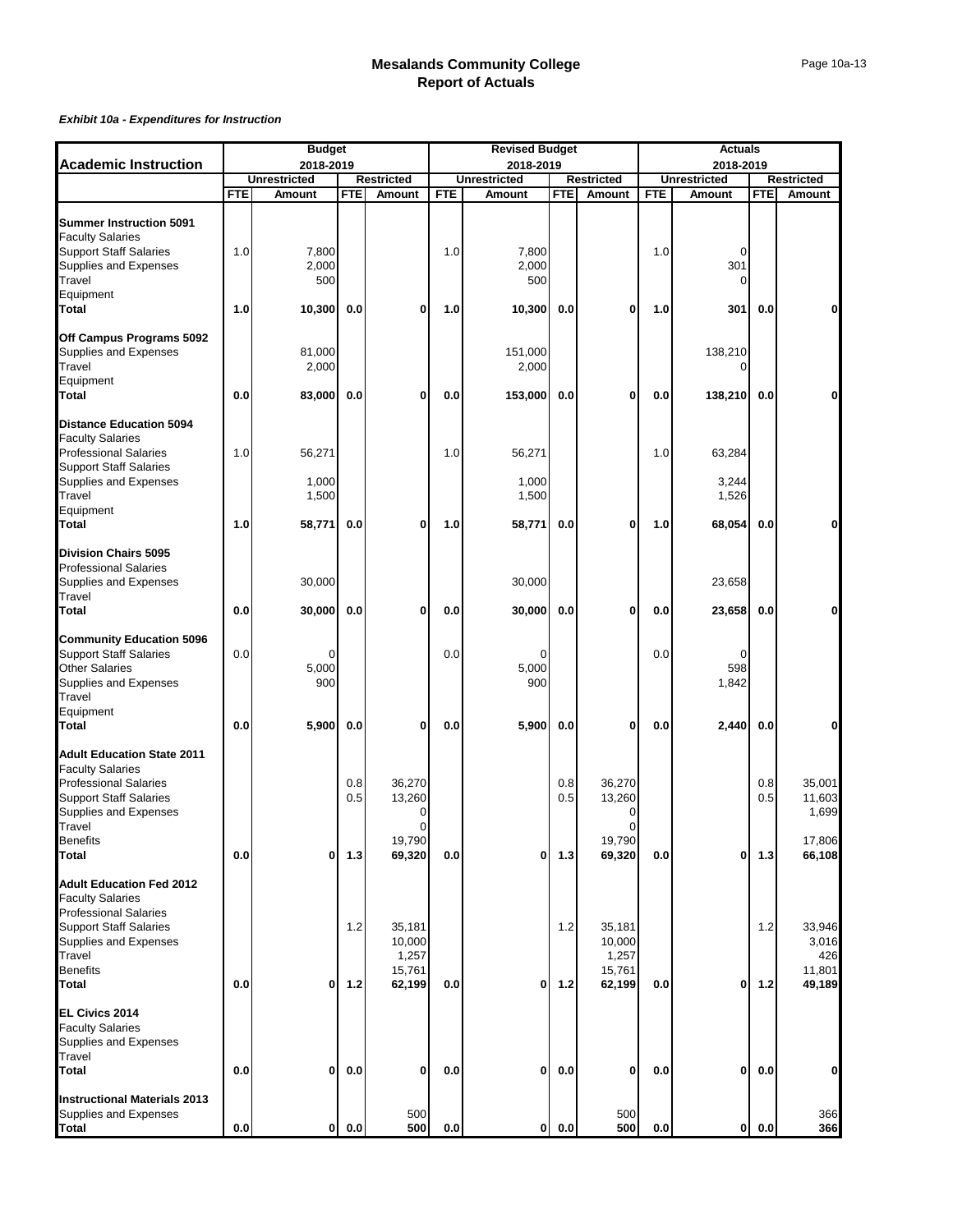|                                                               |            | <b>Budget</b>       |            |                       |     | <b>Revised Budget</b> |            |                       |     | <b>Actuals</b>      |            |                   |
|---------------------------------------------------------------|------------|---------------------|------------|-----------------------|-----|-----------------------|------------|-----------------------|-----|---------------------|------------|-------------------|
| <b>Academic Instruction</b>                                   |            | 2018-2019           |            |                       |     | 2018-2019             |            |                       |     | 2018-2019           |            |                   |
|                                                               |            | <b>Unrestricted</b> |            | Restricted            |     | <b>Unrestricted</b>   |            | Restricted            |     | <b>Unrestricted</b> |            | <b>Restricted</b> |
|                                                               | <b>FTE</b> | Amount              | <b>FTE</b> | Amount                | FTE | Amount                | <b>FTE</b> | Amount                | FTE | Amount              | <b>FTE</b> | Amount            |
| <b>Summer Instruction 5091</b><br><b>Faculty Salaries</b>     |            |                     |            |                       |     |                       |            |                       |     |                     |            |                   |
| <b>Support Staff Salaries</b>                                 | 1.0        | 7,800               |            |                       | 1.0 | 7,800                 |            |                       | 1.0 | 0                   |            |                   |
| Supplies and Expenses                                         |            | 2,000               |            |                       |     | 2,000                 |            |                       |     | 301                 |            |                   |
| Travel                                                        |            | 500                 |            |                       |     | 500                   |            |                       |     | $\Omega$            |            |                   |
| Equipment                                                     |            |                     |            |                       |     |                       |            |                       |     |                     |            |                   |
| <b>Total</b>                                                  | 1.0        | 10,300              | 0.0        | 0                     | 1.0 | 10,300                | 0.0        | 0                     | 1.0 | 301                 | 0.0        | 0                 |
| Off Campus Programs 5092                                      |            |                     |            |                       |     |                       |            |                       |     |                     |            |                   |
| Supplies and Expenses                                         |            | 81,000              |            |                       |     | 151,000               |            |                       |     | 138,210             |            |                   |
| Travel                                                        |            | 2,000               |            |                       |     | 2,000                 |            |                       |     | $\Omega$            |            |                   |
| Equipment                                                     |            |                     |            |                       |     |                       |            |                       |     |                     |            |                   |
| <b>Total</b>                                                  | 0.0        | 83,000              | 0.0        | 0                     | 0.0 | 153,000               | 0.0        | 0                     | 0.0 | 138,210             | 0.0        | 0                 |
|                                                               |            |                     |            |                       |     |                       |            |                       |     |                     |            |                   |
| <b>Distance Education 5094</b>                                |            |                     |            |                       |     |                       |            |                       |     |                     |            |                   |
| <b>Faculty Salaries</b>                                       |            |                     |            |                       |     |                       |            |                       |     |                     |            |                   |
| <b>Professional Salaries</b><br><b>Support Staff Salaries</b> | 1.0        | 56,271              |            |                       | 1.0 | 56,271                |            |                       | 1.0 | 63,284              |            |                   |
| Supplies and Expenses                                         |            | 1,000               |            |                       |     | 1,000                 |            |                       |     | 3,244               |            |                   |
| Travel                                                        |            | 1,500               |            |                       |     | 1,500                 |            |                       |     | 1,526               |            |                   |
| Equipment                                                     |            |                     |            |                       |     |                       |            |                       |     |                     |            |                   |
| <b>Total</b>                                                  | 1.0        | 58,771              | 0.0        | $\bf{0}$              | 1.0 | 58,771                | 0.0        | 0                     | 1.0 | 68,054              | 0.0        | $\mathbf{0}$      |
|                                                               |            |                     |            |                       |     |                       |            |                       |     |                     |            |                   |
| <b>Division Chairs 5095</b>                                   |            |                     |            |                       |     |                       |            |                       |     |                     |            |                   |
| <b>Professional Salaries</b>                                  |            |                     |            |                       |     |                       |            |                       |     |                     |            |                   |
| Supplies and Expenses                                         |            | 30,000              |            |                       |     | 30,000                |            |                       |     | 23,658              |            |                   |
| Travel<br><b>Total</b>                                        | $0.0\,$    | 30,000              | $0.0\,$    | 0                     | 0.0 | 30,000                | 0.0        | 0                     | 0.0 | 23,658              | 0.0        | 0                 |
|                                                               |            |                     |            |                       |     |                       |            |                       |     |                     |            |                   |
| <b>Community Education 5096</b>                               |            |                     |            |                       |     |                       |            |                       |     |                     |            |                   |
| <b>Support Staff Salaries</b>                                 | 0.0        | 0                   |            |                       | 0.0 | $\Omega$              |            |                       | 0.0 | $\Omega$            |            |                   |
| <b>Other Salaries</b>                                         |            | 5,000               |            |                       |     | 5,000                 |            |                       |     | 598                 |            |                   |
| Supplies and Expenses                                         |            | 900                 |            |                       |     | 900                   |            |                       |     | 1,842               |            |                   |
| Travel                                                        |            |                     |            |                       |     |                       |            |                       |     |                     |            |                   |
| Equipment<br><b>Total</b>                                     | 0.0        | 5,900               | 0.0        | 0                     | 0.0 | 5,900                 | 0.0        | 0                     | 0.0 | 2,440               | 0.0        | 0                 |
|                                                               |            |                     |            |                       |     |                       |            |                       |     |                     |            |                   |
| <b>Adult Education State 2011</b>                             |            |                     |            |                       |     |                       |            |                       |     |                     |            |                   |
| <b>Faculty Salaries</b>                                       |            |                     |            |                       |     |                       |            |                       |     |                     |            |                   |
| <b>Professional Salaries</b>                                  |            |                     | 0.8        | 36,270                |     |                       | 0.8        | 36,270                |     |                     | 0.8        | 35,001            |
| <b>Support Staff Salaries</b>                                 |            |                     | 0.5        | 13,260                |     |                       | 0.5        | 13,260                |     |                     | 0.5        | 11,603            |
| Supplies and Expenses                                         |            |                     |            | 0                     |     |                       |            | 0                     |     |                     |            | 1,699             |
| Travel                                                        |            |                     |            | $\mathbf 0$<br>19,790 |     |                       |            | $\mathbf 0$<br>19,790 |     |                     |            | 17,806            |
| Benefits<br><b>Total</b>                                      | 0.0        | 0                   | $1.3$      | 69,320                | 0.0 | $\mathbf{0}$          | 1.3        | 69,320                | 0.0 | $\mathbf{0}$        | $1.3$      | 66,108            |
|                                                               |            |                     |            |                       |     |                       |            |                       |     |                     |            |                   |
| <b>Adult Education Fed 2012</b>                               |            |                     |            |                       |     |                       |            |                       |     |                     |            |                   |
| <b>Faculty Salaries</b>                                       |            |                     |            |                       |     |                       |            |                       |     |                     |            |                   |
| <b>Professional Salaries</b>                                  |            |                     |            |                       |     |                       |            |                       |     |                     |            |                   |
| <b>Support Staff Salaries</b>                                 |            |                     | $1.2$      | 35,181                |     |                       | 1.2        | 35,181                |     |                     | 1.2        | 33,946            |
| Supplies and Expenses<br>Travel                               |            |                     |            | 10,000<br>1,257       |     |                       |            | 10,000<br>1,257       |     |                     |            | 3,016<br>426      |
| <b>Benefits</b>                                               |            |                     |            | 15,761                |     |                       |            | 15,761                |     |                     |            | 11,801            |
| <b>Total</b>                                                  | 0.0        | 0                   | $1.2$      | 62,199                | 0.0 | 0                     | $1.2$      | 62,199                | 0.0 | 0                   | $1.2$      | 49,189            |
|                                                               |            |                     |            |                       |     |                       |            |                       |     |                     |            |                   |
| EL Civics 2014                                                |            |                     |            |                       |     |                       |            |                       |     |                     |            |                   |
| <b>Faculty Salaries</b>                                       |            |                     |            |                       |     |                       |            |                       |     |                     |            |                   |
| Supplies and Expenses<br>Travel                               |            |                     |            |                       |     |                       |            |                       |     |                     |            |                   |
| <b>Total</b>                                                  | 0.0        | $\mathbf 0$         | 0.0        | 0                     | 0.0 | 0                     | $0.0\,$    | 0                     | 0.0 | 0                   | 0.0        | 0                 |
|                                                               |            |                     |            |                       |     |                       |            |                       |     |                     |            |                   |
| <b>Instructional Materials 2013</b>                           |            |                     |            |                       |     |                       |            |                       |     |                     |            |                   |
| Supplies and Expenses                                         |            |                     |            | 500                   |     |                       |            | 500                   |     |                     |            | 366               |
| <b>Total</b>                                                  | 0.0        | 01                  | 0.0        | 500                   | 0.0 | οI                    | 0.0        | 500                   | 0.0 | οI                  | 0.0        | 366               |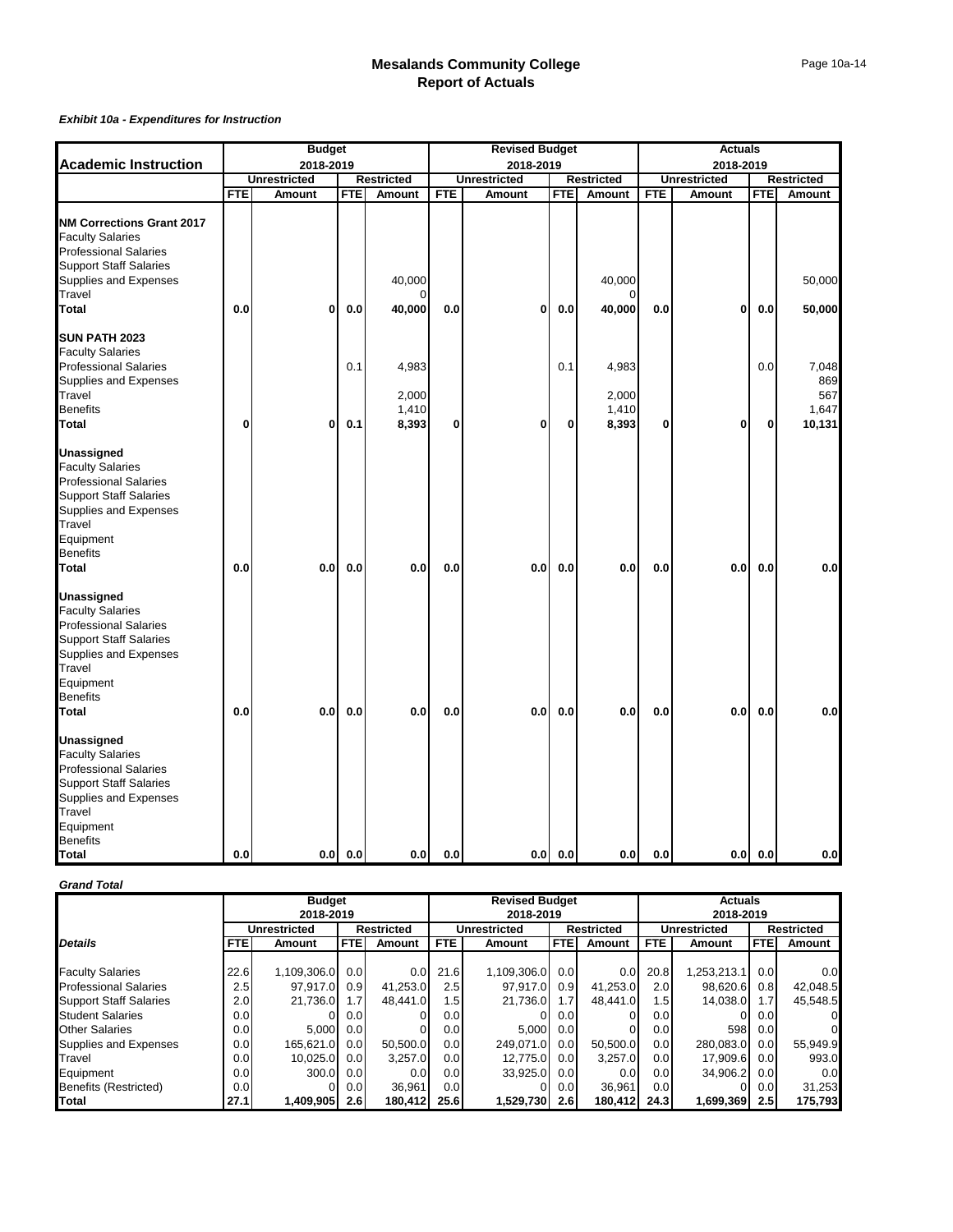#### *Exhibit 10a - Expenditures for Instruction*

|                                                                                                                                                                                           |              | <b>Budget</b>       |            |                                  |            | <b>Revised Budget</b> |            |                                  |            | <b>Actuals</b>      |            |                                        |
|-------------------------------------------------------------------------------------------------------------------------------------------------------------------------------------------|--------------|---------------------|------------|----------------------------------|------------|-----------------------|------------|----------------------------------|------------|---------------------|------------|----------------------------------------|
| <b>Academic Instruction</b>                                                                                                                                                               |              | 2018-2019           |            |                                  |            | 2018-2019             |            |                                  |            | 2018-2019           |            |                                        |
|                                                                                                                                                                                           |              | <b>Unrestricted</b> |            | <b>Restricted</b>                |            | <b>Unrestricted</b>   |            | <b>Restricted</b>                |            | <b>Unrestricted</b> |            | <b>Restricted</b>                      |
|                                                                                                                                                                                           | <b>FTE</b>   | Amount              | FTE        | Amount                           | <b>FTE</b> | Amount                | <b>FTE</b> | Amount                           | <b>FTE</b> | Amount              | <b>FTE</b> | Amount                                 |
| <b>NM Corrections Grant 2017</b><br><b>Faculty Salaries</b><br><b>Professional Salaries</b><br><b>Support Staff Salaries</b><br>Supplies and Expenses<br>Travel<br><b>Total</b>           | 0.0          | 0                   | 0.0        | 40,000<br>0<br>40,000            | 0.0        | 0                     | 0.0        | 40,000<br>$\Omega$<br>40,000     | 0.0        | 0                   | $0.0\,$    | 50,000<br>50,000                       |
| SUN PATH 2023<br><b>Faculty Salaries</b><br><b>Professional Salaries</b><br>Supplies and Expenses<br>Travel<br><b>Benefits</b><br><b>Total</b>                                            | $\mathbf{0}$ | 0                   | 0.1<br>0.1 | 4,983<br>2,000<br>1,410<br>8,393 | 0          | 0                     | 0.1<br>0   | 4,983<br>2,000<br>1,410<br>8,393 | 0          | 0                   | 0.0<br>0   | 7,048<br>869<br>567<br>1,647<br>10,131 |
| Unassigned<br><b>Faculty Salaries</b><br><b>Professional Salaries</b><br><b>Support Staff Salaries</b><br>Supplies and Expenses<br>Travel<br>Equipment<br><b>Benefits</b><br><b>Total</b> | 0.0          | 0.0                 | 0.0        | 0.0                              | 0.0        | 0.0                   | 0.0        | 0.0                              | 0.0        | 0.0                 | 0.0        | 0.0                                    |
| Unassigned<br><b>Faculty Salaries</b><br><b>Professional Salaries</b><br><b>Support Staff Salaries</b><br>Supplies and Expenses<br>Travel<br>Equipment<br><b>Benefits</b><br><b>Total</b> | 0.0          | 0.0                 | 0.0        | 0.0                              | 0.0        | 0.01                  | 0.0        | 0.0                              | 0.0        | 0.0                 | 0.0        | 0.0                                    |
| Unassigned<br><b>Faculty Salaries</b><br><b>Professional Salaries</b><br><b>Support Staff Salaries</b><br>Supplies and Expenses<br>Travel<br>Equipment<br><b>Benefits</b><br>Total        | 0.0          |                     | $0.0$ 0.0  | 0.0                              | 0.0        |                       | $0.0$ 0.0  | 0.0                              | 0.0        |                     | $0.0$ 0.0  | 0.0                                    |

#### *Grand Total*

|                               |                  | <b>Budget</b> |            |                   |            | <b>Revised Budget</b> |            |                   |                  | <b>Actuals</b>      |            |                   |
|-------------------------------|------------------|---------------|------------|-------------------|------------|-----------------------|------------|-------------------|------------------|---------------------|------------|-------------------|
|                               |                  | 2018-2019     |            |                   |            | 2018-2019             |            |                   |                  | 2018-2019           |            |                   |
|                               |                  | Unrestricted  |            | <b>Restricted</b> |            | <b>Unrestricted</b>   |            | <b>Restricted</b> |                  | <b>Unrestricted</b> |            | <b>Restricted</b> |
| <b>Details</b>                | <b>FTE</b>       | Amount        | <b>FTE</b> | Amount            | <b>FTE</b> | Amount                | <b>FTE</b> | Amount            | FTE.             | Amount              | <b>FTE</b> | Amount            |
|                               |                  |               |            |                   |            |                       |            |                   |                  |                     |            |                   |
| <b>Faculty Salaries</b>       | 22.6             | 1,109,306.0   | 0.0        | 0.0               | 21.6       | 1,109,306.0           | 0.0        | 0.0               | 20.8             | 1.253.213.1         | 0.0        | 0.0               |
| <b>Professional Salaries</b>  | 2.5              | 97.917.0      | 0.9        | 41,253.0          | 2.5        | 97.917.0              | 0.9        | 41,253.0          | 2.0              | 98,620.6            | 0.8        | 42,048.5          |
| <b>Support Staff Salaries</b> | 2.0              | 21.736.0      | 1.7        | 48.441.0          | 1.5        | 21.736.0              | 1.7        | 48.441.0          | 1.5              | 14,038.0            | 1.7        | 45.548.5          |
| <b>Student Salaries</b>       | 0.01             | $\Omega$      | 0.01       |                   | 0.0        | 0                     | 0.0        |                   | 0.0              | 0                   | 0.0        | 0                 |
| <b>Other Salaries</b>         | 0.0 <sub>l</sub> | 5.000         | 0.0        |                   | 0.0        | 5.000                 | 0.0        |                   | 0.0              | 598                 | 0.0        |                   |
| Supplies and Expenses         | 0.0 <sub>l</sub> | 165.621.0     | 0.0        | 50.500.0          | 0.0        | 249.071.0             | 0.0        | 50.500.0          | 0.0              | 280.083.0           | 0.0        | 55,949.9          |
| Travel                        | 0.0 <sub>l</sub> | 10,025.0      | 0.0        | 3,257.0           | 0.01       | 12.775.0              | 0.0        | 3,257.0           | 0.0 <sub>l</sub> | 17,909.6            | 0.0        | 993.0             |
| Equipment                     | 0.0 <sub>l</sub> | 300.0         | 0.0        | 0.0               | 0.0        | 33,925.0              | 0.0        | 0.0               | 0.0              | 34,906.2            | 0.0        | 0.0               |
| Benefits (Restricted)         | 0.0 <sub>l</sub> |               | 0.01       | 36.961            | 0.0        |                       | 0.0        | 36.961            | 0.0              |                     | 0.0        | 31,253            |
| <b>Total</b>                  | 27.1             | 1,409,905     | 2.6        | 180,412           | 25.6       | 1,529,730             | 2.6        | 180,412           | 24.3             | 1,699,369           | 2.5        | 175,793           |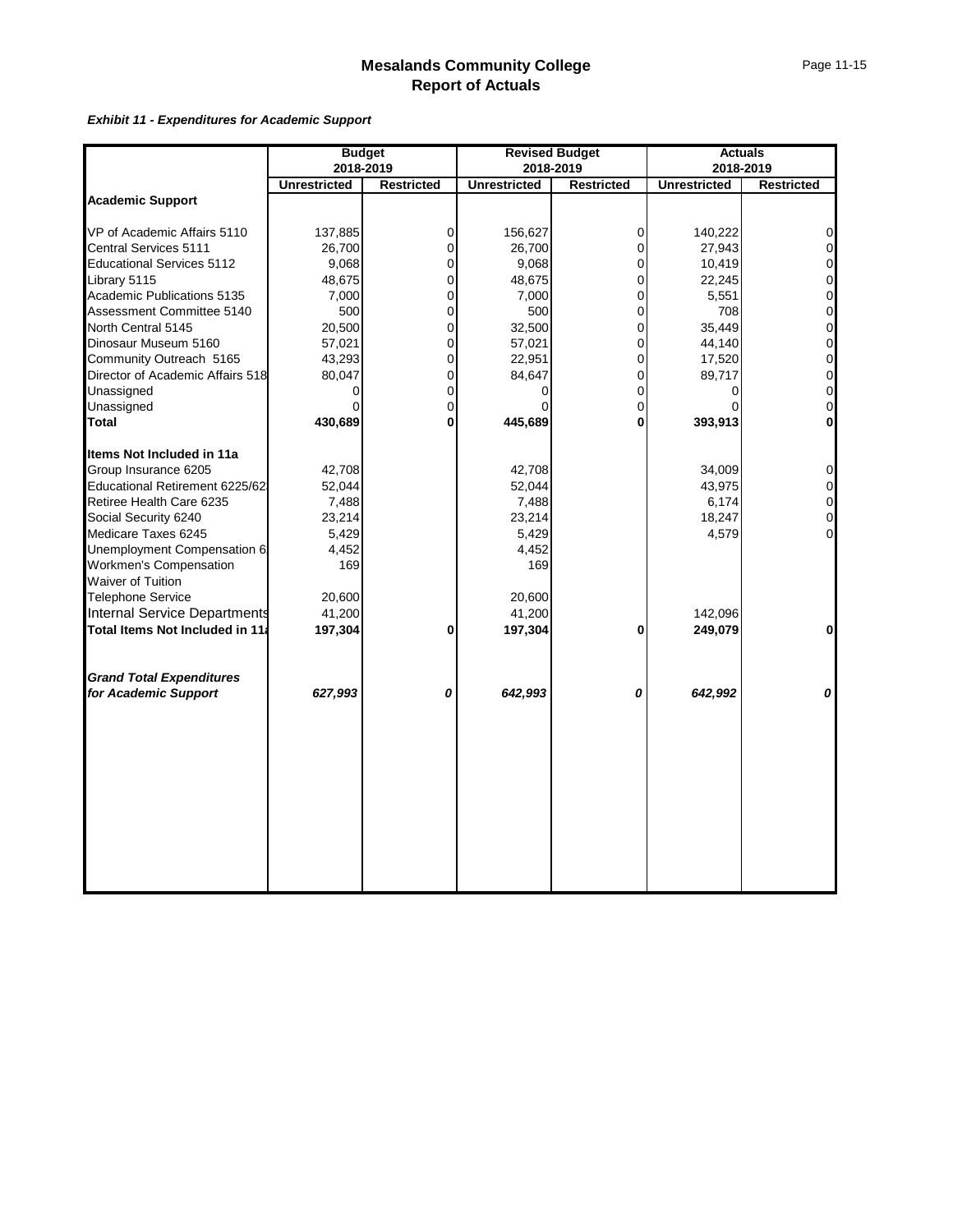*Exhibit 11 - Expenditures for Academic Support*

|                     |                                                                   |                            |                                                                                    |                                    | <b>Actuals</b>                                                              |
|---------------------|-------------------------------------------------------------------|----------------------------|------------------------------------------------------------------------------------|------------------------------------|-----------------------------------------------------------------------------|
|                     |                                                                   |                            |                                                                                    | 2018-2019                          |                                                                             |
| <b>Unrestricted</b> | <b>Restricted</b>                                                 | <b>Unrestricted</b>        | <b>Restricted</b>                                                                  | <b>Unrestricted</b>                | <b>Restricted</b>                                                           |
|                     |                                                                   |                            |                                                                                    |                                    |                                                                             |
| 137,885             | 0                                                                 | 156,627                    | 0                                                                                  | 140,222                            | $\mathbf 0$                                                                 |
| 26,700              | $\Omega$                                                          | 26,700                     | $\overline{0}$                                                                     | 27,943                             | $\overline{0}$                                                              |
| 9,068               | 0                                                                 | 9,068                      | $\overline{0}$                                                                     | 10,419                             | $\overline{0}$                                                              |
| 48,675              | 0                                                                 | 48,675                     | 0                                                                                  | 22,245                             | $\mathbf 0$                                                                 |
| 7,000               | 0                                                                 | 7,000                      | 0                                                                                  | 5,551                              | $\mathbf 0$                                                                 |
| 500                 | 0                                                                 | 500                        | 0                                                                                  | 708                                | $\mathbf 0$                                                                 |
| 20,500              | $\mathbf 0$                                                       | 32,500                     | 0                                                                                  | 35,449                             | $\mathbf 0$                                                                 |
|                     | $\Omega$                                                          |                            | 0                                                                                  |                                    | $\mathbf 0$                                                                 |
|                     | $\Omega$                                                          |                            | $\overline{0}$                                                                     |                                    | $\overline{0}$                                                              |
|                     | $\mathbf 0$                                                       |                            | 0                                                                                  |                                    | $\mathbf 0$                                                                 |
|                     | 0                                                                 |                            | 0                                                                                  |                                    | $\mathbf 0$                                                                 |
|                     | $\mathbf 0$                                                       |                            | 0                                                                                  |                                    | $\mathbf 0$                                                                 |
| 430,689             | $\mathbf 0$                                                       | 445,689                    | 0                                                                                  | 393,913                            | $\mathbf{0}$                                                                |
|                     |                                                                   |                            |                                                                                    |                                    |                                                                             |
| 42,708              |                                                                   | 42,708                     |                                                                                    | 34,009                             | $\overline{0}$                                                              |
| 52,044              |                                                                   |                            |                                                                                    |                                    | $\overline{0}$                                                              |
| 7,488               |                                                                   | 7,488                      |                                                                                    |                                    | $\mathbf 0$                                                                 |
|                     |                                                                   |                            |                                                                                    |                                    | $\overline{0}$                                                              |
|                     |                                                                   |                            |                                                                                    |                                    | $\Omega$                                                                    |
| 4,452               |                                                                   | 4,452                      |                                                                                    |                                    |                                                                             |
| 169                 |                                                                   |                            |                                                                                    |                                    |                                                                             |
|                     |                                                                   |                            |                                                                                    |                                    |                                                                             |
|                     |                                                                   |                            |                                                                                    |                                    |                                                                             |
|                     |                                                                   |                            |                                                                                    |                                    |                                                                             |
| 197,304             | 0                                                                 | 197,304                    | 0                                                                                  | 249,079                            | $\mathbf{0}$                                                                |
|                     |                                                                   |                            |                                                                                    |                                    |                                                                             |
| 627,993             | 0                                                                 | 642,993                    | 0                                                                                  | 642,992                            | 0                                                                           |
|                     |                                                                   |                            |                                                                                    |                                    |                                                                             |
|                     |                                                                   |                            |                                                                                    |                                    |                                                                             |
|                     |                                                                   |                            |                                                                                    |                                    |                                                                             |
|                     |                                                                   |                            |                                                                                    |                                    |                                                                             |
|                     |                                                                   |                            |                                                                                    |                                    |                                                                             |
|                     |                                                                   |                            |                                                                                    |                                    |                                                                             |
|                     |                                                                   |                            |                                                                                    |                                    |                                                                             |
|                     | 57,021<br>43,293<br>80,047<br>23,214<br>5,429<br>20,600<br>41,200 | <b>Budget</b><br>2018-2019 | 57,021<br>22,951<br>84,647<br>52,044<br>23,214<br>5,429<br>169<br>20,600<br>41,200 | <b>Revised Budget</b><br>2018-2019 | 44,140<br>17,520<br>89,717<br>43,975<br>6,174<br>18,247<br>4,579<br>142,096 |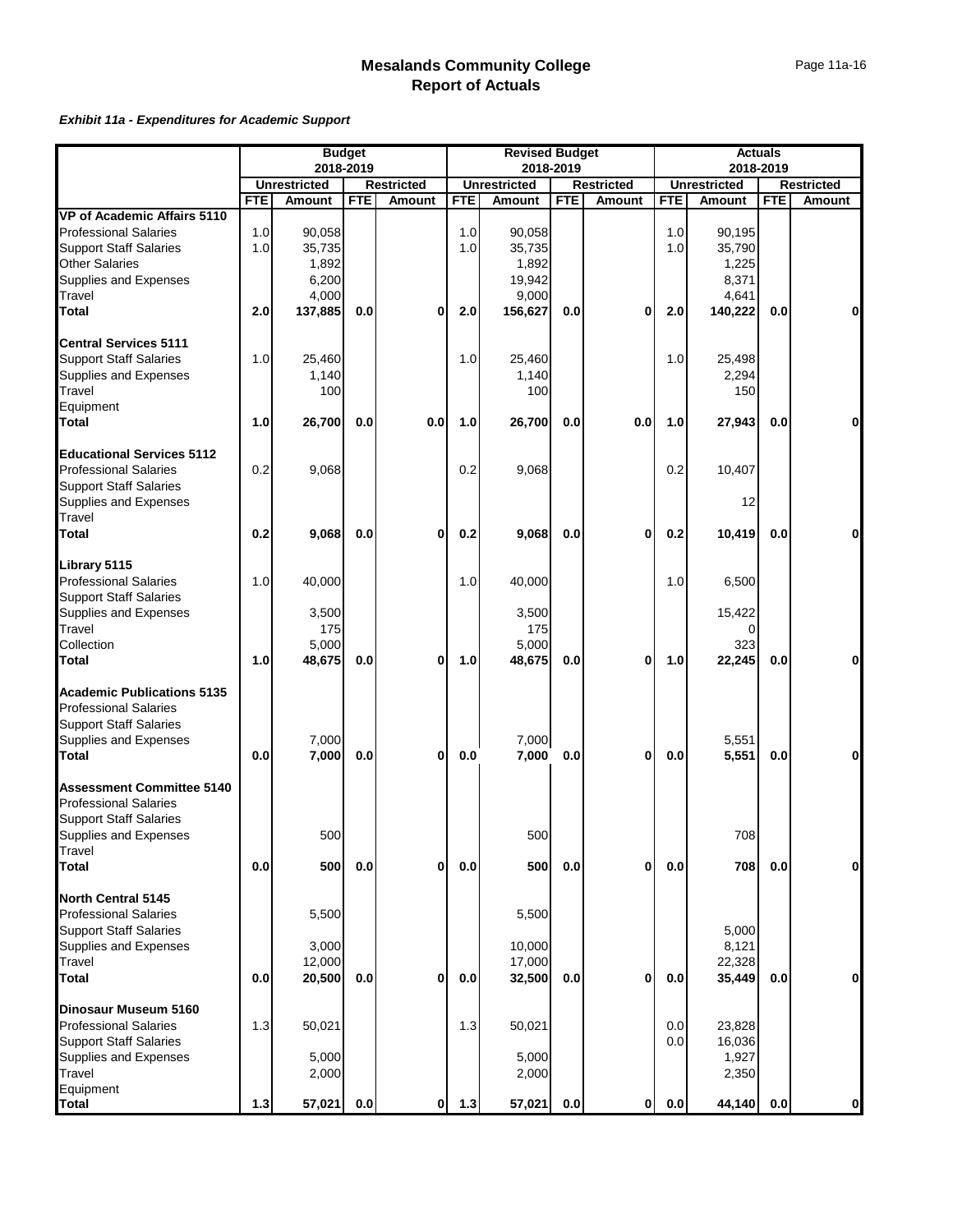#### *Exhibit 11a - Expenditures for Academic Support*

|                                                      |            |                                      | <b>Budget</b> |                                    |            | <b>Revised Budget</b>         |            |                             |            |                                      | <b>Actuals</b> |                             |
|------------------------------------------------------|------------|--------------------------------------|---------------|------------------------------------|------------|-------------------------------|------------|-----------------------------|------------|--------------------------------------|----------------|-----------------------------|
|                                                      |            | 2018-2019                            |               |                                    |            |                               | 2018-2019  |                             |            |                                      | 2018-2019      |                             |
|                                                      | <b>FTE</b> | <b>Unrestricted</b><br><b>Amount</b> | <b>FTE</b>    | <b>Restricted</b><br><b>Amount</b> | <b>FTE</b> | <b>Unrestricted</b><br>Amount | <b>FTE</b> | <b>Restricted</b><br>Amount | <b>FTE</b> | <b>Unrestricted</b><br><b>Amount</b> | <b>FTE</b>     | <b>Restricted</b><br>Amount |
| VP of Academic Affairs 5110                          |            |                                      |               |                                    |            |                               |            |                             |            |                                      |                |                             |
| <b>Professional Salaries</b>                         | 1.0        | 90,058                               |               |                                    | 1.0        | 90.058                        |            |                             | 1.0        | 90,195                               |                |                             |
| <b>Support Staff Salaries</b>                        | 1.0        | 35,735                               |               |                                    | 1.0        | 35,735                        |            |                             | 1.0        | 35,790                               |                |                             |
| <b>Other Salaries</b>                                |            | 1,892                                |               |                                    |            | 1,892                         |            |                             |            | 1,225                                |                |                             |
| Supplies and Expenses                                |            | 6,200                                |               |                                    |            | 19,942                        |            |                             |            | 8,371                                |                |                             |
| Travel                                               |            | 4,000                                |               |                                    |            | 9,000                         |            |                             |            | 4,641                                |                |                             |
| Total                                                | 2.0        | 137,885                              | 0.0           | 0                                  | 2.0        | 156,627                       | 0.0        | 0                           | 2.0        | 140,222                              | 0.0            | 0                           |
|                                                      |            |                                      |               |                                    |            |                               |            |                             |            |                                      |                |                             |
| <b>Central Services 5111</b>                         |            |                                      |               |                                    |            |                               |            |                             |            |                                      |                |                             |
| <b>Support Staff Salaries</b>                        | 1.0        | 25.460                               |               |                                    | 1.0        | 25,460                        |            |                             | 1.0        | 25,498                               |                |                             |
| Supplies and Expenses                                |            | 1,140                                |               |                                    |            | 1,140                         |            |                             |            | 2,294                                |                |                             |
| Travel                                               |            | 100                                  |               |                                    |            | 100                           |            |                             |            | 150                                  |                |                             |
| Equipment                                            |            |                                      |               |                                    |            |                               |            |                             |            |                                      |                |                             |
| <b>Total</b>                                         | 1.0        | 26,700                               | 0.0           | 0.0                                | 1.0        | 26,700                        | 0.0        | 0.0                         | 1.0        | 27,943                               | 0.0            | 0                           |
| <b>Educational Services 5112</b>                     |            |                                      |               |                                    |            |                               |            |                             |            |                                      |                |                             |
| <b>Professional Salaries</b>                         | 0.2        | 9,068                                |               |                                    | 0.2        | 9,068                         |            |                             | 0.2        | 10,407                               |                |                             |
| <b>Support Staff Salaries</b>                        |            |                                      |               |                                    |            |                               |            |                             |            |                                      |                |                             |
| Supplies and Expenses                                |            |                                      |               |                                    |            |                               |            |                             |            | 12                                   |                |                             |
| Travel                                               |            |                                      |               |                                    |            |                               |            |                             |            |                                      |                |                             |
| Total                                                | 0.2        | 9,068                                | 0.0           | 0                                  | 0.2        | 9,068                         | 0.0        | 0                           | 0.2        | 10,419                               | 0.0            | 0                           |
|                                                      |            |                                      |               |                                    |            |                               |            |                             |            |                                      |                |                             |
| Library 5115<br><b>Professional Salaries</b>         | 1.0        | 40,000                               |               |                                    | 1.0        | 40,000                        |            |                             | 1.0        | 6,500                                |                |                             |
| <b>Support Staff Salaries</b>                        |            |                                      |               |                                    |            |                               |            |                             |            |                                      |                |                             |
| Supplies and Expenses                                |            | 3,500                                |               |                                    |            | 3,500                         |            |                             |            | 15,422                               |                |                             |
| Travel                                               |            | 175                                  |               |                                    |            | 175                           |            |                             |            | 0                                    |                |                             |
| Collection                                           |            | 5,000                                |               |                                    |            | 5,000                         |            |                             |            | 323                                  |                |                             |
| <b>Total</b>                                         | 1.0        | 48,675                               | 0.0           | 0                                  | 1.0        | 48,675                        | 0.0        | 0                           | 1.0        | 22,245                               | 0.0            | 0                           |
|                                                      |            |                                      |               |                                    |            |                               |            |                             |            |                                      |                |                             |
| <b>Academic Publications 5135</b>                    |            |                                      |               |                                    |            |                               |            |                             |            |                                      |                |                             |
| <b>Professional Salaries</b>                         |            |                                      |               |                                    |            |                               |            |                             |            |                                      |                |                             |
| <b>Support Staff Salaries</b>                        |            |                                      |               |                                    |            |                               |            |                             |            |                                      |                |                             |
| Supplies and Expenses                                |            | 7,000                                |               |                                    |            | 7,000                         |            |                             |            | 5,551                                |                |                             |
| <b>Total</b>                                         | 0.0        | 7,000                                | 0.0           | 0                                  | 0.0        | 7,000                         | 0.0        | 0                           | 0.0        | 5,551                                | 0.0            | 0                           |
| <b>Assessment Committee 5140</b>                     |            |                                      |               |                                    |            |                               |            |                             |            |                                      |                |                             |
| <b>Professional Salaries</b>                         |            |                                      |               |                                    |            |                               |            |                             |            |                                      |                |                             |
| <b>Support Staff Salaries</b>                        |            |                                      |               |                                    |            |                               |            |                             |            |                                      |                |                             |
| Supplies and Expenses                                |            | 500                                  |               |                                    |            | 500                           |            |                             |            | 708                                  |                |                             |
| Travel                                               |            |                                      |               |                                    |            |                               |            |                             |            |                                      |                |                             |
| Total                                                | 0.0        | 500                                  | 0.0           | $\mathbf{0}$                       | $0.0\,$    | 500                           | 0.0        | 0                           | $0.0\,$    | 708                                  | 0.0            | $\mathbf 0$                 |
| North Central 5145                                   |            |                                      |               |                                    |            |                               |            |                             |            |                                      |                |                             |
| <b>Professional Salaries</b>                         |            | 5,500                                |               |                                    |            | 5,500                         |            |                             |            |                                      |                |                             |
| <b>Support Staff Salaries</b>                        |            |                                      |               |                                    |            |                               |            |                             |            | 5,000                                |                |                             |
| Supplies and Expenses                                |            | 3,000                                |               |                                    |            | 10,000                        |            |                             |            | 8,121                                |                |                             |
| Travel                                               |            | 12,000                               |               |                                    |            | 17,000                        |            |                             |            | 22,328                               |                |                             |
| <b>Total</b>                                         | 0.0        | 20,500                               | 0.0           | $\bf{0}$                           | 0.0        | 32,500                        | 0.0        | 0                           | 0.0        | 35,449                               | 0.0            | $\mathbf 0$                 |
|                                                      |            |                                      |               |                                    |            |                               |            |                             |            |                                      |                |                             |
| Dinosaur Museum 5160<br><b>Professional Salaries</b> | 1.3        | 50,021                               |               |                                    | 1.3        | 50,021                        |            |                             | 0.0        | 23,828                               |                |                             |
| <b>Support Staff Salaries</b>                        |            |                                      |               |                                    |            |                               |            |                             | 0.0        | 16,036                               |                |                             |
| Supplies and Expenses                                |            | 5,000                                |               |                                    |            | 5,000                         |            |                             |            | 1,927                                |                |                             |
| Travel                                               |            | 2,000                                |               |                                    |            | 2,000                         |            |                             |            | 2,350                                |                |                             |
| Equipment                                            |            |                                      |               |                                    |            |                               |            |                             |            |                                      |                |                             |
| <b>Total</b>                                         | $1.3$      | 57,021                               | 0.0           | $\mathbf{0}$                       | $1.3$      | 57,021                        | 0.0        | $\mathbf{0}$                | $0.0\,$    | 44,140                               | 0.0            | 0                           |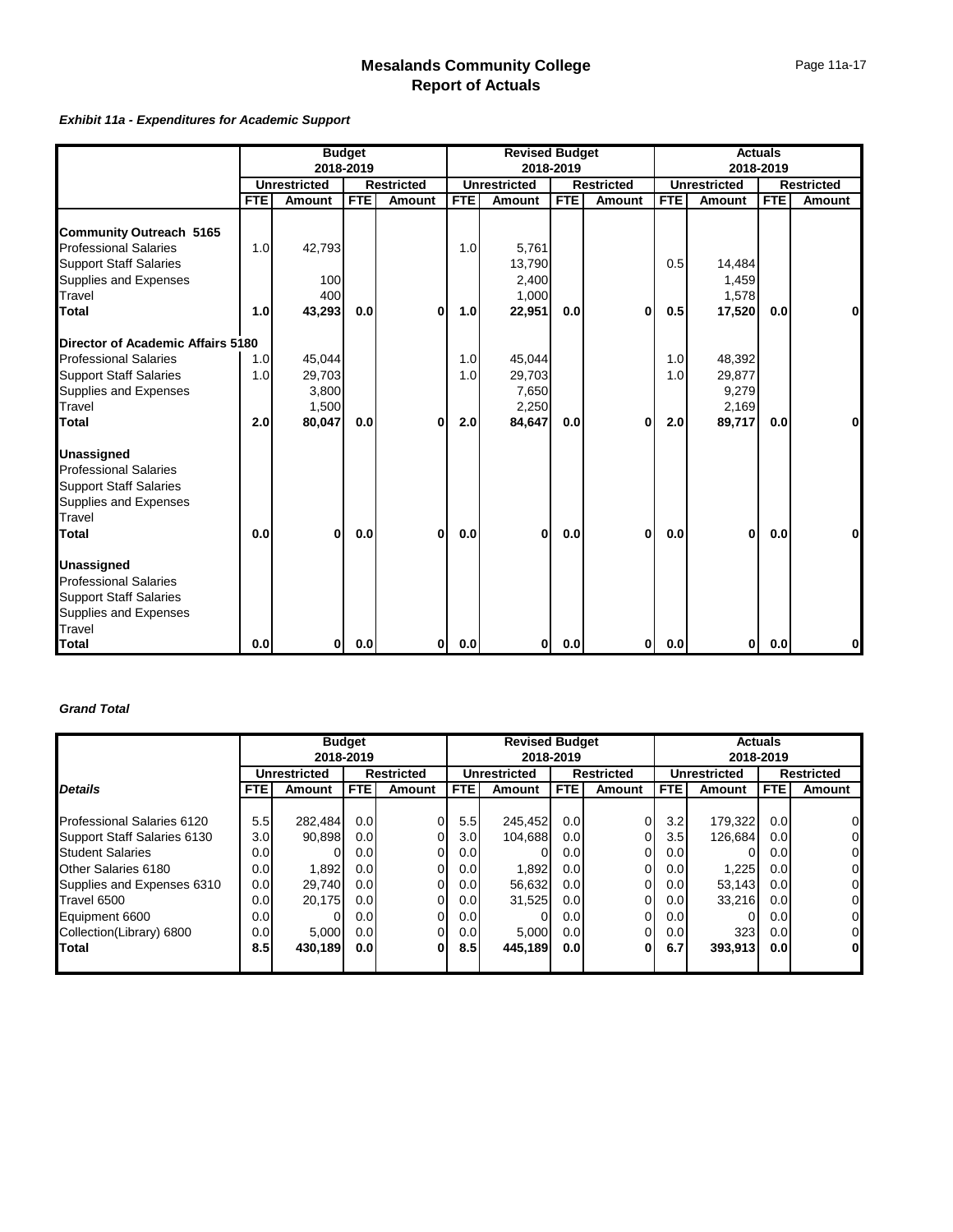#### *Exhibit 11a - Expenditures for Academic Support*

|                                   |            |                     | <b>Budget</b> |                   |            | <b>Revised Budget</b> |            |                   |            |                     | <b>Actuals</b> |                   |
|-----------------------------------|------------|---------------------|---------------|-------------------|------------|-----------------------|------------|-------------------|------------|---------------------|----------------|-------------------|
|                                   |            |                     | 2018-2019     |                   |            |                       | 2018-2019  |                   |            |                     | 2018-2019      |                   |
|                                   |            | <b>Unrestricted</b> |               | <b>Restricted</b> |            | <b>Unrestricted</b>   |            | <b>Restricted</b> |            | <b>Unrestricted</b> |                | <b>Restricted</b> |
|                                   | <b>FTE</b> | <b>Amount</b>       | <b>FTE</b>    | <b>Amount</b>     | <b>FTE</b> | <b>Amount</b>         | <b>FTE</b> | <b>Amount</b>     | <b>FTE</b> | Amount              | <b>FTE</b>     | <b>Amount</b>     |
| <b>Community Outreach 5165</b>    |            |                     |               |                   |            |                       |            |                   |            |                     |                |                   |
| <b>Professional Salaries</b>      | 1.0        | 42,793              |               |                   | 1.0        | 5,761                 |            |                   |            |                     |                |                   |
| <b>Support Staff Salaries</b>     |            |                     |               |                   |            | 13,790                |            |                   | 0.5        | 14,484              |                |                   |
| Supplies and Expenses             |            | 100                 |               |                   |            | 2.400                 |            |                   |            | 1,459               |                |                   |
| Travel                            |            | 400                 |               |                   |            | 1,000                 |            |                   |            | 1,578               |                |                   |
| Total                             | 1.0        | 43,293              | 0.0           | 0                 | 1.0        | 22,951                | 0.0        | $\bf{0}$          | 0.5        | 17,520              | 0.0            | $\bf{0}$          |
| Director of Academic Affairs 5180 |            |                     |               |                   |            |                       |            |                   |            |                     |                |                   |
| <b>Professional Salaries</b>      | 1.0        | 45,044              |               |                   | 1.0        | 45,044                |            |                   | 1.0        | 48,392              |                |                   |
| <b>Support Staff Salaries</b>     | 1.0        | 29,703              |               |                   | 1.0        | 29,703                |            |                   | 1.0        | 29,877              |                |                   |
| Supplies and Expenses             |            | 3,800               |               |                   |            | 7,650                 |            |                   |            | 9,279               |                |                   |
| <b>Travel</b>                     |            | 1,500               |               |                   |            | 2,250                 |            |                   |            | 2,169               |                |                   |
| <b>Total</b>                      | 2.0        | 80,047              | 0.0           | 0                 | 2.0        | 84,647                | 0.0        | $\mathbf{0}$      | 2.0        | 89,717              | 0.0            | $\mathbf{0}$      |
| <b>Unassigned</b>                 |            |                     |               |                   |            |                       |            |                   |            |                     |                |                   |
| <b>Professional Salaries</b>      |            |                     |               |                   |            |                       |            |                   |            |                     |                |                   |
| <b>Support Staff Salaries</b>     |            |                     |               |                   |            |                       |            |                   |            |                     |                |                   |
| Supplies and Expenses             |            |                     |               |                   |            |                       |            |                   |            |                     |                |                   |
| Travel                            |            |                     |               |                   |            |                       |            |                   |            |                     |                |                   |
| Total                             | 0.0        | 0                   | 0.0           | 0                 | 0.0        | $\bf{0}$              | 0.0        | $\Omega$          | 0.0        | U                   | 0.0            | 0                 |
| <b>Unassigned</b>                 |            |                     |               |                   |            |                       |            |                   |            |                     |                |                   |
| <b>Professional Salaries</b>      |            |                     |               |                   |            |                       |            |                   |            |                     |                |                   |
| <b>Support Staff Salaries</b>     |            |                     |               |                   |            |                       |            |                   |            |                     |                |                   |
| Supplies and Expenses             |            |                     |               |                   |            |                       |            |                   |            |                     |                |                   |
| <b>Travel</b>                     |            |                     |               |                   |            |                       |            |                   |            |                     |                |                   |
| <b>Total</b>                      | 0.0        | 0                   | 0.0           | 0                 | 0.0        | $\mathbf{0}$          | 0.0        | $\mathbf{0}$      | 0.0        | 0                   | 0.0            | 0                 |

#### *Grand Total*

|                             |                  |                     | <b>Budget</b>    |                   |                  | <b>Revised Budget</b> |                  |                   |                  |                     | <b>Actuals</b>   |                   |
|-----------------------------|------------------|---------------------|------------------|-------------------|------------------|-----------------------|------------------|-------------------|------------------|---------------------|------------------|-------------------|
|                             |                  | 2018-2019           |                  |                   |                  |                       | 2018-2019        |                   |                  |                     | 2018-2019        |                   |
|                             |                  | <b>Unrestricted</b> |                  | <b>Restricted</b> |                  | <b>Unrestricted</b>   |                  | <b>Restricted</b> |                  | <b>Unrestricted</b> |                  | <b>Restricted</b> |
| <b>Details</b>              | <b>FTE</b>       | Amount              | FTE.             | Amount            | FTE.             | Amount                | FTE.             | Amount            | FTE.             | Amount              | <b>FTE</b>       | Amount            |
|                             |                  |                     |                  |                   |                  |                       |                  |                   |                  |                     |                  |                   |
| Professional Salaries 6120  | 5.5              | 282.484             | 0.0              |                   | 5.5              | 245,452               | 0.0              | $\Omega$          | 3.2              | 179,322             | 0.0              | $\overline{0}$    |
| Support Staff Salaries 6130 | 3.0              | 90,898              | 0.0 <sub>l</sub> | 0                 | 3.0 <sub>l</sub> | 104,688               | 0.0              | $\Omega$          | 3.5              | 126.684             | 0.01             | $\overline{0}$    |
| <b>Student Salaries</b>     | 0.0 <sub>l</sub> |                     | 0.0              |                   | 0.0              |                       | 0.0              | $\Omega$          | 0.0              |                     | 0.01             | $\overline{0}$    |
| Other Salaries 6180         | 0.0 <sub>l</sub> | 1,892               | 0.0 <sub>l</sub> | 0                 | 0.0              | 1,892                 | 0.0              | $\Omega$          | 0.01             | 1.225               | 0.01             | $\overline{0}$    |
| Supplies and Expenses 6310  | 0.0              | 29,740              | 0.0              |                   | 0.0              | 56,632                | 0.0              |                   | 0.0 <sub>l</sub> | 53.143              | 0.01             | $\overline{0}$    |
| Travel 6500                 | 0.0 <sub>l</sub> | 20,175              | 0.0 <sub>l</sub> |                   | 0.0              | 31,525                | 0.0              |                   | 0.0              | 33,216              | 0.01             | $\overline{0}$    |
| Equipment 6600              | 0.0 <sub>l</sub> |                     | 0.0 <sub>l</sub> |                   | 0.01             |                       | 0.0              | $\Omega$          | 0.0 <sub>l</sub> |                     | 0.01             | 0                 |
| Collection(Library) 6800    | 0.0 <sub>l</sub> | 5,000               | 0.0 <sub>l</sub> |                   | 0.01             | 5,000                 | 0.0              |                   | 0.01             | 323                 | 0.0 <sub>l</sub> | $\overline{0}$    |
| <b>Total</b>                | 8.5              | 430,189             | 0.01             | 0                 | 8.5              | 445,189               | 0.0 <sub>l</sub> | 0                 | 6.7              | 393,913             | 0.01             | $\mathbf{0}$      |
|                             |                  |                     |                  |                   |                  |                       |                  |                   |                  |                     |                  |                   |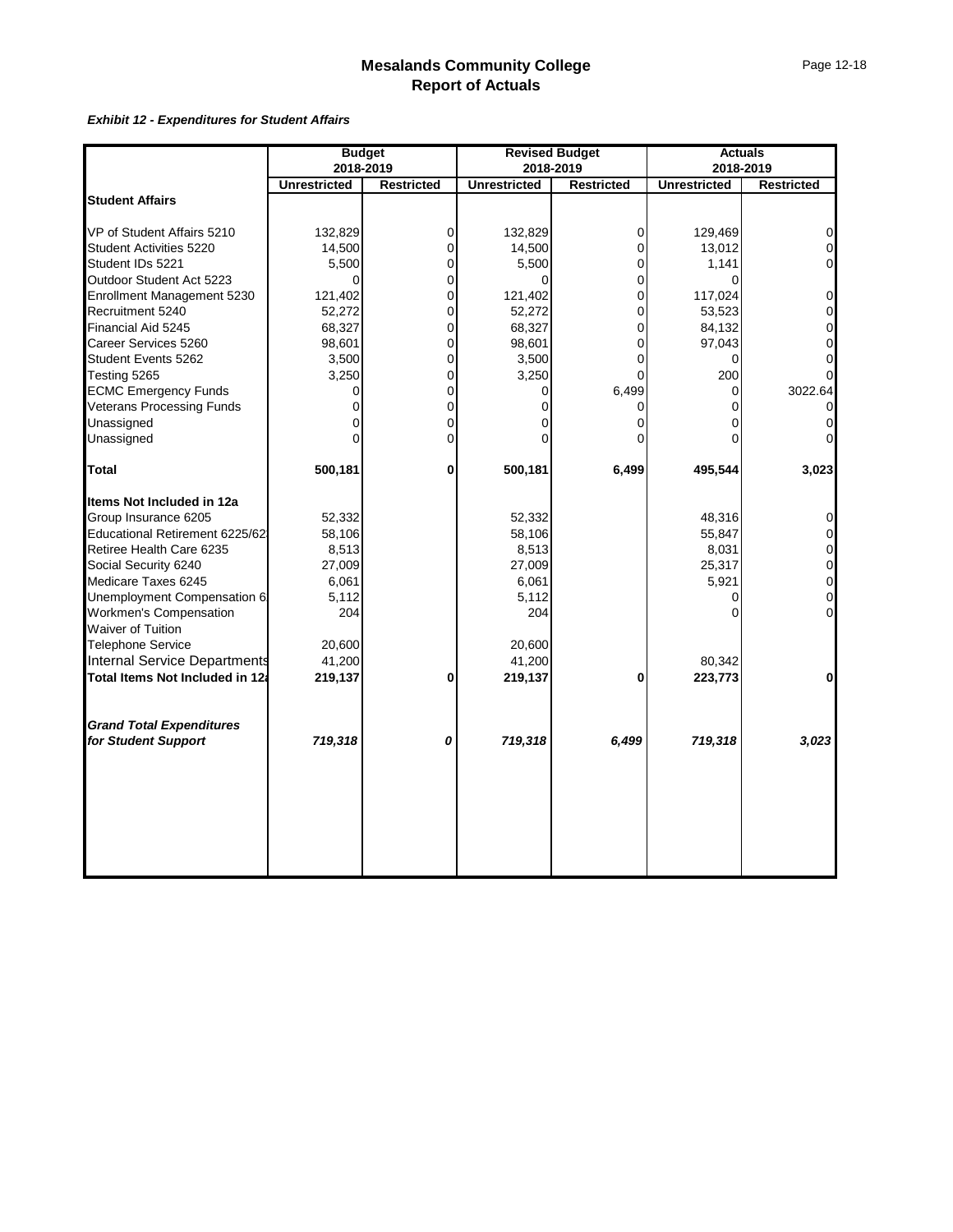#### *Exhibit 12 - Expenditures for Student Affairs*

| <b>Unrestricted</b><br><b>Student Affairs</b><br>VP of Student Affairs 5210<br>Student Activities 5220<br>Outdoor Student Act 5223<br>Group Insurance 6205<br>52,332                                                                                                                                | 2018-2019<br>132,829<br>14,500<br>5,500<br>0<br>121,402<br>52,272<br>68,327<br>98,601<br>3,500<br>3,250<br>0<br>0<br>$\Omega$<br>0<br>500,181 | <b>Restricted</b><br>$\mathbf 0$<br>$\Omega$<br>$\mathbf 0$<br>$\mathbf 0$<br>$\Omega$<br>$\Omega$<br>0<br>$\mathbf 0$<br>$\mathbf 0$<br>0<br>$\mathbf 0$<br>$\mathbf 0$<br>0<br>$\Omega$<br>$\bf{0}$ | 2018-2019<br><b>Unrestricted</b><br>132,829<br>14,500<br>5,500<br>$\Omega$<br>121,402<br>52,272<br>68,327<br>98,601<br>3,500<br>3,250<br>0<br>500,181 | <b>Restricted</b><br>0<br>$\overline{0}$<br>0<br>0<br>$\overline{0}$<br>$\Omega$<br>0<br>$\overline{0}$<br>0<br>U<br>6,499<br>0<br>0<br>0<br>6,499 | <b>Unrestricted</b><br>129,469<br>13,012<br>1,141<br>0<br>117,024<br>53,523<br>84,132<br>97,043<br>0<br>200<br>0<br>0<br>0<br>495,544 | 2018-2019<br><b>Restricted</b><br>$\mathbf 0$<br>$\mathbf 0$<br>$\mathbf 0$<br>$\mathbf 0$<br>$\mathbf 0$<br>0<br>0<br>0<br>$\Omega$<br>3022.64<br>0<br>3,023 |
|-----------------------------------------------------------------------------------------------------------------------------------------------------------------------------------------------------------------------------------------------------------------------------------------------------|-----------------------------------------------------------------------------------------------------------------------------------------------|-------------------------------------------------------------------------------------------------------------------------------------------------------------------------------------------------------|-------------------------------------------------------------------------------------------------------------------------------------------------------|----------------------------------------------------------------------------------------------------------------------------------------------------|---------------------------------------------------------------------------------------------------------------------------------------|---------------------------------------------------------------------------------------------------------------------------------------------------------------|
|                                                                                                                                                                                                                                                                                                     |                                                                                                                                               |                                                                                                                                                                                                       |                                                                                                                                                       |                                                                                                                                                    |                                                                                                                                       |                                                                                                                                                               |
|                                                                                                                                                                                                                                                                                                     |                                                                                                                                               |                                                                                                                                                                                                       |                                                                                                                                                       |                                                                                                                                                    |                                                                                                                                       |                                                                                                                                                               |
|                                                                                                                                                                                                                                                                                                     |                                                                                                                                               |                                                                                                                                                                                                       |                                                                                                                                                       |                                                                                                                                                    |                                                                                                                                       |                                                                                                                                                               |
| Student IDs 5221<br>Enrollment Management 5230<br>Recruitment 5240<br>Financial Aid 5245<br>Career Services 5260<br>Student Events 5262<br>Testing 5265<br><b>ECMC Emergency Funds</b><br><b>Veterans Processing Funds</b><br>Unassigned<br>Unassigned<br><b>Total</b><br>Items Not Included in 12a |                                                                                                                                               |                                                                                                                                                                                                       |                                                                                                                                                       |                                                                                                                                                    |                                                                                                                                       |                                                                                                                                                               |
|                                                                                                                                                                                                                                                                                                     |                                                                                                                                               |                                                                                                                                                                                                       |                                                                                                                                                       |                                                                                                                                                    |                                                                                                                                       |                                                                                                                                                               |
|                                                                                                                                                                                                                                                                                                     |                                                                                                                                               |                                                                                                                                                                                                       |                                                                                                                                                       |                                                                                                                                                    |                                                                                                                                       |                                                                                                                                                               |
|                                                                                                                                                                                                                                                                                                     |                                                                                                                                               |                                                                                                                                                                                                       |                                                                                                                                                       |                                                                                                                                                    |                                                                                                                                       |                                                                                                                                                               |
|                                                                                                                                                                                                                                                                                                     |                                                                                                                                               |                                                                                                                                                                                                       |                                                                                                                                                       |                                                                                                                                                    |                                                                                                                                       |                                                                                                                                                               |
|                                                                                                                                                                                                                                                                                                     |                                                                                                                                               |                                                                                                                                                                                                       |                                                                                                                                                       |                                                                                                                                                    |                                                                                                                                       |                                                                                                                                                               |
|                                                                                                                                                                                                                                                                                                     |                                                                                                                                               |                                                                                                                                                                                                       |                                                                                                                                                       |                                                                                                                                                    |                                                                                                                                       |                                                                                                                                                               |
|                                                                                                                                                                                                                                                                                                     |                                                                                                                                               |                                                                                                                                                                                                       |                                                                                                                                                       |                                                                                                                                                    |                                                                                                                                       |                                                                                                                                                               |
|                                                                                                                                                                                                                                                                                                     |                                                                                                                                               |                                                                                                                                                                                                       |                                                                                                                                                       |                                                                                                                                                    |                                                                                                                                       |                                                                                                                                                               |
|                                                                                                                                                                                                                                                                                                     |                                                                                                                                               |                                                                                                                                                                                                       |                                                                                                                                                       |                                                                                                                                                    |                                                                                                                                       |                                                                                                                                                               |
|                                                                                                                                                                                                                                                                                                     |                                                                                                                                               |                                                                                                                                                                                                       |                                                                                                                                                       |                                                                                                                                                    |                                                                                                                                       |                                                                                                                                                               |
|                                                                                                                                                                                                                                                                                                     |                                                                                                                                               |                                                                                                                                                                                                       |                                                                                                                                                       |                                                                                                                                                    |                                                                                                                                       |                                                                                                                                                               |
|                                                                                                                                                                                                                                                                                                     |                                                                                                                                               |                                                                                                                                                                                                       |                                                                                                                                                       |                                                                                                                                                    |                                                                                                                                       |                                                                                                                                                               |
|                                                                                                                                                                                                                                                                                                     |                                                                                                                                               |                                                                                                                                                                                                       |                                                                                                                                                       |                                                                                                                                                    |                                                                                                                                       |                                                                                                                                                               |
|                                                                                                                                                                                                                                                                                                     |                                                                                                                                               |                                                                                                                                                                                                       |                                                                                                                                                       |                                                                                                                                                    |                                                                                                                                       |                                                                                                                                                               |
|                                                                                                                                                                                                                                                                                                     |                                                                                                                                               |                                                                                                                                                                                                       |                                                                                                                                                       |                                                                                                                                                    |                                                                                                                                       |                                                                                                                                                               |
|                                                                                                                                                                                                                                                                                                     |                                                                                                                                               |                                                                                                                                                                                                       |                                                                                                                                                       |                                                                                                                                                    |                                                                                                                                       |                                                                                                                                                               |
|                                                                                                                                                                                                                                                                                                     |                                                                                                                                               |                                                                                                                                                                                                       | 52,332                                                                                                                                                |                                                                                                                                                    | 48,316                                                                                                                                | 0                                                                                                                                                             |
| Educational Retirement 6225/62                                                                                                                                                                                                                                                                      | 58,106                                                                                                                                        |                                                                                                                                                                                                       | 58,106                                                                                                                                                |                                                                                                                                                    | 55,847                                                                                                                                | 0                                                                                                                                                             |
| Retiree Health Care 6235                                                                                                                                                                                                                                                                            | 8,513                                                                                                                                         |                                                                                                                                                                                                       | 8,513                                                                                                                                                 |                                                                                                                                                    | 8,031                                                                                                                                 | $\mathbf 0$                                                                                                                                                   |
| Social Security 6240                                                                                                                                                                                                                                                                                | 27,009                                                                                                                                        |                                                                                                                                                                                                       | 27,009                                                                                                                                                |                                                                                                                                                    | 25,317                                                                                                                                | $\mathbf 0$                                                                                                                                                   |
| Medicare Taxes 6245                                                                                                                                                                                                                                                                                 | 6,061                                                                                                                                         |                                                                                                                                                                                                       | 6,061                                                                                                                                                 |                                                                                                                                                    | 5,921                                                                                                                                 | $\mathbf 0$                                                                                                                                                   |
| Unemployment Compensation 6:                                                                                                                                                                                                                                                                        | 5,112                                                                                                                                         |                                                                                                                                                                                                       | 5,112                                                                                                                                                 |                                                                                                                                                    | 0                                                                                                                                     | $\mathbf 0$                                                                                                                                                   |
| Workmen's Compensation<br>Waiver of Tuition                                                                                                                                                                                                                                                         | 204                                                                                                                                           |                                                                                                                                                                                                       | 204                                                                                                                                                   |                                                                                                                                                    | 0                                                                                                                                     | $\mathbf 0$                                                                                                                                                   |
|                                                                                                                                                                                                                                                                                                     |                                                                                                                                               |                                                                                                                                                                                                       |                                                                                                                                                       |                                                                                                                                                    |                                                                                                                                       |                                                                                                                                                               |
| Telephone Service<br>Internal Service Departments                                                                                                                                                                                                                                                   | 20,600                                                                                                                                        |                                                                                                                                                                                                       | 20,600                                                                                                                                                |                                                                                                                                                    |                                                                                                                                       |                                                                                                                                                               |
|                                                                                                                                                                                                                                                                                                     | 41,200                                                                                                                                        |                                                                                                                                                                                                       | 41,200                                                                                                                                                |                                                                                                                                                    | 80,342                                                                                                                                |                                                                                                                                                               |
| Total Items Not Included in 12a                                                                                                                                                                                                                                                                     | 219,137                                                                                                                                       | 0                                                                                                                                                                                                     | 219,137                                                                                                                                               | 0                                                                                                                                                  | 223,773                                                                                                                               | $\mathbf 0$                                                                                                                                                   |
| <b>Grand Total Expenditures</b>                                                                                                                                                                                                                                                                     |                                                                                                                                               |                                                                                                                                                                                                       |                                                                                                                                                       |                                                                                                                                                    |                                                                                                                                       |                                                                                                                                                               |
| for Student Support<br>719,318                                                                                                                                                                                                                                                                      |                                                                                                                                               | 0                                                                                                                                                                                                     | 719,318                                                                                                                                               | 6,499                                                                                                                                              | 719,318                                                                                                                               | 3,023                                                                                                                                                         |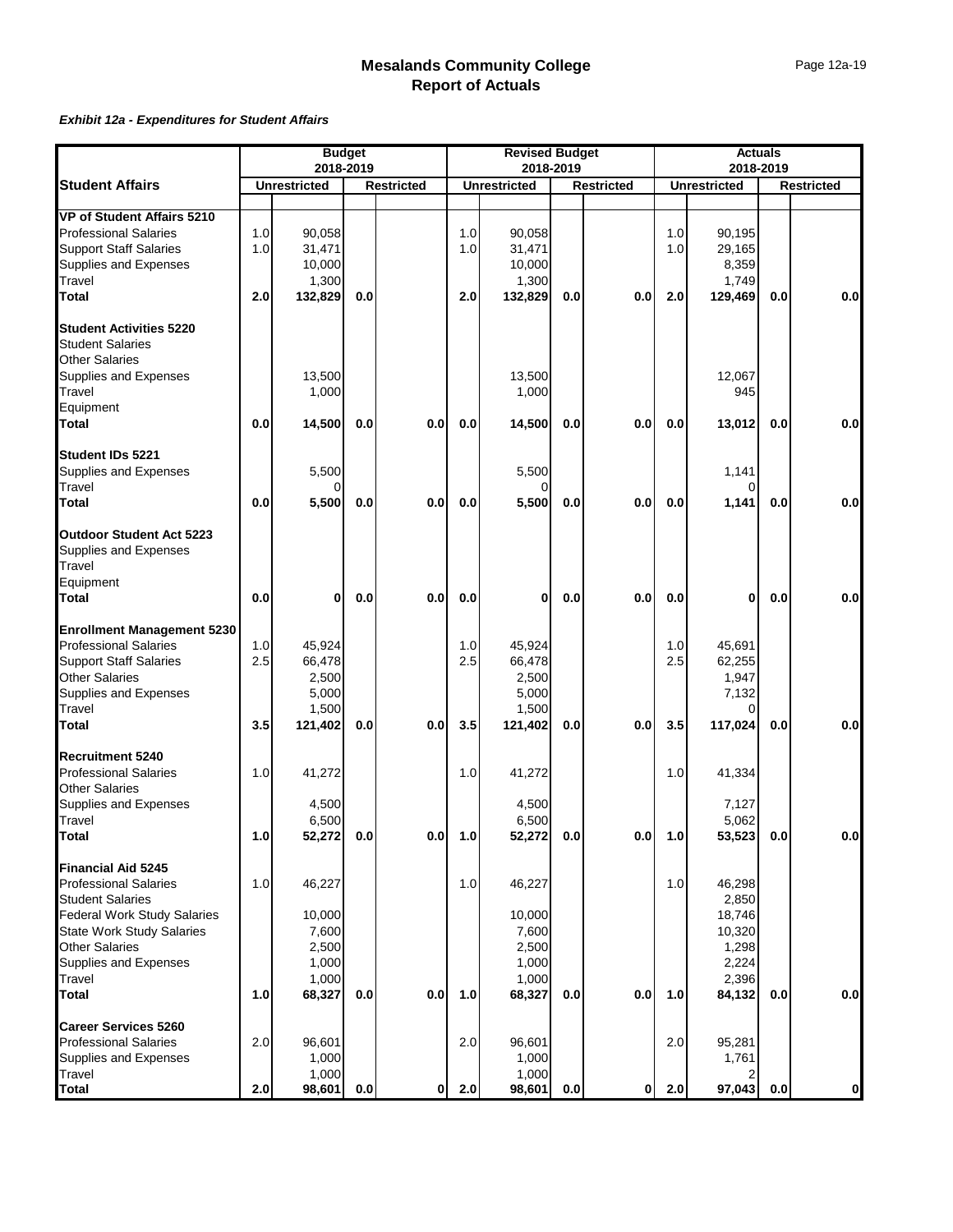#### *Exhibit 12a - Expenditures for Student Affairs*

|                                                | <b>Budget</b><br>2018-2019 |                     |     | <b>Revised Budget</b><br>2018-2019 |     |                     |     | <b>Actuals</b><br>2018-2019 |     |                     |     |                   |
|------------------------------------------------|----------------------------|---------------------|-----|------------------------------------|-----|---------------------|-----|-----------------------------|-----|---------------------|-----|-------------------|
|                                                |                            |                     |     |                                    |     |                     |     |                             |     |                     |     |                   |
| <b>Student Affairs</b>                         |                            | <b>Unrestricted</b> |     | <b>Restricted</b>                  |     | <b>Unrestricted</b> |     | <b>Restricted</b>           |     | <b>Unrestricted</b> |     | <b>Restricted</b> |
| <b>VP of Student Affairs 5210</b>              |                            |                     |     |                                    |     |                     |     |                             |     |                     |     |                   |
| <b>Professional Salaries</b>                   | 1.0                        | 90,058              |     |                                    | 1.0 | 90,058              |     |                             | 1.0 | 90,195              |     |                   |
| <b>Support Staff Salaries</b>                  | 1.0                        | 31,471              |     |                                    | 1.0 | 31,471              |     |                             | 1.0 | 29,165              |     |                   |
| Supplies and Expenses                          |                            | 10,000              |     |                                    |     | 10,000              |     |                             |     | 8,359               |     |                   |
| Travel                                         |                            | 1,300               |     |                                    |     | 1,300               |     |                             |     | 1,749               |     |                   |
| <b>Total</b>                                   | 2.0                        | 132,829             | 0.0 |                                    | 2.0 | 132,829             | 0.0 | 0.0                         | 2.0 | 129,469             | 0.0 | 0.0               |
| <b>Student Activities 5220</b>                 |                            |                     |     |                                    |     |                     |     |                             |     |                     |     |                   |
| <b>Student Salaries</b>                        |                            |                     |     |                                    |     |                     |     |                             |     |                     |     |                   |
| <b>Other Salaries</b>                          |                            |                     |     |                                    |     |                     |     |                             |     |                     |     |                   |
| Supplies and Expenses                          |                            | 13,500              |     |                                    |     | 13,500              |     |                             |     | 12,067              |     |                   |
| Travel                                         |                            | 1,000               |     |                                    |     | 1,000               |     |                             |     | 945                 |     |                   |
| Equipment                                      |                            |                     |     |                                    |     |                     |     |                             |     |                     |     |                   |
| <b>Total</b>                                   | 0.0                        | 14,500              | 0.0 | 0.0                                | 0.0 | 14,500              | 0.0 | 0.0                         | 0.0 | 13,012              | 0.0 | 0.0               |
| Student IDs 5221                               |                            |                     |     |                                    |     |                     |     |                             |     |                     |     |                   |
| Supplies and Expenses<br>Travel                |                            | 5,500               |     |                                    |     | 5,500               |     |                             |     | 1,141               |     |                   |
| Total                                          | 0.0                        | 5,500               | 0.0 | 0.0                                | 0.0 | $\Omega$<br>5,500   | 0.0 | 0.0                         | 0.0 | 0<br>1,141          | 0.0 | 0.0               |
|                                                |                            |                     |     |                                    |     |                     |     |                             |     |                     |     |                   |
| <b>Outdoor Student Act 5223</b>                |                            |                     |     |                                    |     |                     |     |                             |     |                     |     |                   |
| Supplies and Expenses                          |                            |                     |     |                                    |     |                     |     |                             |     |                     |     |                   |
| Travel                                         |                            |                     |     |                                    |     |                     |     |                             |     |                     |     |                   |
| Equipment                                      |                            |                     |     |                                    |     |                     |     |                             |     |                     |     |                   |
| Total                                          | 0.0                        | 0                   | 0.0 | 0.0                                | 0.0 | 0                   | 0.0 | 0.0                         | 0.0 | 0                   | 0.0 | 0.0               |
| <b>Enrollment Management 5230</b>              |                            |                     |     |                                    |     |                     |     |                             |     |                     |     |                   |
| <b>Professional Salaries</b>                   | 1.0                        | 45,924              |     |                                    | 1.0 | 45,924              |     |                             | 1.0 | 45,691              |     |                   |
| <b>Support Staff Salaries</b>                  | 2.5                        | 66,478              |     |                                    | 2.5 | 66,478              |     |                             | 2.5 | 62,255              |     |                   |
| <b>Other Salaries</b>                          |                            | 2,500               |     |                                    |     | 2,500               |     |                             |     | 1,947               |     |                   |
| Supplies and Expenses                          |                            | 5,000               |     |                                    |     | 5,000               |     |                             |     | 7,132               |     |                   |
| Travel                                         |                            | 1,500               |     |                                    |     | 1,500               |     |                             |     | 0                   |     |                   |
| <b>Total</b>                                   | 3.5                        | 121,402             | 0.0 | 0.0                                | 3.5 | 121,402             | 0.0 | 0.0                         | 3.5 | 117,024             | 0.0 | 0.0               |
| Recruitment 5240                               |                            |                     |     |                                    |     |                     |     |                             |     |                     |     |                   |
| <b>Professional Salaries</b>                   | 1.0                        | 41,272              |     |                                    | 1.0 | 41,272              |     |                             | 1.0 | 41,334              |     |                   |
| <b>Other Salaries</b>                          |                            |                     |     |                                    |     |                     |     |                             |     |                     |     |                   |
| Supplies and Expenses                          |                            | 4,500               |     |                                    |     | 4,500               |     |                             |     | 7,127               |     |                   |
| Travel<br><b>Total</b>                         | 1.0                        | 6,500<br>52,272     | 0.0 | 0.0                                | 1.0 | 6,500<br>52,272     | 0.0 | 0.0                         | 1.0 | 5,062<br>53,523     | 0.0 | 0.0               |
|                                                |                            |                     |     |                                    |     |                     |     |                             |     |                     |     |                   |
| <b>Financial Aid 5245</b>                      |                            |                     |     |                                    |     |                     |     |                             |     |                     |     |                   |
| <b>Professional Salaries</b>                   | 1.0                        | 46,227              |     |                                    | 1.0 | 46,227              |     |                             | 1.0 | 46,298              |     |                   |
| <b>Student Salaries</b>                        |                            |                     |     |                                    |     |                     |     |                             |     | 2,850               |     |                   |
| <b>Federal Work Study Salaries</b>             |                            | 10,000              |     |                                    |     | 10,000              |     |                             |     | 18,746              |     |                   |
| <b>State Work Study Salaries</b>               |                            | 7,600               |     |                                    |     | 7,600               |     |                             |     | 10,320              |     |                   |
| <b>Other Salaries</b><br>Supplies and Expenses |                            | 2,500               |     |                                    |     | 2,500               |     |                             |     | 1,298               |     |                   |
|                                                |                            | 1,000               |     |                                    |     | 1,000               |     |                             |     | 2,224               |     |                   |
| Travel<br><b>Total</b>                         | 1.0                        | 1,000<br>68,327     | 0.0 | 0.0                                | 1.0 | 1,000<br>68,327     | 0.0 | 0.0                         | 1.0 | 2,396<br>84,132     | 0.0 | 0.0               |
| <b>Career Services 5260</b>                    |                            |                     |     |                                    |     |                     |     |                             |     |                     |     |                   |
| <b>Professional Salaries</b>                   | 2.0                        | 96.601              |     |                                    | 2.0 | 96,601              |     |                             | 2.0 | 95,281              |     |                   |
| Supplies and Expenses                          |                            | 1,000               |     |                                    |     | 1,000               |     |                             |     | 1,761               |     |                   |
| Travel                                         |                            | 1,000               |     |                                    |     | 1,000               |     |                             |     | 2                   |     |                   |
| <b>Total</b>                                   | 2.0                        | 98,601              | 0.0 | 0                                  | 2.0 | 98,601              | 0.0 | 0                           | 2.0 | 97,043              | 0.0 | οl                |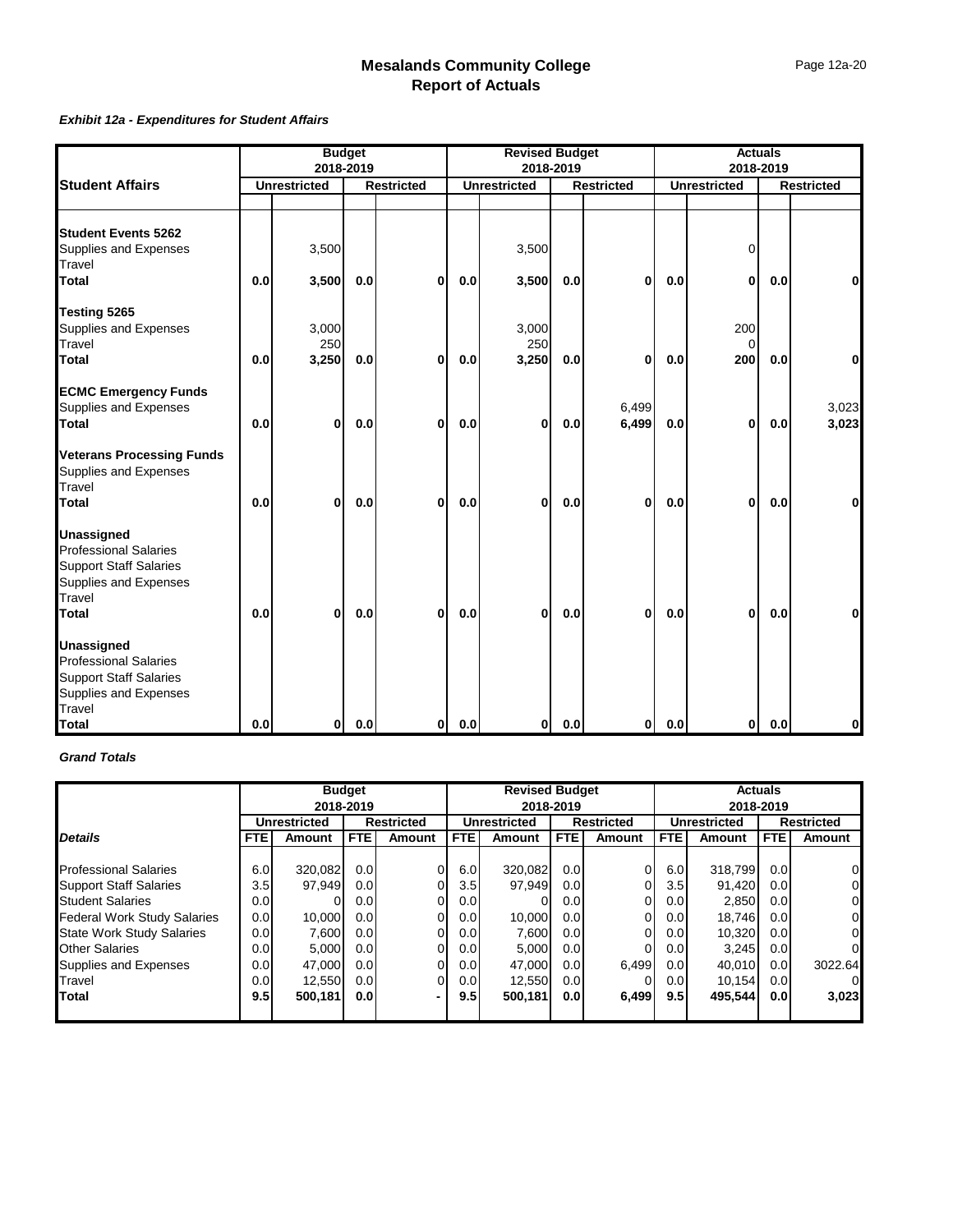#### *Exhibit 12a - Expenditures for Student Affairs*

|                                                                                                                                | <b>Budget</b><br>2018-2019 |                       |     | <b>Revised Budget</b><br>2018-2019 |     |                       |     | <b>Actuals</b><br>2018-2019 |     |                        |     |                   |
|--------------------------------------------------------------------------------------------------------------------------------|----------------------------|-----------------------|-----|------------------------------------|-----|-----------------------|-----|-----------------------------|-----|------------------------|-----|-------------------|
| <b>Student Affairs</b>                                                                                                         |                            | <b>Unrestricted</b>   |     | <b>Restricted</b>                  |     | <b>Unrestricted</b>   |     | <b>Restricted</b>           |     | <b>Unrestricted</b>    |     | <b>Restricted</b> |
|                                                                                                                                |                            |                       |     |                                    |     |                       |     |                             |     |                        |     |                   |
| <b>Student Events 5262</b><br>Supplies and Expenses<br>Travel                                                                  |                            | 3,500                 |     |                                    |     | 3,500                 |     |                             |     | 0                      |     |                   |
| <b>T</b> otal                                                                                                                  | 0.0                        | 3,500                 | 0.0 | 0                                  | 0.0 | 3,500                 | 0.0 | $\bf{0}$                    | 0.0 | 0                      | 0.0 | $\bf{0}$          |
| Testing 5265<br>Supplies and Expenses<br>Travel<br>Total                                                                       | 0.0                        | 3,000<br>250<br>3,250 | 0.0 | 0                                  | 0.0 | 3,000<br>250<br>3,250 | 0.0 | $\bf{0}$                    | 0.0 | 200<br>$\Omega$<br>200 | 0.0 | 0                 |
| <b>ECMC Emergency Funds</b><br>Supplies and Expenses<br>Total                                                                  | 0.0                        | 0                     | 0.0 | 0                                  | 0.0 | 0                     | 0.0 | 6,499<br>6,499              | 0.0 | 0                      | 0.0 | 3,023<br>3,023    |
| <b>Veterans Processing Funds</b><br>Supplies and Expenses<br>Travel<br>Total                                                   | 0.0                        | 0                     | 0.0 | 0                                  | 0.0 | 0                     | 0.0 | $\bf{0}$                    | 0.0 | 0                      | 0.0 | 0                 |
| <b>Unassigned</b><br>Professional Salaries<br><b>Support Staff Salaries</b><br>Supplies and Expenses<br>Travel<br>Total        | 0.0                        | 0                     | 0.0 | 0                                  | 0.0 | 0                     | 0.0 | $\bf{0}$                    | 0.0 | 0                      | 0.0 | 0                 |
| <b>Unassigned</b><br>Professional Salaries<br><b>Support Staff Salaries</b><br>Supplies and Expenses<br>Travel<br><b>Total</b> | 0.0                        | 0                     | 0.0 | $\mathbf{0}$                       | 0.0 | 0                     | 0.0 | $\mathbf{0}$                | 0.0 | $\mathbf{0}$           | 0.0 | 0                 |

#### *Grand Totals*

|                                    |                  | 2018-2019           | <b>Budget</b>    |                   |                  | <b>Revised Budget</b><br>2018-2019 |            |                   | <b>Actuals</b><br>2018-2019 |                     |                  |                   |  |
|------------------------------------|------------------|---------------------|------------------|-------------------|------------------|------------------------------------|------------|-------------------|-----------------------------|---------------------|------------------|-------------------|--|
|                                    |                  | <b>Unrestricted</b> |                  | <b>Restricted</b> |                  | <b>Unrestricted</b>                |            | <b>Restricted</b> |                             | <b>Unrestricted</b> |                  | <b>Restricted</b> |  |
| <b>Details</b>                     | <b>FTE</b>       | <b>Amount</b>       | <b>FTE</b>       | Amount            | FTE              | <b>Amount</b>                      | <b>FTE</b> | Amount            | <b>FTE</b>                  | <b>Amount</b>       | FTE.             | <b>Amount</b>     |  |
|                                    |                  |                     |                  |                   |                  |                                    |            |                   |                             |                     |                  |                   |  |
| <b>Professional Salaries</b>       | 6.0              | 320,082             | 0.0              | 0                 | 6.0              | 320,082                            | 0.0        | 0                 | 6.0                         | 318.799             | 0.0 <sub>l</sub> | 0                 |  |
| <b>Support Staff Salaries</b>      | 3.5              | 97,949              | 0.0 <sub>l</sub> | 01                | 3.5              | 97,949                             | 0.0        |                   | 3.5                         | 91,420              | 0.01             | 01                |  |
| <b>Student Salaries</b>            | 0.0 <sub>l</sub> |                     | 0.0              | 0                 | 0.0 <sub>l</sub> |                                    | 0.01       | 0                 | 0.0                         | 2,850               | 0.01             | 01                |  |
| <b>Federal Work Study Salaries</b> | 0.0              | 10,000              | 0.0 <sub>l</sub> | 0                 | 0.0              | 10,000                             | 0.0        | 0                 | 0.0                         | 18,746              | 0.01             | 01                |  |
| <b>State Work Study Salaries</b>   | 0.0 <sub>l</sub> | 7,600               | 0.0 <sub>l</sub> | 0                 | 0.0 <sub>l</sub> | 7,600                              | 0.01       | 0                 | 0.0 <sub>l</sub>            | 10.320              | 0.01             | 01                |  |
| <b>Other Salaries</b>              | 0.0 <sub>l</sub> | 5,000               | 0.0 <sub>l</sub> | 0                 | 0.0              | 5,000                              | 0.01       | 0                 | 0.0                         | 3.245               | 0.01             | 0                 |  |
| Supplies and Expenses              | 0.0              | 47,000              | 0.0 <sub>l</sub> | 0                 | 0.0 <sub>l</sub> | 47,000                             | 0.01       | 6.499             | 0.0 <sub>l</sub>            | 40.010              | 0.0 <sub>l</sub> | 3022.64           |  |
| Travel                             | 0.0 <sub>l</sub> | 12,550              | 0.0 <sub>l</sub> | 0                 | 0.0              | 12,550                             | 0.01       |                   | 0.0                         | 10.154              | 0.01             | $\Omega$          |  |
| <b>Total</b>                       | 9.5              | 500,181             | 0.0              | -                 | 9.5              | 500,181                            | 0.0        | 6,499             | 9.5                         | 495.544             | 0.01             | 3,023             |  |
|                                    |                  |                     |                  |                   |                  |                                    |            |                   |                             |                     |                  |                   |  |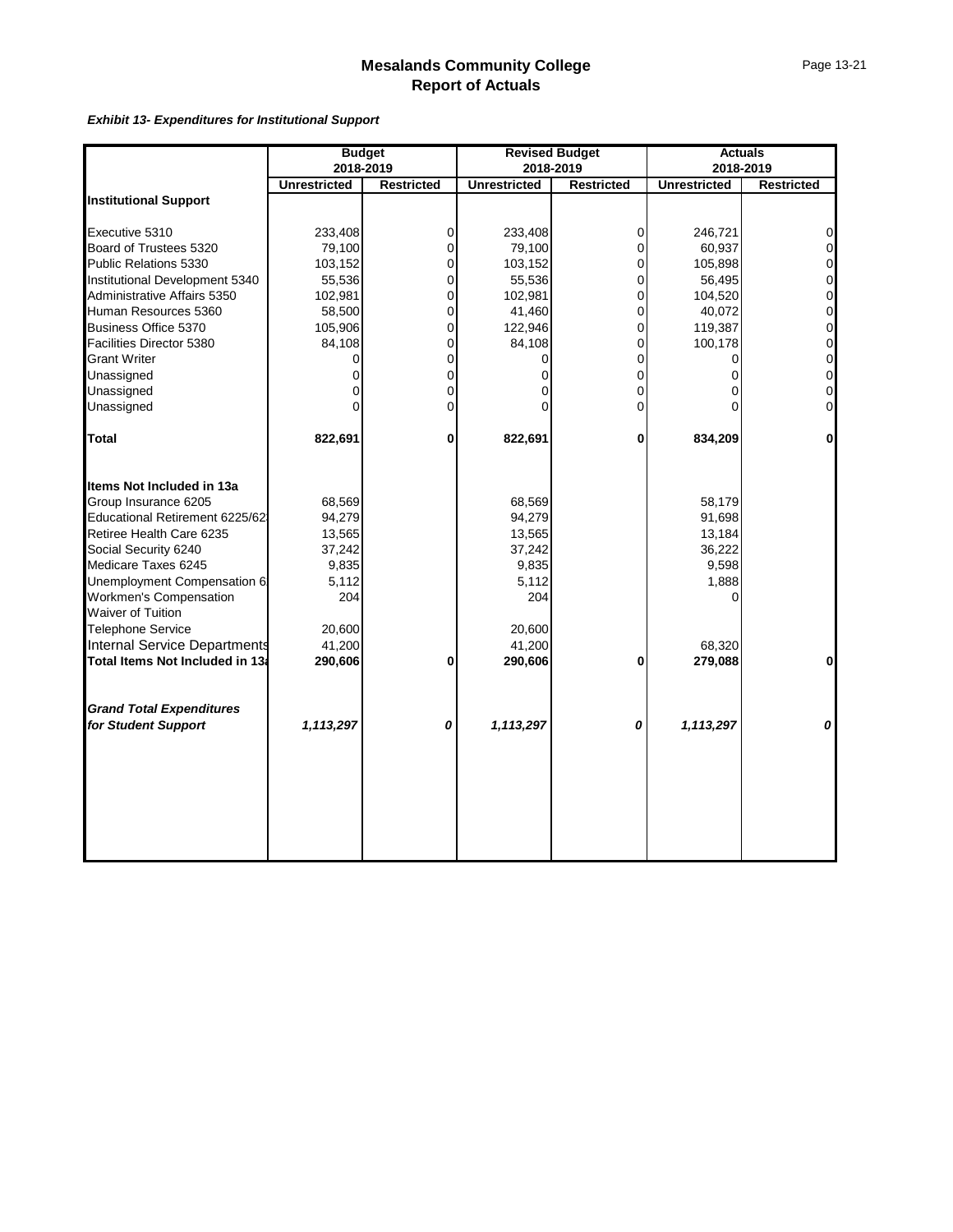*Exhibit 13- Expenditures for Institutional Support*

|                                                    | <b>Budget</b>       |                   |                     | <b>Revised Budget</b> |                     | <b>Actuals</b>      |
|----------------------------------------------------|---------------------|-------------------|---------------------|-----------------------|---------------------|---------------------|
|                                                    | 2018-2019           |                   |                     | 2018-2019             |                     | 2018-2019           |
|                                                    | <b>Unrestricted</b> | <b>Restricted</b> | <b>Unrestricted</b> | <b>Restricted</b>     | <b>Unrestricted</b> | <b>Restricted</b>   |
| <b>Institutional Support</b>                       |                     |                   |                     |                       |                     |                     |
| Executive 5310                                     | 233,408             | $\overline{0}$    | 233,408             | 0                     | 246,721             | $\overline{0}$      |
| Board of Trustees 5320                             | 79,100              | $\pmb{0}$         | 79,100              | 0                     | 60,937              | $\overline{0}$      |
| Public Relations 5330                              | 103,152             | $\mathbf 0$       | 103,152             | $\mathbf 0$           | 105,898             | $\overline{0}$      |
| Institutional Development 5340                     | 55,536              | $\pmb{0}$         | 55,536              | 0                     | 56,495              | $\mathbf 0$         |
| Administrative Affairs 5350                        | 102,981             | 0                 | 102,981             | 0                     | 104,520             | 0                   |
| Human Resources 5360                               | 58,500              | 0                 | 41,460              | 0                     | 40,072              | $\overline{0}$      |
| Business Office 5370                               | 105,906             | $\pmb{0}$         | 122,946             | $\mathsf{O}\xspace$   | 119,387             | $\overline{0}$      |
| Facilities Director 5380                           | 84,108              | 0                 | 84,108              | 0                     | 100,178             | $\mathsf{O}\xspace$ |
| <b>Grant Writer</b>                                | 0                   | 0                 |                     | $\mathsf 0$           | 0                   | $\mathbf 0$         |
| Unassigned                                         | 0                   | $\pmb{0}$         | 0                   | $\mathsf{O}\xspace$   | 0                   | $\mathbf 0$         |
| Unassigned                                         | 0                   | 0                 |                     | 0                     | 0                   | $\overline{0}$      |
| Unassigned                                         | $\Omega$            | 0                 |                     | $\overline{0}$        | 0                   | $\overline{0}$      |
| <b>Total</b>                                       | 822,691             | 0                 | 822,691             | 0                     | 834,209             | $\mathbf{0}$        |
| Items Not Included in 13a                          |                     |                   |                     |                       |                     |                     |
| Group Insurance 6205                               | 68,569              |                   | 68,569              |                       | 58,179              |                     |
| Educational Retirement 6225/62                     | 94,279              |                   | 94,279              |                       | 91,698              |                     |
| Retiree Health Care 6235                           | 13,565              |                   | 13,565              |                       | 13,184              |                     |
| Social Security 6240                               | 37,242              |                   | 37,242              |                       | 36,222              |                     |
| Medicare Taxes 6245                                | 9,835               |                   | 9,835               |                       | 9,598               |                     |
| Unemployment Compensation 6                        | 5,112               |                   | 5,112               |                       | 1,888               |                     |
| Workmen's Compensation<br><b>Waiver of Tuition</b> | 204                 |                   | 204                 |                       | 0                   |                     |
| Telephone Service                                  | 20,600              |                   | 20,600              |                       |                     |                     |
| <b>Internal Service Departments</b>                | 41,200              |                   | 41,200              |                       | 68,320              |                     |
| Total Items Not Included in 13a                    | 290,606             | 0                 | 290,606             | 0                     | 279,088             | $\mathbf{0}$        |
| <b>Grand Total Expenditures</b>                    |                     |                   |                     |                       |                     |                     |
| for Student Support                                | 1,113,297           | 0                 | 1,113,297           | 0                     | 1,113,297           | 0                   |
|                                                    |                     |                   |                     |                       |                     |                     |
|                                                    |                     |                   |                     |                       |                     |                     |
|                                                    |                     |                   |                     |                       |                     |                     |
|                                                    |                     |                   |                     |                       |                     |                     |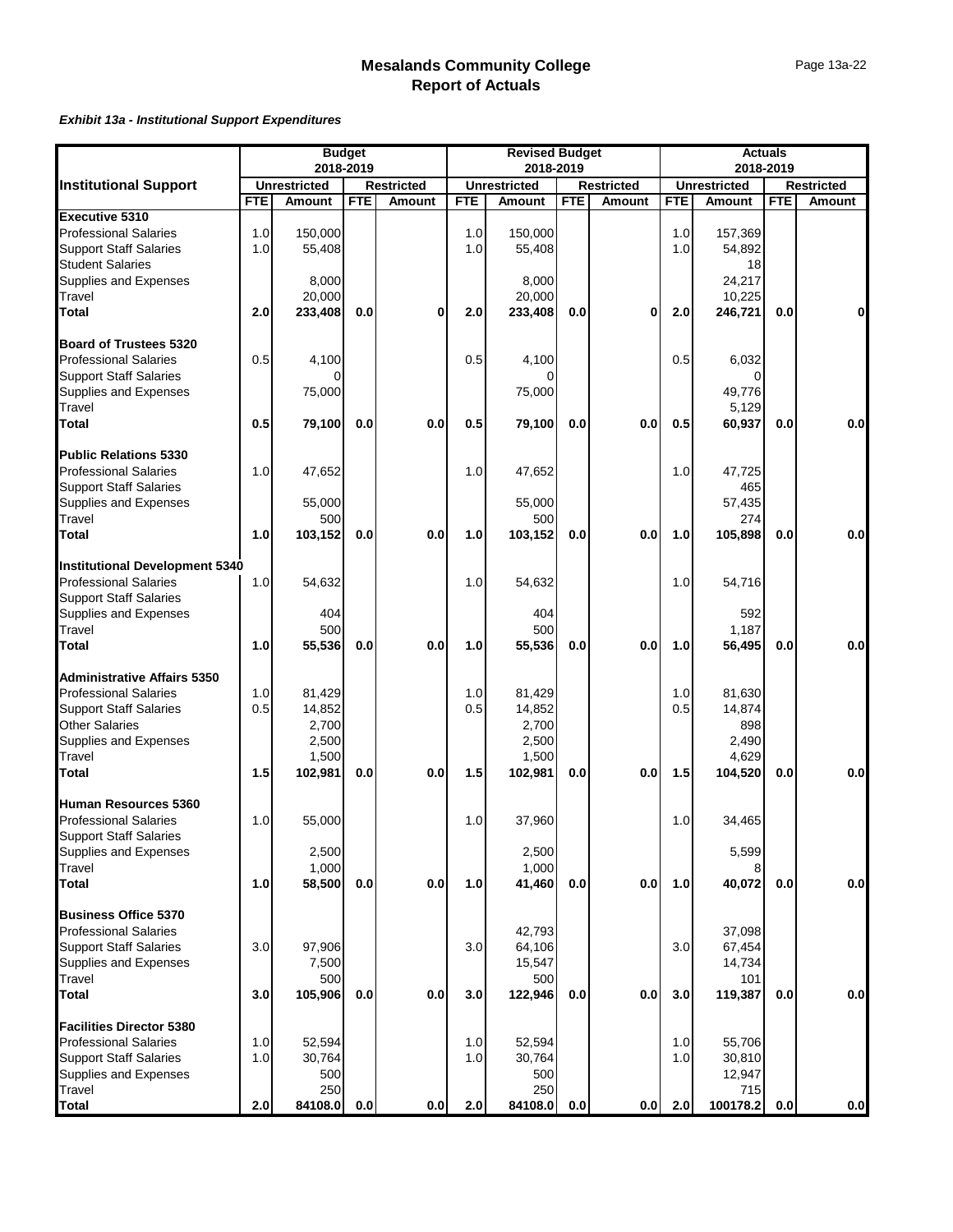#### *Exhibit 13a - Institutional Support Expenditures*

|                                                         |            | 2018-2019           | <b>Budget</b> |                   |            | <b>Revised Budget</b><br>2018-2019 |            |                   |            |                     | <b>Actuals</b><br>2018-2019 |                   |
|---------------------------------------------------------|------------|---------------------|---------------|-------------------|------------|------------------------------------|------------|-------------------|------------|---------------------|-----------------------------|-------------------|
| <b>Institutional Support</b>                            |            | <b>Unrestricted</b> |               | <b>Restricted</b> |            | <b>Unrestricted</b>                |            | <b>Restricted</b> |            | <b>Unrestricted</b> |                             | <b>Restricted</b> |
|                                                         | <b>FTE</b> | <b>Amount</b>       | <b>FTE</b>    | <b>Amount</b>     | <b>FTE</b> | Amount                             | <b>FTE</b> | <b>Amount</b>     | <b>FTE</b> | <b>Amount</b>       | <b>FTE</b>                  | Amount            |
| Executive 5310                                          |            |                     |               |                   |            |                                    |            |                   |            |                     |                             |                   |
| <b>Professional Salaries</b>                            | 1.0        | 150,000             |               |                   | 1.0        | 150,000                            |            |                   | 1.0        | 157,369             |                             |                   |
| <b>Support Staff Salaries</b>                           | 1.0        | 55,408              |               |                   | 1.0        | 55,408                             |            |                   | 1.0        | 54,892              |                             |                   |
| <b>Student Salaries</b>                                 |            |                     |               |                   |            |                                    |            |                   |            | 18                  |                             |                   |
| Supplies and Expenses                                   |            | 8,000               |               |                   |            | 8,000                              |            |                   |            | 24,217              |                             |                   |
| Travel                                                  |            | 20,000              |               |                   |            | 20,000                             |            |                   |            | 10,225              |                             |                   |
| Total                                                   | 2.0        | 233,408             | 0.0           | 0                 | 2.0        | 233,408                            | 0.0        | 0                 | 2.0        | 246,721             | 0.0                         | 0                 |
| <b>Board of Trustees 5320</b>                           |            |                     |               |                   |            |                                    |            |                   |            |                     |                             |                   |
| <b>Professional Salaries</b>                            | 0.5        |                     |               |                   |            |                                    |            |                   | 0.5        |                     |                             |                   |
| <b>Support Staff Salaries</b>                           |            | 4,100               |               |                   | 0.5        | 4,100                              |            |                   |            | 6,032<br>n          |                             |                   |
|                                                         |            |                     |               |                   |            |                                    |            |                   |            |                     |                             |                   |
| Supplies and Expenses                                   |            | 75,000              |               |                   |            | 75,000                             |            |                   |            | 49,776              |                             |                   |
| <b>Travel</b>                                           |            |                     |               |                   |            |                                    |            |                   |            | 5,129               |                             |                   |
| <b>Total</b>                                            | 0.5        | 79,100              | 0.0           | 0.0               | 0.5        | 79,100                             | 0.0        | 0.0               | 0.5        | 60,937              | 0.0                         | 0.0               |
| <b>Public Relations 5330</b>                            |            |                     |               |                   |            |                                    |            |                   |            |                     |                             |                   |
| <b>Professional Salaries</b>                            | 1.0        | 47,652              |               |                   | 1.0        | 47,652                             |            |                   | 1.0        | 47,725              |                             |                   |
| <b>Support Staff Salaries</b>                           |            |                     |               |                   |            |                                    |            |                   |            | 465                 |                             |                   |
| Supplies and Expenses                                   |            | 55,000              |               |                   |            | 55,000                             |            |                   |            | 57,435              |                             |                   |
| Travel                                                  |            | 500                 |               |                   |            | 500                                |            |                   |            | 274                 |                             |                   |
| Total                                                   | 1.0        | 103,152             | 0.0           | 0.0               | 1.0        | 103,152                            | 0.0        | 0.0               | 1.0        | 105,898             | 0.0                         | 0.0               |
| <b>Institutional Development 5340</b>                   |            |                     |               |                   |            |                                    |            |                   |            |                     |                             |                   |
| <b>Professional Salaries</b>                            | 1.0        | 54,632              |               |                   | 1.0        | 54,632                             |            |                   | 1.0        | 54,716              |                             |                   |
| <b>Support Staff Salaries</b>                           |            |                     |               |                   |            |                                    |            |                   |            |                     |                             |                   |
| Supplies and Expenses                                   |            | 404                 |               |                   |            | 404                                |            |                   |            | 592                 |                             |                   |
| Travel                                                  |            | 500                 |               |                   |            | 500                                |            |                   |            | 1,187               |                             |                   |
| <b>Total</b>                                            | 1.0        | 55,536              | 0.0           | 0.0               | 1.0        | 55,536                             | 0.0        | 0.0               | 1.0        | 56,495              | 0.0                         | 0.0               |
| <b>Administrative Affairs 5350</b>                      |            |                     |               |                   |            |                                    |            |                   |            |                     |                             |                   |
|                                                         | 1.0        | 81,429              |               |                   | 1.0        | 81,429                             |            |                   | 1.0        | 81,630              |                             |                   |
| <b>Professional Salaries<br/>Support Staff Salaries</b> | 0.5        | 14,852              |               |                   | 0.5        | 14,852                             |            |                   | 0.5        | 14,874              |                             |                   |
| <b>Other Salaries</b>                                   |            | 2,700               |               |                   |            | 2,700                              |            |                   |            | 898                 |                             |                   |
| Supplies and Expenses                                   |            | 2,500               |               |                   |            | 2,500                              |            |                   |            | 2,490               |                             |                   |
| Travel                                                  |            | 1,500               |               |                   |            | 1,500                              |            |                   |            | 4,629               |                             |                   |
| Total                                                   | 1.5        | 102,981             | 0.0           | 0.0               | 1.5        | 102,981                            | 0.0        | 0.0               | 1.5        | 104,520             | 0.0                         | 0.0               |
| Human Resources 5360                                    |            |                     |               |                   |            |                                    |            |                   |            |                     |                             |                   |
| <b>Professional Salaries</b>                            | 1.0        | 55,000              |               |                   | 1.0        | 37,960                             |            |                   | 1.0        | 34,465              |                             |                   |
| <b>Support Staff Salaries</b>                           |            |                     |               |                   |            |                                    |            |                   |            |                     |                             |                   |
| Supplies and Expenses                                   |            | 2,500               |               |                   |            | 2,500                              |            |                   |            | 5,599               |                             |                   |
| <b>Travel</b>                                           |            | 1,000               |               |                   |            | 1,000                              |            |                   |            |                     |                             |                   |
| <b>Total</b>                                            | 1.0        | 58,500              | 0.0           | 0.0               | 1.0        | 41,460                             | 0.0        | 0.0               | 1.0        | 40,072              | 0.0                         | 0.0               |
| <b>Business Office 5370</b>                             |            |                     |               |                   |            |                                    |            |                   |            |                     |                             |                   |
| <b>Professional Salaries</b>                            |            |                     |               |                   |            | 42,793                             |            |                   |            | 37,098              |                             |                   |
| <b>Support Staff Salaries</b>                           | 3.0        | 97,906              |               |                   | 3.0        | 64,106                             |            |                   | 3.0        | 67,454              |                             |                   |
| Supplies and Expenses                                   |            | 7,500               |               |                   |            | 15,547                             |            |                   |            | 14,734              |                             |                   |
| Travel                                                  |            | 500                 |               |                   |            | 500                                |            |                   |            | 101                 |                             |                   |
| <b>Total</b>                                            | 3.0        | 105,906             | 0.0           | 0.0               | 3.0        | 122,946                            | 0.0        | 0.0               | 3.0        | 119,387             | 0.0                         | 0.0               |
| <b>Facilities Director 5380</b>                         |            |                     |               |                   |            |                                    |            |                   |            |                     |                             |                   |
| <b>Professional Salaries</b>                            | 1.0        | 52,594              |               |                   | 1.0        | 52,594                             |            |                   | 1.0        | 55,706              |                             |                   |
| <b>Support Staff Salaries</b>                           | 1.0        | 30,764              |               |                   | 1.0        | 30,764                             |            |                   | 1.0        | 30,810              |                             |                   |
| Supplies and Expenses                                   |            | 500                 |               |                   |            | 500                                |            |                   |            | 12,947              |                             |                   |
| Travel                                                  |            | 250                 |               |                   |            | 250                                |            |                   |            | 715                 |                             |                   |
| <b>Total</b>                                            | 2.0        | 84108.0             | 0.0           | 0.0               | 2.0        | 84108.0                            | 0.0        | 0.0               | 2.0        | 100178.2            | 0.0                         | 0.0               |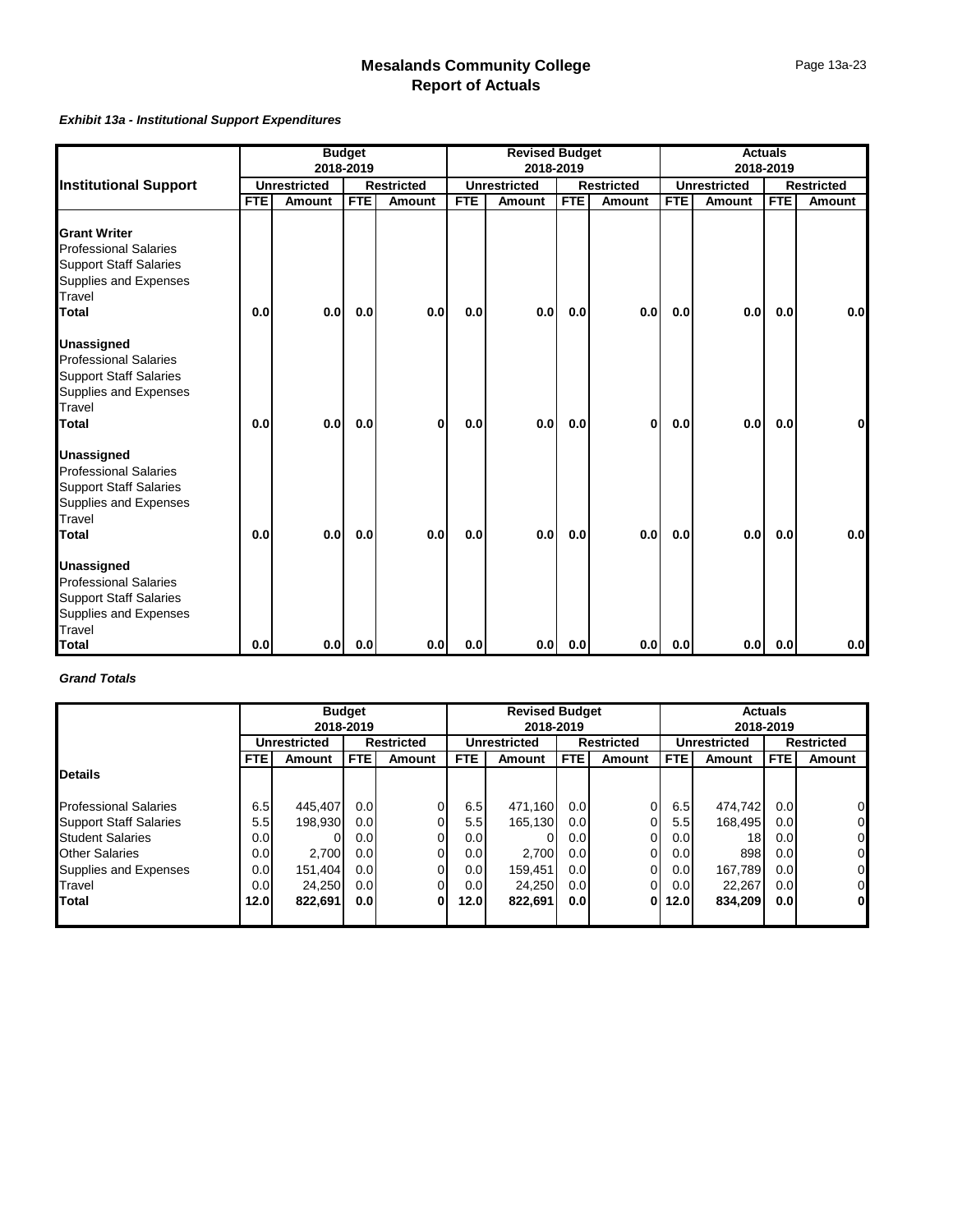#### *Exhibit 13a - Institutional Support Expenditures*

|                                                                                                                                         | <b>Budget</b><br>2018-2019 |                     |            |                   | <b>Revised Budget</b><br>2018-2019 |                     |            |                   | <b>Actuals</b><br>2018-2019 |                     |            |                   |
|-----------------------------------------------------------------------------------------------------------------------------------------|----------------------------|---------------------|------------|-------------------|------------------------------------|---------------------|------------|-------------------|-----------------------------|---------------------|------------|-------------------|
| <b>Institutional Support</b>                                                                                                            |                            | <b>Unrestricted</b> |            | <b>Restricted</b> |                                    | <b>Unrestricted</b> |            | <b>Restricted</b> |                             | <b>Unrestricted</b> |            | <b>Restricted</b> |
|                                                                                                                                         | <b>FTE</b>                 | <b>Amount</b>       | <b>FTE</b> | <b>Amount</b>     | <b>FTE</b>                         | Amount              | <b>FTE</b> | <b>Amount</b>     | <b>FTE</b>                  | <b>Amount</b>       | <b>FTE</b> | Amount            |
| <b>Grant Writer</b><br><b>Professional Salaries</b><br><b>Support Staff Salaries</b><br>Supplies and Expenses<br>Travel<br><b>Total</b> | 0.0                        | 0.0                 | 0.0        | 0.0               | 0.0                                | 0.0                 | 0.0        | 0.0               | 0.0                         | 0.0                 | 0.0        | 0.0               |
| <b>Unassigned</b><br><b>Professional Salaries</b><br><b>Support Staff Salaries</b><br>Supplies and Expenses<br>Travel<br><b>Total</b>   | 0.0                        | 0.0                 | 0.0        | 0                 | 0.0                                | 0.01                | 0.0        | $\bf{0}$          | 0.0                         | 0.0                 | 0.0        | 0                 |
| <b>Unassigned</b><br><b>Professional Salaries</b><br><b>Support Staff Salaries</b><br>Supplies and Expenses<br>Travel<br><b>Total</b>   | 0.0                        | 0.0                 | 0.0        | 0.0               | 0.0                                | 0.0 <sub>l</sub>    | 0.0        | 0.0               | 0.0                         | 0.0                 | 0.0        | 0.0               |
| <b>Unassigned</b><br><b>Professional Salaries</b><br><b>Support Staff Salaries</b><br>Supplies and Expenses<br>Travel<br><b>Total</b>   | 0.0                        | 0.0                 | 0.0        | 0.0               | 0.0                                | 0.0                 | 0.0        | 0.0               | 0.0                         | 0.0                 | 0.0        | 0.0               |

#### *Grand Totals*

|                               |                  | <b>Budget</b>                            |                  |               | <b>Revised Budget</b> |                     |                  |                   | <b>Actuals</b> |                     |                   |              |  |
|-------------------------------|------------------|------------------------------------------|------------------|---------------|-----------------------|---------------------|------------------|-------------------|----------------|---------------------|-------------------|--------------|--|
|                               |                  | 2018-2019                                |                  |               |                       | 2018-2019           |                  |                   |                |                     | 2018-2019         |              |  |
|                               |                  | <b>Restricted</b><br><b>Unrestricted</b> |                  |               |                       | <b>Unrestricted</b> |                  | <b>Restricted</b> |                | <b>Unrestricted</b> | <b>Restricted</b> |              |  |
|                               | <b>FTEI</b>      | Amount                                   | <b>FTE</b>       | <b>Amount</b> | <b>FTE</b>            | Amount              | <b>FTE</b>       | <b>Amount</b>     | FTE.           | Amount              | <b>FTE</b>        | Amount       |  |
| <b>Details</b>                |                  |                                          |                  |               |                       |                     |                  |                   |                |                     |                   |              |  |
| <b>Professional Salaries</b>  | 6.5              | 445,407                                  | 0.01             | 0             | 6.5                   | 471.160             | 0.0 <sub>l</sub> |                   | 6.5            | 474.742             | 0.0               | 0            |  |
| <b>Support Staff Salaries</b> | 5.5              | 198,930                                  | 0.01             | ΩI            | 5.5                   | 165,130             | 0.01             |                   | 5.5            | 168.495             | 0.01              | 0            |  |
| <b>Student Salaries</b>       | 0.0              |                                          | 0.01             | 0l            | 0.0                   |                     | 0.0 <sub>l</sub> |                   | 0.01           | 18                  | 0.01              | 0            |  |
| <b>Other Salaries</b>         | 0.0              | 2,700                                    | 0.01             | ΩI            | 0.0                   | 2.700               | 0.0 <sub>l</sub> |                   | 0.01           | 898                 | 0.01              | 0            |  |
| Supplies and Expenses         | 0.0              | 151,404                                  | 0.01             | ΟI            | 0.0                   | 159,451             | 0.0 <sub>l</sub> |                   | 0.01           | 167.789             | 0.01              | 0            |  |
| Travel                        | 0.0 <sub>l</sub> | 24,250                                   | 0.0 <sub>l</sub> | ΩI            | 0.0                   | 24.250              | 0.0 <sub>l</sub> |                   | 0.0            | 22.267              | 0.01              | 0            |  |
| Total                         | 12.0             | 822,691                                  | 0.01             | 0             | 12.0                  | 822,691             | 0.01             |                   | 12.0           | 834.209             | 0.01              | $\mathbf{0}$ |  |
|                               |                  |                                          |                  |               |                       |                     |                  |                   |                |                     |                   |              |  |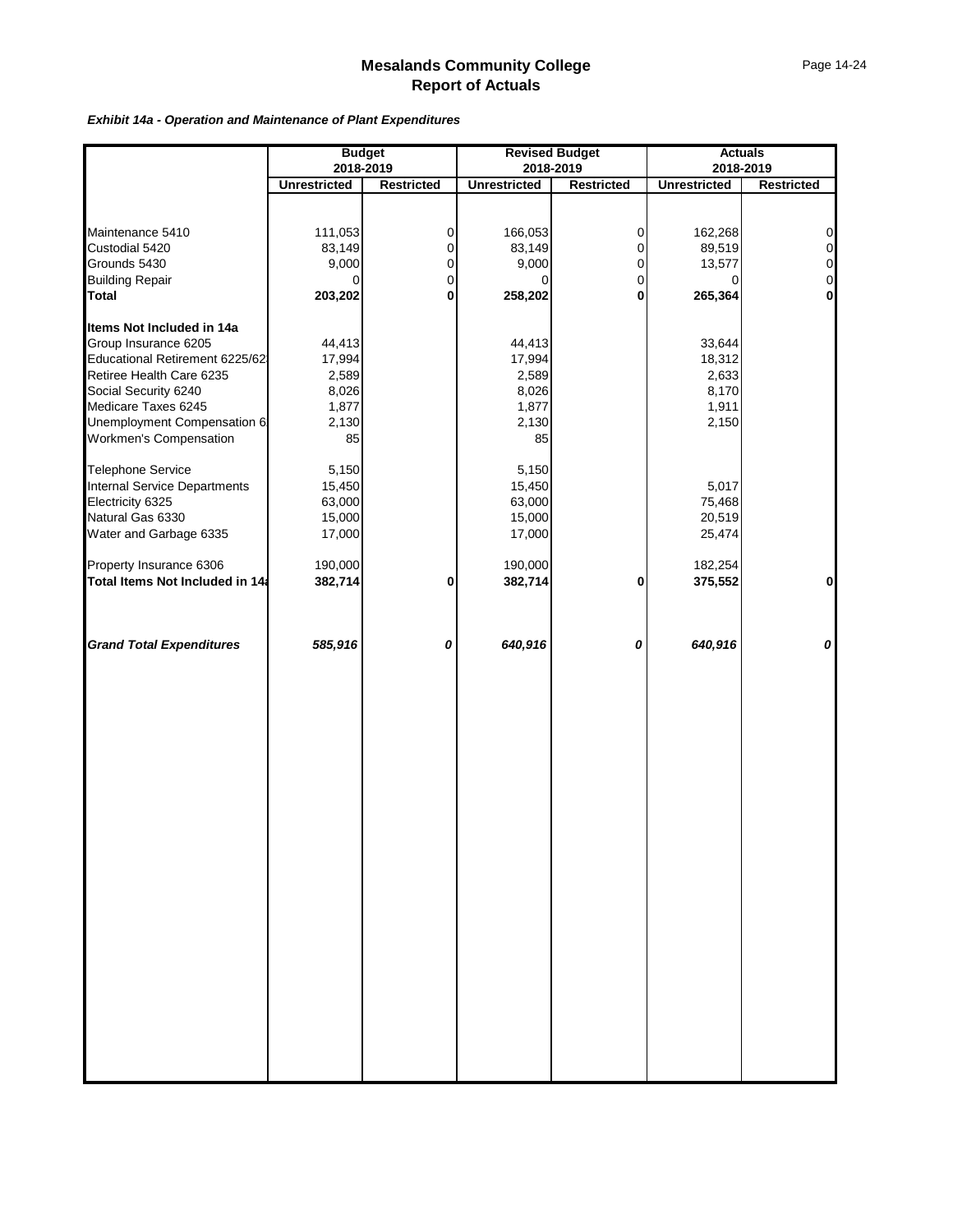*Exhibit 14a - Operation and Maintenance of Plant Expenditures*

|                                 | <b>Budget</b><br>2018-2019 |                   |                     | <b>Revised Budget</b><br>2018-2019 |                     | <b>Actuals</b><br>2018-2019 |
|---------------------------------|----------------------------|-------------------|---------------------|------------------------------------|---------------------|-----------------------------|
|                                 | <b>Unrestricted</b>        | <b>Restricted</b> | <b>Unrestricted</b> | <b>Restricted</b>                  | <b>Unrestricted</b> | Restricted                  |
|                                 |                            |                   |                     |                                    |                     |                             |
|                                 |                            |                   |                     |                                    |                     |                             |
| Maintenance 5410                | 111,053                    | $\mathbf 0$       | 166,053             | 0                                  | 162,268             | $\overline{0}$              |
| Custodial 5420                  | 83,149                     | $\pmb{0}$         | 83,149              | $\mathsf{O}\xspace$                | 89,519              | $\overline{0}$              |
| Grounds 5430                    | 9,000                      | $\pmb{0}$         | 9,000               | $\mathbf 0$                        | 13,577              | $\overline{0}$              |
| <b>Building Repair</b>          | 0                          | $\pmb{0}$         | $\Omega$            | $\mathsf{O}\xspace$                | 0                   | $\overline{0}$              |
| <b>Total</b>                    | 203,202                    | $\mathbf 0$       | 258,202             | $\mathbf{0}$                       | 265,364             | $\mathbf{0}$                |
|                                 |                            |                   |                     |                                    |                     |                             |
| Items Not Included in 14a       |                            |                   |                     |                                    |                     |                             |
| Group Insurance 6205            | 44,413                     |                   | 44,413              |                                    | 33,644              |                             |
| Educational Retirement 6225/62  | 17,994                     |                   | 17,994              |                                    | 18,312              |                             |
| Retiree Health Care 6235        | 2,589                      |                   | 2,589               |                                    | 2,633               |                             |
| Social Security 6240            | 8,026                      |                   | 8,026               |                                    | 8,170               |                             |
| Medicare Taxes 6245             | 1,877                      |                   | 1,877               |                                    | 1,911               |                             |
| Unemployment Compensation 6:    | 2,130                      |                   | 2,130               |                                    | 2,150               |                             |
| Workmen's Compensation          | 85                         |                   | 85                  |                                    |                     |                             |
| Telephone Service               | 5,150                      |                   | 5,150               |                                    |                     |                             |
| Internal Service Departments    | 15,450                     |                   | 15,450              |                                    | 5,017               |                             |
| Electricity 6325                | 63,000                     |                   | 63,000              |                                    | 75,468              |                             |
| Natural Gas 6330                | 15,000                     |                   | 15,000              |                                    | 20,519              |                             |
| Water and Garbage 6335          | 17,000                     |                   | 17,000              |                                    | 25,474              |                             |
|                                 |                            |                   |                     |                                    |                     |                             |
| Property Insurance 6306         | 190,000                    |                   | 190,000             |                                    | 182,254             |                             |
| Total Items Not Included in 14a | 382,714                    | 0                 | 382,714             | 0                                  | 375,552             | $\mathbf{0}$                |
|                                 |                            |                   |                     |                                    |                     |                             |
| <b>Grand Total Expenditures</b> | 585,916                    | 0                 | 640,916             | 0                                  | 640,916             | $\boldsymbol{o}$            |
|                                 |                            |                   |                     |                                    |                     |                             |
|                                 |                            |                   |                     |                                    |                     |                             |
|                                 |                            |                   |                     |                                    |                     |                             |
|                                 |                            |                   |                     |                                    |                     |                             |
|                                 |                            |                   |                     |                                    |                     |                             |
|                                 |                            |                   |                     |                                    |                     |                             |
|                                 |                            |                   |                     |                                    |                     |                             |
|                                 |                            |                   |                     |                                    |                     |                             |
|                                 |                            |                   |                     |                                    |                     |                             |
|                                 |                            |                   |                     |                                    |                     |                             |
|                                 |                            |                   |                     |                                    |                     |                             |
|                                 |                            |                   |                     |                                    |                     |                             |
|                                 |                            |                   |                     |                                    |                     |                             |
|                                 |                            |                   |                     |                                    |                     |                             |
|                                 |                            |                   |                     |                                    |                     |                             |
|                                 |                            |                   |                     |                                    |                     |                             |
|                                 |                            |                   |                     |                                    |                     |                             |
|                                 |                            |                   |                     |                                    |                     |                             |
|                                 |                            |                   |                     |                                    |                     |                             |
|                                 |                            |                   |                     |                                    |                     |                             |
|                                 |                            |                   |                     |                                    |                     |                             |
|                                 |                            |                   |                     |                                    |                     |                             |
|                                 |                            |                   |                     |                                    |                     |                             |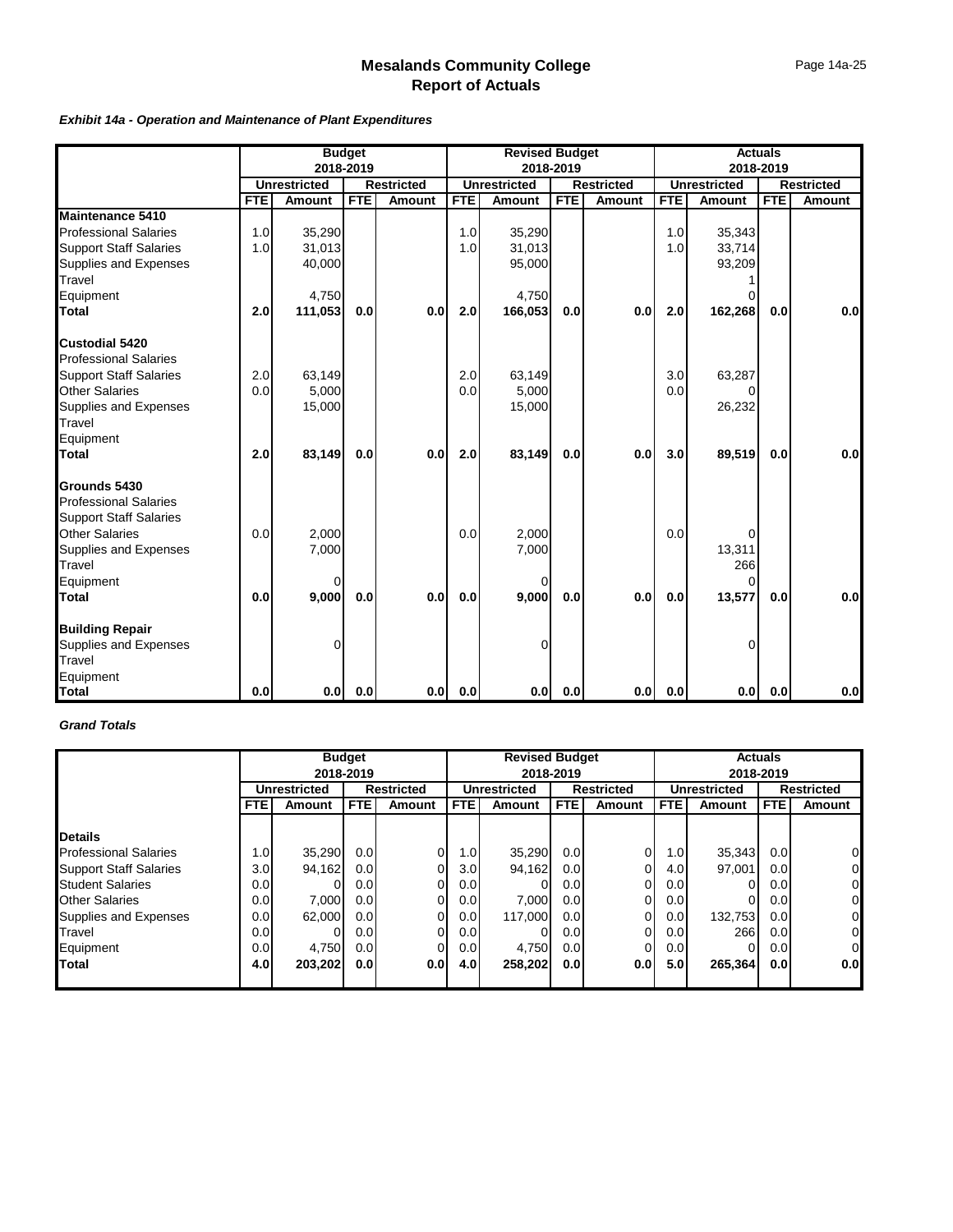#### *Exhibit 14a - Operation and Maintenance of Plant Expenditures*

|                               |            | <b>Budget</b><br>2018-2019 |            |                   |            | <b>Revised Budget</b> |            |                   | <b>Actuals</b> |                     |            |                   |
|-------------------------------|------------|----------------------------|------------|-------------------|------------|-----------------------|------------|-------------------|----------------|---------------------|------------|-------------------|
|                               |            |                            |            |                   |            |                       | 2018-2019  |                   |                |                     | 2018-2019  |                   |
|                               |            | <b>Unrestricted</b>        |            | <b>Restricted</b> |            | <b>Unrestricted</b>   |            | <b>Restricted</b> |                | <b>Unrestricted</b> |            | <b>Restricted</b> |
|                               | <b>FTE</b> | <b>Amount</b>              | <b>FTE</b> | <b>Amount</b>     | <b>FTE</b> | Amount                | <b>FTE</b> | <b>Amount</b>     | <b>FTE</b>     | Amount              | <b>FTE</b> | <b>Amount</b>     |
| <b>Maintenance 5410</b>       |            |                            |            |                   |            |                       |            |                   |                |                     |            |                   |
| <b>Professional Salaries</b>  | 1.0        | 35,290                     |            |                   | 1.0        | 35,290                |            |                   | 1.0            | 35,343              |            |                   |
| <b>Support Staff Salaries</b> | 1.0        | 31,013                     |            |                   | 1.0        | 31,013                |            |                   | 1.0            | 33,714              |            |                   |
| Supplies and Expenses         |            | 40,000                     |            |                   |            | 95,000                |            |                   |                | 93,209              |            |                   |
| Travel                        |            |                            |            |                   |            |                       |            |                   |                |                     |            |                   |
| Equipment                     |            | 4,750                      |            |                   |            | 4,750                 |            |                   |                |                     |            |                   |
| <b>Total</b>                  | 2.0        | 111,053                    | 0.0        | 0.0               | 2.0        | 166,053               | 0.0        | 0.0               | 2.0            | 162,268             | 0.0        | 0.0               |
| Custodial 5420                |            |                            |            |                   |            |                       |            |                   |                |                     |            |                   |
| <b>Professional Salaries</b>  |            |                            |            |                   |            |                       |            |                   |                |                     |            |                   |
| <b>Support Staff Salaries</b> | 2.0        | 63,149                     |            |                   | 2.0        | 63,149                |            |                   | 3.0            | 63,287              |            |                   |
| <b>Other Salaries</b>         | 0.0        | 5,000                      |            |                   | 0.0        | 5,000                 |            |                   | 0.0            |                     |            |                   |
| Supplies and Expenses         |            | 15,000                     |            |                   |            | 15,000                |            |                   |                | 26,232              |            |                   |
| Travel                        |            |                            |            |                   |            |                       |            |                   |                |                     |            |                   |
| Equipment                     |            |                            |            |                   |            |                       |            |                   |                |                     |            |                   |
| <b>Total</b>                  | 2.0        | 83,149                     | 0.0        | 0.0               | 2.0        | 83,149                | 0.0        | 0.0               | 3.0            | 89,519              | 0.0        | 0.0               |
| Grounds 5430                  |            |                            |            |                   |            |                       |            |                   |                |                     |            |                   |
| <b>Professional Salaries</b>  |            |                            |            |                   |            |                       |            |                   |                |                     |            |                   |
| <b>Support Staff Salaries</b> |            |                            |            |                   |            |                       |            |                   |                |                     |            |                   |
| <b>Other Salaries</b>         | 0.0        | 2,000                      |            |                   | 0.0        | 2,000                 |            |                   | 0.0            | U                   |            |                   |
| Supplies and Expenses         |            | 7,000                      |            |                   |            | 7,000                 |            |                   |                | 13,311              |            |                   |
| Travel                        |            |                            |            |                   |            |                       |            |                   |                | 266                 |            |                   |
| Equipment                     |            | 0                          |            |                   |            | $\Omega$              |            |                   |                | O                   |            |                   |
| <b>Total</b>                  | 0.0        | 9,000                      | 0.0        | 0.0               | 0.0        | 9,000                 | 0.0        | 0.0               | 0.0            | 13,577              | 0.0        | 0.0               |
| <b>Building Repair</b>        |            |                            |            |                   |            |                       |            |                   |                |                     |            |                   |
| Supplies and Expenses         |            | 0                          |            |                   |            | $\Omega$              |            |                   |                | U                   |            |                   |
| Travel                        |            |                            |            |                   |            |                       |            |                   |                |                     |            |                   |
| Equipment                     |            |                            |            |                   |            |                       |            |                   |                |                     |            |                   |
| <b>Total</b>                  | 0.0        | 0.0                        | 0.0        | 0.0               | 0.0        | 0.0 <sub>l</sub>      | 0.0        | 0.0               | 0.0            |                     | 0.0 0.0    | 0.0               |

### *Grand Totals*

|                               |                  | <b>Budget</b><br>2018-2019        |                  |                |            | <b>Revised Budget</b><br>2018-2019       |             |               |                     | <b>Actuals</b><br>2018-2019 |                  |                   |  |
|-------------------------------|------------------|-----------------------------------|------------------|----------------|------------|------------------------------------------|-------------|---------------|---------------------|-----------------------------|------------------|-------------------|--|
|                               |                  | <b>Restricted</b><br>Unrestricted |                  |                |            | <b>Restricted</b><br><b>Unrestricted</b> |             |               | <b>Unrestricted</b> |                             |                  | <b>Restricted</b> |  |
|                               | <b>FTE</b>       | <b>Amount</b>                     | <b>FTE</b>       | Amount         | <b>FTE</b> | <b>Amount</b>                            | <b>FTEI</b> | <b>Amount</b> | <b>FTE</b>          | Amount                      | <b>FTE</b>       | <b>Amount</b>     |  |
| <b>Details</b>                |                  |                                   |                  |                |            |                                          |             |               |                     |                             |                  |                   |  |
| <b>Professional Salaries</b>  | 1.0 <sub>l</sub> | 35,290                            | 0.0 <sub>l</sub> | 0              | 1.0        | 35,290                                   | 0.0         | 0             | 1.0                 | 35,343                      | 0.0              | $\overline{0}$    |  |
| <b>Support Staff Salaries</b> | 3.0 <sub>l</sub> | 94,162                            | 0.0 <sub>l</sub> | 0              | 3.0        | 94,162                                   | 0.0         |               | 4.0                 | 97,001                      | 0.01             | $\overline{0}$    |  |
| <b>Student Salaries</b>       | 0.0 <sub>l</sub> | 0                                 | 0.0              | $\Omega$       | 0.0        |                                          | 0.0         | 0             | 0.0 <sub>l</sub>    |                             | 0.01             | $\overline{0}$    |  |
| <b>Other Salaries</b>         | 0.0              | 7,000                             | 0.0              | $\Omega$       | 0.0        | 7,000                                    | 0.0         | $\Omega$      | 0.0                 |                             | 0.0 <sub>l</sub> | $\overline{0}$    |  |
| Supplies and Expenses         | 0.0              | 62,000                            | 0.01             | $\Omega$       | 0.0        | 117,000                                  | 0.0         | 0             | 0.0                 | 132,753                     | 0.0              | $\overline{0}$    |  |
| Travel                        | 0.0              |                                   | 0.0 <sub>l</sub> | $\overline{0}$ | 0.0        |                                          | 0.0         | 0             | 0.0                 | 266                         | 0.0 <sub>l</sub> | $\overline{0}$    |  |
| Equipment                     | 0.0              | 4,750                             | 0.0 <sub>l</sub> | 0              | 0.0        | 4,750                                    | 0.0         | 0             | 0.0                 | o                           | 0.01             | $\overline{0}$    |  |
| <b>ITotal</b>                 | 4.0              | 203,202                           | 0.0 <sub>l</sub> | 0.0            | 4.0        | 258,202                                  | 0.0         | 0.0           | 5.0 <sub>l</sub>    | 265,364                     | 0.0 <sub>l</sub> | 0.0 <sub>l</sub>  |  |
|                               |                  |                                   |                  |                |            |                                          |             |               |                     |                             |                  |                   |  |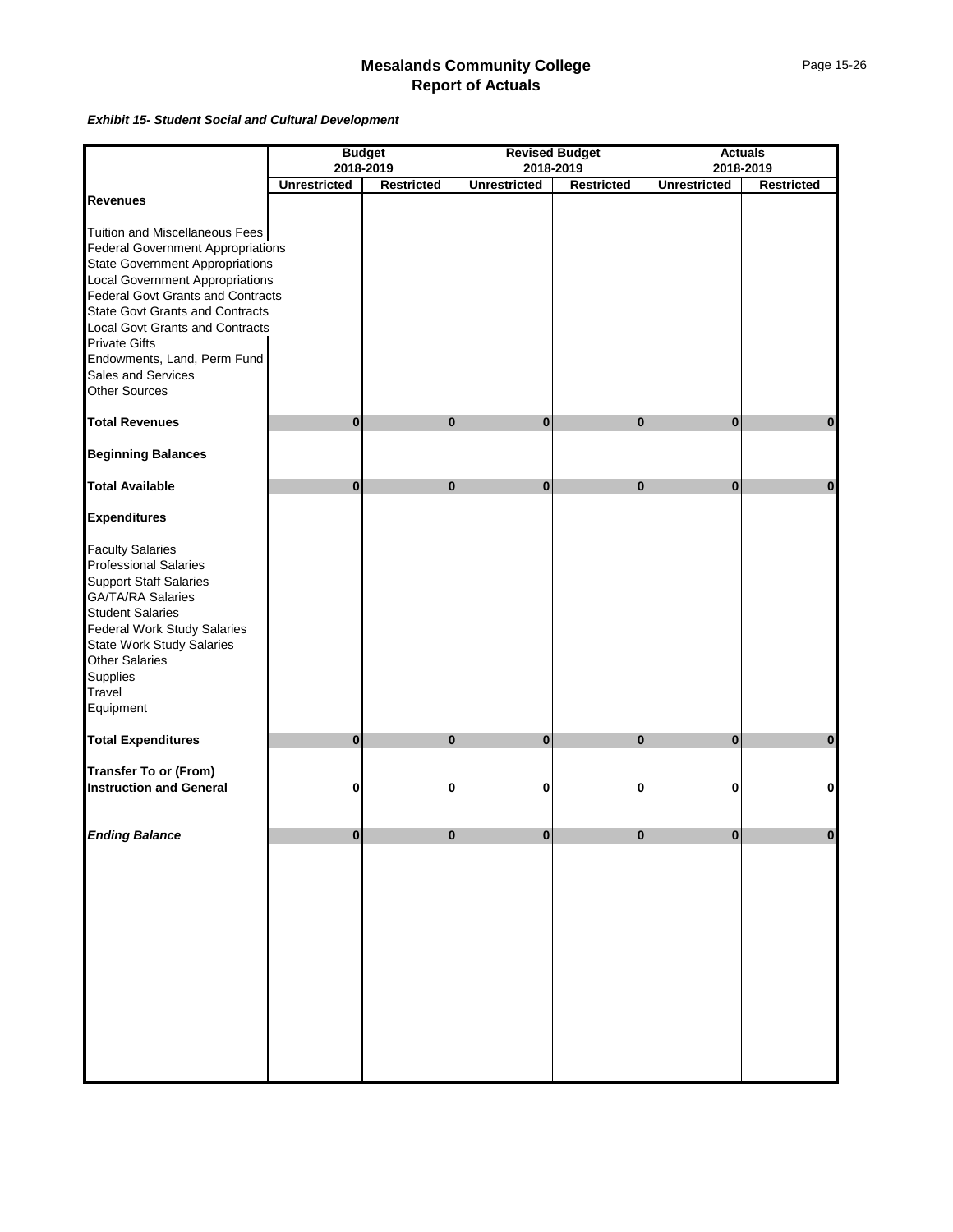*Exhibit 15- Student Social and Cultural Development*

|                                          |                                  | <b>Budget</b>     |                     | <b>Revised Budget</b> |                     | <b>Actuals</b>    |
|------------------------------------------|----------------------------------|-------------------|---------------------|-----------------------|---------------------|-------------------|
|                                          | 2018-2019<br><b>Unrestricted</b> | <b>Restricted</b> |                     | 2018-2019             | <b>Unrestricted</b> | 2018-2019         |
| <b>Revenues</b>                          |                                  |                   | <b>Unrestricted</b> | <b>Restricted</b>     |                     | <b>Restricted</b> |
|                                          |                                  |                   |                     |                       |                     |                   |
| Tuition and Miscellaneous Fees           |                                  |                   |                     |                       |                     |                   |
| <b>Federal Government Appropriations</b> |                                  |                   |                     |                       |                     |                   |
| <b>State Government Appropriations</b>   |                                  |                   |                     |                       |                     |                   |
| <b>Local Government Appropriations</b>   |                                  |                   |                     |                       |                     |                   |
| <b>Federal Govt Grants and Contracts</b> |                                  |                   |                     |                       |                     |                   |
| <b>State Govt Grants and Contracts</b>   |                                  |                   |                     |                       |                     |                   |
| <b>Local Govt Grants and Contracts</b>   |                                  |                   |                     |                       |                     |                   |
| <b>Private Gifts</b>                     |                                  |                   |                     |                       |                     |                   |
| Endowments, Land, Perm Fund              |                                  |                   |                     |                       |                     |                   |
| Sales and Services                       |                                  |                   |                     |                       |                     |                   |
| <b>Other Sources</b>                     |                                  |                   |                     |                       |                     |                   |
|                                          |                                  |                   |                     |                       |                     |                   |
| <b>Total Revenues</b>                    | $\bf{0}$                         | 0                 | $\bf{0}$            | $\bf{0}$              | 0                   | $\bf{0}$          |
| <b>Beginning Balances</b>                |                                  |                   |                     |                       |                     |                   |
| <b>Total Available</b>                   | $\bf{0}$                         | $\bf{0}$          | $\bf{0}$            | $\bf{0}$              | $\bf{0}$            | $\mathbf{0}$      |
| <b>Expenditures</b>                      |                                  |                   |                     |                       |                     |                   |
|                                          |                                  |                   |                     |                       |                     |                   |
| <b>Faculty Salaries</b>                  |                                  |                   |                     |                       |                     |                   |
| <b>Professional Salaries</b>             |                                  |                   |                     |                       |                     |                   |
| <b>Support Staff Salaries</b>            |                                  |                   |                     |                       |                     |                   |
| <b>GA/TA/RA Salaries</b>                 |                                  |                   |                     |                       |                     |                   |
| <b>Student Salaries</b>                  |                                  |                   |                     |                       |                     |                   |
| Federal Work Study Salaries              |                                  |                   |                     |                       |                     |                   |
| <b>State Work Study Salaries</b>         |                                  |                   |                     |                       |                     |                   |
| <b>Other Salaries</b>                    |                                  |                   |                     |                       |                     |                   |
| Supplies                                 |                                  |                   |                     |                       |                     |                   |
| Travel                                   |                                  |                   |                     |                       |                     |                   |
| Equipment                                |                                  |                   |                     |                       |                     |                   |
|                                          |                                  |                   |                     |                       |                     |                   |
| <b>Total Expenditures</b>                | $\bf{0}$                         | $\bf{0}$          | $\bf{0}$            | $\bf{0}$              | $\bf{0}$            | $\bf{0}$          |
| <b>Transfer To or (From)</b>             |                                  |                   |                     |                       |                     |                   |
| <b>Instruction and General</b>           | 0                                | 0                 | 0                   | 0                     | 0                   | 0                 |
|                                          |                                  |                   |                     |                       |                     |                   |
| <b>Ending Balance</b>                    | $\Omega$                         | $\Omega$          | $\bf{0}$            | $\Omega$              | $\bf{0}$            | $\mathbf{0}$      |
|                                          |                                  |                   |                     |                       |                     |                   |
|                                          |                                  |                   |                     |                       |                     |                   |
|                                          |                                  |                   |                     |                       |                     |                   |
|                                          |                                  |                   |                     |                       |                     |                   |
|                                          |                                  |                   |                     |                       |                     |                   |
|                                          |                                  |                   |                     |                       |                     |                   |
|                                          |                                  |                   |                     |                       |                     |                   |
|                                          |                                  |                   |                     |                       |                     |                   |
|                                          |                                  |                   |                     |                       |                     |                   |
|                                          |                                  |                   |                     |                       |                     |                   |
|                                          |                                  |                   |                     |                       |                     |                   |
|                                          |                                  |                   |                     |                       |                     |                   |
|                                          |                                  |                   |                     |                       |                     |                   |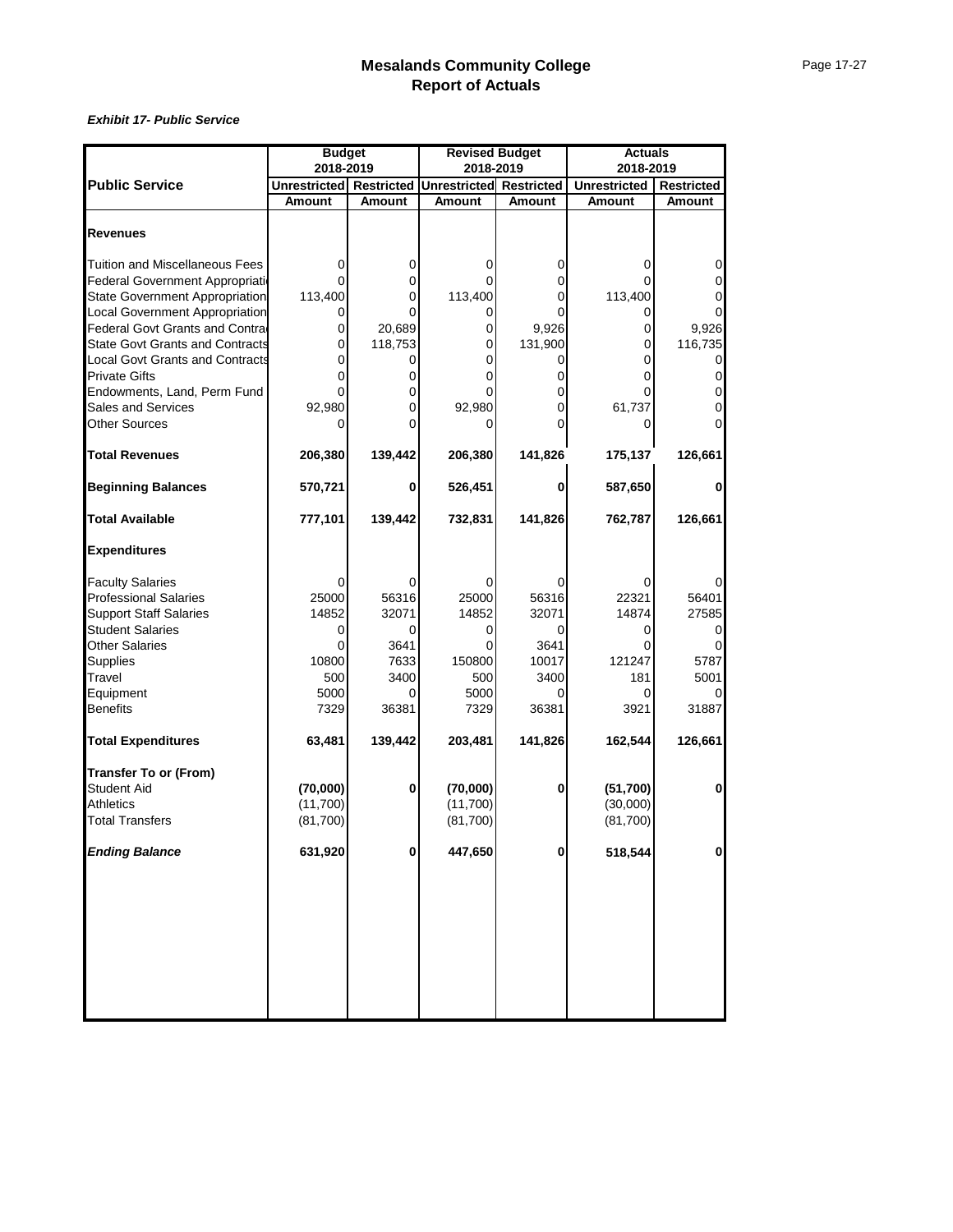|                                        | <b>Budget</b>           |          | <b>Revised Budget</b>          |               | <b>Actuals</b>      |                   |
|----------------------------------------|-------------------------|----------|--------------------------------|---------------|---------------------|-------------------|
|                                        | 2018-2019               |          | 2018-2019                      |               | 2018-2019           |                   |
| <b>Public Service</b>                  | Unrestricted Restricted |          | <b>Unrestricted Restricted</b> |               | <b>Unrestricted</b> | <b>Restricted</b> |
|                                        | <b>Amount</b>           | Amount   | <b>Amount</b>                  | <b>Amount</b> | <b>Amount</b>       | <b>Amount</b>     |
| <b>Revenues</b>                        |                         |          |                                |               |                     |                   |
|                                        |                         |          |                                |               |                     |                   |
| Tuition and Miscellaneous Fees         |                         | 0        | 0                              | 0             | 0                   |                   |
| Federal Government Appropriation       |                         | 0        |                                | 0             |                     |                   |
| <b>State Government Appropriation</b>  | 113,400                 |          | 113,400                        | 0             | 113,400             |                   |
| Local Government Appropriation         |                         |          | 0                              |               |                     |                   |
| Federal Govt Grants and Contra         | 0                       | 20,689   | 0                              | 9,926         | 0                   | 9,926             |
| <b>State Govt Grants and Contracts</b> | 0                       | 118,753  | 0                              | 131,900       | 0                   | 116,735           |
| <b>Local Govt Grants and Contracts</b> |                         |          | 0                              | 0             | 0                   | 0                 |
| <b>Private Gifts</b>                   |                         | 0        | 0                              | 0             | 0                   | 0                 |
| Endowments, Land, Perm Fund            |                         |          |                                | 0             |                     |                   |
| Sales and Services                     | 92,980                  | $\Omega$ | 92,980                         | 0             | 61,737              |                   |
| <b>Other Sources</b>                   |                         | 0        | 0                              | U             | 0                   |                   |
|                                        |                         |          |                                |               |                     |                   |
| <b>Total Revenues</b>                  | 206,380                 | 139,442  | 206,380                        | 141,826       | 175,137             | 126,661           |
| <b>Beginning Balances</b>              | 570,721                 | 0        | 526,451                        | 0             | 587,650             | 0                 |
| <b>Total Available</b>                 | 777,101                 | 139,442  | 732,831                        | 141,826       | 762,787             | 126,661           |
| <b>Expenditures</b>                    |                         |          |                                |               |                     |                   |
| <b>Faculty Salaries</b>                |                         |          | 0                              | 0             | 0                   |                   |
| <b>Professional Salaries</b>           | 25000                   | 56316    | 25000                          | 56316         | 22321               | 56401             |
| <b>Support Staff Salaries</b>          | 14852                   | 32071    | 14852                          | 32071         | 14874               | 27585             |
| <b>Student Salaries</b>                | 0                       | 0        | 0                              | 0             | 0                   |                   |
| <b>Other Salaries</b>                  | 0                       | 3641     | 0                              | 3641          | 0                   |                   |
| Supplies                               | 10800                   | 7633     | 150800                         | 10017         | 121247              | 5787              |
| Travel                                 | 500                     | 3400     | 500                            | 3400          | 181                 | 5001              |
| Equipment                              | 5000                    |          | 5000                           | ი             | 0                   |                   |
| <b>Benefits</b>                        | 7329                    | 36381    | 7329                           | 36381         | 3921                | 31887             |
|                                        |                         |          |                                |               |                     |                   |
| <b>Total Expenditures</b>              | 63,481                  | 139,442  | 203,481                        | 141,826       | 162,544             | 126,661           |
| <b>Transfer To or (From)</b>           |                         |          |                                |               |                     |                   |
| <b>Student Aid</b>                     | (70,000)                | 0        | (70,000)                       | 0             | (51,700)            | 0                 |
| <b>Athletics</b>                       | (11,700)                |          | (11,700)                       |               | (30,000)            |                   |
| <b>Total Transfers</b>                 | (81,700)                |          | (81,700)                       |               | (81,700)            |                   |
| <b>Ending Balance</b>                  | 631,920                 | $\bf{0}$ | 447,650                        | 0             | 518,544             | $\mathbf 0$       |
|                                        |                         |          |                                |               |                     |                   |
|                                        |                         |          |                                |               |                     |                   |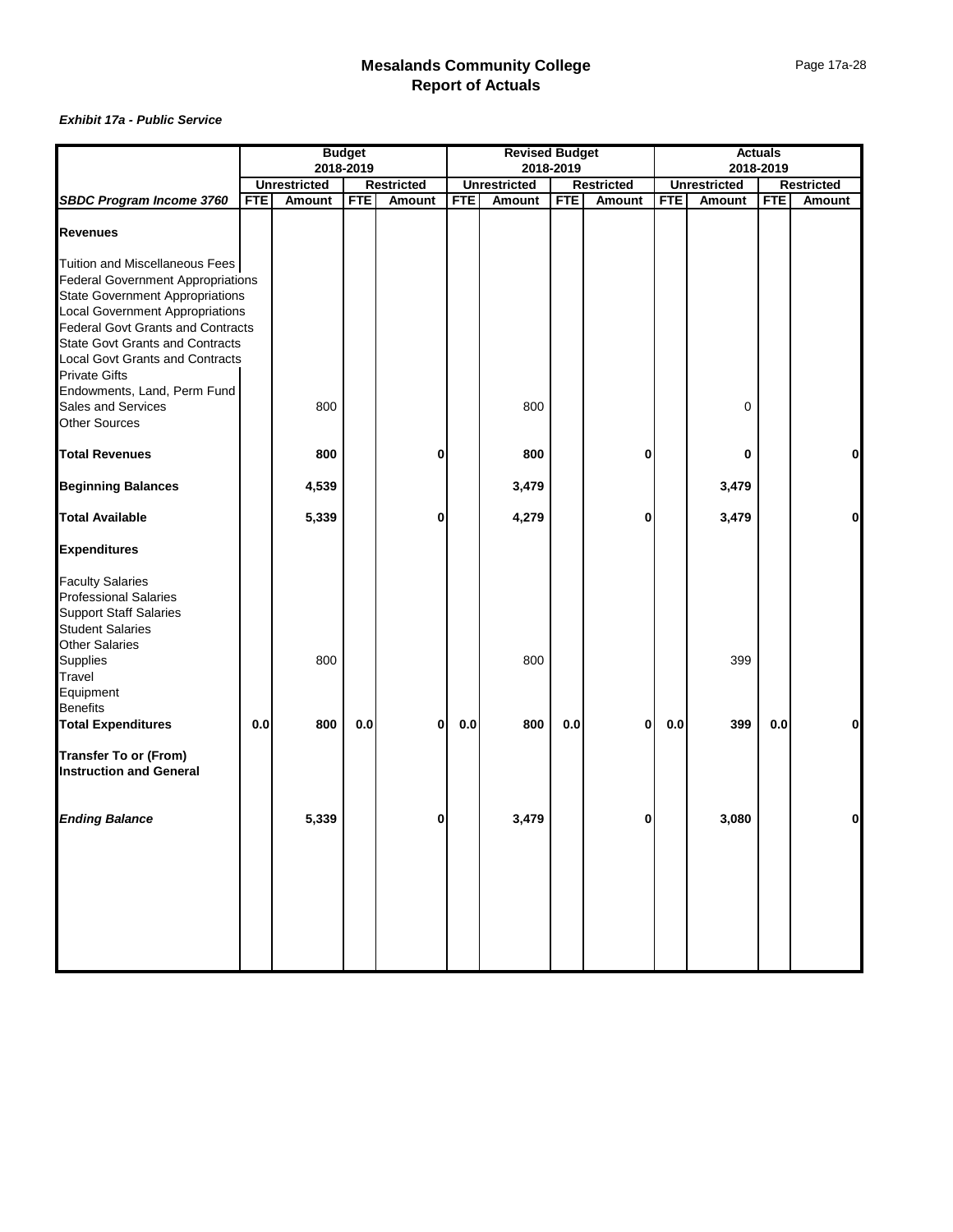|                                          | <b>Budget</b> |                     |            |                   |            | <b>Revised Budget</b> |            |                   |            |                     | <b>Actuals</b> |               |
|------------------------------------------|---------------|---------------------|------------|-------------------|------------|-----------------------|------------|-------------------|------------|---------------------|----------------|---------------|
|                                          |               | 2018-2019           |            |                   |            | 2018-2019             |            |                   |            |                     | 2018-2019      |               |
|                                          |               | <b>Unrestricted</b> |            | <b>Restricted</b> |            | <b>Unrestricted</b>   |            | <b>Restricted</b> |            | <b>Unrestricted</b> |                | Restricted    |
| <b>SBDC Program Income 3760</b>          | <b>FTE</b>    | Amount              | <b>FTE</b> | <b>Amount</b>     | <b>FTE</b> | <b>Amount</b>         | <b>FTE</b> | Amount            | <b>FTE</b> | <b>Amount</b>       | <b>FTE</b>     | <b>Amount</b> |
| <b>Revenues</b>                          |               |                     |            |                   |            |                       |            |                   |            |                     |                |               |
| Tuition and Miscellaneous Fees           |               |                     |            |                   |            |                       |            |                   |            |                     |                |               |
| <b>Federal Government Appropriations</b> |               |                     |            |                   |            |                       |            |                   |            |                     |                |               |
| <b>State Government Appropriations</b>   |               |                     |            |                   |            |                       |            |                   |            |                     |                |               |
| <b>Local Government Appropriations</b>   |               |                     |            |                   |            |                       |            |                   |            |                     |                |               |
| Federal Govt Grants and Contracts        |               |                     |            |                   |            |                       |            |                   |            |                     |                |               |
| <b>State Govt Grants and Contracts</b>   |               |                     |            |                   |            |                       |            |                   |            |                     |                |               |
| <b>Local Govt Grants and Contracts</b>   |               |                     |            |                   |            |                       |            |                   |            |                     |                |               |
| <b>Private Gifts</b>                     |               |                     |            |                   |            |                       |            |                   |            |                     |                |               |
| Endowments, Land, Perm Fund              |               |                     |            |                   |            |                       |            |                   |            |                     |                |               |
| Sales and Services                       |               | 800                 |            |                   |            | 800                   |            |                   |            | 0                   |                |               |
| <b>Other Sources</b>                     |               |                     |            |                   |            |                       |            |                   |            |                     |                |               |
|                                          |               |                     |            |                   |            |                       |            |                   |            |                     |                |               |
| <b>Total Revenues</b>                    |               | 800                 |            | 0                 |            | 800                   |            | 0                 |            | 0                   |                | $\mathbf{0}$  |
| <b>Beginning Balances</b>                |               | 4,539               |            |                   |            | 3,479                 |            |                   |            | 3,479               |                |               |
| <b>Total Available</b>                   |               | 5,339               |            | 0                 |            | 4,279                 |            | 0                 |            | 3,479               |                | Οl            |
| <b>Expenditures</b>                      |               |                     |            |                   |            |                       |            |                   |            |                     |                |               |
| <b>Faculty Salaries</b>                  |               |                     |            |                   |            |                       |            |                   |            |                     |                |               |
| Professional Salaries                    |               |                     |            |                   |            |                       |            |                   |            |                     |                |               |
| <b>Support Staff Salaries</b>            |               |                     |            |                   |            |                       |            |                   |            |                     |                |               |
| <b>Student Salaries</b>                  |               |                     |            |                   |            |                       |            |                   |            |                     |                |               |
| <b>Other Salaries</b>                    |               |                     |            |                   |            |                       |            |                   |            |                     |                |               |
| Supplies                                 |               | 800                 |            |                   |            | 800                   |            |                   |            | 399                 |                |               |
| Travel                                   |               |                     |            |                   |            |                       |            |                   |            |                     |                |               |
| Equipment                                |               |                     |            |                   |            |                       |            |                   |            |                     |                |               |
| <b>Benefits</b>                          |               |                     |            |                   |            |                       |            |                   |            |                     |                |               |
| <b>Total Expenditures</b>                | 0.0           | 800                 | 0.0        | 0                 | 0.0        | 800                   | 0.0        | 0                 | 0.0        | 399                 | 0.0            | 0             |
| <b>Transfer To or (From)</b>             |               |                     |            |                   |            |                       |            |                   |            |                     |                |               |
| <b>Instruction and General</b>           |               |                     |            |                   |            |                       |            |                   |            |                     |                |               |
| <b>Ending Balance</b>                    |               | 5,339               |            | 0                 |            | 3,479                 |            | 0                 |            | 3,080               |                | 0             |
|                                          |               |                     |            |                   |            |                       |            |                   |            |                     |                |               |
|                                          |               |                     |            |                   |            |                       |            |                   |            |                     |                |               |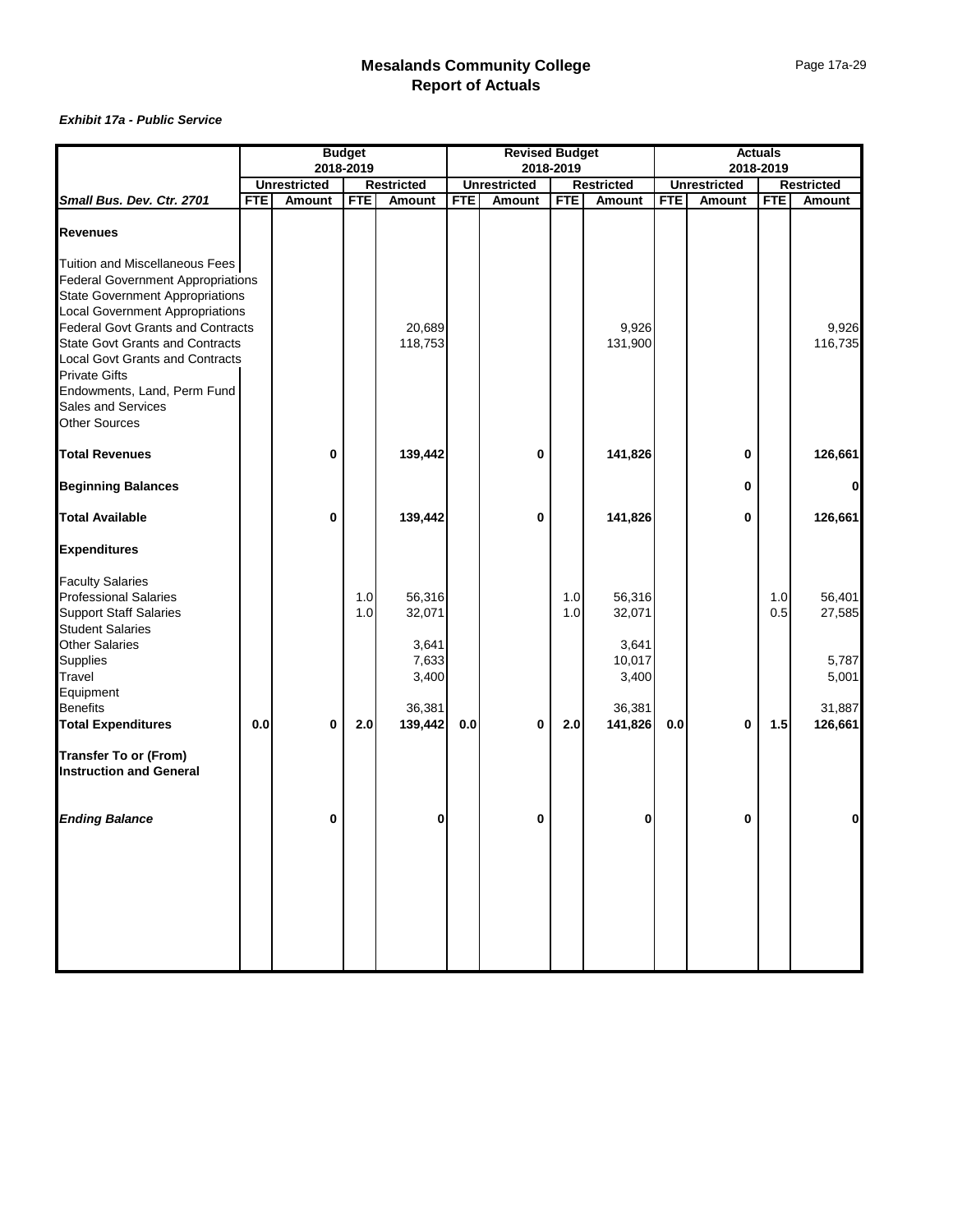|                                                                                                                                                                                                                                                                                                                                                                                                            |            |                     | <b>Budget</b> |                         |            | <b>Revised Budget</b> |            |                          |            |                     | <b>Actuals</b> |                   |
|------------------------------------------------------------------------------------------------------------------------------------------------------------------------------------------------------------------------------------------------------------------------------------------------------------------------------------------------------------------------------------------------------------|------------|---------------------|---------------|-------------------------|------------|-----------------------|------------|--------------------------|------------|---------------------|----------------|-------------------|
|                                                                                                                                                                                                                                                                                                                                                                                                            |            |                     | 2018-2019     |                         |            |                       | 2018-2019  |                          |            |                     | 2018-2019      |                   |
|                                                                                                                                                                                                                                                                                                                                                                                                            |            | <b>Unrestricted</b> |               | <b>Restricted</b>       |            | <b>Unrestricted</b>   |            | <b>Restricted</b>        |            | <b>Unrestricted</b> |                | <b>Restricted</b> |
| Small Bus. Dev. Ctr. 2701                                                                                                                                                                                                                                                                                                                                                                                  | <b>FTE</b> | <b>Amount</b>       | <b>FTE</b>    | Amount                  | <b>FTE</b> | Amount                | <b>FTE</b> | Amount                   | <b>FTE</b> | Amount              | <b>FTE</b>     | Amount            |
| <b>Revenues</b>                                                                                                                                                                                                                                                                                                                                                                                            |            |                     |               |                         |            |                       |            |                          |            |                     |                |                   |
| Tuition and Miscellaneous Fees<br><b>Federal Government Appropriations</b><br><b>State Government Appropriations</b><br><b>Local Government Appropriations</b><br><b>Federal Govt Grants and Contracts</b><br><b>State Govt Grants and Contracts</b><br><b>Local Govt Grants and Contracts</b><br><b>Private Gifts</b><br>Endowments, Land, Perm Fund<br><b>Sales and Services</b><br><b>Other Sources</b> |            |                     |               | 20,689<br>118,753       |            |                       |            | 9,926<br>131,900         |            |                     |                | 9,926<br>116,735  |
| <b>Total Revenues</b>                                                                                                                                                                                                                                                                                                                                                                                      |            | $\bf{0}$            |               | 139,442                 |            | 0                     |            | 141,826                  |            | 0                   |                | 126,661           |
| <b>Beginning Balances</b>                                                                                                                                                                                                                                                                                                                                                                                  |            |                     |               |                         |            |                       |            |                          |            | 0                   |                | $\bf{0}$          |
| <b>Total Available</b>                                                                                                                                                                                                                                                                                                                                                                                     |            | $\bf{0}$            |               | 139,442                 |            | 0                     |            | 141,826                  |            | 0                   |                | 126,661           |
| <b>Expenditures</b>                                                                                                                                                                                                                                                                                                                                                                                        |            |                     |               |                         |            |                       |            |                          |            |                     |                |                   |
| <b>Faculty Salaries</b><br><b>Professional Salaries</b><br><b>Support Staff Salaries</b><br><b>Student Salaries</b>                                                                                                                                                                                                                                                                                        |            |                     | 1.0<br>1.0    | 56,316<br>32,071        |            |                       | 1.0<br>1.0 | 56,316<br>32,071         |            |                     | 1.0<br>0.5     | 56,401<br>27,585  |
| <b>Other Salaries</b><br>Supplies<br>Travel<br>Equipment                                                                                                                                                                                                                                                                                                                                                   |            |                     |               | 3,641<br>7,633<br>3,400 |            |                       |            | 3,641<br>10,017<br>3,400 |            |                     |                | 5,787<br>5,001    |
| <b>Benefits</b><br><b>Total Expenditures</b>                                                                                                                                                                                                                                                                                                                                                               | 0.0        | 0                   | 2.0           | 36,381<br>139,442       | 0.0        | 0                     | 2.0        | 36,381<br>141,826        | 0.0        | 0                   | 1.5            | 31,887<br>126,661 |
| <b>Transfer To or (From)</b><br><b>Instruction and General</b>                                                                                                                                                                                                                                                                                                                                             |            |                     |               |                         |            |                       |            |                          |            |                     |                |                   |
| <b>Ending Balance</b>                                                                                                                                                                                                                                                                                                                                                                                      |            | 0                   |               | 0                       |            | 0                     |            | 0                        |            | 0                   |                | 0                 |
|                                                                                                                                                                                                                                                                                                                                                                                                            |            |                     |               |                         |            |                       |            |                          |            |                     |                |                   |
|                                                                                                                                                                                                                                                                                                                                                                                                            |            |                     |               |                         |            |                       |            |                          |            |                     |                |                   |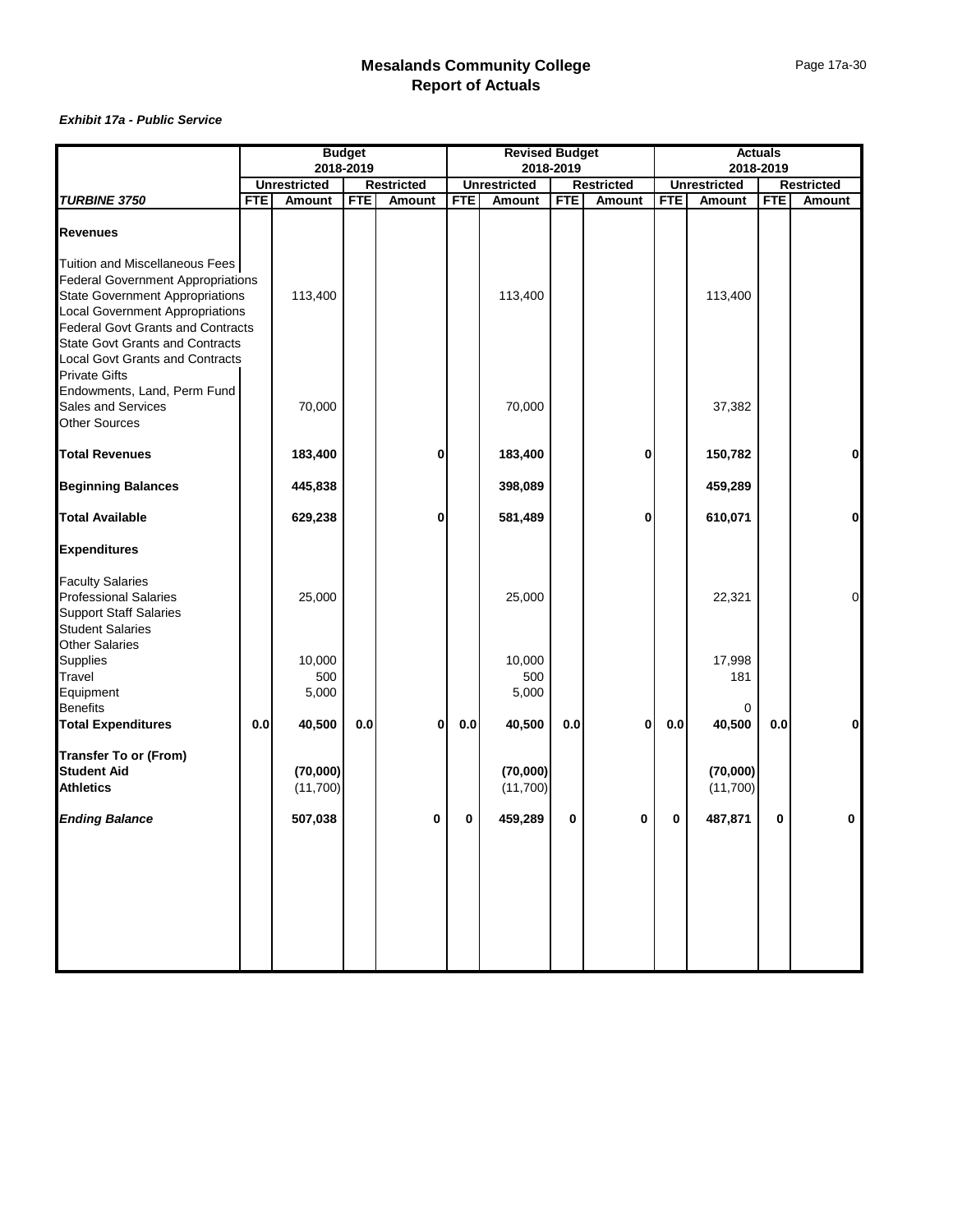|                                                                                                                                                                                                                                                                                                                        |            | <b>Budget</b>          |            |                   | <b>Revised Budget</b> |                        |            |                   |            | <b>Actuals</b>       |            |                |
|------------------------------------------------------------------------------------------------------------------------------------------------------------------------------------------------------------------------------------------------------------------------------------------------------------------------|------------|------------------------|------------|-------------------|-----------------------|------------------------|------------|-------------------|------------|----------------------|------------|----------------|
|                                                                                                                                                                                                                                                                                                                        |            | 2018-2019              |            |                   |                       |                        | 2018-2019  |                   |            |                      | 2018-2019  |                |
|                                                                                                                                                                                                                                                                                                                        |            | <b>Unrestricted</b>    |            | <b>Restricted</b> |                       | <b>Unrestricted</b>    |            | <b>Restricted</b> |            | <b>Unrestricted</b>  |            | Restricted     |
| TURBINE 3750                                                                                                                                                                                                                                                                                                           | <b>FTE</b> | Amount                 | <b>FTE</b> | Amount            | <b>FTE</b>            | Amount                 | <b>FTE</b> | Amount            | <b>FTE</b> | Amount               | <b>FTE</b> | <b>Amount</b>  |
| <b>Revenues</b>                                                                                                                                                                                                                                                                                                        |            |                        |            |                   |                       |                        |            |                   |            |                      |            |                |
| Tuition and Miscellaneous Fees<br><b>Federal Government Appropriations</b><br><b>State Government Appropriations</b><br><b>Local Government Appropriations</b><br><b>Federal Govt Grants and Contracts</b><br><b>State Govt Grants and Contracts</b><br><b>Local Govt Grants and Contracts</b><br><b>Private Gifts</b> |            | 113,400                |            |                   |                       | 113,400                |            |                   |            | 113,400              |            |                |
| Endowments, Land, Perm Fund<br>Sales and Services<br><b>Other Sources</b>                                                                                                                                                                                                                                              |            | 70,000                 |            |                   |                       | 70,000                 |            |                   |            | 37,382               |            |                |
| <b>Total Revenues</b>                                                                                                                                                                                                                                                                                                  |            | 183,400                |            | 0                 |                       | 183,400                |            | 0                 |            | 150,782              |            | 0              |
| <b>Beginning Balances</b>                                                                                                                                                                                                                                                                                              |            | 445,838                |            |                   |                       | 398,089                |            |                   |            | 459,289              |            |                |
| <b>Total Available</b>                                                                                                                                                                                                                                                                                                 |            | 629,238                |            | 0                 |                       | 581,489                |            | $\bf{0}$          |            | 610,071              |            | 0              |
| <b>Expenditures</b>                                                                                                                                                                                                                                                                                                    |            |                        |            |                   |                       |                        |            |                   |            |                      |            |                |
| <b>Faculty Salaries</b><br><b>Professional Salaries</b><br><b>Support Staff Salaries</b><br><b>Student Salaries</b><br><b>Other Salaries</b>                                                                                                                                                                           |            | 25,000                 |            |                   |                       | 25,000                 |            |                   |            | 22,321               |            | $\overline{O}$ |
| Supplies<br>Travel<br>Equipment                                                                                                                                                                                                                                                                                        |            | 10,000<br>500<br>5,000 |            |                   |                       | 10,000<br>500<br>5,000 |            |                   |            | 17,998<br>181        |            |                |
| <b>Benefits</b><br><b>Total Expenditures</b>                                                                                                                                                                                                                                                                           | 0.0        | 40,500                 | 0.0        | 0                 | $0.0\,$               | 40,500                 | 0.0        | $\bf{0}$          | 0.0        | 0<br>40,500          | 0.0        | $\mathbf{0}$   |
| <b>Transfer To or (From)</b><br><b>Student Aid</b><br><b>Athletics</b>                                                                                                                                                                                                                                                 |            | (70,000)<br>(11,700)   |            |                   |                       | (70,000)<br>(11,700)   |            |                   |            | (70,000)<br>(11,700) |            |                |
| <b>Ending Balance</b>                                                                                                                                                                                                                                                                                                  |            | 507,038                |            | 0                 | 0                     | 459,289                | 0          | 0                 | 0          | 487,871              | 0          | 0              |
|                                                                                                                                                                                                                                                                                                                        |            |                        |            |                   |                       |                        |            |                   |            |                      |            |                |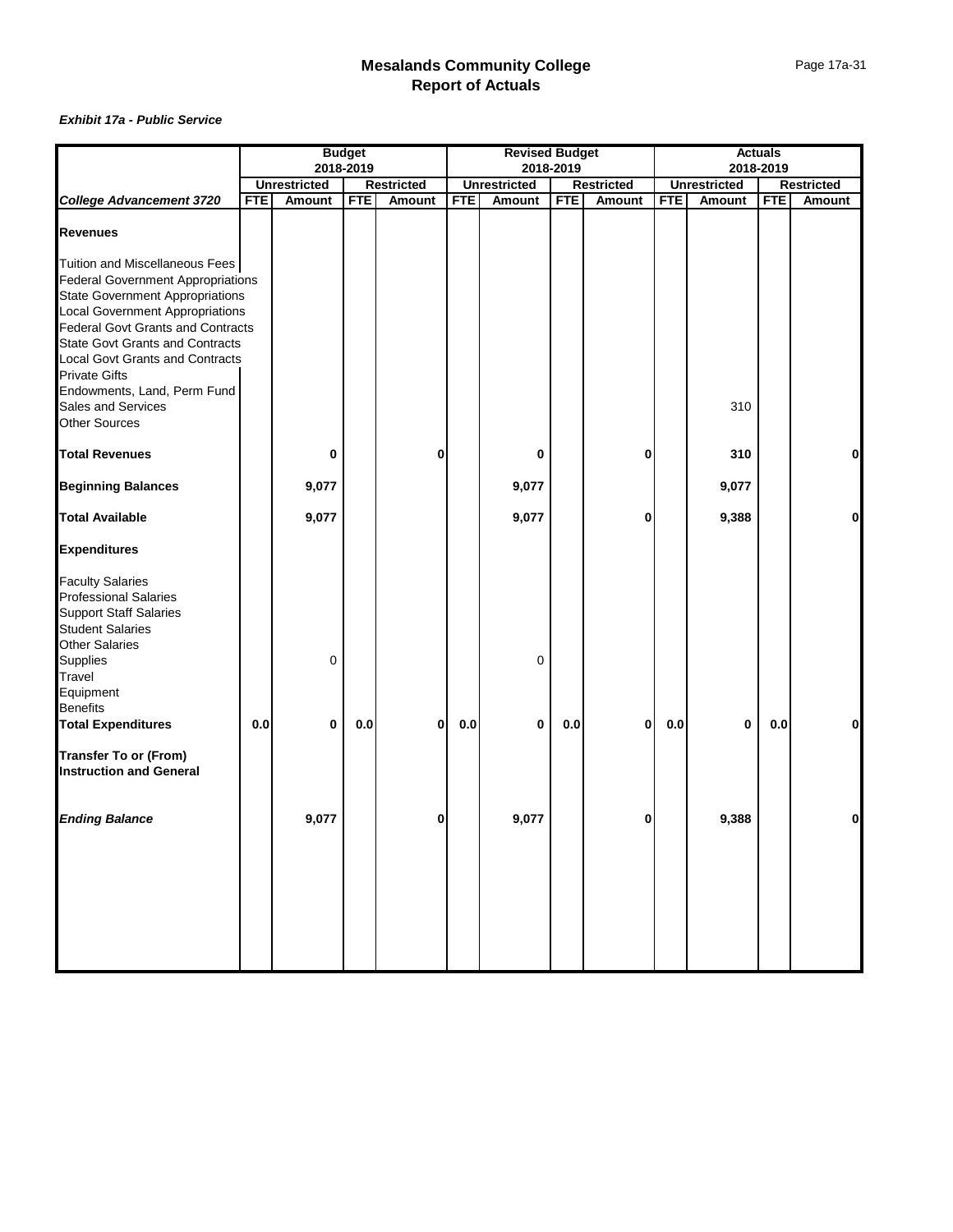|                                                                                  |            |                     | <b>Budget</b> |                   |            | <b>Revised Budget</b> |            |                   |            |                     | <b>Actuals</b> |                   |
|----------------------------------------------------------------------------------|------------|---------------------|---------------|-------------------|------------|-----------------------|------------|-------------------|------------|---------------------|----------------|-------------------|
|                                                                                  |            |                     | 2018-2019     |                   |            |                       | 2018-2019  |                   |            |                     | 2018-2019      |                   |
|                                                                                  |            | <b>Unrestricted</b> |               | <b>Restricted</b> |            | <b>Unrestricted</b>   |            | <b>Restricted</b> |            | <b>Unrestricted</b> |                | <b>Restricted</b> |
| <b>College Advancement 3720</b>                                                  | <b>FTE</b> | Amount              | <b>FTE</b>    | <b>Amount</b>     | <b>FTE</b> | Amount                | <b>FTE</b> | Amount            | <b>FTE</b> | Amount              | <b>FTE</b>     | Amount            |
| <b>Revenues</b>                                                                  |            |                     |               |                   |            |                       |            |                   |            |                     |                |                   |
| Tuition and Miscellaneous Fees<br><b>Federal Government Appropriations</b>       |            |                     |               |                   |            |                       |            |                   |            |                     |                |                   |
| <b>State Government Appropriations</b><br><b>Local Government Appropriations</b> |            |                     |               |                   |            |                       |            |                   |            |                     |                |                   |
| <b>Federal Govt Grants and Contracts</b>                                         |            |                     |               |                   |            |                       |            |                   |            |                     |                |                   |
| <b>State Govt Grants and Contracts</b>                                           |            |                     |               |                   |            |                       |            |                   |            |                     |                |                   |
| <b>Local Govt Grants and Contracts</b><br><b>Private Gifts</b>                   |            |                     |               |                   |            |                       |            |                   |            |                     |                |                   |
| Endowments, Land, Perm Fund                                                      |            |                     |               |                   |            |                       |            |                   |            |                     |                |                   |
| Sales and Services                                                               |            |                     |               |                   |            |                       |            |                   |            | 310                 |                |                   |
| <b>Other Sources</b>                                                             |            |                     |               |                   |            |                       |            |                   |            |                     |                |                   |
| <b>Total Revenues</b>                                                            |            | 0                   |               | 0                 |            | 0                     |            | 0                 |            | 310                 |                | $\mathbf{0}$      |
|                                                                                  |            |                     |               |                   |            |                       |            |                   |            |                     |                |                   |
| <b>Beginning Balances</b>                                                        |            | 9,077               |               |                   |            | 9,077                 |            |                   |            | 9,077               |                |                   |
| <b>Total Available</b>                                                           |            | 9,077               |               |                   |            | 9,077                 |            | 0                 |            | 9,388               |                | $\mathbf{0}$      |
| <b>Expenditures</b>                                                              |            |                     |               |                   |            |                       |            |                   |            |                     |                |                   |
| <b>Faculty Salaries</b>                                                          |            |                     |               |                   |            |                       |            |                   |            |                     |                |                   |
| <b>Professional Salaries</b>                                                     |            |                     |               |                   |            |                       |            |                   |            |                     |                |                   |
| <b>Support Staff Salaries</b>                                                    |            |                     |               |                   |            |                       |            |                   |            |                     |                |                   |
| <b>Student Salaries</b>                                                          |            |                     |               |                   |            |                       |            |                   |            |                     |                |                   |
| <b>Other Salaries</b>                                                            |            |                     |               |                   |            |                       |            |                   |            |                     |                |                   |
| Supplies                                                                         |            | $\Omega$            |               |                   |            | 0                     |            |                   |            |                     |                |                   |
| Travel                                                                           |            |                     |               |                   |            |                       |            |                   |            |                     |                |                   |
| Equipment<br><b>Benefits</b>                                                     |            |                     |               |                   |            |                       |            |                   |            |                     |                |                   |
| <b>Total Expenditures</b>                                                        | 0.0        | $\bf{0}$            | 0.0           | 0                 | $0.0\,$    | 0                     | 0.0        | $\bf{0}$          | 0.0        | 0                   | 0.0            | $\mathbf{0}$      |
|                                                                                  |            |                     |               |                   |            |                       |            |                   |            |                     |                |                   |
| <b>Transfer To or (From)</b><br><b>Instruction and General</b>                   |            |                     |               |                   |            |                       |            |                   |            |                     |                |                   |
|                                                                                  |            |                     |               |                   |            |                       |            |                   |            |                     |                |                   |
| <b>Ending Balance</b>                                                            |            | 9,077               |               | 0                 |            | 9,077                 |            |                   |            | 9,388               |                |                   |
|                                                                                  |            |                     |               |                   |            |                       |            |                   |            |                     |                |                   |
|                                                                                  |            |                     |               |                   |            |                       |            |                   |            |                     |                |                   |
|                                                                                  |            |                     |               |                   |            |                       |            |                   |            |                     |                |                   |
|                                                                                  |            |                     |               |                   |            |                       |            |                   |            |                     |                |                   |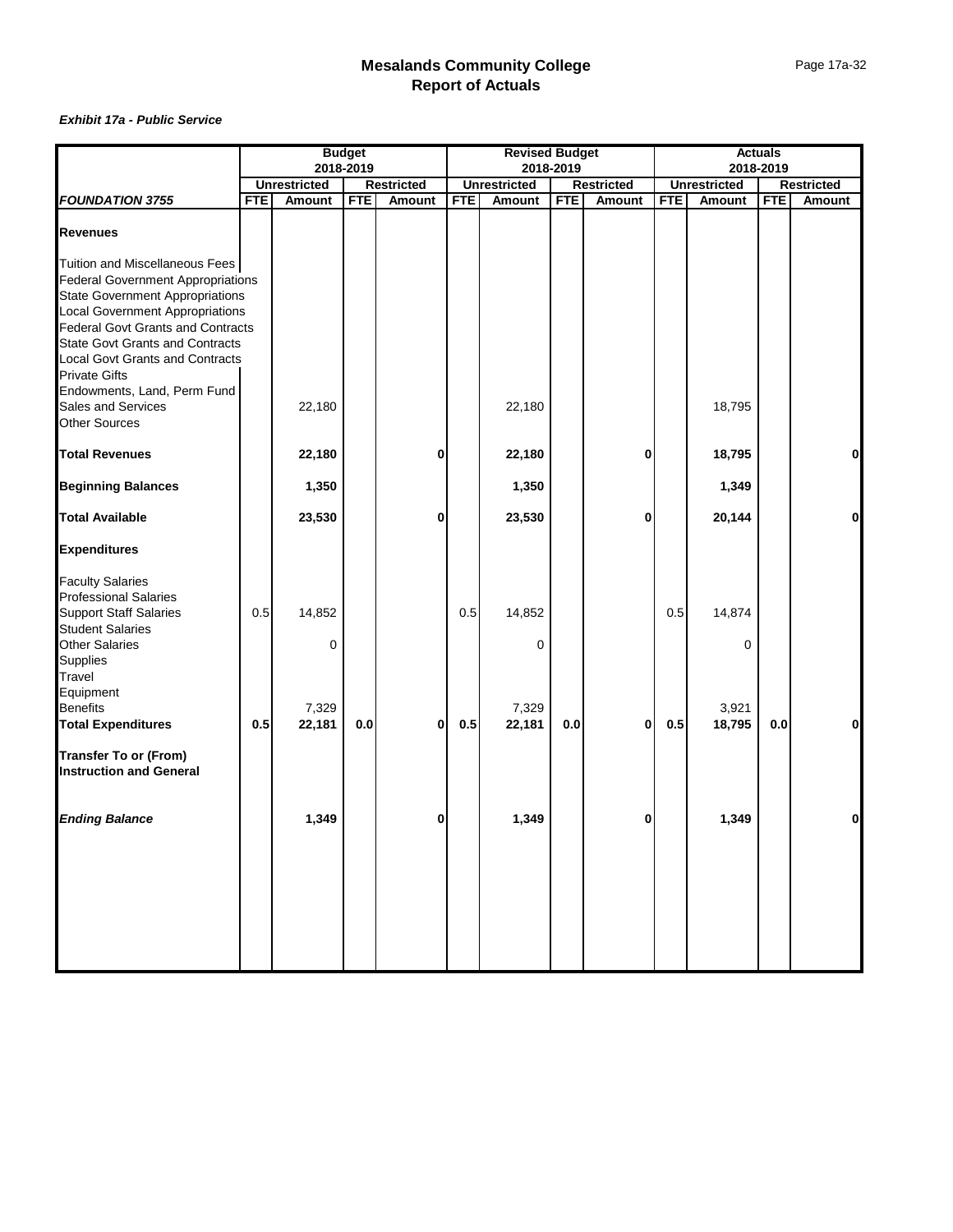|                                                                                          |            | <b>Budget</b>       |            |                   | <b>Revised Budget</b> |                     |            |                   |            | <b>Actuals</b>      |            |               |
|------------------------------------------------------------------------------------------|------------|---------------------|------------|-------------------|-----------------------|---------------------|------------|-------------------|------------|---------------------|------------|---------------|
|                                                                                          |            |                     | 2018-2019  |                   |                       |                     | 2018-2019  |                   |            |                     | 2018-2019  |               |
|                                                                                          |            | <b>Unrestricted</b> |            | <b>Restricted</b> |                       | <b>Unrestricted</b> |            | <b>Restricted</b> |            | <b>Unrestricted</b> |            | Restricted    |
| <b>FOUNDATION 3755</b>                                                                   | <b>FTE</b> | Amount              | <b>FTE</b> | Amount            | <b>FTE</b>            | Amount              | <b>FTE</b> | Amount            | <b>FTE</b> | Amount              | <b>FTE</b> | <b>Amount</b> |
| <b>Revenues</b>                                                                          |            |                     |            |                   |                       |                     |            |                   |            |                     |            |               |
| Tuition and Miscellaneous Fees<br><b>Federal Government Appropriations</b>               |            |                     |            |                   |                       |                     |            |                   |            |                     |            |               |
| <b>State Government Appropriations</b><br><b>Local Government Appropriations</b>         |            |                     |            |                   |                       |                     |            |                   |            |                     |            |               |
| <b>Federal Govt Grants and Contracts</b><br><b>State Govt Grants and Contracts</b>       |            |                     |            |                   |                       |                     |            |                   |            |                     |            |               |
| <b>Local Govt Grants and Contracts</b><br><b>Private Gifts</b>                           |            |                     |            |                   |                       |                     |            |                   |            |                     |            |               |
| Endowments, Land, Perm Fund<br>Sales and Services<br><b>Other Sources</b>                |            | 22,180              |            |                   |                       | 22,180              |            |                   |            | 18,795              |            |               |
| <b>Total Revenues</b>                                                                    |            | 22,180              |            | 0                 |                       | 22,180              |            | 0                 |            | 18,795              |            | $\mathbf{0}$  |
| <b>Beginning Balances</b>                                                                |            | 1,350               |            |                   |                       | 1,350               |            |                   |            | 1,349               |            |               |
| <b>Total Available</b>                                                                   |            | 23,530              |            | 0                 |                       | 23,530              |            | $\bf{0}$          |            | 20,144              |            | οl            |
| <b>Expenditures</b>                                                                      |            |                     |            |                   |                       |                     |            |                   |            |                     |            |               |
| <b>Faculty Salaries</b><br><b>Professional Salaries</b><br><b>Support Staff Salaries</b> | 0.5        | 14,852              |            |                   | 0.5                   | 14,852              |            |                   | 0.5        | 14,874              |            |               |
| <b>Student Salaries</b><br><b>Other Salaries</b><br>Supplies<br>Travel                   |            | $\Omega$            |            |                   |                       | 0                   |            |                   |            | 0                   |            |               |
| Equipment<br><b>Benefits</b>                                                             |            | 7,329               |            |                   |                       | 7,329               |            |                   |            | 3,921               |            |               |
| <b>Total Expenditures</b>                                                                | 0.5        | 22,181              | 0.0        | 0                 | 0.5                   | 22,181              | 0.0        | 0                 | 0.5        | 18,795              | 0.0        | $\mathbf{0}$  |
| <b>Transfer To or (From)</b><br><b>Instruction and General</b>                           |            |                     |            |                   |                       |                     |            |                   |            |                     |            |               |
| <b>Ending Balance</b>                                                                    |            | 1,349               |            | 0                 |                       | 1,349               |            | 0                 |            | 1,349               |            | 0             |
|                                                                                          |            |                     |            |                   |                       |                     |            |                   |            |                     |            |               |
|                                                                                          |            |                     |            |                   |                       |                     |            |                   |            |                     |            |               |
|                                                                                          |            |                     |            |                   |                       |                     |            |                   |            |                     |            |               |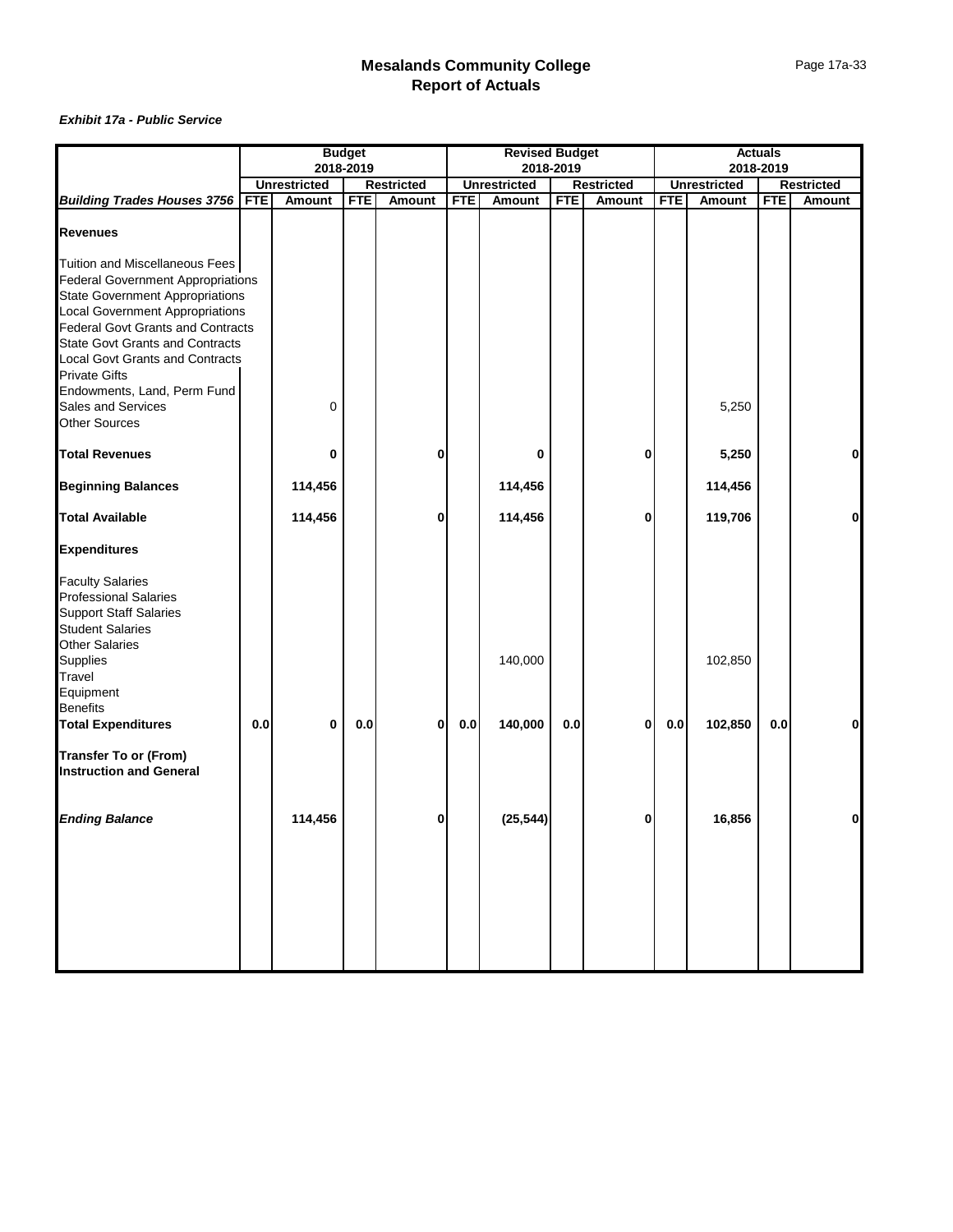|                                                                                                                              |            | <b>Budget</b>       |            |                   | <b>Revised Budget</b> |                     |            |                   |            | <b>Actuals</b>      |            |              |
|------------------------------------------------------------------------------------------------------------------------------|------------|---------------------|------------|-------------------|-----------------------|---------------------|------------|-------------------|------------|---------------------|------------|--------------|
|                                                                                                                              |            |                     | 2018-2019  |                   |                       |                     | 2018-2019  |                   |            |                     | 2018-2019  |              |
|                                                                                                                              |            | <b>Unrestricted</b> |            | <b>Restricted</b> |                       | <b>Unrestricted</b> |            | <b>Restricted</b> |            | <b>Unrestricted</b> |            | Restricted   |
| <b>Building Trades Houses 3756</b>                                                                                           | <b>FTE</b> | Amount              | <b>FTE</b> | <b>Amount</b>     | <b>FTE</b>            | <b>Amount</b>       | <b>FTE</b> | Amount            | <b>FTE</b> | <b>Amount</b>       | <b>FTE</b> | Amount       |
| <b>Revenues</b>                                                                                                              |            |                     |            |                   |                       |                     |            |                   |            |                     |            |              |
| Tuition and Miscellaneous Fees<br><b>Federal Government Appropriations</b>                                                   |            |                     |            |                   |                       |                     |            |                   |            |                     |            |              |
| <b>State Government Appropriations</b><br><b>Local Government Appropriations</b><br><b>Federal Govt Grants and Contracts</b> |            |                     |            |                   |                       |                     |            |                   |            |                     |            |              |
| <b>State Govt Grants and Contracts</b><br><b>Local Govt Grants and Contracts</b><br><b>Private Gifts</b>                     |            |                     |            |                   |                       |                     |            |                   |            |                     |            |              |
| Endowments, Land, Perm Fund<br><b>Sales and Services</b><br><b>Other Sources</b>                                             |            | 0                   |            |                   |                       |                     |            |                   |            | 5,250               |            |              |
| <b>Total Revenues</b>                                                                                                        |            | 0                   |            | 0                 |                       | 0                   |            | ŋ                 |            | 5,250               |            | $\mathbf{0}$ |
| <b>Beginning Balances</b>                                                                                                    |            | 114,456             |            |                   |                       | 114,456             |            |                   |            | 114,456             |            |              |
| <b>Total Available</b>                                                                                                       |            | 114,456             |            | 0                 |                       | 114,456             |            | 0                 |            | 119,706             |            | Οl           |
| <b>Expenditures</b>                                                                                                          |            |                     |            |                   |                       |                     |            |                   |            |                     |            |              |
| <b>Faculty Salaries</b><br><b>Professional Salaries</b><br><b>Support Staff Salaries</b><br><b>Student Salaries</b>          |            |                     |            |                   |                       |                     |            |                   |            |                     |            |              |
| Other Salaries<br><b>Supplies</b><br>Travel                                                                                  |            |                     |            |                   |                       | 140,000             |            |                   |            | 102,850             |            |              |
| Equipment<br><b>Benefits</b>                                                                                                 |            |                     |            |                   |                       |                     |            |                   |            |                     |            |              |
| <b>Total Expenditures</b>                                                                                                    | 0.0        | 0                   | 0.0        | 0                 | $0.0\,$               | 140,000             | 0.0        | 0                 | 0.0        | 102,850             | 0.0        | 0            |
| <b>Transfer To or (From)</b><br><b>Instruction and General</b>                                                               |            |                     |            |                   |                       |                     |            |                   |            |                     |            |              |
| <b>Ending Balance</b>                                                                                                        |            | 114,456             |            | 0                 |                       | (25, 544)           |            | 0                 |            | 16,856              |            | 0            |
|                                                                                                                              |            |                     |            |                   |                       |                     |            |                   |            |                     |            |              |
|                                                                                                                              |            |                     |            |                   |                       |                     |            |                   |            |                     |            |              |
|                                                                                                                              |            |                     |            |                   |                       |                     |            |                   |            |                     |            |              |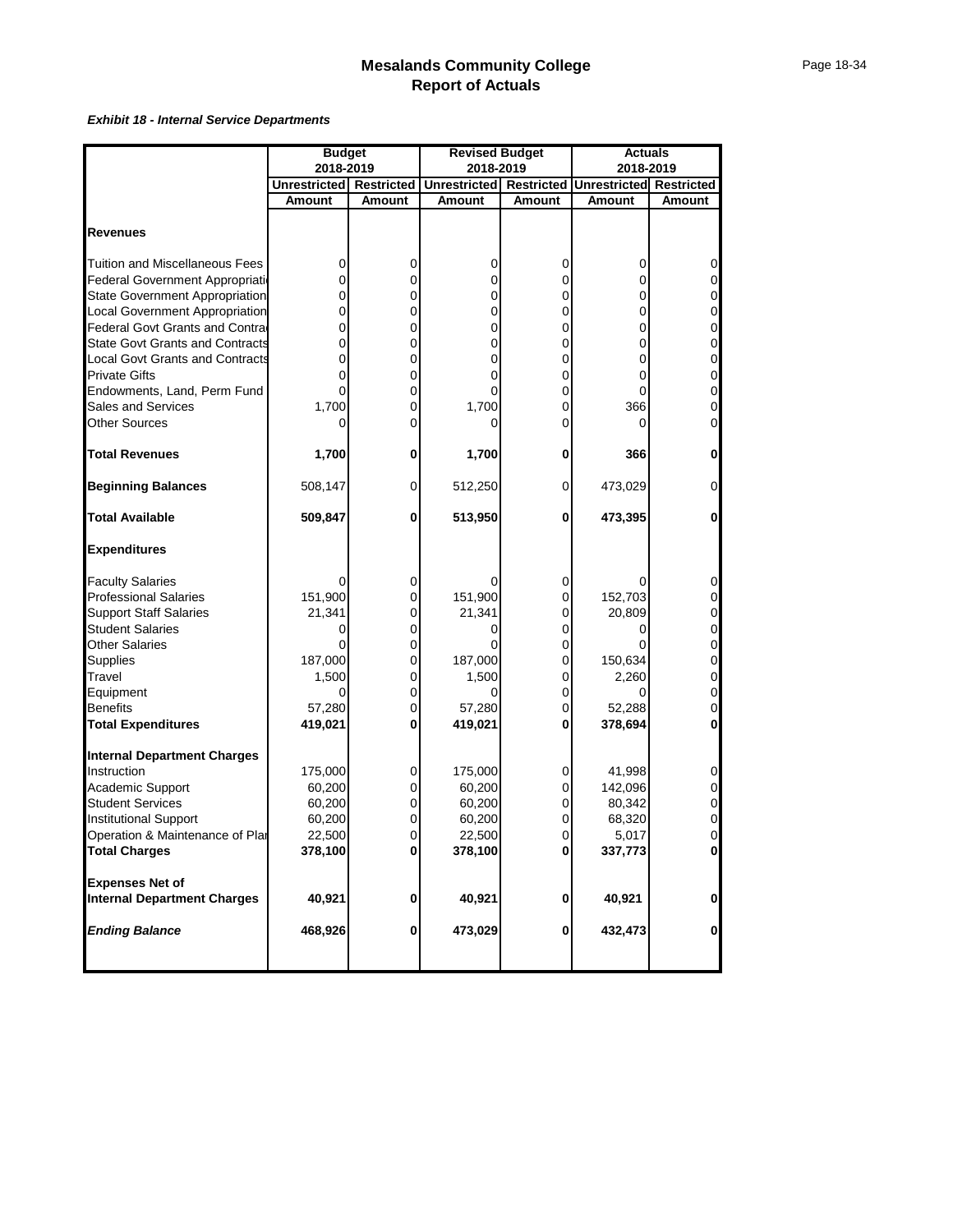|                                        | <b>Budget</b>       |                   | <b>Revised Budget</b> |                   | <b>Actuals</b>                 |                |
|----------------------------------------|---------------------|-------------------|-----------------------|-------------------|--------------------------------|----------------|
|                                        | 2018-2019           |                   | 2018-2019             |                   | 2018-2019                      |                |
|                                        | <b>Unrestricted</b> | <b>Restricted</b> | <b>Unrestricted</b>   | <b>Restricted</b> | <b>Unrestricted Restricted</b> |                |
|                                        | Amount              | Amount            | <b>Amount</b>         | Amount            | Amount                         | <b>Amount</b>  |
|                                        |                     |                   |                       |                   |                                |                |
| <b>Revenues</b>                        |                     |                   |                       |                   |                                |                |
| <b>Tuition and Miscellaneous Fees</b>  | 0                   | 0                 | 0                     | 0                 | 0                              | 0              |
| Federal Government Appropriation       | 0                   | 0                 | 0                     | 0                 | 0                              | 0              |
| <b>State Government Appropriation</b>  |                     | 0                 | 0                     | 0                 | 0                              | $\mathbf 0$    |
| Local Government Appropriation         |                     | 0                 | 0                     | 0                 | 0                              | $\mathbf 0$    |
| Federal Govt Grants and Contra         | 0                   | 0                 | 0                     | 0                 | 0                              | $\mathbf 0$    |
| <b>State Govt Grants and Contracts</b> | 0                   | 0                 | 0                     | 0                 | 0                              | $\mathbf 0$    |
| <b>Local Govt Grants and Contracts</b> |                     | 0                 | 0                     | 0                 | 0                              | $\mathbf 0$    |
| <b>Private Gifts</b>                   |                     | 0                 | 0                     | 0                 | 0                              | $\mathbf 0$    |
| Endowments, Land, Perm Fund            | 0                   | 0                 | 0                     | 0                 | 0                              | $\mathbf 0$    |
| <b>Sales and Services</b>              | 1,700               | 0                 | 1,700                 | 0                 | 366                            | $\mathbf 0$    |
| Other Sources                          |                     | 0                 | 0                     | 0                 | 0                              | $\mathbf 0$    |
|                                        |                     |                   |                       |                   |                                |                |
| <b>Total Revenues</b>                  | 1,700               | 0                 | 1,700                 | 0                 | 366                            | $\mathbf 0$    |
| <b>Beginning Balances</b>              | 508,147             | 0                 | 512,250               | 0                 | 473,029                        | $\overline{0}$ |
| <b>Total Available</b>                 | 509,847             | $\bf{0}$          | 513,950               | 0                 | 473,395                        | 0              |
| <b>Expenditures</b>                    |                     |                   |                       |                   |                                |                |
| <b>Faculty Salaries</b>                |                     | 0                 |                       | 0                 | 0                              | 0              |
| <b>Professional Salaries</b>           | 151,900             | 0                 | 151,900               | $\mathbf 0$       | 152,703                        | 0              |
| <b>Support Staff Salaries</b>          | 21,341              | 0                 | 21,341                | 0                 | 20,809                         | $\mathbf 0$    |
| <b>Student Salaries</b>                |                     | 0                 | 0                     | 0                 | 0                              | $\mathbf 0$    |
| <b>Other Salaries</b>                  |                     | 0                 |                       | 0                 |                                | $\mathbf 0$    |
| Supplies                               | 187,000             | 0                 | 187,000               | $\mathbf 0$       | 150,634                        | $\mathbf 0$    |
| Travel                                 | 1,500               | 0                 | 1,500                 | 0                 | 2,260                          | $\mathbf 0$    |
| Equipment                              |                     | 0                 |                       | 0                 |                                | $\mathbf 0$    |
| <b>Benefits</b>                        | 57,280              | 0                 | 57,280                | 0                 | 52,288                         | $\overline{0}$ |
| <b>Total Expenditures</b>              | 419,021             | 0                 | 419,021               | 0                 | 378,694                        | 0              |
| <b>Internal Department Charges</b>     |                     |                   |                       |                   |                                |                |
| Instruction                            | 175,000             | 0                 | 175,000               | 0                 | 41,998                         | 0              |
| Academic Support                       | 60,200              | 0                 | 60,200                | 0                 | 142,096                        | 0              |
| <b>Student Services</b>                | 60,200              | 0                 | 60,200                | 0                 | 80,342                         | 0              |
| <b>Institutional Support</b>           | 60,200              | $\pmb{0}$         | 60,200                | 0                 | 68,320                         | $\mathbf 0$    |
| Operation & Maintenance of Plar        | 22,500              | 0                 | 22,500                | 0                 | 5,017                          | ol             |
| <b>Total Charges</b>                   | 378,100             | 0                 | 378,100               | 0                 | 337,773                        | $\mathbf{0}$   |
| <b>Expenses Net of</b>                 |                     |                   |                       |                   |                                |                |
| <b>Internal Department Charges</b>     | 40,921              | 0                 | 40,921                | 0                 | 40,921                         | $\mathbf 0$    |
| <b>Ending Balance</b>                  | 468,926             | $\bf{0}$          | 473,029               | 0                 | 432,473                        | $\mathbf{0}$   |
|                                        |                     |                   |                       |                   |                                |                |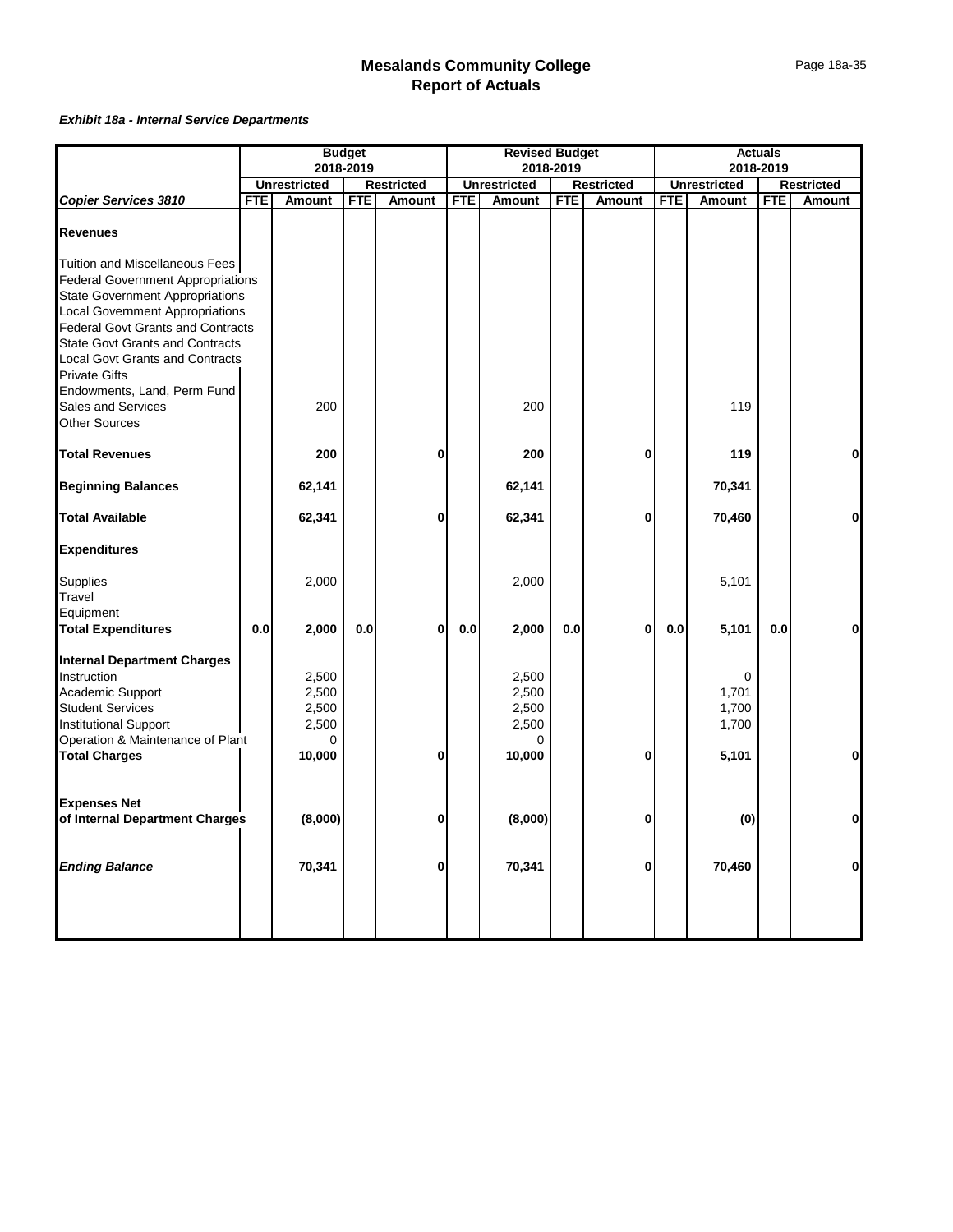|                                                                                                                                                                                                                                                                                                                                                                                    |            |                                                        | <b>Budget</b> |                   |            | <b>Revised Budget</b>                           |            |                   |            |                                       | <b>Actuals</b> |                   |
|------------------------------------------------------------------------------------------------------------------------------------------------------------------------------------------------------------------------------------------------------------------------------------------------------------------------------------------------------------------------------------|------------|--------------------------------------------------------|---------------|-------------------|------------|-------------------------------------------------|------------|-------------------|------------|---------------------------------------|----------------|-------------------|
|                                                                                                                                                                                                                                                                                                                                                                                    |            |                                                        | 2018-2019     |                   |            |                                                 | 2018-2019  |                   |            |                                       | 2018-2019      |                   |
|                                                                                                                                                                                                                                                                                                                                                                                    |            | <b>Unrestricted</b>                                    |               | <b>Restricted</b> |            | <b>Unrestricted</b>                             |            | <b>Restricted</b> |            | <b>Unrestricted</b>                   |                | <b>Restricted</b> |
| <b>Copier Services 3810</b>                                                                                                                                                                                                                                                                                                                                                        | <b>FTE</b> | Amount                                                 | <b>FTE</b>    | <b>Amount</b>     | <b>FTE</b> | Amount                                          | <b>FTE</b> | Amount            | <b>FTE</b> | <b>Amount</b>                         | <b>FTE</b>     | Amount            |
| <b>Revenues</b>                                                                                                                                                                                                                                                                                                                                                                    |            |                                                        |               |                   |            |                                                 |            |                   |            |                                       |                |                   |
| Tuition and Miscellaneous Fees<br><b>Federal Government Appropriations</b><br><b>State Government Appropriations</b><br><b>Local Government Appropriations</b><br><b>Federal Govt Grants and Contracts</b><br><b>State Govt Grants and Contracts</b><br><b>Local Govt Grants and Contracts</b><br><b>Private Gifts</b><br>Endowments, Land, Perm Fund<br><b>Sales and Services</b> |            | 200                                                    |               |                   |            | 200                                             |            |                   |            | 119                                   |                |                   |
| <b>Other Sources</b>                                                                                                                                                                                                                                                                                                                                                               |            |                                                        |               |                   |            |                                                 |            |                   |            |                                       |                |                   |
| <b>Total Revenues</b>                                                                                                                                                                                                                                                                                                                                                              |            | 200                                                    |               | 0                 |            | 200                                             |            | $\bf{0}$          |            | 119                                   |                | $\mathbf 0$       |
| <b>Beginning Balances</b>                                                                                                                                                                                                                                                                                                                                                          |            | 62,141                                                 |               |                   |            | 62,141                                          |            |                   |            | 70,341                                |                |                   |
| <b>Total Available</b>                                                                                                                                                                                                                                                                                                                                                             |            | 62,341                                                 |               | 0                 |            | 62,341                                          |            | $\bf{0}$          |            | 70,460                                |                | $\mathbf 0$       |
| <b>Expenditures</b>                                                                                                                                                                                                                                                                                                                                                                |            |                                                        |               |                   |            |                                                 |            |                   |            |                                       |                |                   |
| Supplies<br>Travel<br>Equipment                                                                                                                                                                                                                                                                                                                                                    |            | 2,000                                                  |               |                   |            | 2,000                                           |            |                   |            | 5,101                                 |                |                   |
| <b>Total Expenditures</b>                                                                                                                                                                                                                                                                                                                                                          | 0.0        | 2,000                                                  | 0.0           | $\bf{0}$          | 0.0        | 2,000                                           | $0.0\,$    | $\bf{0}$          | 0.0        | 5,101                                 | 0.0            | $\mathbf 0$       |
| <b>Internal Department Charges</b><br>Instruction<br><b>Academic Support</b><br><b>Student Services</b><br><b>Institutional Support</b><br>Operation & Maintenance of Plant<br><b>Total Charges</b>                                                                                                                                                                                |            | 2,500<br>2,500<br>2,500<br>2,500<br>$\Omega$<br>10,000 |               | 0                 |            | 2,500<br>2,500<br>2,500<br>2,500<br>0<br>10,000 |            | 0                 |            | 0<br>1,701<br>1,700<br>1,700<br>5,101 |                | $\bf{0}$          |
| <b>Expenses Net</b><br>of Internal Department Charges                                                                                                                                                                                                                                                                                                                              |            | (8,000)                                                |               | 0                 |            | (8,000)                                         |            | $\bf{0}$          |            | (0)                                   |                | $\mathbf 0$       |
| <b>Ending Balance</b>                                                                                                                                                                                                                                                                                                                                                              |            | 70,341                                                 |               | 0                 |            | 70,341                                          |            | $\bf{0}$          |            | 70,460                                |                | $\mathbf 0$       |
|                                                                                                                                                                                                                                                                                                                                                                                    |            |                                                        |               |                   |            |                                                 |            |                   |            |                                       |                |                   |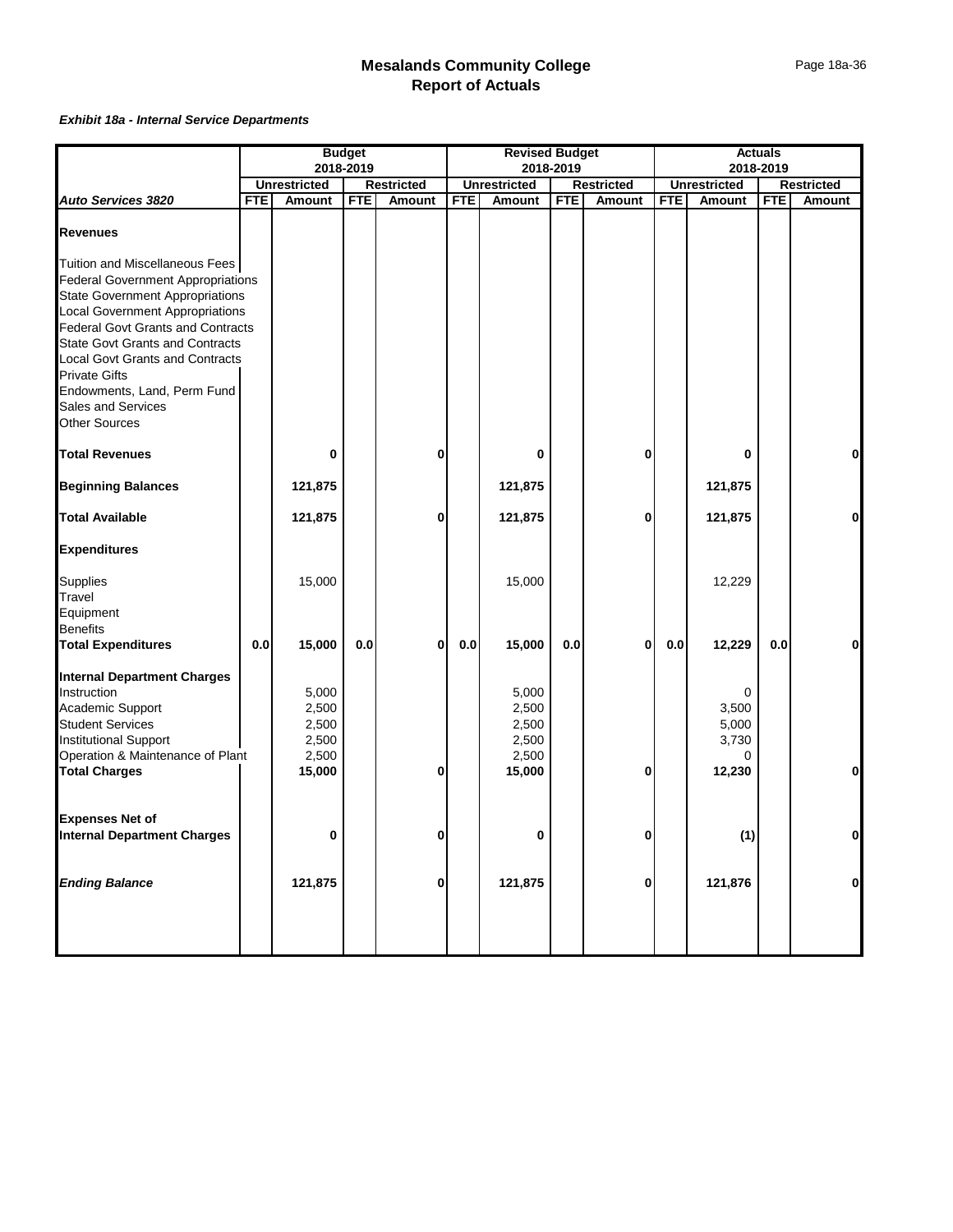|                                                                                                                                                                                                                                                                                                                                                                                                     |            |                                                     | <b>Budget</b> |                   |            | <b>Revised Budget</b>                               |            |                   |            |                                   | <b>Actuals</b> |                   |
|-----------------------------------------------------------------------------------------------------------------------------------------------------------------------------------------------------------------------------------------------------------------------------------------------------------------------------------------------------------------------------------------------------|------------|-----------------------------------------------------|---------------|-------------------|------------|-----------------------------------------------------|------------|-------------------|------------|-----------------------------------|----------------|-------------------|
|                                                                                                                                                                                                                                                                                                                                                                                                     |            |                                                     | 2018-2019     |                   |            |                                                     | 2018-2019  |                   |            |                                   | 2018-2019      |                   |
|                                                                                                                                                                                                                                                                                                                                                                                                     |            | <b>Unrestricted</b>                                 |               | <b>Restricted</b> |            | <b>Unrestricted</b>                                 |            | <b>Restricted</b> |            | <b>Unrestricted</b>               |                | <b>Restricted</b> |
| Auto Services 3820                                                                                                                                                                                                                                                                                                                                                                                  | <b>FTE</b> | Amount                                              | <b>FTE</b>    | <b>Amount</b>     | <b>FTE</b> | Amount                                              | <b>FTE</b> | Amount            | <b>FTE</b> | Amount                            | <b>FTE</b>     | Amount            |
| <b>Revenues</b>                                                                                                                                                                                                                                                                                                                                                                                     |            |                                                     |               |                   |            |                                                     |            |                   |            |                                   |                |                   |
| Tuition and Miscellaneous Fees<br><b>Federal Government Appropriations</b><br><b>State Government Appropriations</b><br><b>Local Government Appropriations</b><br><b>Federal Govt Grants and Contracts</b><br><b>State Govt Grants and Contracts</b><br><b>Local Govt Grants and Contracts</b><br><b>Private Gifts</b><br>Endowments, Land, Perm Fund<br>Sales and Services<br><b>Other Sources</b> |            |                                                     |               |                   |            |                                                     |            |                   |            |                                   |                |                   |
| <b>Total Revenues</b>                                                                                                                                                                                                                                                                                                                                                                               |            | 0                                                   |               | 0                 |            | 0                                                   |            | $\bf{0}$          |            | 0                                 |                | $\mathbf 0$       |
| <b>Beginning Balances</b>                                                                                                                                                                                                                                                                                                                                                                           |            | 121,875                                             |               |                   |            | 121,875                                             |            |                   |            | 121,875                           |                |                   |
| <b>Total Available</b>                                                                                                                                                                                                                                                                                                                                                                              |            | 121,875                                             |               | 0                 |            | 121,875                                             |            | 0                 |            | 121,875                           |                | $\bf{0}$          |
| <b>Expenditures</b><br>Supplies<br>Travel<br>Equipment                                                                                                                                                                                                                                                                                                                                              |            | 15,000                                              |               |                   |            | 15,000                                              |            |                   |            | 12,229                            |                |                   |
| <b>Benefits</b><br><b>Total Expenditures</b>                                                                                                                                                                                                                                                                                                                                                        | 0.0        | 15,000                                              | 0.0           | $\bf{0}$          | 0.0        | 15,000                                              | 0.0        | $\bf{0}$          | 0.0        | 12,229                            | 0.0            | $\bf{0}$          |
| <b>Internal Department Charges</b><br>Instruction<br>Academic Support<br><b>Student Services</b><br>Institutional Support<br>Operation & Maintenance of Plant<br><b>Total Charges</b>                                                                                                                                                                                                               |            | 5,000<br>2,500<br>2,500<br>2,500<br>2,500<br>15,000 |               | $\bf{0}$          |            | 5,000<br>2,500<br>2,500<br>2,500<br>2,500<br>15,000 |            | $\bf{0}$          |            | 3,500<br>5,000<br>3,730<br>12,230 |                | $\mathbf 0$       |
| <b>Expenses Net of</b><br><b>Internal Department Charges</b>                                                                                                                                                                                                                                                                                                                                        |            | 0                                                   |               | 0                 |            | 0                                                   |            | 0                 |            | (1)                               |                | $\mathbf 0$       |
| <b>Ending Balance</b>                                                                                                                                                                                                                                                                                                                                                                               |            | 121,875                                             |               | 0                 |            | 121,875                                             |            | $\bf{0}$          |            | 121,876                           |                | $\bf{0}$          |
|                                                                                                                                                                                                                                                                                                                                                                                                     |            |                                                     |               |                   |            |                                                     |            |                   |            |                                   |                |                   |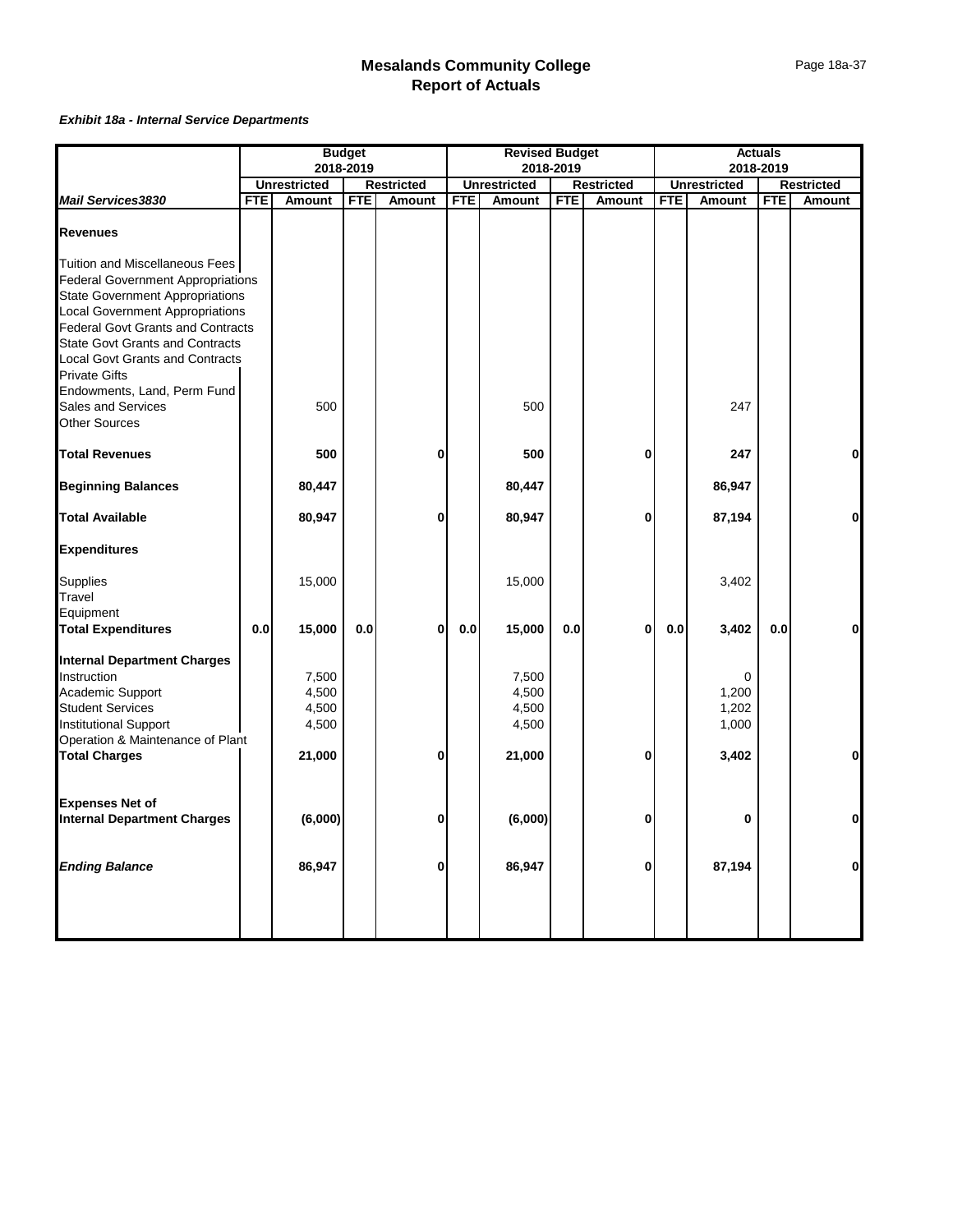|                                                                                                                                                                                                                                                                                                                                                                                    |            |                                            | <b>Budget</b> |                   |            | <b>Revised Budget</b>                      |            |                   |            |                                  | <b>Actuals</b> |                   |
|------------------------------------------------------------------------------------------------------------------------------------------------------------------------------------------------------------------------------------------------------------------------------------------------------------------------------------------------------------------------------------|------------|--------------------------------------------|---------------|-------------------|------------|--------------------------------------------|------------|-------------------|------------|----------------------------------|----------------|-------------------|
|                                                                                                                                                                                                                                                                                                                                                                                    |            |                                            | 2018-2019     |                   |            |                                            | 2018-2019  |                   |            |                                  | 2018-2019      |                   |
|                                                                                                                                                                                                                                                                                                                                                                                    |            | <b>Unrestricted</b>                        |               | <b>Restricted</b> |            | <b>Unrestricted</b>                        |            | <b>Restricted</b> |            | <b>Unrestricted</b>              |                | <b>Restricted</b> |
| <b>Mail Services3830</b>                                                                                                                                                                                                                                                                                                                                                           | <b>FTE</b> | Amount                                     | <b>FTE</b>    | Amount            | <b>FTE</b> | Amount                                     | <b>FTE</b> | Amount            | <b>FTE</b> | Amount                           | <b>FTE</b>     | Amount            |
| <b>Revenues</b>                                                                                                                                                                                                                                                                                                                                                                    |            |                                            |               |                   |            |                                            |            |                   |            |                                  |                |                   |
| Tuition and Miscellaneous Fees<br><b>Federal Government Appropriations</b><br><b>State Government Appropriations</b><br><b>Local Government Appropriations</b><br><b>Federal Govt Grants and Contracts</b><br><b>State Govt Grants and Contracts</b><br><b>Local Govt Grants and Contracts</b><br><b>Private Gifts</b><br>Endowments, Land, Perm Fund<br><b>Sales and Services</b> |            | 500                                        |               |                   |            | 500                                        |            |                   |            | 247                              |                |                   |
| <b>Other Sources</b>                                                                                                                                                                                                                                                                                                                                                               |            |                                            |               |                   |            |                                            |            |                   |            |                                  |                |                   |
| <b>Total Revenues</b>                                                                                                                                                                                                                                                                                                                                                              |            | 500                                        |               | 0                 |            | 500                                        |            | $\bf{0}$          |            | 247                              |                | $\mathbf 0$       |
| <b>Beginning Balances</b>                                                                                                                                                                                                                                                                                                                                                          |            | 80,447                                     |               |                   |            | 80,447                                     |            |                   |            | 86,947                           |                |                   |
| <b>Total Available</b>                                                                                                                                                                                                                                                                                                                                                             |            | 80,947                                     |               | 0                 |            | 80,947                                     |            | $\bf{0}$          |            | 87,194                           |                | $\mathbf 0$       |
| <b>Expenditures</b>                                                                                                                                                                                                                                                                                                                                                                |            |                                            |               |                   |            |                                            |            |                   |            |                                  |                |                   |
| Supplies<br>Travel<br>Equipment                                                                                                                                                                                                                                                                                                                                                    |            | 15,000                                     |               |                   |            | 15,000                                     |            |                   |            | 3,402                            |                |                   |
| <b>Total Expenditures</b>                                                                                                                                                                                                                                                                                                                                                          | 0.0        | 15,000                                     | 0.0           | $\bf{0}$          | 0.0        | 15,000                                     | 0.0        | $\bf{0}$          | 0.0        | 3,402                            | 0.0            | $\mathbf 0$       |
| <b>Internal Department Charges</b><br>Instruction<br>Academic Support<br><b>Student Services</b><br>Institutional Support<br>Operation & Maintenance of Plant<br><b>Total Charges</b>                                                                                                                                                                                              |            | 7,500<br>4,500<br>4,500<br>4,500<br>21,000 |               | 0                 |            | 7,500<br>4,500<br>4,500<br>4,500<br>21,000 |            | $\bf{0}$          |            | 1,200<br>1,202<br>1,000<br>3,402 |                | $\mathbf 0$       |
|                                                                                                                                                                                                                                                                                                                                                                                    |            |                                            |               |                   |            |                                            |            |                   |            |                                  |                |                   |
| <b>Expenses Net of</b><br><b>Internal Department Charges</b>                                                                                                                                                                                                                                                                                                                       |            | (6,000)                                    |               | 0                 |            | (6,000)                                    |            | 0                 |            | 0                                |                | $\mathbf 0$       |
| <b>Ending Balance</b>                                                                                                                                                                                                                                                                                                                                                              |            | 86,947                                     |               | 0                 |            | 86,947                                     |            | $\bf{0}$          |            | 87,194                           |                | $\mathbf 0$       |
|                                                                                                                                                                                                                                                                                                                                                                                    |            |                                            |               |                   |            |                                            |            |                   |            |                                  |                |                   |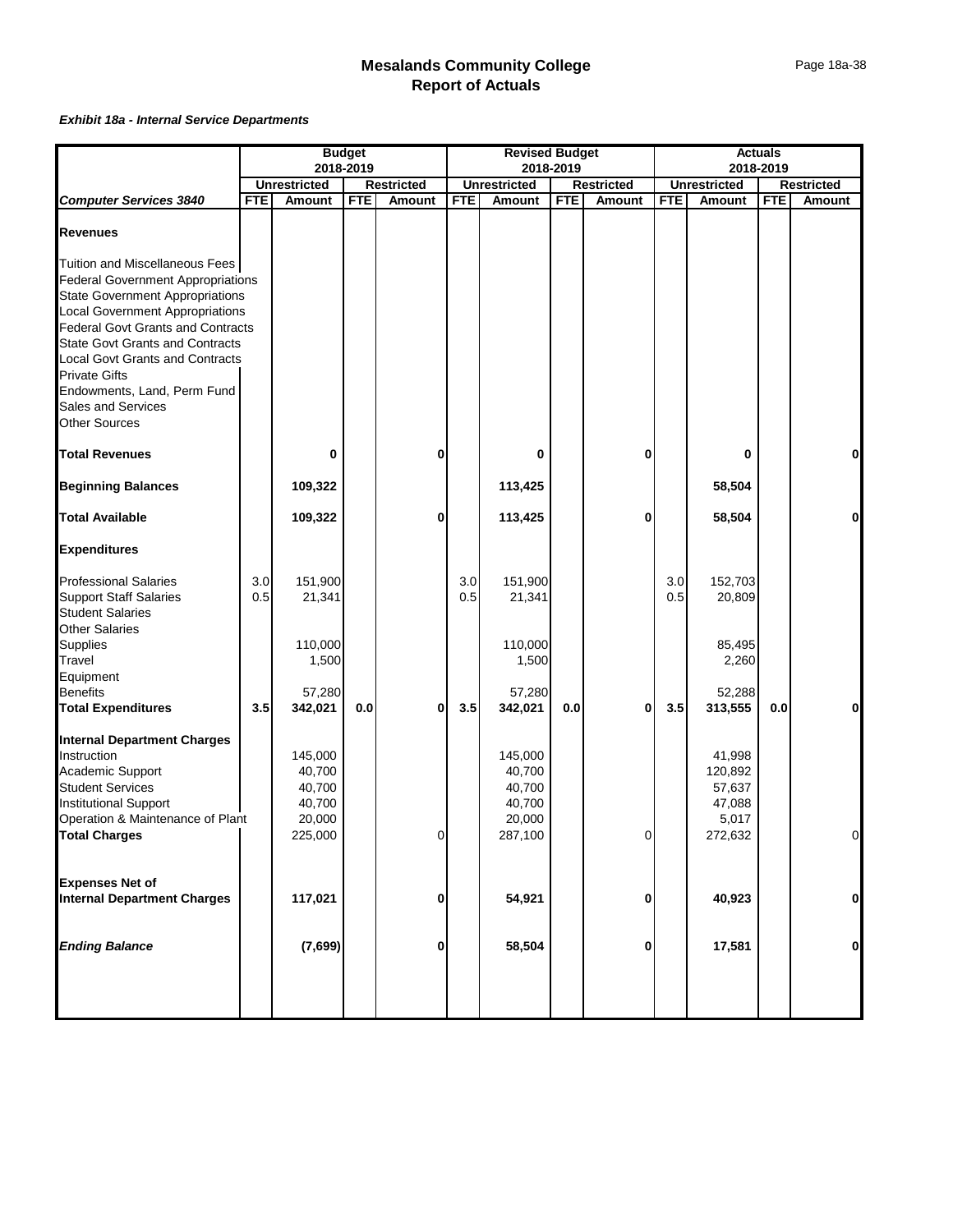|                                                                                                                                                                                                                                                                                                                                                                                                     |            |                                                 | <b>Budget</b> |                             |            | <b>Revised Budget</b>                           |            |                             |            |                                                | <b>Actuals</b> |                             |
|-----------------------------------------------------------------------------------------------------------------------------------------------------------------------------------------------------------------------------------------------------------------------------------------------------------------------------------------------------------------------------------------------------|------------|-------------------------------------------------|---------------|-----------------------------|------------|-------------------------------------------------|------------|-----------------------------|------------|------------------------------------------------|----------------|-----------------------------|
|                                                                                                                                                                                                                                                                                                                                                                                                     |            | 2018-2019                                       |               |                             |            |                                                 | 2018-2019  |                             |            |                                                | 2018-2019      |                             |
| <b>Computer Services 3840</b>                                                                                                                                                                                                                                                                                                                                                                       | <b>FTE</b> | <b>Unrestricted</b><br><b>Amount</b>            | <b>FTE</b>    | <b>Restricted</b><br>Amount | <b>FTE</b> | <b>Unrestricted</b><br><b>Amount</b>            | <b>FTE</b> | <b>Restricted</b><br>Amount | <b>FTE</b> | <b>Unrestricted</b><br>Amount                  | <b>FTE</b>     | <b>Restricted</b><br>Amount |
| <b>Revenues</b>                                                                                                                                                                                                                                                                                                                                                                                     |            |                                                 |               |                             |            |                                                 |            |                             |            |                                                |                |                             |
| Tuition and Miscellaneous Fees<br><b>Federal Government Appropriations</b><br><b>State Government Appropriations</b><br><b>Local Government Appropriations</b><br><b>Federal Govt Grants and Contracts</b><br><b>State Govt Grants and Contracts</b><br><b>Local Govt Grants and Contracts</b><br><b>Private Gifts</b><br>Endowments, Land, Perm Fund<br>Sales and Services<br><b>Other Sources</b> |            |                                                 |               |                             |            |                                                 |            |                             |            |                                                |                |                             |
| <b>Total Revenues</b>                                                                                                                                                                                                                                                                                                                                                                               |            | 0                                               |               | 0                           |            | 0                                               |            | 0                           |            | 0                                              |                | $\mathbf 0$                 |
| <b>Beginning Balances</b>                                                                                                                                                                                                                                                                                                                                                                           |            | 109,322                                         |               |                             |            | 113,425                                         |            |                             |            | 58,504                                         |                |                             |
| <b>Total Available</b>                                                                                                                                                                                                                                                                                                                                                                              |            | 109,322                                         |               | 0                           |            | 113,425                                         |            | 0                           |            | 58,504                                         |                | $\bf{0}$                    |
| <b>Expenditures</b>                                                                                                                                                                                                                                                                                                                                                                                 |            |                                                 |               |                             |            |                                                 |            |                             |            |                                                |                |                             |
| <b>Professional Salaries</b><br><b>Support Staff Salaries</b><br><b>Student Salaries</b><br><b>Other Salaries</b><br>Supplies                                                                                                                                                                                                                                                                       | 3.0<br>0.5 | 151,900<br>21,341<br>110,000                    |               |                             | 3.0<br>0.5 | 151,900<br>21,341<br>110,000                    |            |                             | 3.0<br>0.5 | 152,703<br>20,809<br>85,495                    |                |                             |
| Travel<br>Equipment<br><b>Benefits</b>                                                                                                                                                                                                                                                                                                                                                              |            | 1,500<br>57,280                                 |               |                             |            | 1,500<br>57,280                                 |            |                             |            | 2,260<br>52,288                                |                |                             |
| <b>Total Expenditures</b>                                                                                                                                                                                                                                                                                                                                                                           | 3.5        | 342,021                                         | 0.0           | 0                           | 3.5        | 342,021                                         | 0.0        | $\bf{0}$                    | 3.5        | 313,555                                        | 0.0            | $\mathbf 0$                 |
| <b>Internal Department Charges</b><br>Instruction<br>Academic Support<br><b>Student Services</b><br><b>Institutional Support</b><br>Operation & Maintenance of Plant                                                                                                                                                                                                                                |            | 145,000<br>40,700<br>40,700<br>40,700<br>20,000 |               |                             |            | 145,000<br>40,700<br>40,700<br>40,700<br>20,000 |            |                             |            | 41,998<br>120,892<br>57,637<br>47,088<br>5,017 |                |                             |
| <b>Total Charges</b>                                                                                                                                                                                                                                                                                                                                                                                |            | 225,000                                         |               | $\overline{0}$              |            | 287,100                                         |            | $\Omega$                    |            | 272,632                                        |                | $\Omega$                    |
| <b>Expenses Net of</b><br><b>Internal Department Charges</b>                                                                                                                                                                                                                                                                                                                                        |            | 117,021                                         |               | 0                           |            | 54,921                                          |            | $\bf{0}$                    |            | 40,923                                         |                | $\mathbf 0$                 |
| <b>Ending Balance</b>                                                                                                                                                                                                                                                                                                                                                                               |            | (7,699)                                         |               | 0                           |            | 58,504                                          |            | 0                           |            | 17,581                                         |                | $\mathbf 0$                 |
|                                                                                                                                                                                                                                                                                                                                                                                                     |            |                                                 |               |                             |            |                                                 |            |                             |            |                                                |                |                             |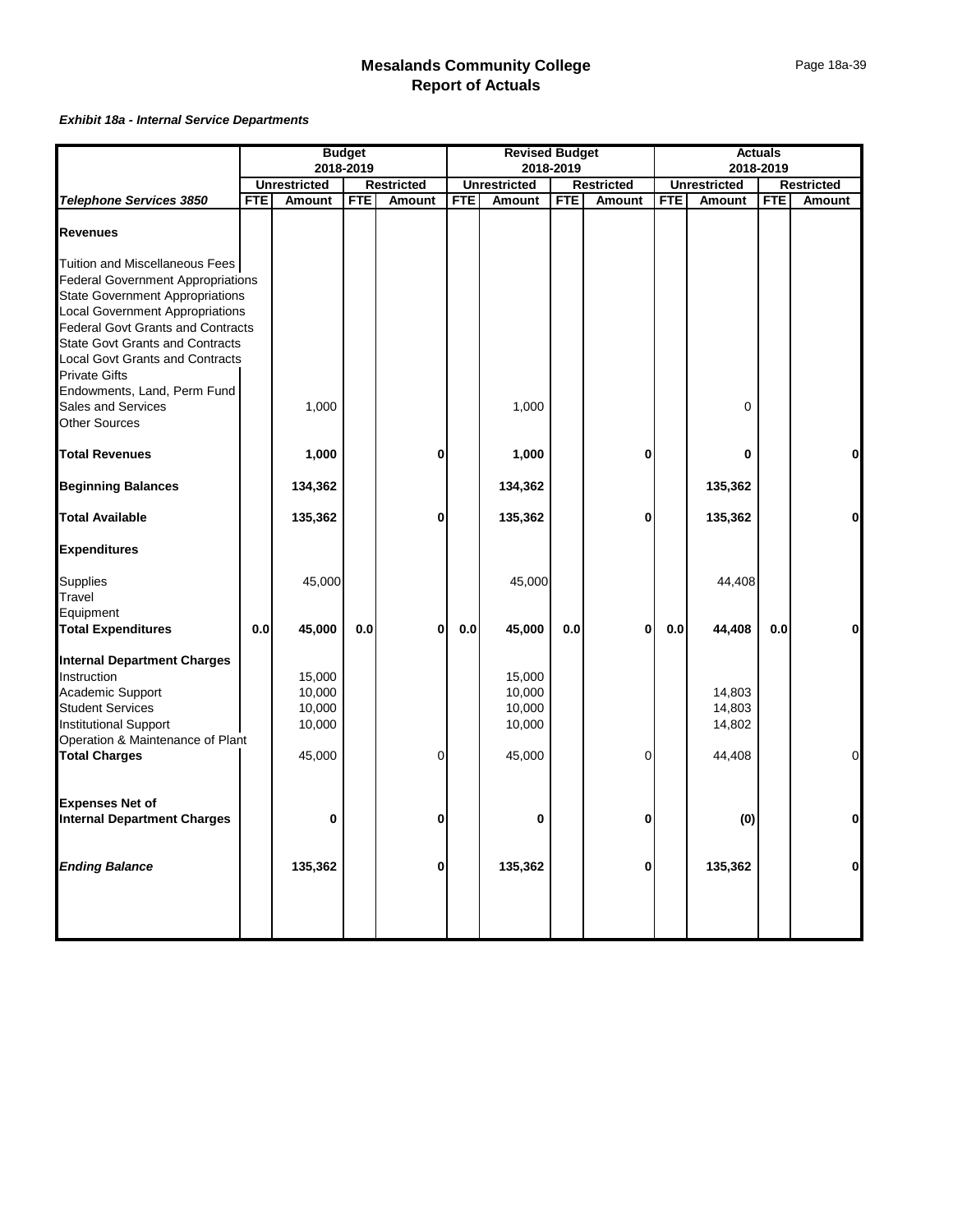|                                                                                                                                                                                                                                                                                                                                                                                    |            |                                                | <b>Budget</b> |                   |            | <b>Revised Budget</b>                          |            |                   |            |                                      | <b>Actuals</b> |                   |
|------------------------------------------------------------------------------------------------------------------------------------------------------------------------------------------------------------------------------------------------------------------------------------------------------------------------------------------------------------------------------------|------------|------------------------------------------------|---------------|-------------------|------------|------------------------------------------------|------------|-------------------|------------|--------------------------------------|----------------|-------------------|
|                                                                                                                                                                                                                                                                                                                                                                                    |            |                                                | 2018-2019     |                   |            |                                                | 2018-2019  |                   |            |                                      | 2018-2019      |                   |
|                                                                                                                                                                                                                                                                                                                                                                                    |            | <b>Unrestricted</b>                            |               | <b>Restricted</b> |            | <b>Unrestricted</b>                            |            | <b>Restricted</b> |            | <b>Unrestricted</b>                  |                | <b>Restricted</b> |
| Telephone Services 3850                                                                                                                                                                                                                                                                                                                                                            | <b>FTE</b> | Amount                                         | <b>FTE</b>    | Amount            | <b>FTE</b> | Amount                                         | <b>FTE</b> | Amount            | <b>FTE</b> | Amount                               | <b>FTE</b>     | Amount            |
| <b>Revenues</b>                                                                                                                                                                                                                                                                                                                                                                    |            |                                                |               |                   |            |                                                |            |                   |            |                                      |                |                   |
| Tuition and Miscellaneous Fees<br><b>Federal Government Appropriations</b><br><b>State Government Appropriations</b><br><b>Local Government Appropriations</b><br><b>Federal Govt Grants and Contracts</b><br><b>State Govt Grants and Contracts</b><br><b>Local Govt Grants and Contracts</b><br><b>Private Gifts</b><br>Endowments, Land, Perm Fund<br><b>Sales and Services</b> |            | 1,000                                          |               |                   |            | 1,000                                          |            |                   |            | $\mathbf 0$                          |                |                   |
| <b>Other Sources</b>                                                                                                                                                                                                                                                                                                                                                               |            |                                                |               |                   |            |                                                |            |                   |            |                                      |                |                   |
| <b>Total Revenues</b>                                                                                                                                                                                                                                                                                                                                                              |            | 1,000                                          |               | 0                 |            | 1,000                                          |            | $\bf{0}$          |            | $\bf{0}$                             |                | 0                 |
| <b>Beginning Balances</b>                                                                                                                                                                                                                                                                                                                                                          |            | 134,362                                        |               |                   |            | 134,362                                        |            |                   |            | 135,362                              |                |                   |
| <b>Total Available</b>                                                                                                                                                                                                                                                                                                                                                             |            | 135,362                                        |               | 0                 |            | 135,362                                        |            | 0                 |            | 135,362                              |                | 0                 |
| <b>Expenditures</b>                                                                                                                                                                                                                                                                                                                                                                |            |                                                |               |                   |            |                                                |            |                   |            |                                      |                |                   |
| <b>Supplies</b><br>Travel<br>Equipment                                                                                                                                                                                                                                                                                                                                             |            | 45,000                                         |               |                   |            | 45,000                                         |            |                   |            | 44,408                               |                |                   |
| <b>Total Expenditures</b>                                                                                                                                                                                                                                                                                                                                                          | 0.0        | 45,000                                         | 0.0           | 0                 | 0.0        | 45,000                                         | 0.0        | $\bf{0}$          | 0.0        | 44,408                               | 0.0            | 0                 |
| <b>Internal Department Charges</b><br>Instruction<br>Academic Support<br><b>Student Services</b><br><b>Institutional Support</b><br>Operation & Maintenance of Plant<br><b>Total Charges</b>                                                                                                                                                                                       |            | 15,000<br>10,000<br>10,000<br>10,000<br>45,000 |               | 0                 |            | 15,000<br>10,000<br>10,000<br>10,000<br>45,000 |            | $\Omega$          |            | 14,803<br>14,803<br>14,802<br>44,408 |                | $\overline{0}$    |
|                                                                                                                                                                                                                                                                                                                                                                                    |            |                                                |               |                   |            |                                                |            |                   |            |                                      |                |                   |
| <b>Expenses Net of</b><br><b>Internal Department Charges</b>                                                                                                                                                                                                                                                                                                                       |            | $\bf{0}$                                       |               | 0                 |            | $\bf{0}$                                       |            | 0                 |            | (0)                                  |                | $\mathbf{0}$      |
| <b>Ending Balance</b>                                                                                                                                                                                                                                                                                                                                                              |            | 135,362                                        |               | 0                 |            | 135,362                                        |            | 0                 |            | 135,362                              |                | $\mathbf{0}$      |
|                                                                                                                                                                                                                                                                                                                                                                                    |            |                                                |               |                   |            |                                                |            |                   |            |                                      |                |                   |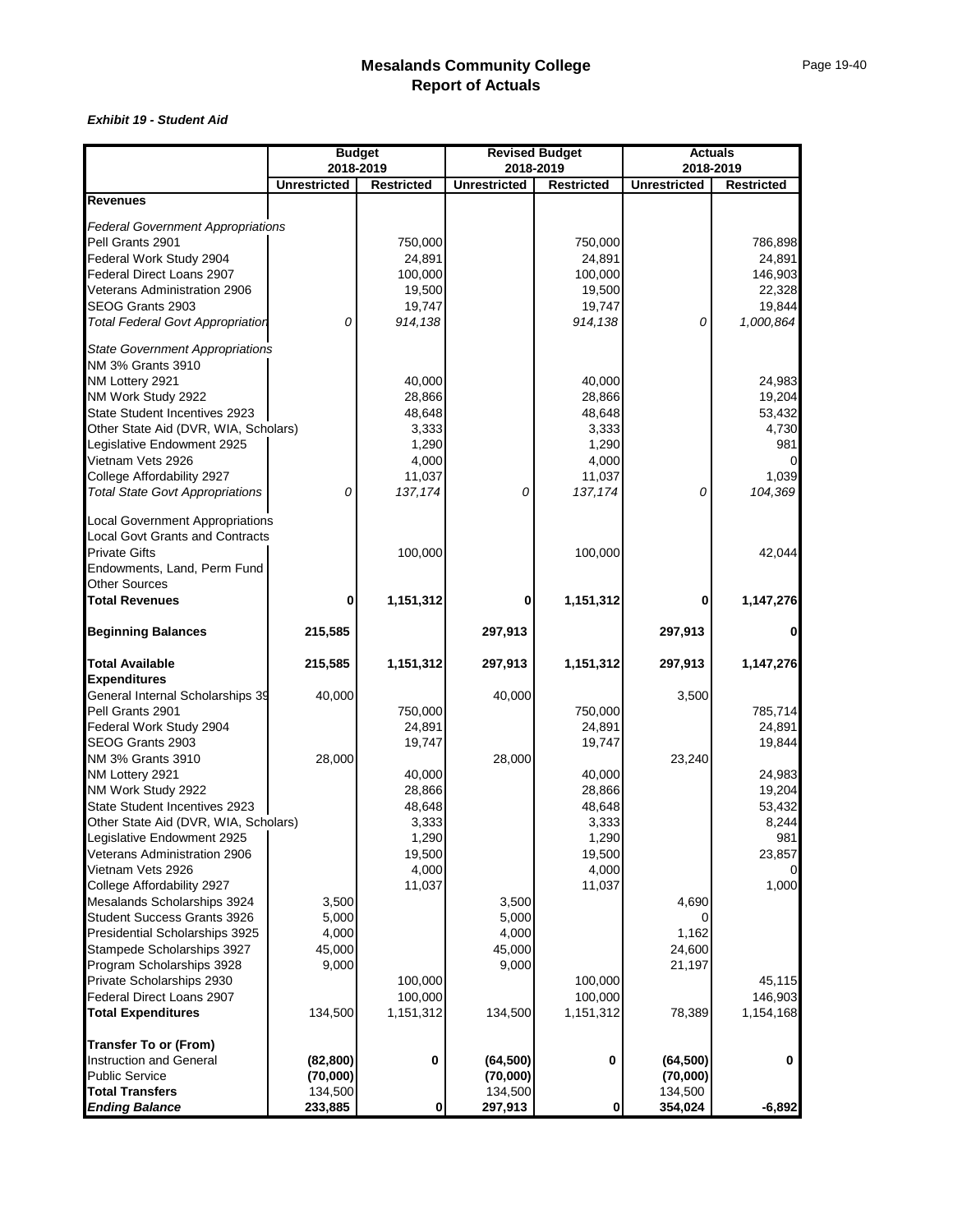#### *Exhibit 19 - Student Aid*

|                                                                                  | <b>Budget</b><br>2018-2019 |                   | 2018-2019           | <b>Revised Budget</b> | <b>Actuals</b><br>2018-2019 |                   |  |  |
|----------------------------------------------------------------------------------|----------------------------|-------------------|---------------------|-----------------------|-----------------------------|-------------------|--|--|
|                                                                                  | <b>Unrestricted</b>        | <b>Restricted</b> | <b>Unrestricted</b> | <b>Restricted</b>     | <b>Unrestricted</b>         | <b>Restricted</b> |  |  |
| <b>Revenues</b>                                                                  |                            |                   |                     |                       |                             |                   |  |  |
|                                                                                  |                            |                   |                     |                       |                             |                   |  |  |
| <b>Federal Government Appropriations</b>                                         |                            |                   |                     |                       |                             |                   |  |  |
| Pell Grants 2901                                                                 |                            | 750,000<br>24,891 |                     | 750,000<br>24,891     |                             | 786,898<br>24,891 |  |  |
| Federal Work Study 2904<br>Federal Direct Loans 2907                             |                            | 100,000           |                     | 100,000               |                             | 146,903           |  |  |
| Veterans Administration 2906                                                     |                            | 19,500            |                     | 19,500                |                             | 22,328            |  |  |
| SEOG Grants 2903                                                                 |                            | 19,747            |                     | 19,747                |                             | 19,844            |  |  |
| <b>Total Federal Govt Appropriation</b>                                          | 0                          | 914,138           |                     | 914,138               | 0                           | 1,000,864         |  |  |
|                                                                                  |                            |                   |                     |                       |                             |                   |  |  |
| <b>State Government Appropriations</b><br><b>NM 3% Grants 3910</b>               |                            |                   |                     |                       |                             |                   |  |  |
| NM Lottery 2921                                                                  |                            | 40,000            |                     | 40,000                |                             | 24,983            |  |  |
| NM Work Study 2922                                                               |                            | 28,866            |                     | 28,866                |                             | 19,204            |  |  |
| State Student Incentives 2923                                                    |                            | 48,648            |                     | 48,648                |                             | 53,432            |  |  |
| Other State Aid (DVR, WIA, Scholars)                                             |                            | 3,333             |                     | 3,333                 |                             | 4,730             |  |  |
| Legislative Endowment 2925                                                       |                            | 1,290             |                     | 1,290                 |                             | 981               |  |  |
| Vietnam Vets 2926                                                                |                            | 4,000             |                     | 4,000                 |                             |                   |  |  |
| College Affordability 2927                                                       |                            | 11,037            |                     | 11,037                |                             | 1,039             |  |  |
| <b>Total State Govt Appropriations</b>                                           | 0                          | 137, 174          | 0                   | 137, 174              | 0                           | 104,369           |  |  |
|                                                                                  |                            |                   |                     |                       |                             |                   |  |  |
| <b>Local Government Appropriations</b><br><b>Local Govt Grants and Contracts</b> |                            |                   |                     |                       |                             |                   |  |  |
| <b>Private Gifts</b>                                                             |                            | 100,000           |                     | 100,000               |                             | 42,044            |  |  |
| Endowments, Land, Perm Fund                                                      |                            |                   |                     |                       |                             |                   |  |  |
| Other Sources                                                                    |                            |                   |                     |                       |                             |                   |  |  |
| <b>Total Revenues</b>                                                            | 0                          | 1,151,312         | 0                   | 1,151,312             | 0                           | 1,147,276         |  |  |
|                                                                                  |                            |                   |                     |                       |                             |                   |  |  |
| <b>Beginning Balances</b>                                                        | 215,585                    |                   | 297,913             |                       | 297,913                     | 0                 |  |  |
| <b>Total Available</b>                                                           | 215,585                    | 1,151,312         | 297,913             | 1,151,312             | 297,913                     | 1,147,276         |  |  |
| <b>Expenditures</b>                                                              |                            |                   |                     |                       |                             |                   |  |  |
| General Internal Scholarships 39                                                 | 40,000                     |                   | 40,000              |                       | 3,500                       |                   |  |  |
| Pell Grants 2901                                                                 |                            | 750,000           |                     | 750,000               |                             | 785,714           |  |  |
| Federal Work Study 2904                                                          |                            | 24,891            |                     | 24,891                |                             | 24,891            |  |  |
| SEOG Grants 2903                                                                 |                            | 19,747            |                     | 19,747                |                             | 19,844            |  |  |
| NM 3% Grants 3910                                                                | 28,000                     |                   | 28,000              |                       | 23,240                      |                   |  |  |
| NM Lottery 2921                                                                  |                            | 40,000            |                     | 40,000                |                             | 24,983            |  |  |
| NM Work Study 2922                                                               |                            | 28,866            |                     | 28,866                |                             | 19,204            |  |  |
| State Student Incentives 2923                                                    |                            | 48,648            |                     | 48,648                |                             | 53,432            |  |  |
| Other State Aid (DVR, WIA, Scholars)                                             |                            | 3,333             |                     | 3,333                 |                             | 8,244             |  |  |
| Legislative Endowment 2925                                                       |                            | 1,290             |                     | 1,290                 |                             | 981               |  |  |
| Veterans Administration 2906                                                     |                            | 19,500            |                     | 19,500                |                             | 23,857            |  |  |
| Vietnam Vets 2926                                                                |                            | 4,000<br>11,037   |                     | 4,000                 |                             | 1,000             |  |  |
| College Affordability 2927<br>Mesalands Scholarships 3924                        | 3,500                      |                   | 3,500               | 11,037                | 4,690                       |                   |  |  |
| Student Success Grants 3926                                                      | 5,000                      |                   | 5,000               |                       | 0                           |                   |  |  |
| Presidential Scholarships 3925                                                   | 4,000                      |                   | 4,000               |                       | 1,162                       |                   |  |  |
| Stampede Scholarships 3927                                                       | 45,000                     |                   | 45,000              |                       | 24,600                      |                   |  |  |
| Program Scholarships 3928                                                        | 9,000                      |                   | 9,000               |                       | 21,197                      |                   |  |  |
| Private Scholarships 2930                                                        |                            | 100,000           |                     | 100,000               |                             | 45,115            |  |  |
| Federal Direct Loans 2907                                                        |                            | 100,000           |                     | 100,000               |                             | 146,903           |  |  |
| <b>Total Expenditures</b>                                                        | 134,500                    | 1,151,312         | 134,500             | 1,151,312             | 78,389                      | 1,154,168         |  |  |
| <b>Transfer To or (From)</b>                                                     |                            |                   |                     |                       |                             |                   |  |  |
| Instruction and General                                                          | (82, 800)                  | 0                 | (64, 500)           | 0                     | (64, 500)                   | $\mathbf 0$       |  |  |
| <b>Public Service</b>                                                            | (70,000)                   |                   | (70,000)            |                       | (70,000)                    |                   |  |  |
| <b>Total Transfers</b>                                                           | 134,500                    |                   | 134,500             |                       | 134,500                     |                   |  |  |
| <b>Ending Balance</b>                                                            | 233,885                    | 0                 | 297,913             | 0                     | 354,024                     | $-6,892$          |  |  |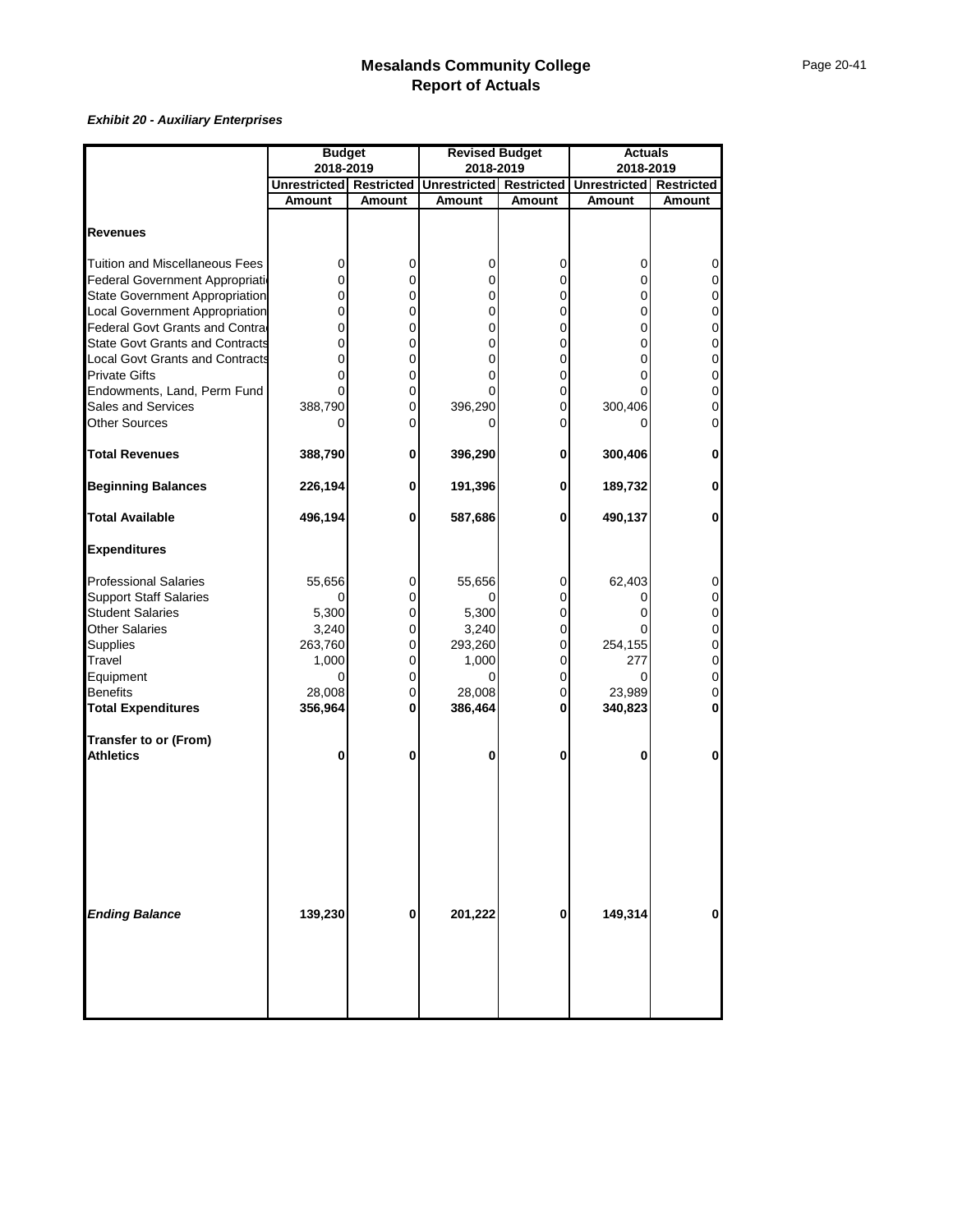|                                        | <b>Budget</b>           |             | <b>Revised Budget</b>          |             | <b>Actuals</b>                 |                |  |
|----------------------------------------|-------------------------|-------------|--------------------------------|-------------|--------------------------------|----------------|--|
|                                        | 2018-2019               |             | 2018-2019                      |             | 2018-2019                      |                |  |
|                                        | Unrestricted Restricted |             | <b>Unrestricted Restricted</b> |             | <b>Unrestricted</b> Restricted |                |  |
|                                        | Amount                  | Amount      | Amount                         | Amount      | <b>Amount</b>                  | Amount         |  |
|                                        |                         |             |                                |             |                                |                |  |
| <b>Revenues</b>                        |                         |             |                                |             |                                |                |  |
|                                        |                         |             |                                |             |                                |                |  |
| <b>Tuition and Miscellaneous Fees</b>  | 0                       | 0           | 0                              | 0           | 0                              | 0              |  |
| Federal Government Appropriation       | 0                       | 0           | 0                              | 0           | 0                              | 0              |  |
| <b>State Government Appropriation</b>  | 0                       | 0           | 0                              | 0           | 0                              | 0              |  |
| <b>Local Government Appropriation</b>  | 0                       | 0           | 0                              | 0           | 0                              | $\mathbf 0$    |  |
| Federal Govt Grants and Contra         | 0                       | $\mathbf 0$ | 0                              | 0           | $\mathbf 0$                    | $\mathbf 0$    |  |
| <b>State Govt Grants and Contracts</b> | 0                       | $\mathbf 0$ | 0                              | 0           | 0                              | 0              |  |
| <b>Local Govt Grants and Contracts</b> | 0                       | $\mathbf 0$ | 0                              | 0           | $\mathbf{0}$                   | $\mathbf 0$    |  |
| <b>Private Gifts</b>                   | 0                       | $\mathbf 0$ | 0                              | 0           | 0                              | $\overline{0}$ |  |
| Endowments, Land, Perm Fund            |                         | 0           |                                | 0           |                                | $\mathbf 0$    |  |
| Sales and Services                     | 388,790                 | $\mathbf 0$ | 396,290                        | 0           | 300,406                        | 0              |  |
| <b>Other Sources</b>                   | 0                       | 0           |                                | 0           |                                | 0              |  |
|                                        |                         |             |                                |             |                                |                |  |
| <b>Total Revenues</b>                  | 388,790                 | 0           | 396,290                        | 0           | 300,406                        | $\mathbf{0}$   |  |
| <b>Beginning Balances</b>              | 226,194                 | 0           | 191,396                        | 0           | 189,732                        | $\mathbf{0}$   |  |
| <b>Total Available</b>                 | 496,194                 | 0           | 587,686                        | 0           | 490,137                        | $\mathbf 0$    |  |
| <b>Expenditures</b>                    |                         |             |                                |             |                                |                |  |
| <b>Professional Salaries</b>           | 55,656                  | 0           | 55,656                         | 0           | 62,403                         | 0              |  |
| <b>Support Staff Salaries</b>          | 0                       | 0           | 0                              | $\mathbf 0$ | 0                              | $\overline{0}$ |  |
| <b>Student Salaries</b>                | 5,300                   | 0           | 5,300                          | 0           | 0                              | 0              |  |
| <b>Other Salaries</b>                  | 3,240                   | 0           | 3,240                          | 0           |                                | $\mathbf 0$    |  |
| Supplies                               | 263,760                 | $\pmb{0}$   | 293,260                        | $\mathbf 0$ | 254,155                        | $\mathbf 0$    |  |
| Travel                                 | 1,000                   | 0           | 1,000                          | 0           | 277                            | $\mathbf 0$    |  |
| Equipment                              | 0                       | 0           | $\Omega$                       | 0           | 0                              | $\mathbf 0$    |  |
| <b>Benefits</b>                        | 28,008                  | $\mathbf 0$ | 28,008                         | 0           | 23,989                         | $\mathbf 0$    |  |
| <b>Total Expenditures</b>              | 356,964                 | 0           | 386,464                        | 0           | 340,823                        | 0              |  |
| <b>Transfer to or (From)</b>           |                         |             |                                |             |                                |                |  |
| <b>Athletics</b>                       | 0                       | 0           | 0                              | 0           | 0                              | $\mathbf 0$    |  |
| <b>Ending Balance</b>                  | 139,230                 | 0           | 201,222                        | 0           | 149,314                        | $\bf{0}$       |  |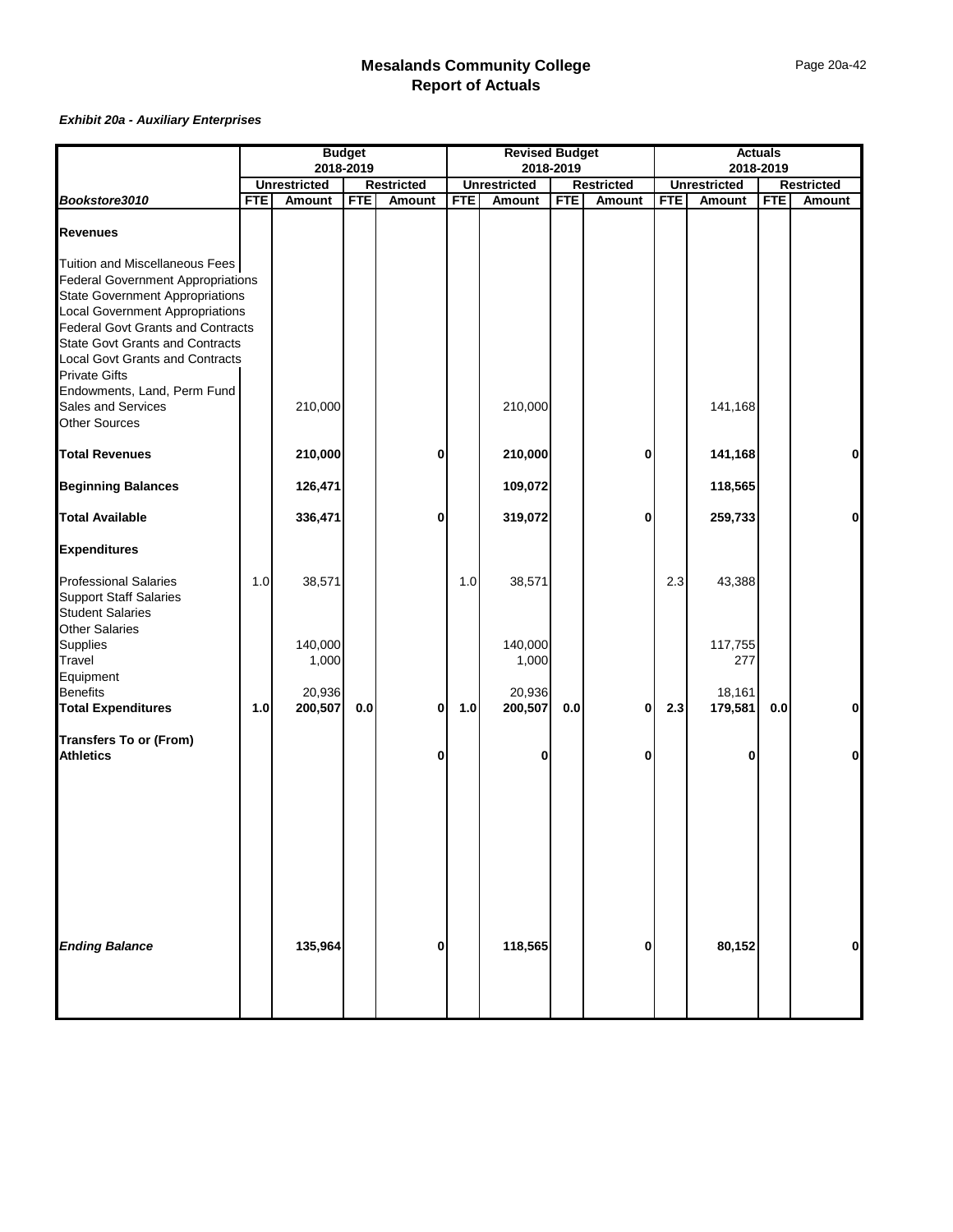|                                                   |            | <b>Budget</b><br>2018-2019    |            | <b>Revised Budget</b><br>2018-2019 |            |                               |            | <b>Actuals</b>                     |            |                               |            |                             |
|---------------------------------------------------|------------|-------------------------------|------------|------------------------------------|------------|-------------------------------|------------|------------------------------------|------------|-------------------------------|------------|-----------------------------|
|                                                   |            |                               |            |                                    |            |                               |            |                                    |            |                               | 2018-2019  |                             |
| Bookstore3010                                     | <b>FTE</b> | <b>Unrestricted</b><br>Amount | <b>FTE</b> | <b>Restricted</b><br><b>Amount</b> | <b>FTE</b> | <b>Unrestricted</b><br>Amount | <b>FTE</b> | <b>Restricted</b><br><b>Amount</b> | <b>FTE</b> | <b>Unrestricted</b><br>Amount | <b>FTE</b> | <b>Restricted</b><br>Amount |
|                                                   |            |                               |            |                                    |            |                               |            |                                    |            |                               |            |                             |
| <b>Revenues</b>                                   |            |                               |            |                                    |            |                               |            |                                    |            |                               |            |                             |
| Tuition and Miscellaneous Fees                    |            |                               |            |                                    |            |                               |            |                                    |            |                               |            |                             |
| <b>Federal Government Appropriations</b>          |            |                               |            |                                    |            |                               |            |                                    |            |                               |            |                             |
| <b>State Government Appropriations</b>            |            |                               |            |                                    |            |                               |            |                                    |            |                               |            |                             |
| <b>Local Government Appropriations</b>            |            |                               |            |                                    |            |                               |            |                                    |            |                               |            |                             |
| <b>Federal Govt Grants and Contracts</b>          |            |                               |            |                                    |            |                               |            |                                    |            |                               |            |                             |
| <b>State Govt Grants and Contracts</b>            |            |                               |            |                                    |            |                               |            |                                    |            |                               |            |                             |
| Local Govt Grants and Contracts                   |            |                               |            |                                    |            |                               |            |                                    |            |                               |            |                             |
| <b>Private Gifts</b>                              |            |                               |            |                                    |            |                               |            |                                    |            |                               |            |                             |
| Endowments, Land, Perm Fund                       |            |                               |            |                                    |            |                               |            |                                    |            |                               |            |                             |
| <b>Sales and Services</b>                         |            | 210,000                       |            |                                    |            | 210,000                       |            |                                    |            | 141,168                       |            |                             |
| <b>Other Sources</b>                              |            |                               |            |                                    |            |                               |            |                                    |            |                               |            |                             |
| <b>Total Revenues</b>                             |            | 210,000                       |            | 0                                  |            | 210,000                       |            | 0                                  |            | 141,168                       |            | $\mathbf{0}$                |
| <b>Beginning Balances</b>                         |            | 126,471                       |            |                                    |            | 109,072                       |            |                                    |            | 118,565                       |            |                             |
| <b>Total Available</b>                            |            | 336,471                       |            | 0                                  |            | 319,072                       |            | 0                                  |            | 259,733                       |            | οl                          |
| <b>Expenditures</b>                               |            |                               |            |                                    |            |                               |            |                                    |            |                               |            |                             |
| <b>Professional Salaries</b>                      | 1.0        | 38,571                        |            |                                    | 1.0        | 38,571                        |            |                                    | 2.3        | 43,388                        |            |                             |
| <b>Support Staff Salaries</b>                     |            |                               |            |                                    |            |                               |            |                                    |            |                               |            |                             |
| <b>Student Salaries</b>                           |            |                               |            |                                    |            |                               |            |                                    |            |                               |            |                             |
| <b>Other Salaries</b>                             |            |                               |            |                                    |            |                               |            |                                    |            |                               |            |                             |
| Supplies                                          |            | 140,000                       |            |                                    |            | 140,000                       |            |                                    |            | 117,755                       |            |                             |
| Travel                                            |            | 1,000                         |            |                                    |            | 1,000                         |            |                                    |            | 277                           |            |                             |
| Equipment                                         |            |                               |            |                                    |            |                               |            |                                    |            |                               |            |                             |
| <b>Benefits</b>                                   |            | 20,936                        |            |                                    |            | 20,936                        |            |                                    |            | 18,161                        |            |                             |
| <b>Total Expenditures</b>                         | 1.0        | 200,507                       | 0.0        | 0                                  | $1.0$      | 200,507                       | 0.0        | 0                                  | 2.3        | 179,581                       | $0.0\,$    | $\mathbf{0}$                |
|                                                   |            |                               |            |                                    |            |                               |            |                                    |            |                               |            |                             |
| <b>Transfers To or (From)</b><br><b>Athletics</b> |            |                               |            | 0                                  |            | $\mathbf{0}$                  |            | 0                                  |            | 0                             |            | οl                          |
|                                                   |            |                               |            |                                    |            |                               |            |                                    |            |                               |            |                             |
|                                                   |            |                               |            |                                    |            |                               |            |                                    |            |                               |            |                             |
|                                                   |            |                               |            |                                    |            |                               |            |                                    |            |                               |            |                             |
|                                                   |            |                               |            |                                    |            |                               |            |                                    |            |                               |            |                             |
| <b>Ending Balance</b>                             |            | 135,964                       |            | 0                                  |            | 118,565                       |            | 0                                  |            | 80,152                        |            | οl                          |
|                                                   |            |                               |            |                                    |            |                               |            |                                    |            |                               |            |                             |
|                                                   |            |                               |            |                                    |            |                               |            |                                    |            |                               |            |                             |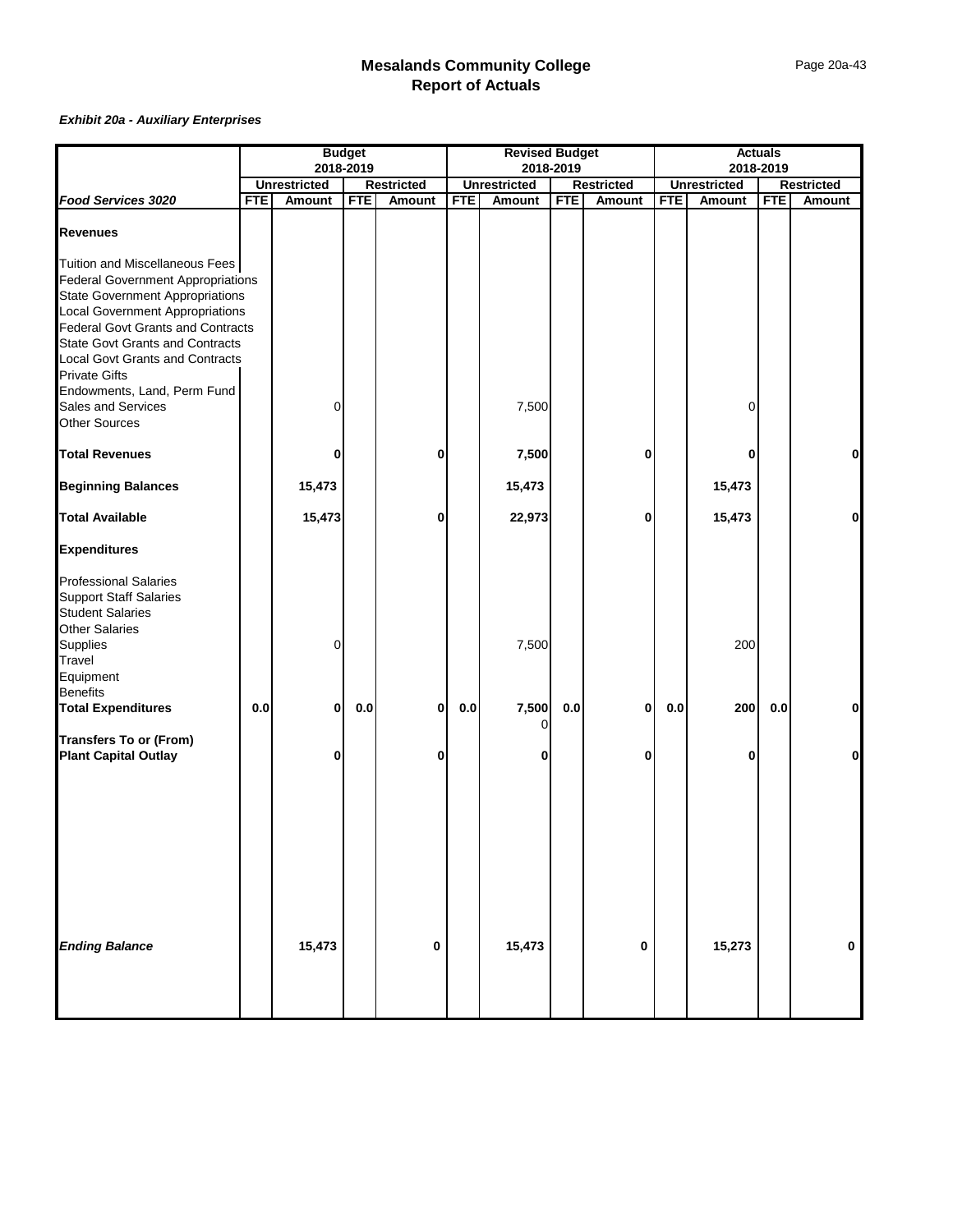|                                                                                                                                                                                                                                                                                                                                                                                                     |            | <b>Budget</b>       |            | <b>Revised Budget</b><br>2018-2019 |            |                     |            | <b>Actuals</b>    |            |                     |            |                   |
|-----------------------------------------------------------------------------------------------------------------------------------------------------------------------------------------------------------------------------------------------------------------------------------------------------------------------------------------------------------------------------------------------------|------------|---------------------|------------|------------------------------------|------------|---------------------|------------|-------------------|------------|---------------------|------------|-------------------|
|                                                                                                                                                                                                                                                                                                                                                                                                     |            | 2018-2019           |            |                                    |            |                     |            |                   |            |                     | 2018-2019  |                   |
|                                                                                                                                                                                                                                                                                                                                                                                                     |            | <b>Unrestricted</b> |            | <b>Restricted</b>                  |            | <b>Unrestricted</b> |            | <b>Restricted</b> |            | <b>Unrestricted</b> |            | <b>Restricted</b> |
| Food Services 3020                                                                                                                                                                                                                                                                                                                                                                                  | <b>FTE</b> | Amount              | <b>FTE</b> | Amount                             | <b>FTE</b> | Amount              | <b>FTE</b> | Amount            | <b>FTE</b> | Amount              | <b>FTE</b> | Amount            |
| <b>Revenues</b>                                                                                                                                                                                                                                                                                                                                                                                     |            |                     |            |                                    |            |                     |            |                   |            |                     |            |                   |
| Tuition and Miscellaneous Fees<br><b>Federal Government Appropriations</b><br><b>State Government Appropriations</b><br><b>Local Government Appropriations</b><br><b>Federal Govt Grants and Contracts</b><br><b>State Govt Grants and Contracts</b><br><b>Local Govt Grants and Contracts</b><br><b>Private Gifts</b><br>Endowments, Land, Perm Fund<br>Sales and Services<br><b>Other Sources</b> |            | 0                   |            |                                    |            | 7,500               |            |                   |            | 0                   |            |                   |
| <b>Total Revenues</b>                                                                                                                                                                                                                                                                                                                                                                               |            | 0                   |            | 0                                  |            | 7,500               |            | 0                 |            | 0                   |            | $\mathbf{0}$      |
| <b>Beginning Balances</b>                                                                                                                                                                                                                                                                                                                                                                           |            | 15,473              |            |                                    |            | 15,473              |            |                   |            | 15,473              |            |                   |
| <b>Total Available</b>                                                                                                                                                                                                                                                                                                                                                                              |            | 15,473              |            | 0                                  |            | 22,973              |            | 0                 |            | 15,473              |            | $\mathbf 0$       |
| <b>Expenditures</b>                                                                                                                                                                                                                                                                                                                                                                                 |            |                     |            |                                    |            |                     |            |                   |            |                     |            |                   |
| <b>Professional Salaries</b><br><b>Support Staff Salaries</b><br><b>Student Salaries</b><br><b>Other Salaries</b><br>Supplies<br>Travel<br>Equipment<br>Benefits<br><b>Total Expenditures</b>                                                                                                                                                                                                       | 0.0        | 0<br>0              | 0.0        | 0                                  | 0.0        | 7,500<br>7,500      | 0.0        | 0                 | 0.0        | 200<br>200          | 0.0        | 0                 |
| <b>Transfers To or (From)</b>                                                                                                                                                                                                                                                                                                                                                                       |            |                     |            |                                    |            | 0                   |            |                   |            |                     |            |                   |
| <b>Plant Capital Outlay</b><br><b>Ending Balance</b>                                                                                                                                                                                                                                                                                                                                                |            | 0<br>15,473         |            | 0<br>0                             |            | 0<br>15,473         |            | 0<br>0            |            | 0<br>15,273         |            | Οl<br>0           |
|                                                                                                                                                                                                                                                                                                                                                                                                     |            |                     |            |                                    |            |                     |            |                   |            |                     |            |                   |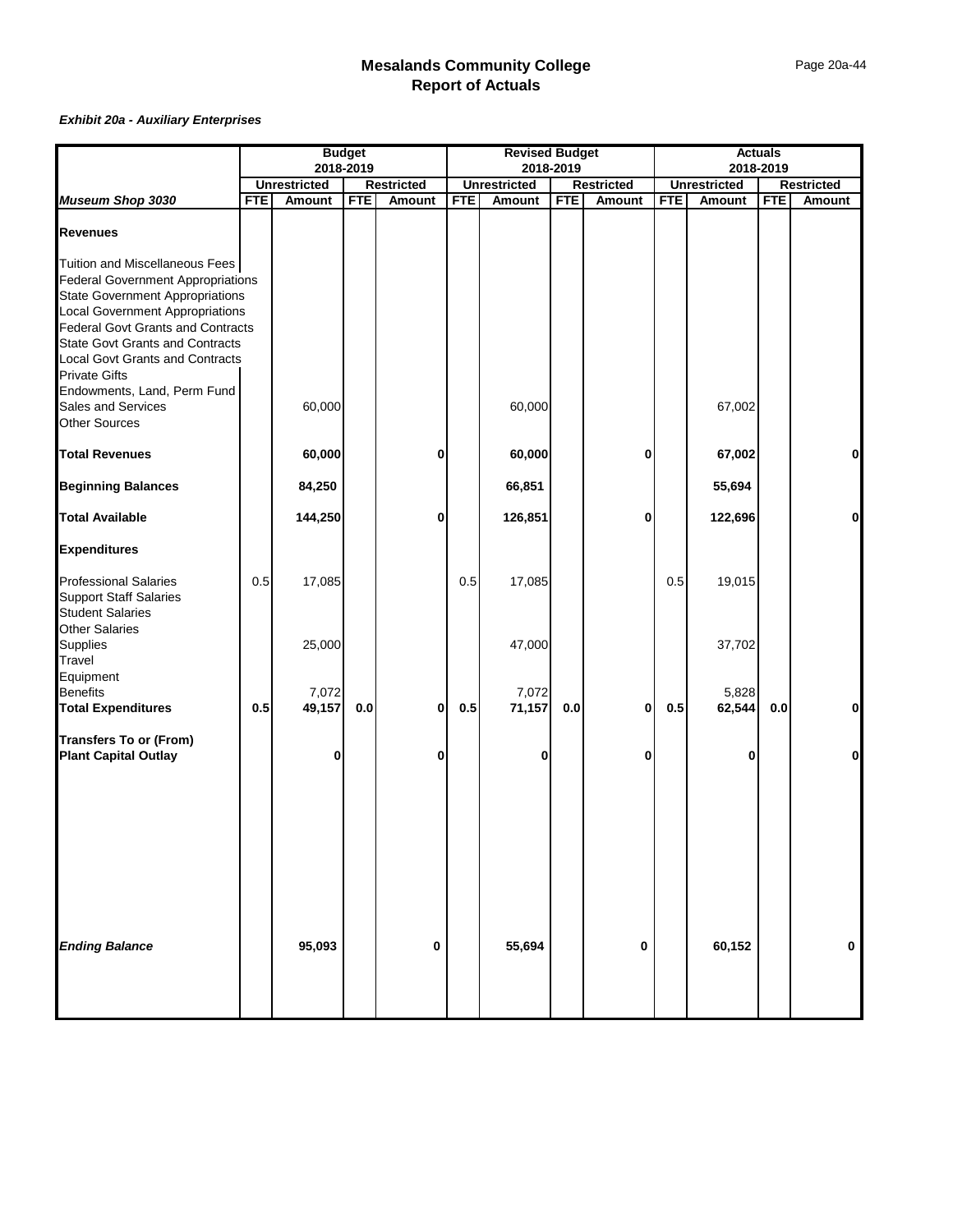|                                                               | <b>Budget</b> |                     | <b>Revised Budget</b><br>2018-2019 |                   |            |                     | <b>Actuals</b> |                   |            |                     |            |                   |
|---------------------------------------------------------------|---------------|---------------------|------------------------------------|-------------------|------------|---------------------|----------------|-------------------|------------|---------------------|------------|-------------------|
|                                                               |               | 2018-2019           |                                    |                   |            |                     |                |                   |            | 2018-2019           |            |                   |
|                                                               |               | <b>Unrestricted</b> |                                    | <b>Restricted</b> |            | <b>Unrestricted</b> |                | <b>Restricted</b> |            | <b>Unrestricted</b> |            | <b>Restricted</b> |
| Museum Shop 3030                                              | <b>FTE</b>    | Amount              | <b>FTE</b>                         | <b>Amount</b>     | <b>FTE</b> | Amount              | <b>FTE</b>     | Amount            | <b>FTE</b> | Amount              | <b>FTE</b> | Amount            |
| <b>Revenues</b>                                               |               |                     |                                    |                   |            |                     |                |                   |            |                     |            |                   |
| Tuition and Miscellaneous Fees                                |               |                     |                                    |                   |            |                     |                |                   |            |                     |            |                   |
| <b>Federal Government Appropriations</b>                      |               |                     |                                    |                   |            |                     |                |                   |            |                     |            |                   |
| <b>State Government Appropriations</b>                        |               |                     |                                    |                   |            |                     |                |                   |            |                     |            |                   |
| Local Government Appropriations                               |               |                     |                                    |                   |            |                     |                |                   |            |                     |            |                   |
| <b>Federal Govt Grants and Contracts</b>                      |               |                     |                                    |                   |            |                     |                |                   |            |                     |            |                   |
| <b>State Govt Grants and Contracts</b>                        |               |                     |                                    |                   |            |                     |                |                   |            |                     |            |                   |
| <b>Local Govt Grants and Contracts</b>                        |               |                     |                                    |                   |            |                     |                |                   |            |                     |            |                   |
| <b>Private Gifts</b>                                          |               |                     |                                    |                   |            |                     |                |                   |            |                     |            |                   |
| Endowments, Land, Perm Fund                                   |               |                     |                                    |                   |            |                     |                |                   |            |                     |            |                   |
| Sales and Services                                            |               | 60,000              |                                    |                   |            | 60,000              |                |                   |            | 67,002              |            |                   |
| <b>Other Sources</b>                                          |               |                     |                                    |                   |            |                     |                |                   |            |                     |            |                   |
| <b>Total Revenues</b>                                         |               | 60,000              |                                    | 0                 |            | 60,000              |                | 0                 |            | 67,002              |            | $\mathbf 0$       |
| <b>Beginning Balances</b>                                     |               | 84,250              |                                    |                   |            | 66,851              |                |                   |            | 55,694              |            |                   |
| <b>Total Available</b>                                        |               | 144,250             |                                    | 0                 |            | 126,851             |                | 0                 |            | 122,696             |            | 0                 |
| <b>Expenditures</b>                                           |               |                     |                                    |                   |            |                     |                |                   |            |                     |            |                   |
| <b>Professional Salaries</b><br><b>Support Staff Salaries</b> | 0.5           | 17,085              |                                    |                   | $0.5\,$    | 17,085              |                |                   | 0.5        | 19,015              |            |                   |
| <b>Student Salaries</b>                                       |               |                     |                                    |                   |            |                     |                |                   |            |                     |            |                   |
| <b>Other Salaries</b>                                         |               |                     |                                    |                   |            |                     |                |                   |            |                     |            |                   |
| Supplies                                                      |               | 25,000              |                                    |                   |            | 47,000              |                |                   |            | 37,702              |            |                   |
| Travel                                                        |               |                     |                                    |                   |            |                     |                |                   |            |                     |            |                   |
| Equipment                                                     |               |                     |                                    |                   |            |                     |                |                   |            |                     |            |                   |
| <b>Benefits</b>                                               |               | 7,072               |                                    |                   |            | 7,072               |                |                   |            | 5,828               |            |                   |
| <b>Total Expenditures</b>                                     | 0.5           | 49,157              | $0.0\,$                            | $\bf{0}$          | 0.5        | 71,157              | 0.0            | $\bf{0}$          | 0.5        | 62,544              | 0.0        | $\mathbf 0$       |
| <b>Transfers To or (From)</b>                                 |               | 0                   |                                    | 0                 |            | 0                   |                | 0                 |            | 0                   |            | $\mathbf 0$       |
| <b>Plant Capital Outlay</b>                                   |               |                     |                                    |                   |            |                     |                |                   |            |                     |            |                   |
|                                                               |               |                     |                                    |                   |            |                     |                |                   |            |                     |            |                   |
|                                                               |               |                     |                                    |                   |            |                     |                |                   |            |                     |            |                   |
|                                                               |               |                     |                                    |                   |            |                     |                |                   |            |                     |            |                   |
|                                                               |               |                     |                                    |                   |            |                     |                |                   |            |                     |            |                   |
| <b>Ending Balance</b>                                         |               | 95,093              |                                    | 0                 |            | 55,694              |                | 0                 |            | 60,152              |            | 0                 |
|                                                               |               |                     |                                    |                   |            |                     |                |                   |            |                     |            |                   |
|                                                               |               |                     |                                    |                   |            |                     |                |                   |            |                     |            |                   |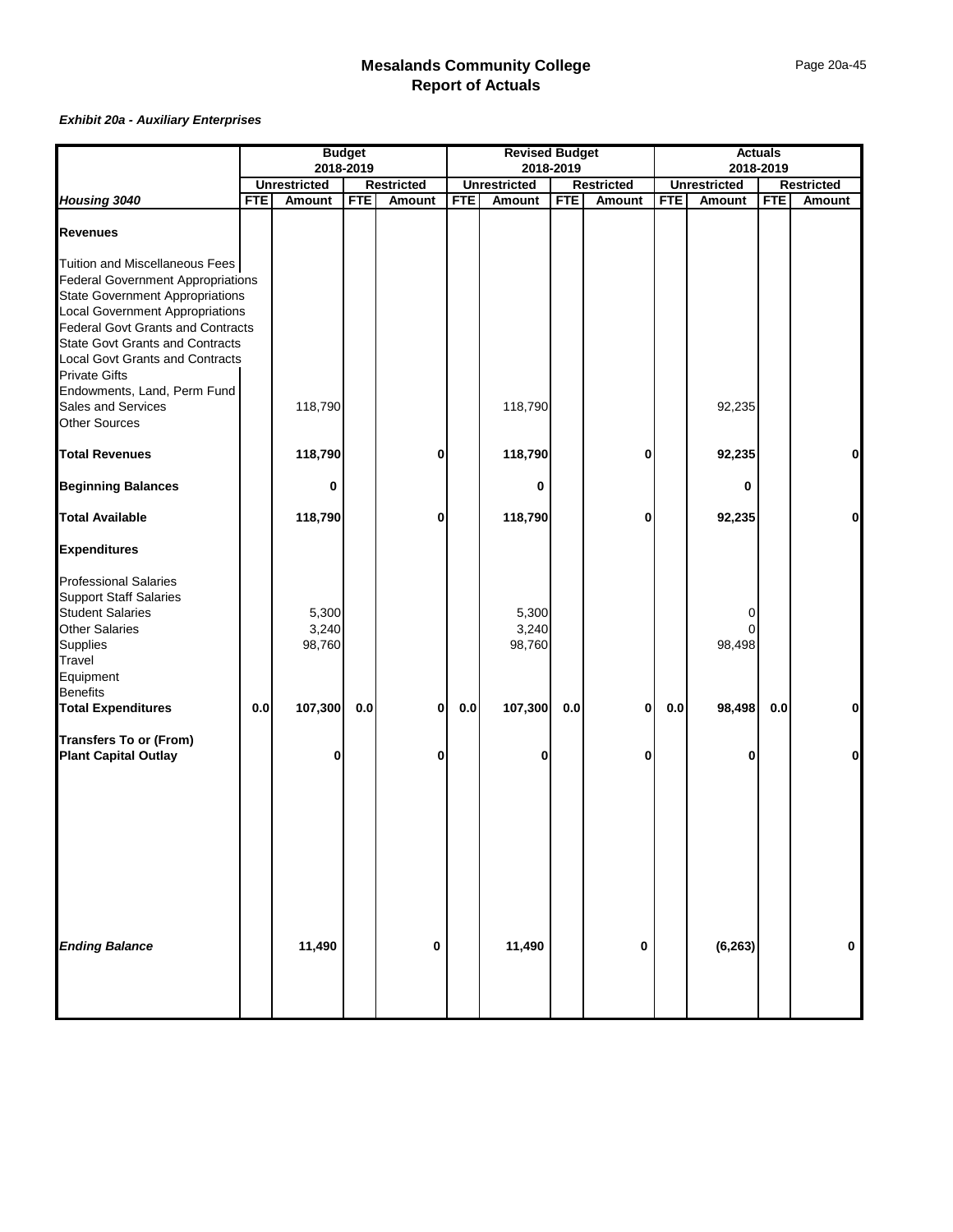|                                                                                                                                                                                                                                                      | <b>Budget</b> |                          | <b>Revised Budget</b><br>2018-2019 |                   |            |                          | <b>Actuals</b> |                   |            |                     |            |                   |
|------------------------------------------------------------------------------------------------------------------------------------------------------------------------------------------------------------------------------------------------------|---------------|--------------------------|------------------------------------|-------------------|------------|--------------------------|----------------|-------------------|------------|---------------------|------------|-------------------|
|                                                                                                                                                                                                                                                      |               | 2018-2019                |                                    |                   |            |                          |                |                   |            |                     | 2018-2019  |                   |
|                                                                                                                                                                                                                                                      |               | <b>Unrestricted</b>      |                                    | <b>Restricted</b> |            | <b>Unrestricted</b>      |                | <b>Restricted</b> |            | <b>Unrestricted</b> |            | <b>Restricted</b> |
| Housing 3040                                                                                                                                                                                                                                         | <b>FTE</b>    | Amount                   | <b>FTE</b>                         | <b>Amount</b>     | <b>FTE</b> | Amount                   | <b>FTE</b>     | Amount            | <b>FTE</b> | Amount              | <b>FTE</b> | Amount            |
| <b>Revenues</b>                                                                                                                                                                                                                                      |               |                          |                                    |                   |            |                          |                |                   |            |                     |            |                   |
| Tuition and Miscellaneous Fees<br><b>Federal Government Appropriations</b><br><b>State Government Appropriations</b><br><b>Local Government Appropriations</b><br><b>Federal Govt Grants and Contracts</b><br><b>State Govt Grants and Contracts</b> |               |                          |                                    |                   |            |                          |                |                   |            |                     |            |                   |
| <b>Local Govt Grants and Contracts</b><br><b>Private Gifts</b>                                                                                                                                                                                       |               |                          |                                    |                   |            |                          |                |                   |            |                     |            |                   |
| Endowments, Land, Perm Fund<br>Sales and Services<br><b>Other Sources</b>                                                                                                                                                                            |               | 118,790                  |                                    |                   |            | 118,790                  |                |                   |            | 92,235              |            |                   |
| <b>Total Revenues</b>                                                                                                                                                                                                                                |               | 118,790                  |                                    | 0                 |            | 118,790                  |                | 0                 |            | 92,235              |            | 0                 |
| <b>Beginning Balances</b>                                                                                                                                                                                                                            |               | 0                        |                                    |                   |            | 0                        |                |                   |            | 0                   |            |                   |
| <b>Total Available</b>                                                                                                                                                                                                                               |               | 118,790                  |                                    | 0                 |            | 118,790                  |                | 0                 |            | 92,235              |            | $\mathbf{0}$      |
| <b>Expenditures</b>                                                                                                                                                                                                                                  |               |                          |                                    |                   |            |                          |                |                   |            |                     |            |                   |
| <b>Professional Salaries</b><br><b>Support Staff Salaries</b><br><b>Student Salaries</b><br><b>Other Salaries</b><br>Supplies<br>Travel<br>Equipment                                                                                                 |               | 5,300<br>3,240<br>98,760 |                                    |                   |            | 5,300<br>3,240<br>98,760 |                |                   |            | 0<br>98,498         |            |                   |
| Benefits<br><b>Total Expenditures</b>                                                                                                                                                                                                                | 0.0           | 107,300                  | 0.0                                | 0                 | $0.0\,$    | 107,300                  | 0.0            | 0                 | 0.0        | 98,498              | 0.0        | 0                 |
| <b>Transfers To or (From)</b><br><b>Plant Capital Outlay</b>                                                                                                                                                                                         |               | 0                        |                                    | 0                 |            | 0                        |                | 0                 |            | 0                   |            | Οl                |
|                                                                                                                                                                                                                                                      |               |                          |                                    |                   |            |                          |                |                   |            |                     |            |                   |
| <b>Ending Balance</b>                                                                                                                                                                                                                                |               | 11,490                   |                                    | 0                 |            | 11,490                   |                | 0                 |            | (6, 263)            |            | 0                 |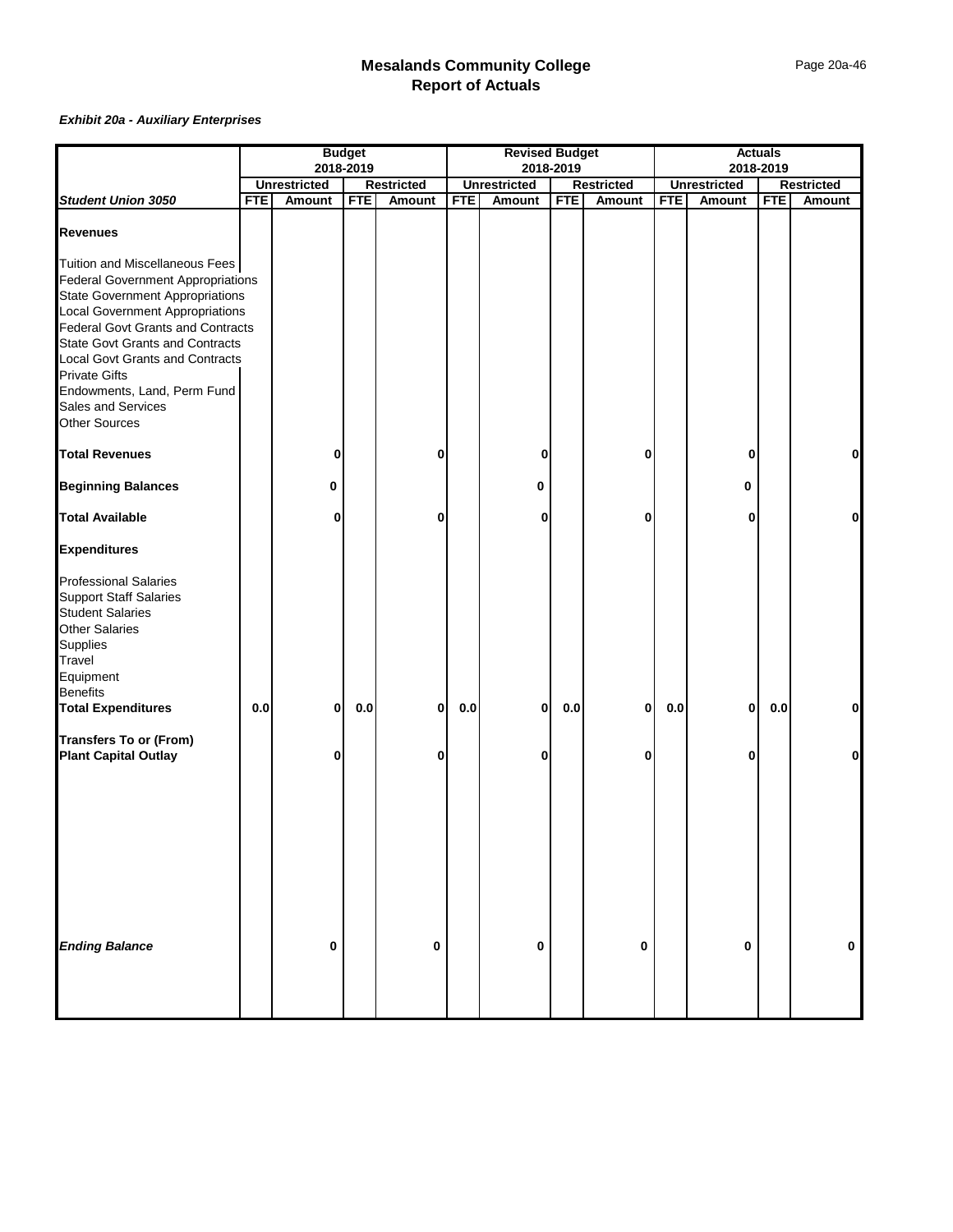|                                                                            | <b>Budget</b> |                     | <b>Revised Budget</b><br>2018-2019 |                   |            |                     | <b>Actuals</b> |                   |            |                     |            |                   |
|----------------------------------------------------------------------------|---------------|---------------------|------------------------------------|-------------------|------------|---------------------|----------------|-------------------|------------|---------------------|------------|-------------------|
|                                                                            |               |                     | 2018-2019                          |                   |            |                     |                |                   |            |                     | 2018-2019  |                   |
|                                                                            |               | <b>Unrestricted</b> |                                    | <b>Restricted</b> |            | <b>Unrestricted</b> |                | <b>Restricted</b> |            | <b>Unrestricted</b> |            | <b>Restricted</b> |
| <b>Student Union 3050</b>                                                  | <b>FTE</b>    | Amount              | <b>FTE</b>                         | Amount            | <b>FTE</b> | Amount              | <b>FTE</b>     | Amount            | <b>FTE</b> | Amount              | <b>FTE</b> | Amount            |
| <b>Revenues</b>                                                            |               |                     |                                    |                   |            |                     |                |                   |            |                     |            |                   |
| Tuition and Miscellaneous Fees<br><b>Federal Government Appropriations</b> |               |                     |                                    |                   |            |                     |                |                   |            |                     |            |                   |
| <b>State Government Appropriations</b>                                     |               |                     |                                    |                   |            |                     |                |                   |            |                     |            |                   |
| Local Government Appropriations                                            |               |                     |                                    |                   |            |                     |                |                   |            |                     |            |                   |
| <b>Federal Govt Grants and Contracts</b>                                   |               |                     |                                    |                   |            |                     |                |                   |            |                     |            |                   |
| <b>State Govt Grants and Contracts</b>                                     |               |                     |                                    |                   |            |                     |                |                   |            |                     |            |                   |
| Local Govt Grants and Contracts                                            |               |                     |                                    |                   |            |                     |                |                   |            |                     |            |                   |
| <b>Private Gifts</b>                                                       |               |                     |                                    |                   |            |                     |                |                   |            |                     |            |                   |
| Endowments, Land, Perm Fund                                                |               |                     |                                    |                   |            |                     |                |                   |            |                     |            |                   |
| Sales and Services                                                         |               |                     |                                    |                   |            |                     |                |                   |            |                     |            |                   |
|                                                                            |               |                     |                                    |                   |            |                     |                |                   |            |                     |            |                   |
| Other Sources                                                              |               |                     |                                    |                   |            |                     |                |                   |            |                     |            |                   |
| <b>Total Revenues</b>                                                      |               | 0                   |                                    | 0                 |            | 0                   |                | 0                 |            | 0                   |            | $\mathbf 0$       |
| <b>Beginning Balances</b>                                                  |               | 0                   |                                    |                   |            | 0                   |                |                   |            | 0                   |            |                   |
| <b>Total Available</b>                                                     |               | 0                   |                                    | 0                 |            | 0                   |                | 0                 |            | 0                   |            | 0                 |
| <b>Expenditures</b>                                                        |               |                     |                                    |                   |            |                     |                |                   |            |                     |            |                   |
| <b>Professional Salaries</b>                                               |               |                     |                                    |                   |            |                     |                |                   |            |                     |            |                   |
| <b>Support Staff Salaries</b>                                              |               |                     |                                    |                   |            |                     |                |                   |            |                     |            |                   |
| <b>Student Salaries</b>                                                    |               |                     |                                    |                   |            |                     |                |                   |            |                     |            |                   |
| <b>Other Salaries</b>                                                      |               |                     |                                    |                   |            |                     |                |                   |            |                     |            |                   |
| Supplies                                                                   |               |                     |                                    |                   |            |                     |                |                   |            |                     |            |                   |
| Travel                                                                     |               |                     |                                    |                   |            |                     |                |                   |            |                     |            |                   |
| Equipment                                                                  |               |                     |                                    |                   |            |                     |                |                   |            |                     |            |                   |
| <b>Benefits</b>                                                            |               |                     |                                    |                   |            |                     |                |                   |            |                     |            |                   |
| <b>Total Expenditures</b>                                                  | 0.0           | 0                   | 0.0                                | $\bf{0}$          | 0.0        | 0                   | $0.0\,$        | $\bf{0}$          | 0.0        | 0                   | 0.0        | $\bf{0}$          |
| <b>Transfers To or (From)</b>                                              |               |                     |                                    |                   |            |                     |                |                   |            |                     |            |                   |
| <b>Plant Capital Outlay</b>                                                |               | 0                   |                                    | 0                 |            | 0                   |                | 0                 |            | 0                   |            | $\mathbf 0$       |
|                                                                            |               |                     |                                    |                   |            |                     |                |                   |            |                     |            |                   |
|                                                                            |               |                     |                                    |                   |            |                     |                |                   |            |                     |            |                   |
|                                                                            |               |                     |                                    |                   |            |                     |                |                   |            |                     |            |                   |
|                                                                            |               |                     |                                    |                   |            |                     |                |                   |            |                     |            |                   |
|                                                                            |               |                     |                                    |                   |            |                     |                |                   |            |                     |            |                   |
|                                                                            |               |                     |                                    |                   |            |                     |                |                   |            |                     |            |                   |
|                                                                            |               |                     |                                    |                   |            |                     |                |                   |            |                     |            |                   |
|                                                                            |               |                     |                                    |                   |            |                     |                |                   |            |                     |            |                   |
|                                                                            |               |                     |                                    |                   |            |                     |                |                   |            |                     |            |                   |
|                                                                            |               |                     |                                    |                   |            |                     |                |                   |            |                     |            |                   |
|                                                                            |               |                     |                                    |                   |            |                     |                |                   |            |                     |            |                   |
| <b>Ending Balance</b>                                                      |               | 0                   |                                    | 0                 |            | 0                   |                | 0                 |            | 0                   |            | 0                 |
|                                                                            |               |                     |                                    |                   |            |                     |                |                   |            |                     |            |                   |
|                                                                            |               |                     |                                    |                   |            |                     |                |                   |            |                     |            |                   |
|                                                                            |               |                     |                                    |                   |            |                     |                |                   |            |                     |            |                   |
|                                                                            |               |                     |                                    |                   |            |                     |                |                   |            |                     |            |                   |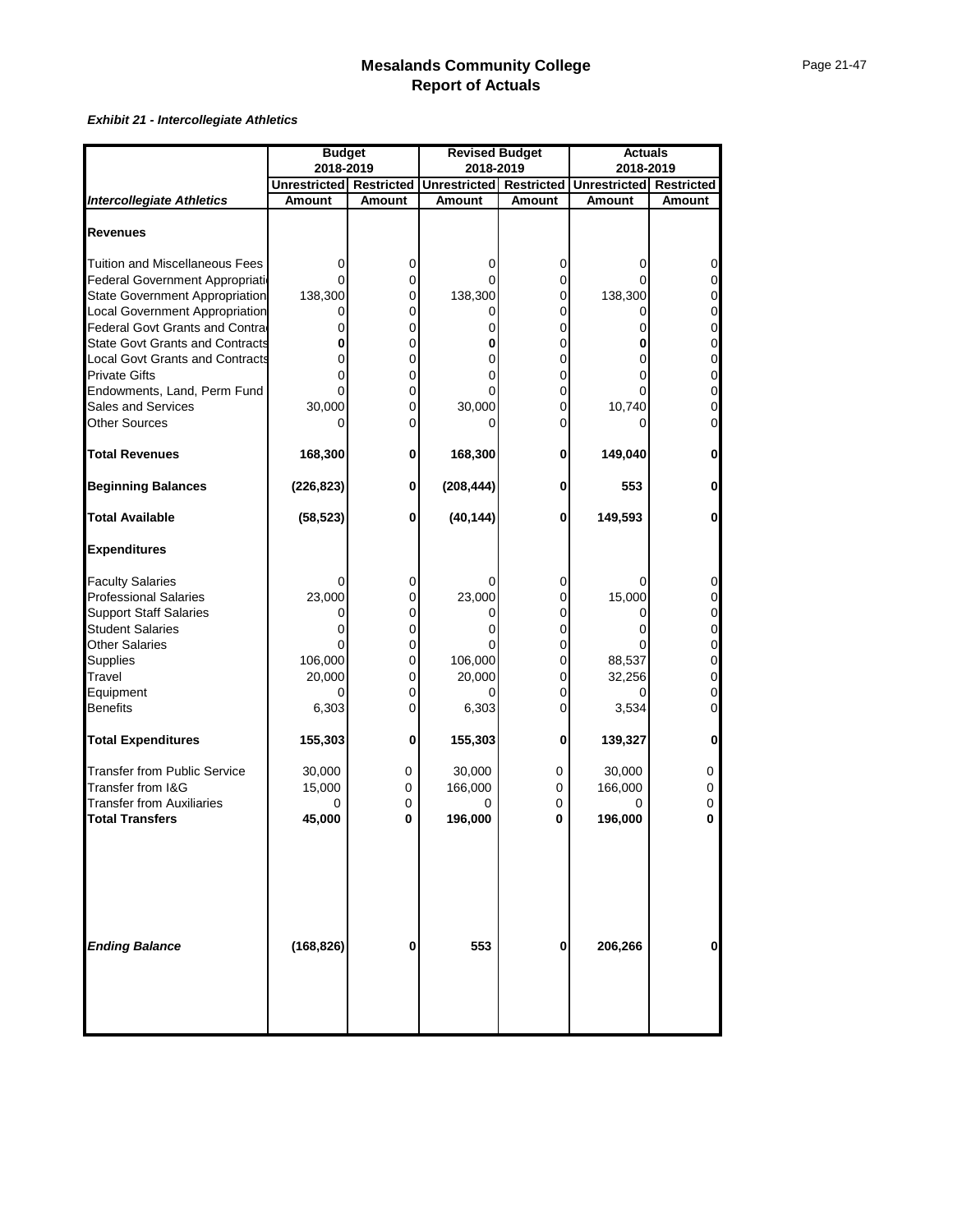#### *Exhibit 21 - Intercollegiate Athletics*

|                                        | <b>Budget</b>                  |               | <b>Revised Budget</b> |                   | <b>Actuals</b>      |                   |  |  |
|----------------------------------------|--------------------------------|---------------|-----------------------|-------------------|---------------------|-------------------|--|--|
|                                        | 2018-2019                      |               | 2018-2019             |                   | 2018-2019           |                   |  |  |
|                                        | <b>Unrestricted Restricted</b> |               | <b>Unrestricted</b>   | <b>Restricted</b> | <b>Unrestricted</b> | <b>Restricted</b> |  |  |
| <b>Intercollegiate Athletics</b>       | <b>Amount</b>                  | <b>Amount</b> | Amount                | <b>Amount</b>     | Amount              | <b>Amount</b>     |  |  |
| <b>Revenues</b>                        |                                |               |                       |                   |                     |                   |  |  |
| Tuition and Miscellaneous Fees         | 0                              | 0             | 0                     | 0                 | ი                   | 0                 |  |  |
| Federal Government Appropriatio        |                                | 0             | O                     | 0                 |                     | $\Omega$          |  |  |
| <b>State Government Appropriation</b>  | 138,300                        | 0             | 138,300               | 0                 | 138,300             | 0                 |  |  |
| Local Government Appropriation         |                                | 0             |                       | 0                 |                     | 0                 |  |  |
| Federal Govt Grants and Contra         | 0                              | 0             | 0                     | 0                 | 0                   | 0                 |  |  |
| <b>State Govt Grants and Contracts</b> | 0                              | 0             | 0                     | 0                 | 0                   | 0                 |  |  |
| Local Govt Grants and Contracts        |                                | 0             |                       | 0                 |                     | 0                 |  |  |
| <b>Private Gifts</b>                   |                                | 0             | U                     | 0                 |                     | 0                 |  |  |
| Endowments, Land, Perm Fund            |                                | 0             | $\Omega$              | 0                 |                     | 0                 |  |  |
| <b>Sales and Services</b>              | 30,000                         | 0             | 30,000                | 0                 | 10,740              | 0                 |  |  |
| Other Sources                          |                                | 0             |                       | 0                 |                     | $\Omega$          |  |  |
| <b>Total Revenues</b>                  | 168,300                        | 0             | 168,300               | 0                 | 149,040             | $\mathbf 0$       |  |  |
| <b>Beginning Balances</b>              | (226, 823)                     | 0             | (208, 444)            | 0                 | 553                 | 0                 |  |  |
| <b>Total Available</b>                 | (58, 523)                      | 0             | (40, 144)             | 0                 | 149,593             | $\mathbf{0}$      |  |  |
| <b>Expenditures</b>                    |                                |               |                       |                   |                     |                   |  |  |
| <b>Faculty Salaries</b>                |                                | 0             |                       | 0                 |                     | 0                 |  |  |
| <b>Professional Salaries</b>           | 23,000                         | 0             | 23,000                | 0                 | 15,000              | $\Omega$          |  |  |
| <b>Support Staff Salaries</b>          | 0                              | 0             | 0                     | 0                 |                     | 0                 |  |  |
| <b>Student Salaries</b>                |                                | 0             |                       | 0                 |                     | 0                 |  |  |
| <b>Other Salaries</b>                  |                                | 0             |                       | 0                 |                     | 0                 |  |  |
| <b>Supplies</b><br>Travel              | 106,000                        | 0<br>0        | 106,000               | 0                 | 88,537              | 0<br>0            |  |  |
| Equipment                              | 20,000                         | 0             | 20,000                | 0<br>0            | 32,256              | 0                 |  |  |
| <b>Benefits</b>                        | 6,303                          | 0             | 6,303                 | 0                 | 3,534               | 0                 |  |  |
| <b>Total Expenditures</b>              | 155,303                        | 0             | 155,303               | 0                 | 139,327             | 0                 |  |  |
| <b>Transfer from Public Service</b>    | 30,000                         |               |                       |                   |                     |                   |  |  |
| Transfer from I&G                      | 15,000                         | 0<br>0        | 30,000<br>166,000     | 0<br>0            | 30,000<br>166,000   | 0<br>0            |  |  |
| <b>Transfer from Auxiliaries</b>       | 0                              | $\Omega$      |                       | 0                 |                     | 0                 |  |  |
| <b>Total Transfers</b>                 | 45,000                         | 0             | 196,000               | 0                 | 196,000             | 0                 |  |  |
| <b>Ending Balance</b>                  | (168, 826)                     | 0             | 553                   | 0                 | 206,266             | 0                 |  |  |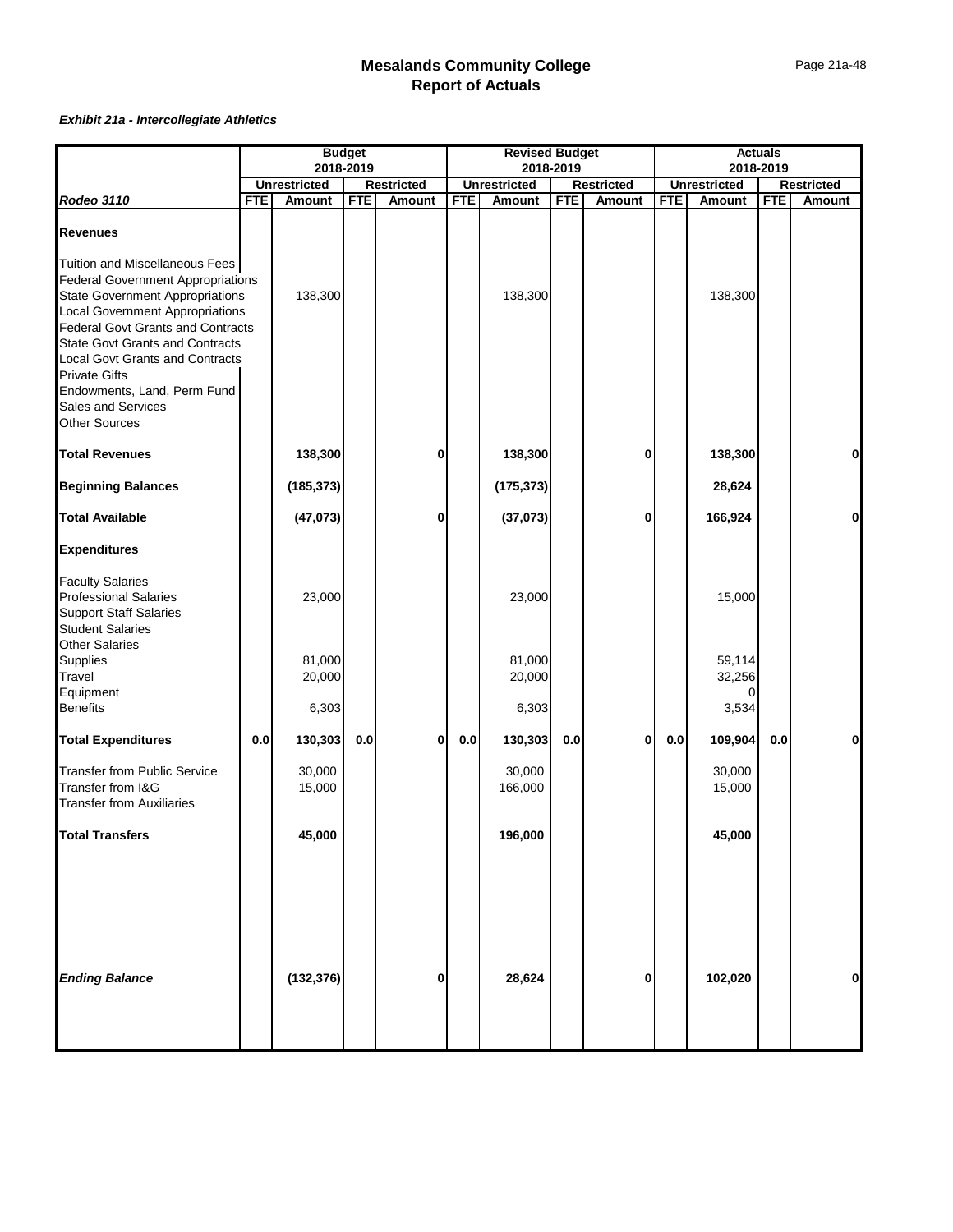#### *Exhibit 21a - Intercollegiate Athletics*

|                                                                                                                                                                                                                                                                                                                                                                         | <b>Budget</b><br>2018-2019 |                     |            | <b>Revised Budget</b><br>2018-2019 |            |                     |            | <b>Actuals</b>    |            |                     |            |                   |
|-------------------------------------------------------------------------------------------------------------------------------------------------------------------------------------------------------------------------------------------------------------------------------------------------------------------------------------------------------------------------|----------------------------|---------------------|------------|------------------------------------|------------|---------------------|------------|-------------------|------------|---------------------|------------|-------------------|
|                                                                                                                                                                                                                                                                                                                                                                         |                            | <b>Unrestricted</b> |            | <b>Restricted</b>                  |            | <b>Unrestricted</b> |            | <b>Restricted</b> |            | <b>Unrestricted</b> | 2018-2019  | <b>Restricted</b> |
| Rodeo 3110                                                                                                                                                                                                                                                                                                                                                              | <b>FTE</b>                 | <b>Amount</b>       | <b>FTE</b> | <b>Amount</b>                      | <b>FTE</b> | <b>Amount</b>       | <b>FTE</b> | Amount            | <b>FTE</b> | <b>Amount</b>       | <b>FTE</b> | Amount            |
| <b>Revenues</b>                                                                                                                                                                                                                                                                                                                                                         |                            |                     |            |                                    |            |                     |            |                   |            |                     |            |                   |
| Tuition and Miscellaneous Fees<br>Federal Government Appropriations<br><b>State Government Appropriations</b><br>Local Government Appropriations<br>Federal Govt Grants and Contracts<br><b>State Govt Grants and Contracts</b><br><b>Local Govt Grants and Contracts</b><br>Private Gifts<br>Endowments, Land, Perm Fund<br>Sales and Services<br><b>Other Sources</b> |                            | 138,300             |            |                                    |            | 138,300             |            |                   |            | 138,300             |            |                   |
| <b>Total Revenues</b>                                                                                                                                                                                                                                                                                                                                                   |                            | 138,300             |            | 0                                  |            | 138,300             |            | 0                 |            | 138,300             |            | $\mathbf{0}$      |
| <b>Beginning Balances</b>                                                                                                                                                                                                                                                                                                                                               |                            | (185, 373)          |            |                                    |            | (175, 373)          |            |                   |            | 28,624              |            |                   |
| <b>Total Available</b>                                                                                                                                                                                                                                                                                                                                                  |                            | (47, 073)           |            | 0                                  |            | (37,073)            |            | 0                 |            | 166,924             |            | 0                 |
| <b>Expenditures</b>                                                                                                                                                                                                                                                                                                                                                     |                            |                     |            |                                    |            |                     |            |                   |            |                     |            |                   |
| <b>Faculty Salaries</b><br>Professional Salaries<br><b>Support Staff Salaries</b><br><b>Student Salaries</b><br><b>Other Salaries</b>                                                                                                                                                                                                                                   |                            | 23,000              |            |                                    |            | 23,000              |            |                   |            | 15,000              |            |                   |
| Supplies<br><b>Travel</b>                                                                                                                                                                                                                                                                                                                                               |                            | 81,000<br>20,000    |            |                                    |            | 81,000<br>20,000    |            |                   |            | 59,114<br>32,256    |            |                   |
| Equipment<br>Benefits                                                                                                                                                                                                                                                                                                                                                   |                            | 6,303               |            |                                    |            | 6,303               |            |                   |            | 0<br>3,534          |            |                   |
| <b>Total Expenditures</b>                                                                                                                                                                                                                                                                                                                                               | $0.0\,$                    | 130,303             | 0.0        | 0                                  | 0.0        | 130,303             | 0.0        | $\mathbf{0}$      | 0.0        | 109,904             | 0.0        | 0                 |
| <b>Transfer from Public Service</b><br>Transfer from I&G<br><b>Transfer from Auxiliaries</b>                                                                                                                                                                                                                                                                            |                            | 30,000<br>15,000    |            |                                    |            | 30,000<br>166,000   |            |                   |            | 30,000<br>15,000    |            |                   |
| <b>Total Transfers</b>                                                                                                                                                                                                                                                                                                                                                  |                            | 45,000              |            |                                    |            | 196,000             |            |                   |            | 45,000              |            |                   |
| <b>Ending Balance</b>                                                                                                                                                                                                                                                                                                                                                   |                            | (132, 376)          |            | 0                                  |            | 28,624              |            | 0                 |            | 102,020             |            | $\mathbf 0$       |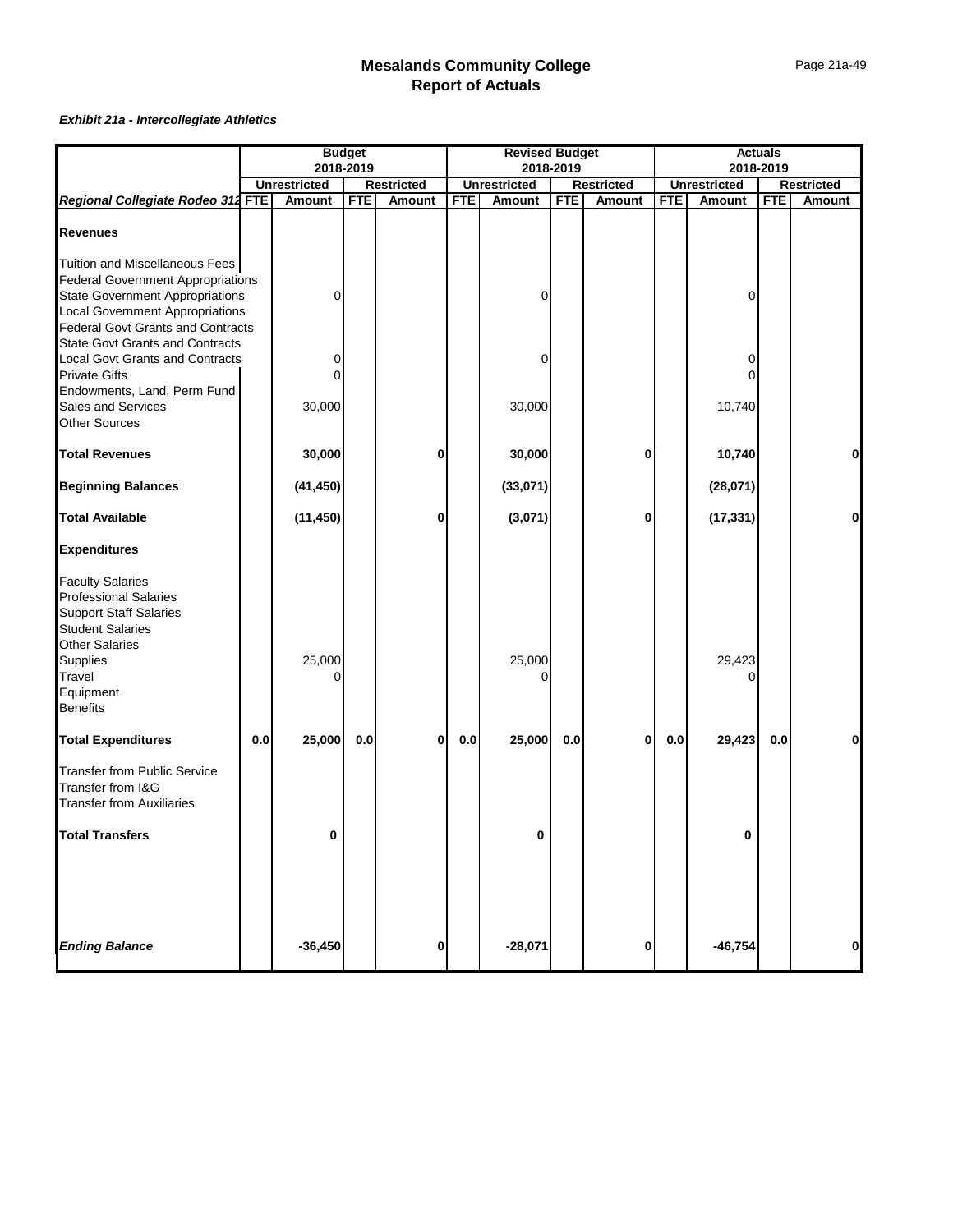#### *Exhibit 21a - Intercollegiate Athletics*

|                                                                                                                                                                                                                                        |     | <b>Budget</b><br>2018-2019 |            | <b>Revised Budget</b><br>2018-2019 |            |                     |            | <b>Actuals</b>    |            |                     |            |                   |
|----------------------------------------------------------------------------------------------------------------------------------------------------------------------------------------------------------------------------------------|-----|----------------------------|------------|------------------------------------|------------|---------------------|------------|-------------------|------------|---------------------|------------|-------------------|
|                                                                                                                                                                                                                                        |     |                            |            |                                    |            |                     |            |                   |            | 2018-2019           |            |                   |
|                                                                                                                                                                                                                                        |     | <b>Unrestricted</b>        |            | <b>Restricted</b>                  |            | <b>Unrestricted</b> |            | <b>Restricted</b> |            | <b>Unrestricted</b> |            | <b>Restricted</b> |
| Regional Collegiate Rodeo 312 FTE                                                                                                                                                                                                      |     | Amount                     | <b>FTE</b> | Amount                             | <b>FTE</b> | Amount              | <b>FTE</b> | Amount            | <b>FTE</b> | Amount              | <b>FTE</b> | <b>Amount</b>     |
| <b>Revenues</b>                                                                                                                                                                                                                        |     |                            |            |                                    |            |                     |            |                   |            |                     |            |                   |
| Tuition and Miscellaneous Fees<br>Federal Government Appropriations<br>State Government Appropriations<br><b>Local Government Appropriations</b><br><b>Federal Govt Grants and Contracts</b><br><b>State Govt Grants and Contracts</b> |     | 0                          |            |                                    |            | 0                   |            |                   |            | 0                   |            |                   |
| <b>Local Govt Grants and Contracts</b><br>Private Gifts<br>Endowments, Land, Perm Fund                                                                                                                                                 |     | 0<br>0                     |            |                                    |            | 0                   |            |                   |            | 0<br>0              |            |                   |
| Sales and Services<br><b>Other Sources</b>                                                                                                                                                                                             |     | 30,000                     |            |                                    |            | 30,000              |            |                   |            | 10,740              |            |                   |
| <b>Total Revenues</b>                                                                                                                                                                                                                  |     | 30,000                     |            | 0                                  |            | 30,000              |            | 0                 |            | 10,740              |            | 0                 |
| <b>Beginning Balances</b>                                                                                                                                                                                                              |     | (41, 450)                  |            |                                    |            | (33,071)            |            |                   |            | (28,071)            |            |                   |
| <b>Total Available</b>                                                                                                                                                                                                                 |     | (11, 450)                  |            | 0                                  |            | (3,071)             |            | 0                 |            | (17, 331)           |            | $\mathbf{0}$      |
| <b>Expenditures</b>                                                                                                                                                                                                                    |     |                            |            |                                    |            |                     |            |                   |            |                     |            |                   |
| <b>Faculty Salaries</b><br><b>Professional Salaries</b><br><b>Support Staff Salaries</b><br><b>Student Salaries</b><br><b>Other Salaries</b><br>Supplies<br><b>Travel</b><br>Equipment<br><b>Benefits</b>                              |     | 25,000<br>በ                |            |                                    |            | 25,000<br>ი         |            |                   |            | 29,423              |            |                   |
| <b>Total Expenditures</b>                                                                                                                                                                                                              | 0.0 | 25,000                     | 0.0        | 0                                  | $0.0\,$    | 25,000              | 0.0        | 0                 | 0.0        | 29,423              | 0.0        | $\mathbf{0}$      |
| <b>Transfer from Public Service</b><br>Transfer from I&G<br><b>Transfer from Auxiliaries</b>                                                                                                                                           |     |                            |            |                                    |            |                     |            |                   |            |                     |            |                   |
| <b>Total Transfers</b>                                                                                                                                                                                                                 |     | 0                          |            |                                    |            | 0                   |            |                   |            | 0                   |            |                   |
| <b>Ending Balance</b>                                                                                                                                                                                                                  |     | $-36,450$                  |            | 0                                  |            | $-28,071$           |            | 0                 |            | $-46,754$           |            | $\mathbf{0}$      |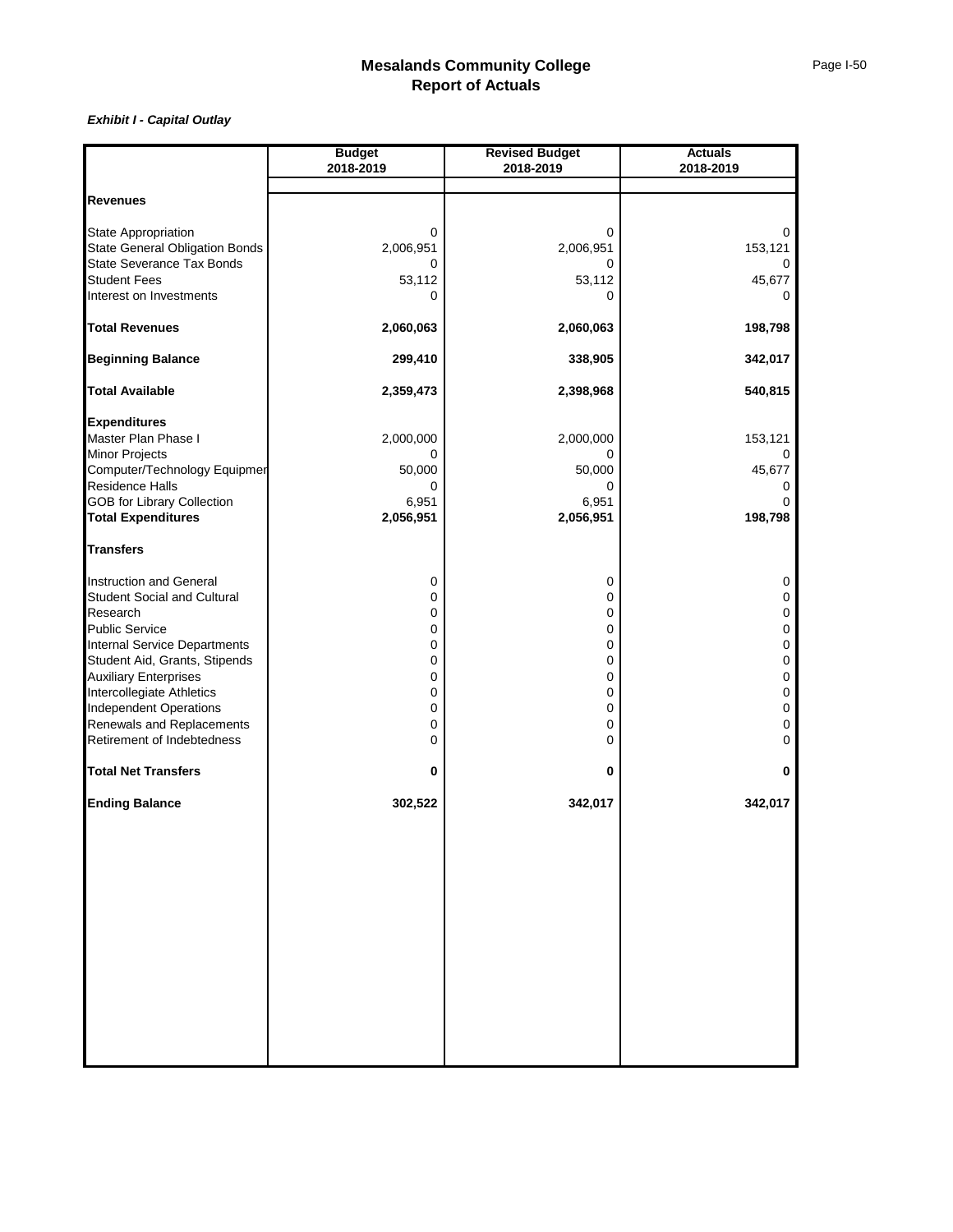|                                                           | <b>Budget</b> | <b>Revised Budget</b> | <b>Actuals</b> |
|-----------------------------------------------------------|---------------|-----------------------|----------------|
|                                                           | 2018-2019     | 2018-2019             | 2018-2019      |
|                                                           |               |                       |                |
| <b>Revenues</b>                                           |               |                       |                |
| State Appropriation                                       | 0             | 0                     | 0              |
| <b>State General Obligation Bonds</b>                     | 2,006,951     | 2,006,951             | 153,121        |
| State Severance Tax Bonds                                 | 0             | 0                     |                |
| <b>Student Fees</b>                                       | 53,112        | 53,112                | 45,677         |
| Interest on Investments                                   | 0             | 0                     | 0              |
| <b>Total Revenues</b>                                     | 2,060,063     | 2,060,063             | 198,798        |
| <b>Beginning Balance</b>                                  | 299,410       | 338,905               | 342,017        |
| <b>Total Available</b>                                    | 2,359,473     | 2,398,968             | 540,815        |
| <b>Expenditures</b>                                       |               |                       |                |
| Master Plan Phase I                                       | 2,000,000     | 2,000,000             | 153,121        |
| <b>Minor Projects</b>                                     | 0             |                       |                |
| Computer/Technology Equipmer                              | 50,000        | 50,000                | 45,677         |
| Residence Halls                                           | 0             | 0                     |                |
| <b>GOB for Library Collection</b>                         | 6,951         | 6,951                 |                |
| <b>Total Expenditures</b>                                 | 2,056,951     | 2,056,951             | 198,798        |
| <b>Transfers</b>                                          |               |                       |                |
| Instruction and General                                   | 0             | 0                     | 0              |
| <b>Student Social and Cultural</b>                        | 0             | 0                     | 0              |
| Research                                                  | 0             | 0                     | 0              |
| <b>Public Service</b>                                     | 0             | 0                     | 0              |
| <b>Internal Service Departments</b>                       | 0             | 0                     | 0              |
| Student Aid, Grants, Stipends                             | 0             | 0                     | 0              |
| <b>Auxiliary Enterprises</b><br>Intercollegiate Athletics | 0<br>0        | 0<br>0                | 0<br>0         |
| <b>Independent Operations</b>                             | 0             | 0                     | 0              |
| Renewals and Replacements                                 | 0             | 0                     | 0              |
| Retirement of Indebtedness                                | 0             | 0                     | 0              |
| <b>Total Net Transfers</b>                                | 0             | 0                     | 0              |
| <b>Ending Balance</b>                                     | 302,522       | 342,017               | 342,017        |
|                                                           |               |                       |                |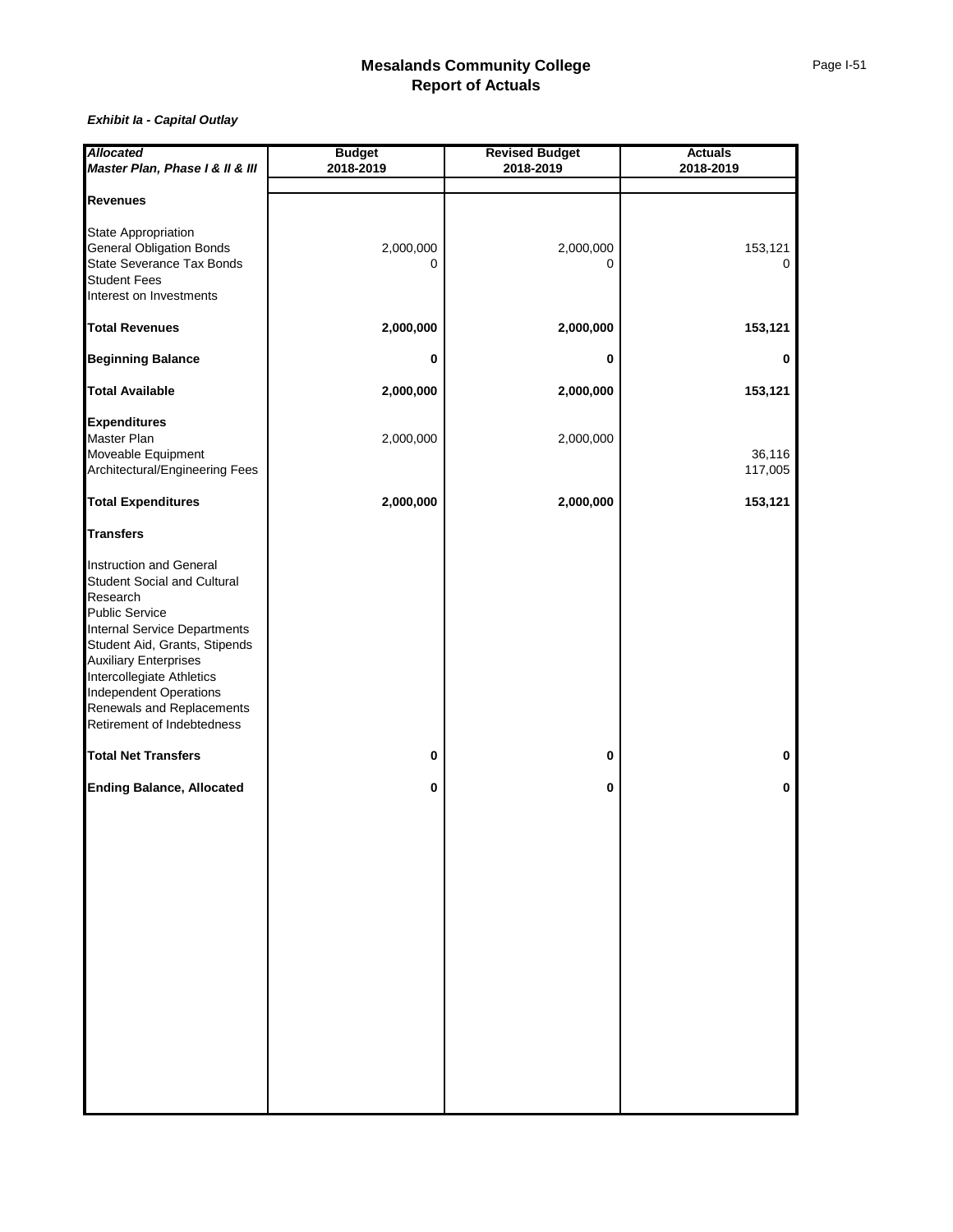| <b>Allocated</b>                    | <b>Budget</b> | <b>Revised Budget</b> | <b>Actuals</b> |
|-------------------------------------|---------------|-----------------------|----------------|
| Master Plan, Phase I & II & III     | 2018-2019     | 2018-2019             | 2018-2019      |
|                                     |               |                       |                |
| <b>Revenues</b>                     |               |                       |                |
|                                     |               |                       |                |
| <b>State Appropriation</b>          |               |                       |                |
| <b>General Obligation Bonds</b>     | 2,000,000     | 2,000,000             | 153,121        |
| State Severance Tax Bonds           | 0             | $\Omega$              | 0              |
| <b>Student Fees</b>                 |               |                       |                |
| Interest on Investments             |               |                       |                |
| <b>Total Revenues</b>               | 2,000,000     | 2,000,000             | 153,121        |
| <b>Beginning Balance</b>            | 0             | 0                     | 0              |
| <b>Total Available</b>              | 2,000,000     | 2,000,000             | 153,121        |
| <b>Expenditures</b>                 |               |                       |                |
| Master Plan                         |               |                       |                |
|                                     | 2,000,000     | 2,000,000             |                |
| Moveable Equipment                  |               |                       | 36,116         |
| Architectural/Engineering Fees      |               |                       | 117,005        |
| <b>Total Expenditures</b>           | 2,000,000     | 2,000,000             | 153,121        |
| <b>Transfers</b>                    |               |                       |                |
| Instruction and General             |               |                       |                |
| Student Social and Cultural         |               |                       |                |
| Research                            |               |                       |                |
| <b>Public Service</b>               |               |                       |                |
| <b>Internal Service Departments</b> |               |                       |                |
| Student Aid, Grants, Stipends       |               |                       |                |
| <b>Auxiliary Enterprises</b>        |               |                       |                |
| Intercollegiate Athletics           |               |                       |                |
| <b>Independent Operations</b>       |               |                       |                |
| Renewals and Replacements           |               |                       |                |
| Retirement of Indebtedness          |               |                       |                |
|                                     |               |                       |                |
| <b>Total Net Transfers</b>          | 0             | 0                     | 0              |
| <b>Ending Balance, Allocated</b>    | 0             | 0                     | 0              |
|                                     |               |                       |                |
|                                     |               |                       |                |
|                                     |               |                       |                |
|                                     |               |                       |                |
|                                     |               |                       |                |
|                                     |               |                       |                |
|                                     |               |                       |                |
|                                     |               |                       |                |
|                                     |               |                       |                |
|                                     |               |                       |                |
|                                     |               |                       |                |
|                                     |               |                       |                |
|                                     |               |                       |                |
|                                     |               |                       |                |
|                                     |               |                       |                |
|                                     |               |                       |                |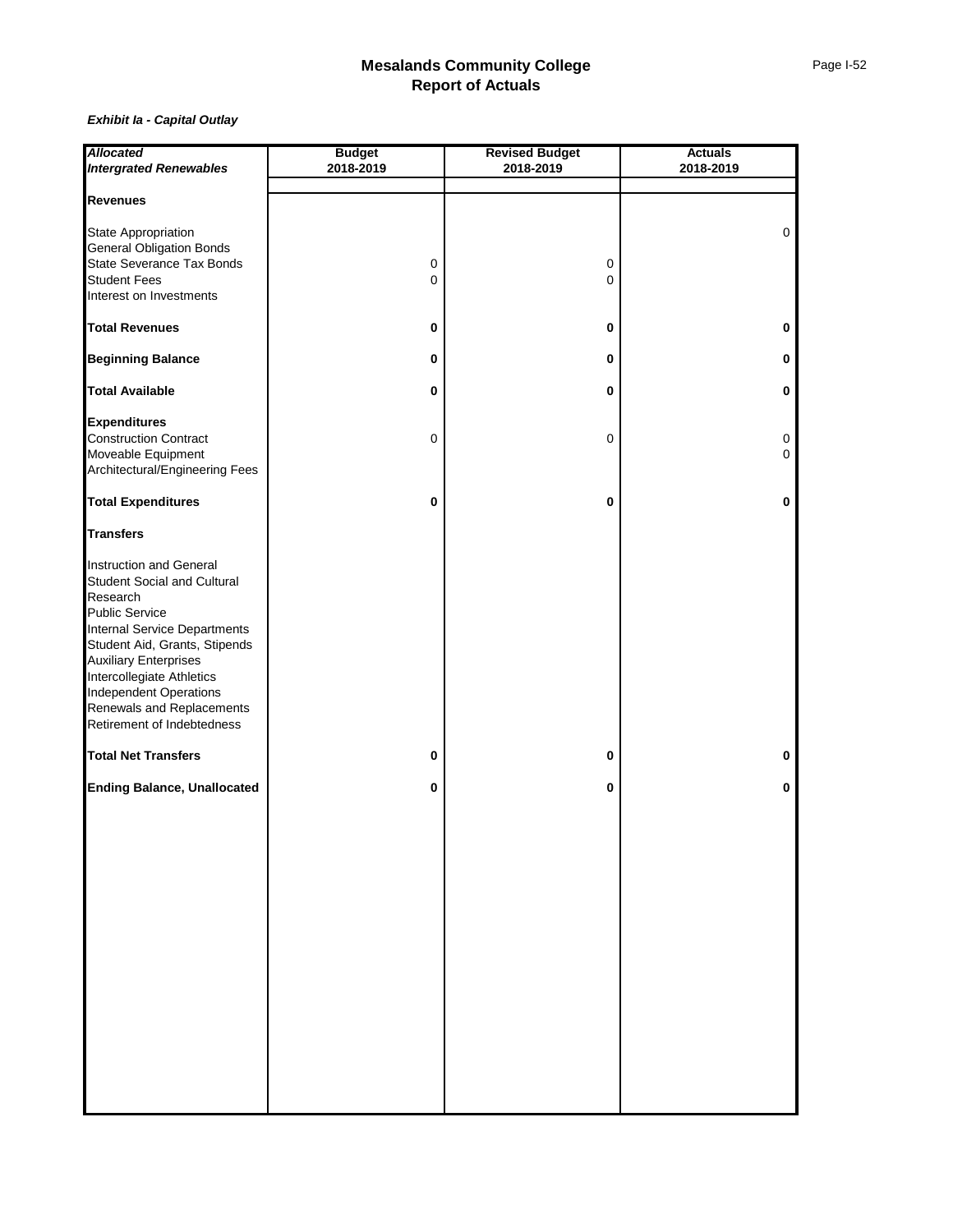| <b>Allocated</b>                                              | <b>Budget</b> | <b>Revised Budget</b> | <b>Actuals</b> |  |  |  |  |
|---------------------------------------------------------------|---------------|-----------------------|----------------|--|--|--|--|
| <b>Intergrated Renewables</b>                                 | 2018-2019     | 2018-2019             | 2018-2019      |  |  |  |  |
|                                                               |               |                       |                |  |  |  |  |
| <b>Revenues</b>                                               |               |                       |                |  |  |  |  |
|                                                               |               |                       |                |  |  |  |  |
| State Appropriation                                           |               |                       | 0              |  |  |  |  |
| <b>General Obligation Bonds</b>                               |               |                       |                |  |  |  |  |
| State Severance Tax Bonds                                     | 0             | 0                     |                |  |  |  |  |
| <b>Student Fees</b>                                           | 0             | $\mathbf 0$           |                |  |  |  |  |
| Interest on Investments                                       |               |                       |                |  |  |  |  |
| <b>Total Revenues</b>                                         | 0             | 0                     | 0              |  |  |  |  |
| <b>Beginning Balance</b>                                      | 0             | 0                     | 0              |  |  |  |  |
| <b>Total Available</b>                                        | 0             | 0                     | 0              |  |  |  |  |
| <b>Expenditures</b>                                           |               |                       |                |  |  |  |  |
| Construction Contract                                         |               | 0                     |                |  |  |  |  |
| Moveable Equipment                                            | $\mathbf 0$   |                       | 0<br>0         |  |  |  |  |
| Architectural/Engineering Fees                                |               |                       |                |  |  |  |  |
|                                                               |               |                       |                |  |  |  |  |
| <b>Total Expenditures</b>                                     | 0             | 0                     | 0              |  |  |  |  |
| <b>Transfers</b>                                              |               |                       |                |  |  |  |  |
| Instruction and General                                       |               |                       |                |  |  |  |  |
| <b>Student Social and Cultural</b>                            |               |                       |                |  |  |  |  |
| Research                                                      |               |                       |                |  |  |  |  |
| <b>Public Service</b>                                         |               |                       |                |  |  |  |  |
|                                                               |               |                       |                |  |  |  |  |
| Internal Service Departments<br>Student Aid, Grants, Stipends |               |                       |                |  |  |  |  |
| <b>Auxiliary Enterprises</b>                                  |               |                       |                |  |  |  |  |
| Intercollegiate Athletics                                     |               |                       |                |  |  |  |  |
| <b>Independent Operations</b>                                 |               |                       |                |  |  |  |  |
| Renewals and Replacements                                     |               |                       |                |  |  |  |  |
| Retirement of Indebtedness                                    |               |                       |                |  |  |  |  |
|                                                               |               |                       |                |  |  |  |  |
| <b>Total Net Transfers</b>                                    | 0             | $\pmb{0}$             | 0              |  |  |  |  |
| <b>Ending Balance, Unallocated</b>                            | $\pmb{0}$     | 0                     | 0              |  |  |  |  |
|                                                               |               |                       |                |  |  |  |  |
|                                                               |               |                       |                |  |  |  |  |
|                                                               |               |                       |                |  |  |  |  |
|                                                               |               |                       |                |  |  |  |  |
|                                                               |               |                       |                |  |  |  |  |
|                                                               |               |                       |                |  |  |  |  |
|                                                               |               |                       |                |  |  |  |  |
|                                                               |               |                       |                |  |  |  |  |
|                                                               |               |                       |                |  |  |  |  |
|                                                               |               |                       |                |  |  |  |  |
|                                                               |               |                       |                |  |  |  |  |
|                                                               |               |                       |                |  |  |  |  |
|                                                               |               |                       |                |  |  |  |  |
|                                                               |               |                       |                |  |  |  |  |
|                                                               |               |                       |                |  |  |  |  |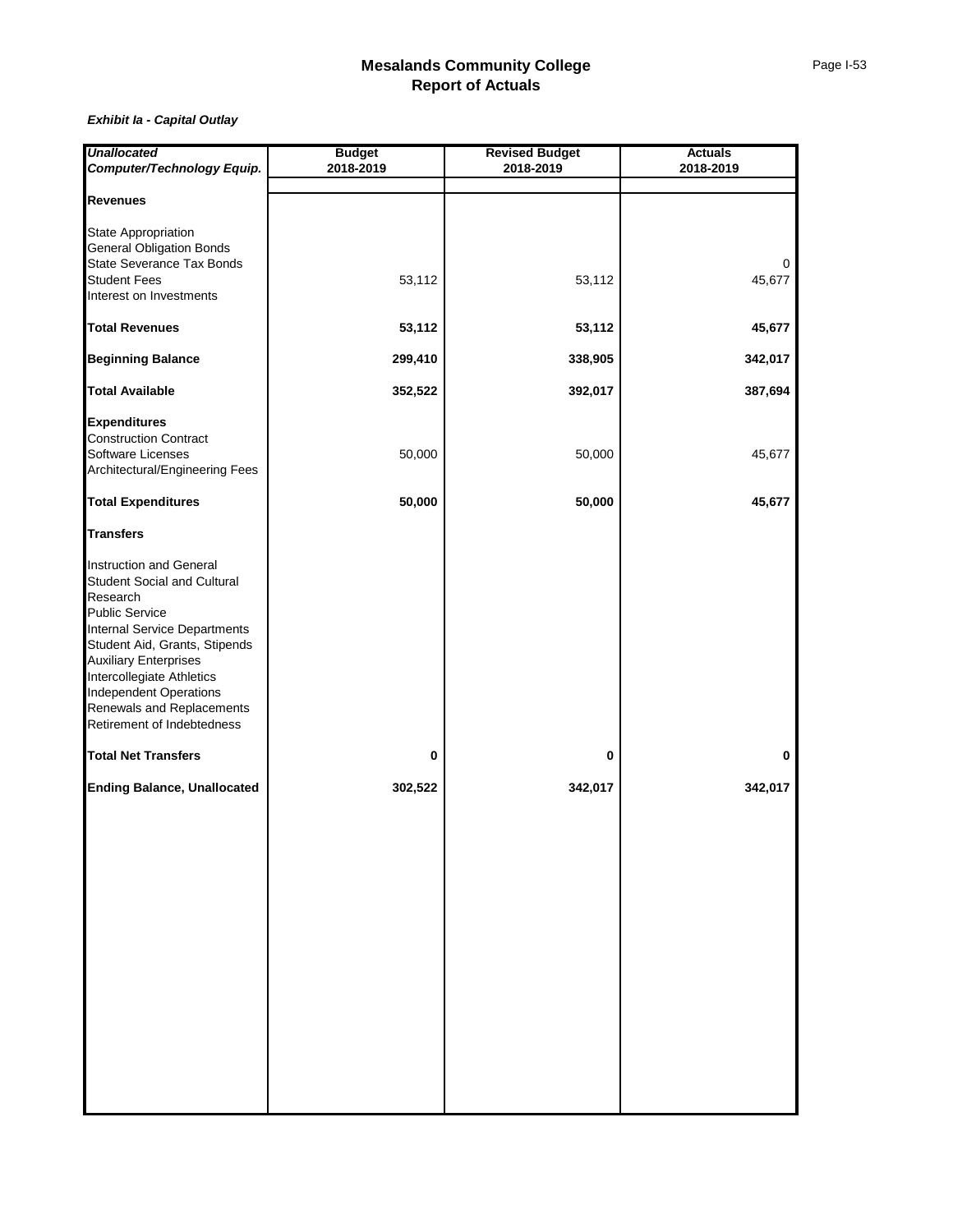| <b>Unallocated</b>                                  | <b>Budget</b> | <b>Revised Budget</b> | <b>Actuals</b> |  |  |  |
|-----------------------------------------------------|---------------|-----------------------|----------------|--|--|--|
| Computer/Technology Equip.                          | 2018-2019     | 2018-2019             | 2018-2019      |  |  |  |
|                                                     |               |                       |                |  |  |  |
| <b>Revenues</b>                                     |               |                       |                |  |  |  |
| <b>State Appropriation</b>                          |               |                       |                |  |  |  |
| <b>General Obligation Bonds</b>                     |               |                       |                |  |  |  |
| State Severance Tax Bonds                           |               |                       | 0              |  |  |  |
| <b>Student Fees</b>                                 | 53,112        | 53,112                | 45,677         |  |  |  |
| Interest on Investments                             |               |                       |                |  |  |  |
|                                                     |               |                       |                |  |  |  |
| <b>Total Revenues</b>                               | 53,112        | 53,112                | 45,677         |  |  |  |
| <b>Beginning Balance</b>                            | 299,410       | 338,905               | 342,017        |  |  |  |
| <b>Total Available</b>                              | 352,522       | 392,017               | 387,694        |  |  |  |
|                                                     |               |                       |                |  |  |  |
| <b>Expenditures</b><br><b>Construction Contract</b> |               |                       |                |  |  |  |
| <b>Software Licenses</b>                            | 50,000        | 50,000                | 45,677         |  |  |  |
| Architectural/Engineering Fees                      |               |                       |                |  |  |  |
|                                                     |               |                       |                |  |  |  |
| <b>Total Expenditures</b>                           | 50,000        | 50,000                | 45,677         |  |  |  |
| <b>Transfers</b>                                    |               |                       |                |  |  |  |
| Instruction and General                             |               |                       |                |  |  |  |
| Student Social and Cultural                         |               |                       |                |  |  |  |
| Research                                            |               |                       |                |  |  |  |
| <b>Public Service</b>                               |               |                       |                |  |  |  |
| <b>Internal Service Departments</b>                 |               |                       |                |  |  |  |
| Student Aid, Grants, Stipends                       |               |                       |                |  |  |  |
| <b>Auxiliary Enterprises</b>                        |               |                       |                |  |  |  |
| Intercollegiate Athletics                           |               |                       |                |  |  |  |
| <b>Independent Operations</b>                       |               |                       |                |  |  |  |
| Renewals and Replacements                           |               |                       |                |  |  |  |
| Retirement of Indebtedness                          |               |                       |                |  |  |  |
| <b>Total Net Transfers</b>                          | 0             | 0                     | 0              |  |  |  |
|                                                     |               |                       |                |  |  |  |
| <b>Ending Balance, Unallocated</b>                  | 302,522       | 342,017               | 342,017        |  |  |  |
|                                                     |               |                       |                |  |  |  |
|                                                     |               |                       |                |  |  |  |
|                                                     |               |                       |                |  |  |  |
|                                                     |               |                       |                |  |  |  |
|                                                     |               |                       |                |  |  |  |
|                                                     |               |                       |                |  |  |  |
|                                                     |               |                       |                |  |  |  |
|                                                     |               |                       |                |  |  |  |
|                                                     |               |                       |                |  |  |  |
|                                                     |               |                       |                |  |  |  |
|                                                     |               |                       |                |  |  |  |
|                                                     |               |                       |                |  |  |  |
|                                                     |               |                       |                |  |  |  |
|                                                     |               |                       |                |  |  |  |
|                                                     |               |                       |                |  |  |  |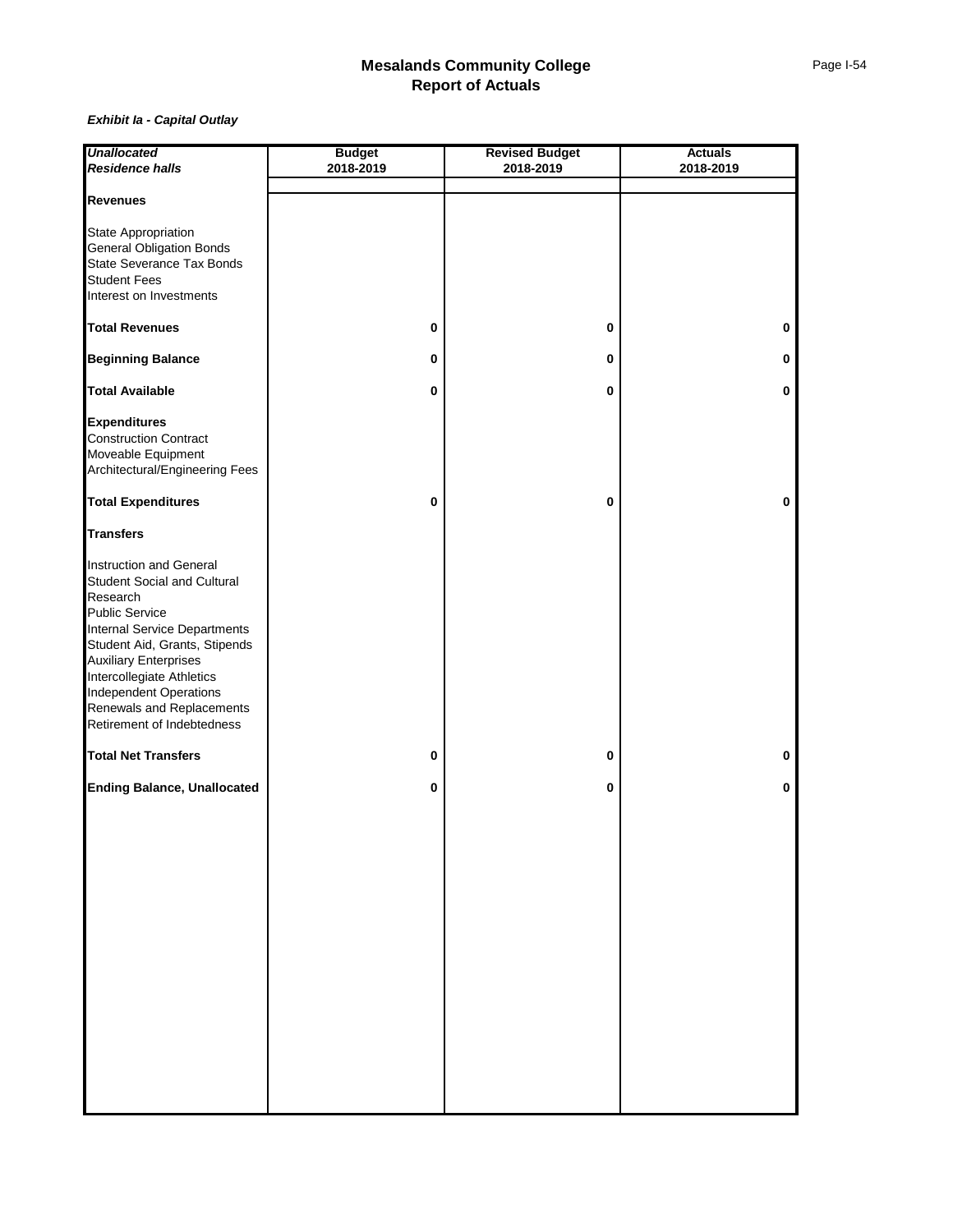| <b>Unallocated</b>                                            | <b>Budget</b> | <b>Revised Budget</b> | <b>Actuals</b> |  |  |  |
|---------------------------------------------------------------|---------------|-----------------------|----------------|--|--|--|
| <b>Residence halls</b>                                        | 2018-2019     | 2018-2019             | 2018-2019      |  |  |  |
|                                                               |               |                       |                |  |  |  |
| <b>Revenues</b>                                               |               |                       |                |  |  |  |
|                                                               |               |                       |                |  |  |  |
| State Appropriation                                           |               |                       |                |  |  |  |
| <b>General Obligation Bonds</b>                               |               |                       |                |  |  |  |
| State Severance Tax Bonds                                     |               |                       |                |  |  |  |
| <b>Student Fees</b>                                           |               |                       |                |  |  |  |
| Interest on Investments                                       |               |                       |                |  |  |  |
| <b>Total Revenues</b>                                         | 0             | $\pmb{0}$             | 0              |  |  |  |
|                                                               |               |                       |                |  |  |  |
| <b>Beginning Balance</b>                                      | 0             | 0                     | 0              |  |  |  |
| <b>Total Available</b>                                        | 0             | 0                     | $\pmb{0}$      |  |  |  |
| <b>Expenditures</b>                                           |               |                       |                |  |  |  |
| <b>Construction Contract</b>                                  |               |                       |                |  |  |  |
| Moveable Equipment                                            |               |                       |                |  |  |  |
| Architectural/Engineering Fees                                |               |                       |                |  |  |  |
|                                                               |               |                       |                |  |  |  |
| <b>Total Expenditures</b>                                     | 0             | 0                     | 0              |  |  |  |
| <b>Transfers</b>                                              |               |                       |                |  |  |  |
| Instruction and General                                       |               |                       |                |  |  |  |
| <b>Student Social and Cultural</b>                            |               |                       |                |  |  |  |
| Research                                                      |               |                       |                |  |  |  |
| <b>Public Service</b>                                         |               |                       |                |  |  |  |
|                                                               |               |                       |                |  |  |  |
| Internal Service Departments<br>Student Aid, Grants, Stipends |               |                       |                |  |  |  |
| <b>Auxiliary Enterprises</b>                                  |               |                       |                |  |  |  |
| Intercollegiate Athletics                                     |               |                       |                |  |  |  |
| <b>Independent Operations</b>                                 |               |                       |                |  |  |  |
| Renewals and Replacements                                     |               |                       |                |  |  |  |
| Retirement of Indebtedness                                    |               |                       |                |  |  |  |
|                                                               |               |                       |                |  |  |  |
| <b>Total Net Transfers</b>                                    | 0             | 0                     | 0              |  |  |  |
| <b>Ending Balance, Unallocated</b>                            | $\mathbf 0$   | 0                     | 0              |  |  |  |
|                                                               |               |                       |                |  |  |  |
|                                                               |               |                       |                |  |  |  |
|                                                               |               |                       |                |  |  |  |
|                                                               |               |                       |                |  |  |  |
|                                                               |               |                       |                |  |  |  |
|                                                               |               |                       |                |  |  |  |
|                                                               |               |                       |                |  |  |  |
|                                                               |               |                       |                |  |  |  |
|                                                               |               |                       |                |  |  |  |
|                                                               |               |                       |                |  |  |  |
|                                                               |               |                       |                |  |  |  |
|                                                               |               |                       |                |  |  |  |
|                                                               |               |                       |                |  |  |  |
|                                                               |               |                       |                |  |  |  |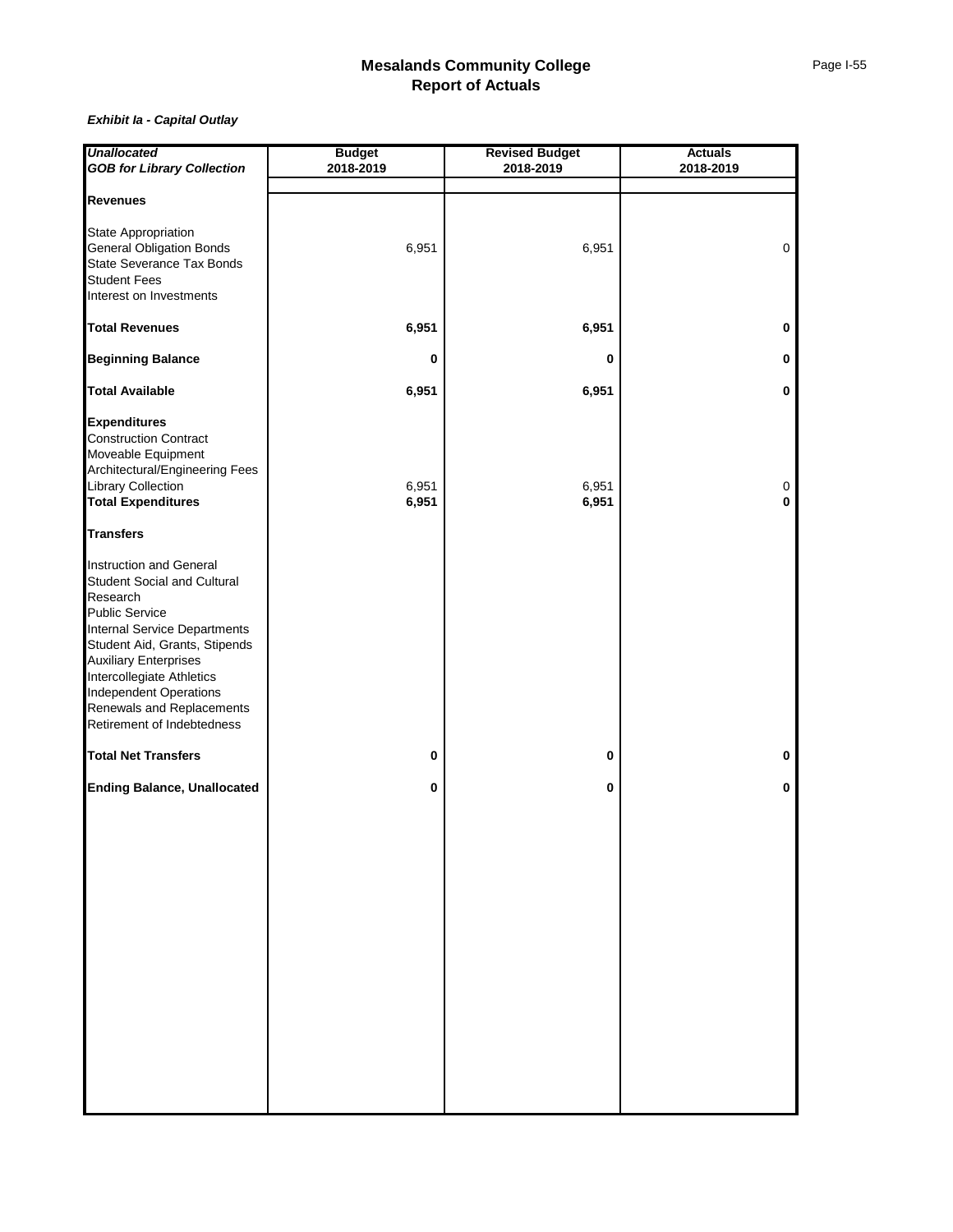| <b>Unallocated</b>                 | <b>Budget</b> | <b>Revised Budget</b> | <b>Actuals</b> |  |  |  |
|------------------------------------|---------------|-----------------------|----------------|--|--|--|
| <b>GOB for Library Collection</b>  | 2018-2019     | 2018-2019             | 2018-2019      |  |  |  |
|                                    |               |                       |                |  |  |  |
| <b>Revenues</b>                    |               |                       |                |  |  |  |
| State Appropriation                |               |                       |                |  |  |  |
| <b>General Obligation Bonds</b>    | 6,951         | 6,951                 | 0              |  |  |  |
| State Severance Tax Bonds          |               |                       |                |  |  |  |
| <b>Student Fees</b>                |               |                       |                |  |  |  |
| Interest on Investments            |               |                       |                |  |  |  |
|                                    |               |                       |                |  |  |  |
| <b>Total Revenues</b>              | 6,951         | 6,951                 | 0              |  |  |  |
| <b>Beginning Balance</b>           | 0             | 0                     | 0              |  |  |  |
| <b>Total Available</b>             | 6,951         | 6,951                 | $\mathbf 0$    |  |  |  |
| <b>Expenditures</b>                |               |                       |                |  |  |  |
| <b>Construction Contract</b>       |               |                       |                |  |  |  |
| Moveable Equipment                 |               |                       |                |  |  |  |
| Architectural/Engineering Fees     |               |                       |                |  |  |  |
| Library Collection                 | 6,951         | 6,951                 | 0              |  |  |  |
| <b>Total Expenditures</b>          | 6,951         | 6,951                 | 0              |  |  |  |
|                                    |               |                       |                |  |  |  |
| <b>Transfers</b>                   |               |                       |                |  |  |  |
| Instruction and General            |               |                       |                |  |  |  |
| Student Social and Cultural        |               |                       |                |  |  |  |
| Research                           |               |                       |                |  |  |  |
| <b>Public Service</b>              |               |                       |                |  |  |  |
| Internal Service Departments       |               |                       |                |  |  |  |
| Student Aid, Grants, Stipends      |               |                       |                |  |  |  |
| <b>Auxiliary Enterprises</b>       |               |                       |                |  |  |  |
| Intercollegiate Athletics          |               |                       |                |  |  |  |
| <b>Independent Operations</b>      |               |                       |                |  |  |  |
| Renewals and Replacements          |               |                       |                |  |  |  |
| Retirement of Indebtedness         |               |                       |                |  |  |  |
| <b>Total Net Transfers</b>         | 0             | 0                     | 0              |  |  |  |
|                                    |               |                       |                |  |  |  |
| <b>Ending Balance, Unallocated</b> | $\mathbf 0$   | 0                     | 0              |  |  |  |
|                                    |               |                       |                |  |  |  |
|                                    |               |                       |                |  |  |  |
|                                    |               |                       |                |  |  |  |
|                                    |               |                       |                |  |  |  |
|                                    |               |                       |                |  |  |  |
|                                    |               |                       |                |  |  |  |
|                                    |               |                       |                |  |  |  |
|                                    |               |                       |                |  |  |  |
|                                    |               |                       |                |  |  |  |
|                                    |               |                       |                |  |  |  |
|                                    |               |                       |                |  |  |  |
|                                    |               |                       |                |  |  |  |
|                                    |               |                       |                |  |  |  |
|                                    |               |                       |                |  |  |  |
|                                    |               |                       |                |  |  |  |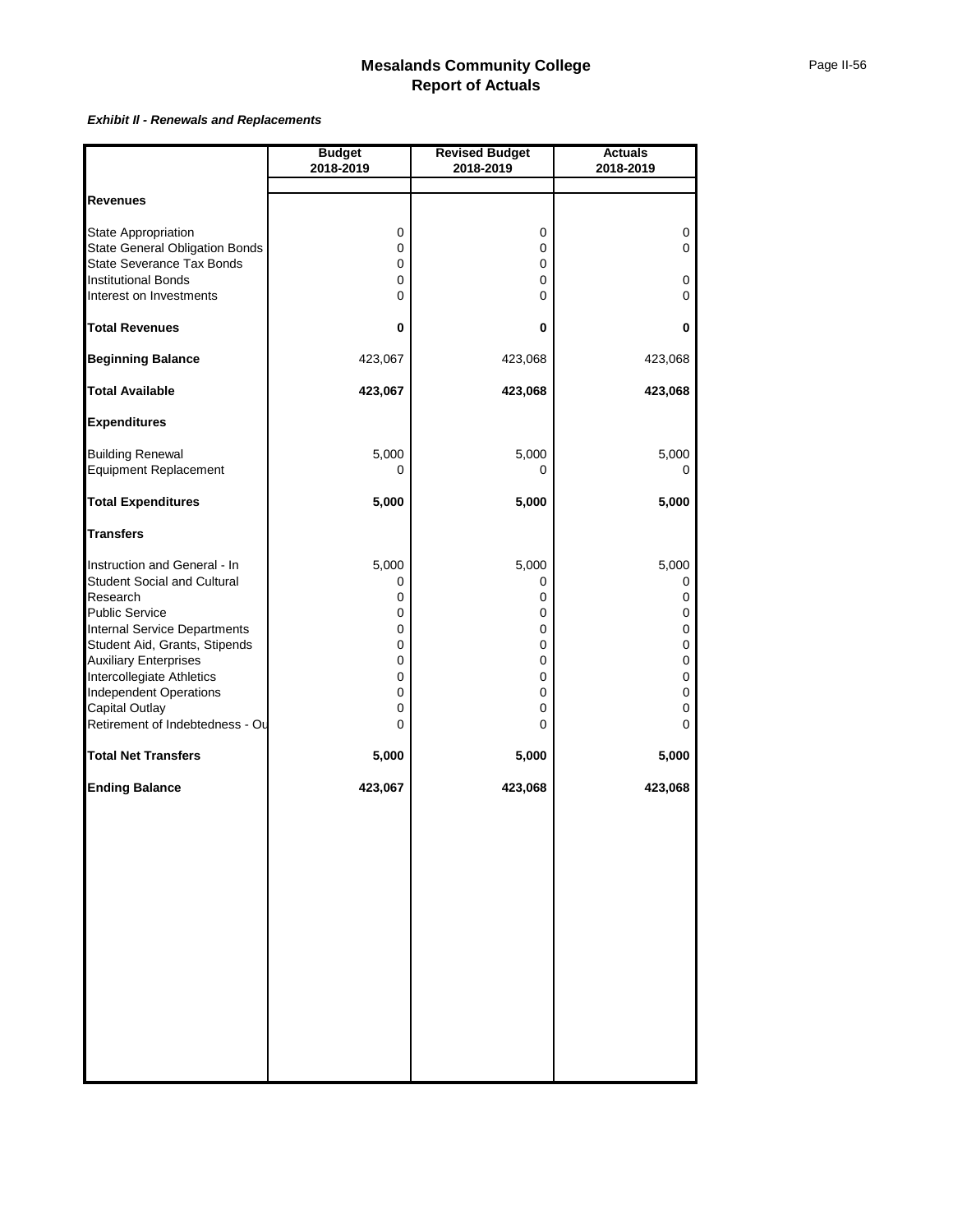#### *Exhibit Il - Renewals and Replacements*

|                                                               | <b>Budget</b> | <b>Revised Budget</b> | <b>Actuals</b> |
|---------------------------------------------------------------|---------------|-----------------------|----------------|
|                                                               | 2018-2019     | 2018-2019             | 2018-2019      |
|                                                               |               |                       |                |
| <b>Revenues</b>                                               |               |                       |                |
| State Appropriation                                           | 0             | 0                     | 0              |
| <b>State General Obligation Bonds</b>                         | 0             | 0                     | 0              |
| State Severance Tax Bonds                                     | 0             | 0                     |                |
| <b>Institutional Bonds</b>                                    | 0             | 0                     | 0              |
| Interest on Investments                                       | 0             | 0                     | $\mathbf 0$    |
| <b>Total Revenues</b>                                         | 0             | 0                     | 0              |
| <b>Beginning Balance</b>                                      | 423,067       | 423,068               | 423,068        |
| <b>Total Available</b>                                        | 423,067       | 423,068               | 423,068        |
| <b>Expenditures</b>                                           |               |                       |                |
| <b>Building Renewal</b>                                       | 5,000         | 5,000                 | 5,000          |
| Equipment Replacement                                         | 0             | 0                     | 0              |
|                                                               |               |                       |                |
| <b>Total Expenditures</b>                                     | 5,000         | 5,000                 | 5,000          |
| <b>Transfers</b>                                              |               |                       |                |
| Instruction and General - In                                  | 5,000         | 5,000                 | 5,000          |
| Student Social and Cultural                                   | 0             | 0                     | 0              |
| Research                                                      | 0             | 0                     | 0              |
| Public Service                                                | 0             | 0                     | 0              |
| Internal Service Departments                                  | 0             | 0                     | $\pmb{0}$      |
| Student Aid, Grants, Stipends<br><b>Auxiliary Enterprises</b> | 0<br>0        | 0<br>0                | 0<br>0         |
| Intercollegiate Athletics                                     | 0             | 0                     | 0              |
| <b>Independent Operations</b>                                 | 0             | 0                     | $\pmb{0}$      |
| Capital Outlay                                                | 0             | 0                     | 0              |
| Retirement of Indebtedness - Ou                               | 0             | 0                     | 0              |
| <b>Total Net Transfers</b>                                    | 5,000         | 5,000                 | 5,000          |
| <b>Ending Balance</b>                                         | 423,067       | 423,068               | 423,068        |
|                                                               |               |                       |                |
|                                                               |               |                       |                |
|                                                               |               |                       |                |
|                                                               |               |                       |                |
|                                                               |               |                       |                |
|                                                               |               |                       |                |
|                                                               |               |                       |                |
|                                                               |               |                       |                |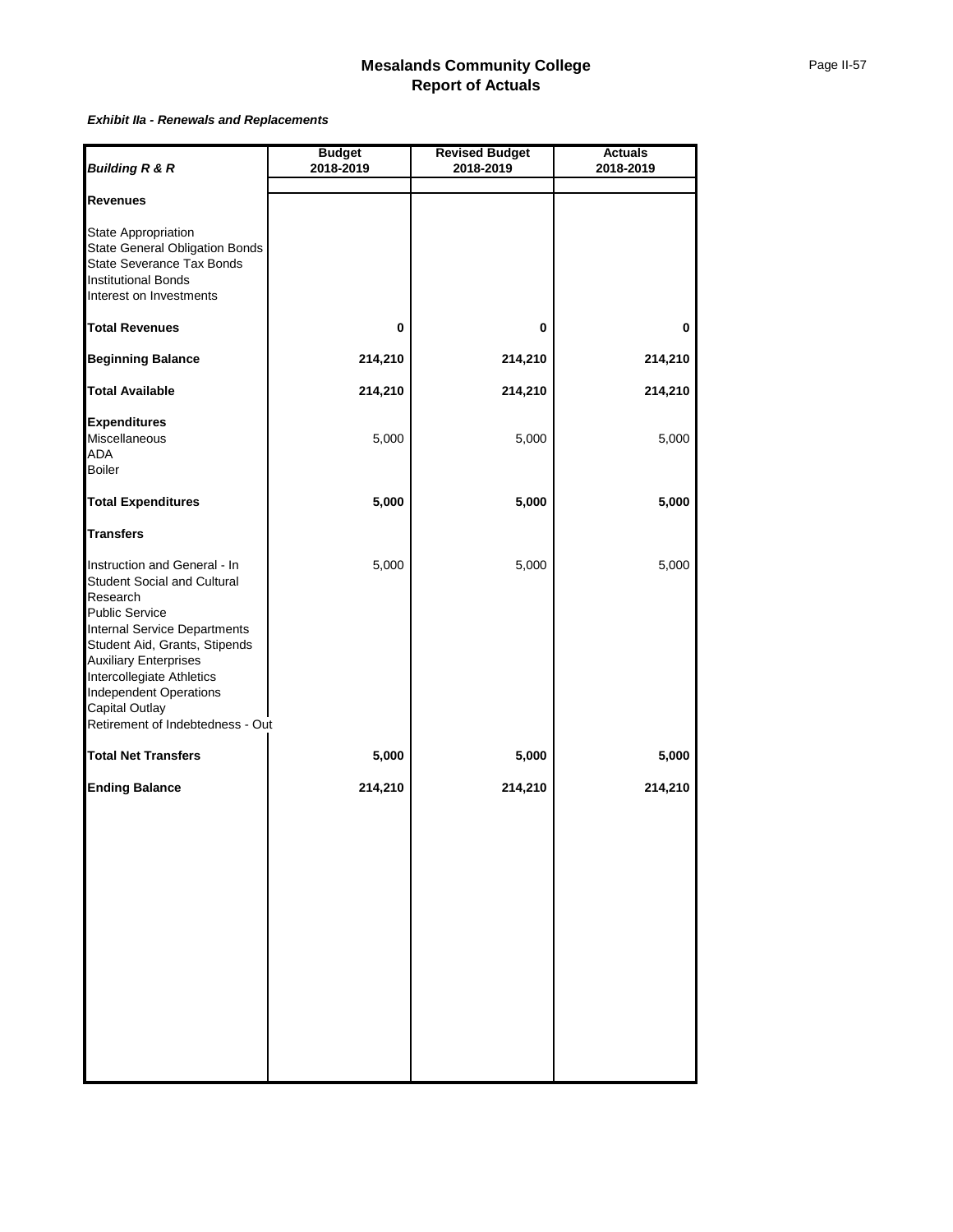#### *Exhibit IIa - Renewals and Replacements*

| <b>Budget</b>                             | <b>Revised Budget</b> | <b>Actuals</b><br>2018-2019 |  |  |
|-------------------------------------------|-----------------------|-----------------------------|--|--|
|                                           |                       |                             |  |  |
|                                           |                       |                             |  |  |
|                                           |                       |                             |  |  |
| 0                                         | 0                     | 0                           |  |  |
| 214,210                                   | 214,210               | 214,210                     |  |  |
| 214,210                                   | 214,210               | 214,210                     |  |  |
| 5,000                                     | 5,000                 | 5,000                       |  |  |
| 5,000                                     | 5,000                 | 5,000                       |  |  |
|                                           |                       |                             |  |  |
| 5,000<br>Retirement of Indebtedness - Out | 5,000                 | 5,000                       |  |  |
| 5,000                                     | 5,000                 | 5,000                       |  |  |
| 214,210                                   | 214,210               | 214,210                     |  |  |
|                                           | 2018-2019             | 2018-2019                   |  |  |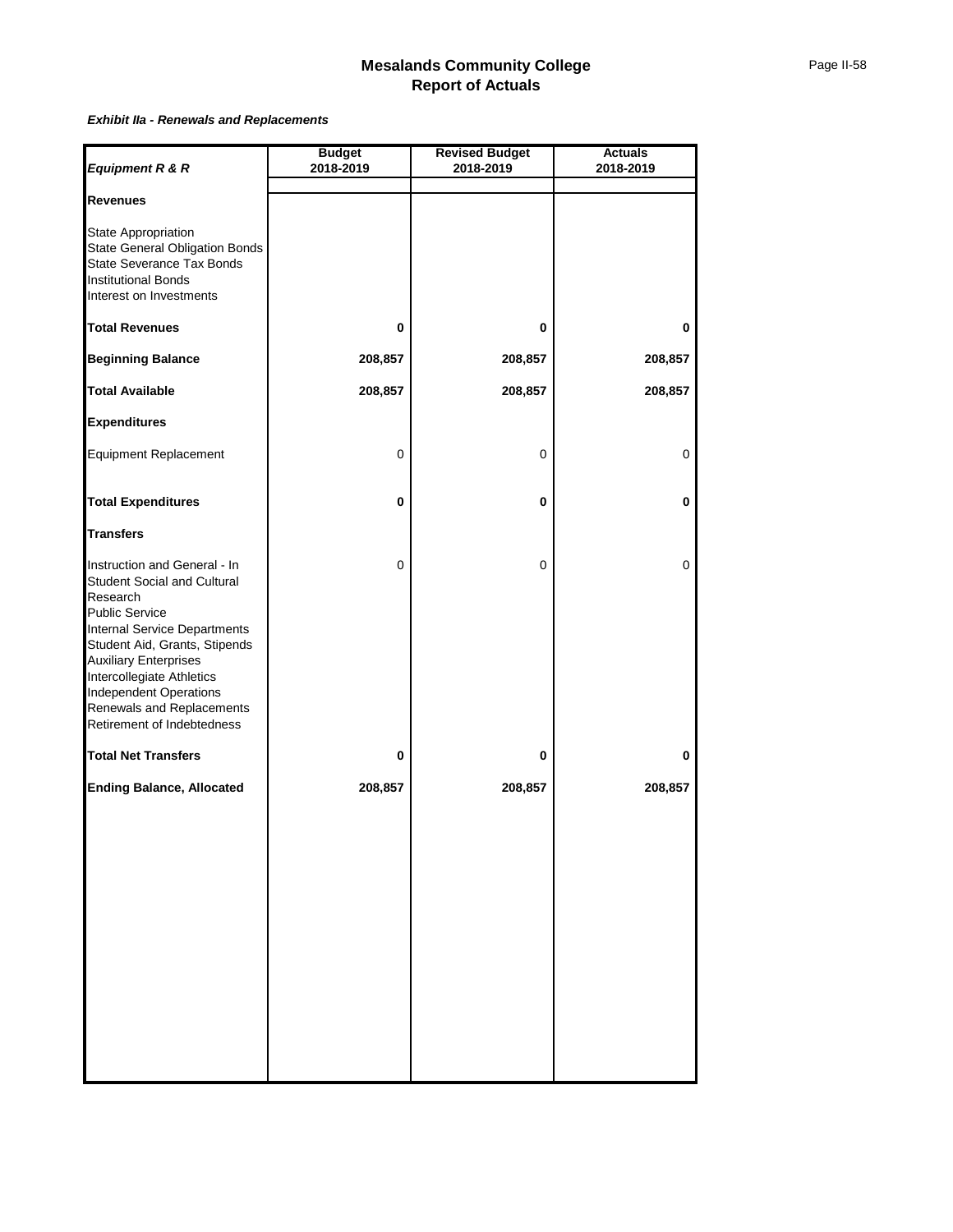#### *Exhibit IIa - Renewals and Replacements*

|                                                                                                                                                                                                                                                                                                                     | <b>Budget</b> | <b>Revised Budget</b> | <b>Actuals</b> |
|---------------------------------------------------------------------------------------------------------------------------------------------------------------------------------------------------------------------------------------------------------------------------------------------------------------------|---------------|-----------------------|----------------|
| Equipment R & R                                                                                                                                                                                                                                                                                                     | 2018-2019     | 2018-2019             | 2018-2019      |
| <b>Revenues</b>                                                                                                                                                                                                                                                                                                     |               |                       |                |
| State Appropriation<br><b>State General Obligation Bonds</b><br>State Severance Tax Bonds<br><b>Institutional Bonds</b><br>Interest on Investments                                                                                                                                                                  |               |                       |                |
| <b>Total Revenues</b>                                                                                                                                                                                                                                                                                               | 0             | 0                     | 0              |
| <b>Beginning Balance</b>                                                                                                                                                                                                                                                                                            | 208,857       | 208,857               | 208,857        |
| <b>Total Available</b>                                                                                                                                                                                                                                                                                              | 208,857       | 208,857               | 208,857        |
| <b>Expenditures</b>                                                                                                                                                                                                                                                                                                 |               |                       |                |
| <b>Equipment Replacement</b>                                                                                                                                                                                                                                                                                        | 0             | 0                     | 0              |
| <b>Total Expenditures</b>                                                                                                                                                                                                                                                                                           | 0             | 0                     | 0              |
| <b>Transfers</b>                                                                                                                                                                                                                                                                                                    |               |                       |                |
| Instruction and General - In<br>Student Social and Cultural<br>Research<br>Public Service<br>Internal Service Departments<br>Student Aid, Grants, Stipends<br><b>Auxiliary Enterprises</b><br>Intercollegiate Athletics<br><b>Independent Operations</b><br>Renewals and Replacements<br>Retirement of Indebtedness | 0             | 0                     | 0              |
| <b>Total Net Transfers</b>                                                                                                                                                                                                                                                                                          | 0             | 0                     | 0              |
| <b>Ending Balance, Allocated</b>                                                                                                                                                                                                                                                                                    | 208,857       | 208,857               | 208,857        |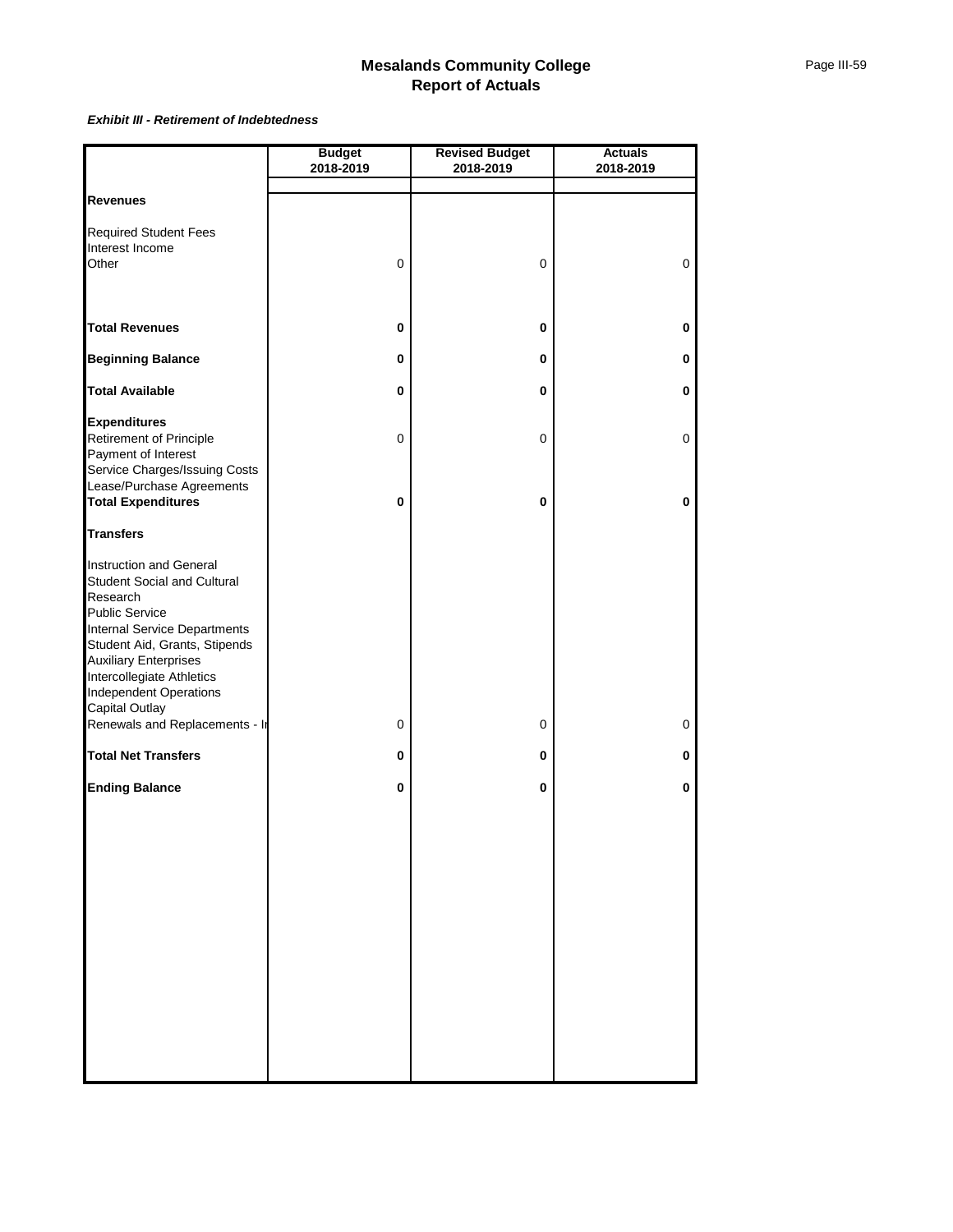#### *Exhibit III - Retirement of Indebtedness*

|                                                                                                                                                                                                                                                                                     | <b>Budget</b>         | <b>Revised Budget</b> | <b>Actuals</b> |
|-------------------------------------------------------------------------------------------------------------------------------------------------------------------------------------------------------------------------------------------------------------------------------------|-----------------------|-----------------------|----------------|
|                                                                                                                                                                                                                                                                                     | 2018-2019             | 2018-2019             | 2018-2019      |
|                                                                                                                                                                                                                                                                                     |                       |                       |                |
| <b>Revenues</b>                                                                                                                                                                                                                                                                     |                       |                       |                |
| <b>Required Student Fees</b><br>Interest Income<br>Other                                                                                                                                                                                                                            | 0                     | 0                     | 0              |
|                                                                                                                                                                                                                                                                                     |                       |                       |                |
| <b>Total Revenues</b>                                                                                                                                                                                                                                                               | 0                     | 0                     | 0              |
| <b>Beginning Balance</b>                                                                                                                                                                                                                                                            | 0                     | 0                     | 0              |
| <b>Total Available</b>                                                                                                                                                                                                                                                              | 0                     | 0                     | 0              |
| <b>Expenditures</b><br>Retirement of Principle<br>Payment of Interest<br>Service Charges/Issuing Costs<br>Lease/Purchase Agreements<br><b>Total Expenditures</b>                                                                                                                    | $\pmb{0}$<br>$\bf{0}$ | 0<br>0                | 0<br>$\bf{0}$  |
| <b>Transfers</b>                                                                                                                                                                                                                                                                    |                       |                       |                |
| Instruction and General<br><b>Student Social and Cultural</b><br>Research<br>Public Service<br><b>Internal Service Departments</b><br>Student Aid, Grants, Stipends<br><b>Auxiliary Enterprises</b><br>Intercollegiate Athletics<br><b>Independent Operations</b><br>Capital Outlay |                       |                       |                |
| Renewals and Replacements - In                                                                                                                                                                                                                                                      | 0                     | 0                     | 0              |
| <b>Total Net Transfers</b>                                                                                                                                                                                                                                                          | 0                     | 0                     | 0              |
| <b>Ending Balance</b>                                                                                                                                                                                                                                                               | 0                     | 0                     | 0              |
|                                                                                                                                                                                                                                                                                     |                       |                       |                |
|                                                                                                                                                                                                                                                                                     |                       |                       |                |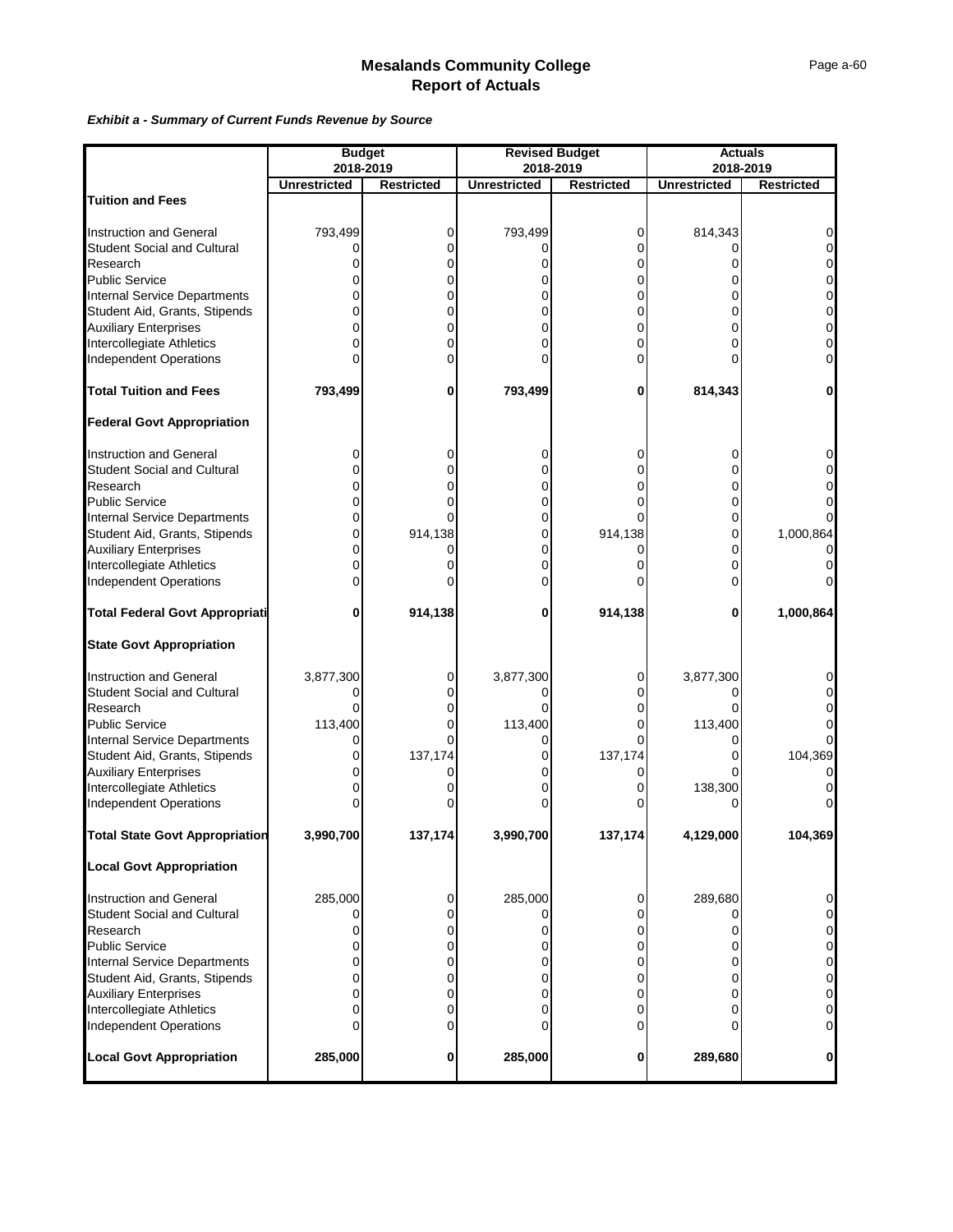#### *Exhibit a - Summary of Current Funds Revenue by Source*

|                                                        | <b>Budget</b><br>2018-2019 |                   |                     | <b>Revised Budget</b><br>2018-2019 | <b>Actuals</b><br>2018-2019 |                               |
|--------------------------------------------------------|----------------------------|-------------------|---------------------|------------------------------------|-----------------------------|-------------------------------|
|                                                        | <b>Unrestricted</b>        | <b>Restricted</b> | <b>Unrestricted</b> | <b>Restricted</b>                  | <b>Unrestricted</b>         | <b>Restricted</b>             |
| <b>Tuition and Fees</b>                                |                            |                   |                     |                                    |                             |                               |
|                                                        |                            |                   |                     |                                    |                             |                               |
| <b>Instruction and General</b>                         | 793,499                    | 0                 | 793,499             | 0                                  | 814,343                     |                               |
| <b>Student Social and Cultural</b>                     | 0                          | 0                 |                     | 0                                  |                             |                               |
| Research                                               | 0                          | 0                 |                     | 0                                  | Ω                           | 0                             |
| <b>Public Service</b>                                  | 0                          | 0                 |                     | 0                                  |                             | $\overline{0}$                |
| <b>Internal Service Departments</b>                    | 0                          | 0                 |                     | 0                                  | 0                           | 0                             |
| Student Aid, Grants, Stipends                          | 0                          | 0                 |                     | 0                                  | 0                           | $\mathbf 0$                   |
| <b>Auxiliary Enterprises</b>                           | 0                          | 0                 |                     | 0                                  | 0                           | 0                             |
| Intercollegiate Athletics                              | 0                          | 0                 |                     | 0                                  | 0                           | 0                             |
| Independent Operations                                 | o                          | 0                 |                     | 0                                  |                             | 0                             |
| <b>Total Tuition and Fees</b>                          | 793,499                    | 0                 | 793,499             | 0                                  | 814,343                     | 0                             |
| <b>Federal Govt Appropriation</b>                      |                            |                   |                     |                                    |                             |                               |
| <b>Instruction and General</b>                         | 0                          | 0                 |                     | 0                                  | 0                           | 0                             |
| <b>Student Social and Cultural</b>                     | 0                          | 0                 | ი                   | 0                                  | 0                           |                               |
| Research                                               | 0                          |                   |                     |                                    | 0                           |                               |
| <b>Public Service</b>                                  | 0                          |                   |                     | 0                                  | 0                           |                               |
| <b>Internal Service Departments</b>                    | 0                          |                   | ი                   | 0                                  | 0                           |                               |
| Student Aid, Grants, Stipends<br>Auxiliary Enterprises | 0                          | 914,138           | 0                   | 914,138                            | 0                           | 1,000,864                     |
|                                                        | 0                          |                   |                     | 0                                  | 0                           | $\Omega$                      |
| Intercollegiate Athletics                              | 0                          |                   |                     | U                                  | 0                           |                               |
| <b>Independent Operations</b>                          | $\Omega$                   |                   |                     | Ω                                  | 0                           |                               |
| <b>Total Federal Govt Appropriati</b>                  | 0                          | 914,138           | 0                   | 914,138                            | 0                           | 1,000,864                     |
| <b>State Govt Appropriation</b>                        |                            |                   |                     |                                    |                             |                               |
| <b>Instruction and General</b>                         | 3,877,300                  | 0                 | 3,877,300           | 0                                  | 3,877,300                   |                               |
| <b>Student Social and Cultural</b>                     | 0                          |                   |                     | 0                                  | O                           |                               |
| Research                                               | 0                          |                   |                     | 0                                  |                             |                               |
| <b>Public Service</b>                                  | 113,400                    |                   | 113,400             | 0                                  | 113,400                     |                               |
| <b>Internal Service Departments</b>                    | 0                          |                   |                     | 0                                  | 0                           |                               |
| Student Aid, Grants, Stipends                          | 0                          | 137,174           |                     | 137,174                            |                             | 104,369                       |
| <b>Auxiliary Enterprises</b>                           | 0                          |                   |                     | 0                                  | 0                           |                               |
| Intercollegiate Athletics                              | 0                          |                   |                     | 0                                  | 138,300                     | 0                             |
| <b>Independent Operations</b>                          | 0                          |                   |                     |                                    |                             |                               |
| <b>Total State Govt Appropriation</b>                  | 3,990,700                  | 137,174           | 3,990,700           | 137,174                            | 4,129,000                   | 104,369                       |
| <b>Local Govt Appropriation</b>                        |                            |                   |                     |                                    |                             |                               |
| <b>Instruction and General</b>                         | 285,000                    | 0                 | 285,000             | 0                                  | 289,680                     | 0                             |
| <b>Student Social and Cultural</b>                     | 0                          | 0                 |                     | 0                                  |                             | 0                             |
| Research                                               | 0                          | 0                 |                     | 0                                  | ი                           | 0                             |
| <b>Public Service</b>                                  | 0                          | 0                 |                     | 0                                  | 0                           | $\mathbf 0$                   |
| <b>Internal Service Departments</b>                    | 0                          | 0                 |                     | 0                                  | 0                           | 0                             |
| Student Aid, Grants, Stipends                          | 0                          | 0                 |                     | 0                                  | 0                           | $\overline{0}$                |
| <b>Auxiliary Enterprises</b>                           | 0                          | 0                 |                     | 0                                  | 0                           | $\mathbf 0$                   |
| Intercollegiate Athletics<br>Independent Operations    | 0<br>0                     | 0<br>O            |                     | 0<br>ი                             | 0<br>0                      | $\mathbf 0$<br>$\overline{0}$ |
| <b>Local Govt Appropriation</b>                        | 285,000                    | 0                 | 285,000             | 0                                  | 289,680                     | 0                             |
|                                                        |                            |                   |                     |                                    |                             |                               |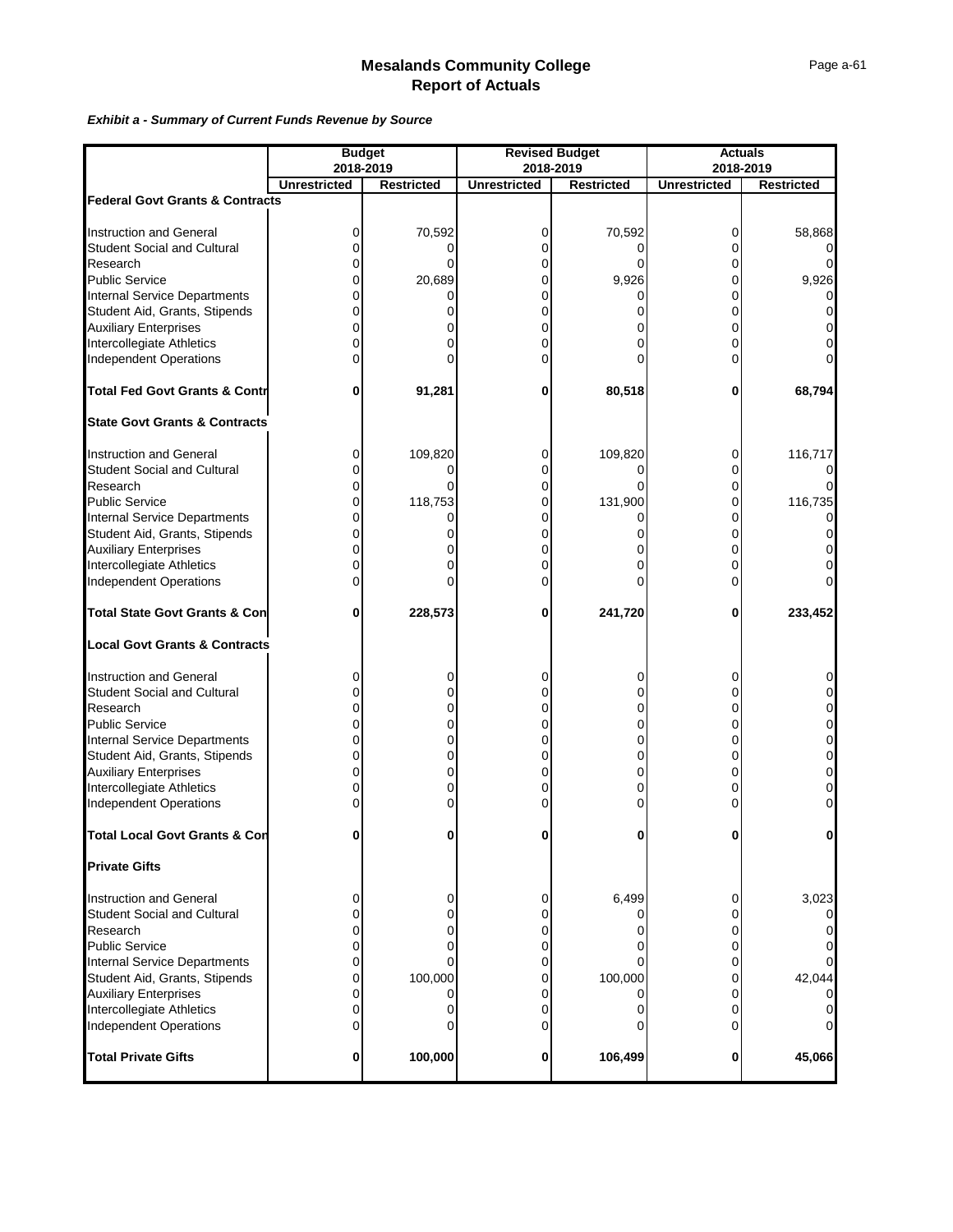#### *Exhibit a - Summary of Current Funds Revenue by Source*

|                                            |                                  | <b>Budget</b>     |                     | <b>Revised Budget</b> | <b>Actuals</b><br>2018-2019 |                   |  |
|--------------------------------------------|----------------------------------|-------------------|---------------------|-----------------------|-----------------------------|-------------------|--|
|                                            | 2018-2019<br><b>Unrestricted</b> |                   | <b>Unrestricted</b> | 2018-2019             | <b>Unrestricted</b>         | <b>Restricted</b> |  |
| <b>Federal Govt Grants &amp; Contracts</b> |                                  | <b>Restricted</b> |                     | <b>Restricted</b>     |                             |                   |  |
|                                            |                                  |                   |                     |                       |                             |                   |  |
| <b>Instruction and General</b>             | 0                                | 70,592            | 0                   | 70,592                | 0                           | 58,868            |  |
| <b>Student Social and Cultural</b>         | 0                                |                   |                     |                       | 0                           |                   |  |
| Research                                   | 0                                | $\Omega$          | 0                   |                       | 0                           |                   |  |
| <b>Public Service</b>                      | 0                                | 20,689            |                     | 9,926                 | 0                           | 9,926             |  |
|                                            | 0                                |                   |                     |                       |                             |                   |  |
| Internal Service Departments               |                                  |                   |                     |                       | 0                           |                   |  |
| Student Aid, Grants, Stipends              | 0                                |                   | 0                   |                       | 0                           |                   |  |
| <b>Auxiliary Enterprises</b>               | 0                                |                   |                     |                       | 0                           |                   |  |
| Intercollegiate Athletics                  | 0                                |                   |                     |                       | 0                           |                   |  |
| Independent Operations                     | 0                                |                   |                     |                       | 0                           |                   |  |
| <b>Total Fed Govt Grants &amp; Contr</b>   | 0                                | 91,281            | 0                   | 80,518                | 0                           | 68,794            |  |
| <b>State Govt Grants &amp; Contracts</b>   |                                  |                   |                     |                       |                             |                   |  |
| <b>Instruction and General</b>             | 0                                | 109,820           | 0                   | 109,820               | 0                           | 116,717           |  |
| Student Social and Cultural                | 0                                |                   | 0                   | O                     | 0                           |                   |  |
| Research                                   | 0                                |                   |                     |                       | 0                           |                   |  |
|                                            |                                  |                   |                     |                       |                             |                   |  |
| <b>Public Service</b>                      | 0                                | 118,753           |                     | 131,900               | 0                           | 116,735           |  |
| <b>Internal Service Departments</b>        | 0                                |                   |                     |                       | 0                           |                   |  |
| Student Aid, Grants, Stipends              | 0                                |                   | 0                   | 0                     | 0                           |                   |  |
| <b>Auxiliary Enterprises</b>               | 0                                |                   |                     |                       | 0                           |                   |  |
| Intercollegiate Athletics                  | 0                                |                   |                     |                       | 0                           |                   |  |
| Independent Operations                     | 0                                |                   |                     |                       | 0                           |                   |  |
| <b>Total State Govt Grants &amp; Con</b>   | 0                                | 228,573           | 0                   | 241,720               | 0                           | 233,452           |  |
| <b>Local Govt Grants &amp; Contracts</b>   |                                  |                   |                     |                       |                             |                   |  |
| <b>Instruction and General</b>             | 0                                | 0                 |                     |                       | 0                           |                   |  |
| <b>Student Social and Cultural</b>         | 0                                | 0                 | 0                   | 0                     | 0                           | 0                 |  |
| Research                                   | 0                                | 0                 |                     | 0                     | 0                           | 0                 |  |
| <b>Public Service</b>                      | 0                                | 0                 | 0                   | 0                     | 0                           | 0                 |  |
|                                            | 0                                | 0                 | 0                   | 0                     | 0                           | $\overline{0}$    |  |
| <b>Internal Service Departments</b>        |                                  |                   |                     |                       | 0                           | 0                 |  |
| Student Aid, Grants, Stipends              | 0                                | 0                 |                     | 0                     |                             |                   |  |
| <b>Auxiliary Enterprises</b>               | 0                                | 0                 | 0                   | 0                     | 0                           | $\overline{0}$    |  |
| Intercollegiate Athletics                  | 0                                | 0                 | 0                   | 0                     | 0                           | $\Omega$          |  |
| <b>Independent Operations</b>              | 0                                |                   |                     |                       | 0                           | $\overline{0}$    |  |
| <b>Total Local Govt Grants &amp; Con</b>   |                                  |                   | 0                   | 0                     |                             |                   |  |
| <b>Private Gifts</b>                       |                                  |                   |                     |                       |                             |                   |  |
| <b>Instruction and General</b>             | 0                                | 0                 | 0                   | 6,499                 | 0                           | 3,023             |  |
| <b>Student Social and Cultural</b>         | 0                                |                   |                     |                       | 0                           |                   |  |
| Research                                   | 0                                |                   |                     | ი                     | 0                           |                   |  |
| <b>Public Service</b>                      | 0                                |                   | 0                   | ი                     | 0                           |                   |  |
| <b>Internal Service Departments</b>        | 0                                |                   |                     |                       |                             |                   |  |
|                                            |                                  |                   | 0                   |                       | 0                           |                   |  |
| Student Aid, Grants, Stipends              | 0                                | 100,000           |                     | 100,000               | 0                           | 42,044            |  |
| <b>Auxiliary Enterprises</b>               | 0                                |                   | 0                   | o                     | 0                           |                   |  |
| Intercollegiate Athletics                  | 0                                |                   | 0                   | 0                     | 0                           |                   |  |
| <b>Independent Operations</b>              | $\Omega$                         |                   |                     | 0                     | 0                           | 0                 |  |
| <b>Total Private Gifts</b>                 | 0                                | 100,000           | 0                   | 106,499               | 0                           | 45,066            |  |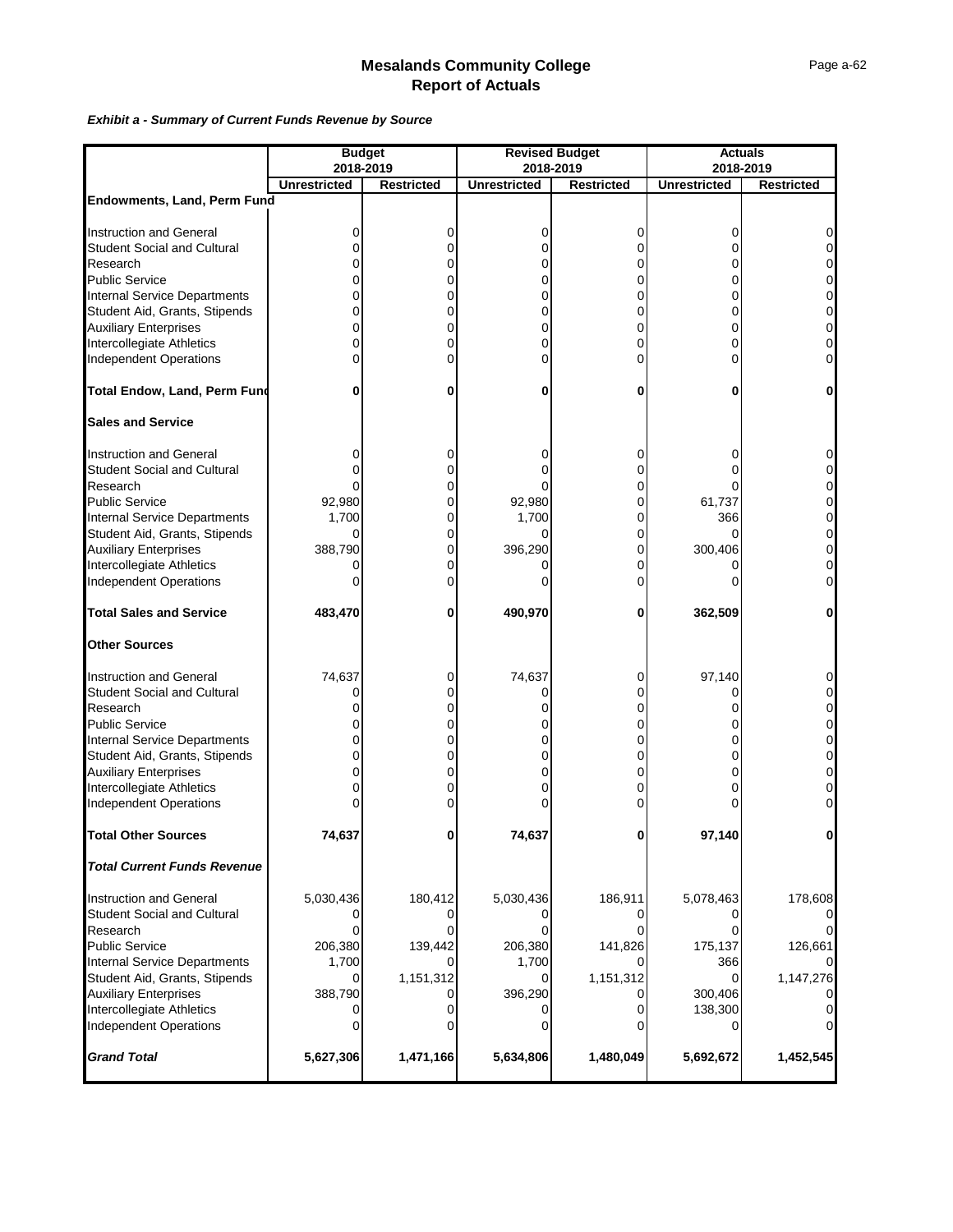#### *Exhibit a - Summary of Current Funds Revenue by Source*

|                                                            | <b>Budget</b><br>2018-2019 |                   |                     | <b>Revised Budget</b><br>2018-2019 | <b>Actuals</b><br>2018-2019 |                   |  |  |
|------------------------------------------------------------|----------------------------|-------------------|---------------------|------------------------------------|-----------------------------|-------------------|--|--|
|                                                            | <b>Unrestricted</b>        | <b>Restricted</b> | <b>Unrestricted</b> | <b>Restricted</b>                  | <b>Unrestricted</b>         | <b>Restricted</b> |  |  |
| Endowments, Land, Perm Fund                                |                            |                   |                     |                                    |                             |                   |  |  |
|                                                            |                            |                   |                     |                                    |                             |                   |  |  |
| <b>Instruction and General</b>                             | 0                          | 0                 | 0                   | 0                                  | 0                           |                   |  |  |
| <b>Student Social and Cultural</b>                         | ი                          | 0                 | 0                   | 0                                  | 0                           |                   |  |  |
| Research                                                   | o                          | $\overline{0}$    | 0                   | $\Omega$                           | 0                           |                   |  |  |
| <b>Public Service</b>                                      |                            | 0                 |                     | 0                                  | 0                           |                   |  |  |
| <b>Internal Service Departments</b>                        |                            | 0                 | 0                   | 0                                  | 0                           | 0                 |  |  |
| Student Aid, Grants, Stipends                              | ი                          | 0                 | 0                   | 0                                  | 0                           | 0                 |  |  |
| <b>Auxiliary Enterprises<br/>Intercollegiate Athletics</b> |                            | 0                 | 0                   | 0                                  | 0                           | 0                 |  |  |
|                                                            | ი                          | 0                 | 0                   | 0                                  | $\Omega$                    | 0                 |  |  |
| Independent Operations                                     |                            | $\Omega$          | ი                   | 0                                  | $\Omega$                    |                   |  |  |
| <b>Total Endow, Land, Perm Fund</b>                        | 0                          | 0                 | 0                   | 0                                  | 0                           | 0                 |  |  |
| <b>Sales and Service</b>                                   |                            |                   |                     |                                    |                             |                   |  |  |
| <b>Instruction and General</b>                             | 0                          | 0                 | 0                   | 0                                  | 0                           |                   |  |  |
| <b>Student Social and Cultural</b>                         | ი                          | 0                 | 0                   | 0                                  | ∩                           |                   |  |  |
| Research                                                   |                            | $\overline{0}$    |                     | 0                                  |                             |                   |  |  |
| <b>Public Service</b>                                      | 92,980                     | $\overline{0}$    | 92,980              | 0                                  | 61,737                      | 0                 |  |  |
| <b>Internal Service Departments</b>                        | 1,700                      | $\overline{0}$    | 1,700               | 0                                  | 366                         | 0                 |  |  |
|                                                            | 0                          | $\overline{0}$    | 0                   | 0                                  | 0                           | 0                 |  |  |
| Student Aid, Grants, Stipends<br>Auxiliary Enterprises     | 388,790                    | $\mathbf 0$       | 396,290             | 0                                  | 300,406                     |                   |  |  |
| Intercollegiate Athletics                                  | 0                          | 0                 |                     | 0                                  |                             | 0                 |  |  |
| <b>Independent Operations</b>                              | Ω                          | $\Omega$          |                     | 0                                  |                             |                   |  |  |
| <b>Total Sales and Service</b>                             | 483,470                    | 0                 | 490,970             | 0                                  | 362,509                     | 0                 |  |  |
| <b>Other Sources</b>                                       |                            |                   |                     |                                    |                             |                   |  |  |
| <b>Instruction and General</b>                             | 74,637                     | 0                 | 74,637              | 0                                  | 97,140                      |                   |  |  |
| <b>Student Social and Cultural</b>                         | 0                          | $\overline{0}$    | 0                   | 0                                  | 0                           |                   |  |  |
| Research                                                   |                            | 0                 |                     | 0                                  |                             |                   |  |  |
| <b>Public Service</b>                                      |                            | 0                 |                     | 0                                  | 0                           |                   |  |  |
| <b>Internal Service Departments</b>                        | o                          | $\mathbf 0$       | 0                   | 0                                  | $\Omega$                    | 0                 |  |  |
| Student Aid, Grants, Stipends                              |                            | 0                 | 0                   | 0                                  | 0                           |                   |  |  |
| <b>Auxiliary Enterprises</b>                               |                            | 0                 | 0                   | 0                                  | 0                           | 0                 |  |  |
| Intercollegiate Athletics                                  |                            | 0                 | 0                   | 0                                  | 0                           | 0                 |  |  |
| <b>Independent Operations</b>                              |                            | 0                 |                     | 0                                  |                             |                   |  |  |
| <b>Total Other Sources</b>                                 | 74,637                     | $\mathbf{0}$      | 74,637              | $\mathbf{0}$                       | 97,140                      |                   |  |  |
| <b>Total Current Funds Revenue</b>                         |                            |                   |                     |                                    |                             |                   |  |  |
| <b>Instruction and General</b>                             | 5,030,436                  | 180,412           | 5,030,436           | 186,911                            | 5,078,463                   | 178,608           |  |  |
| <b>Student Social and Cultural</b>                         |                            | 0                 |                     | $\overline{0}$                     |                             |                   |  |  |
| Research                                                   | 0                          | 0                 |                     | $\Omega$                           | ∩                           |                   |  |  |
| <b>Public Service</b>                                      | 206,380                    | 139,442           | 206,380             | 141,826                            | 175,137                     | 126,661           |  |  |
| <b>Internal Service Departments</b>                        | 1,700                      |                   | 1,700               |                                    | 366                         |                   |  |  |
| Student Aid, Grants, Stipends                              | 0                          | 1,151,312         | 0                   | 1,151,312                          | $\Omega$                    | 1,147,276         |  |  |
| <b>Auxiliary Enterprises</b>                               | 388,790                    | 0                 | 396,290             | 0                                  | 300,406                     |                   |  |  |
| Intercollegiate Athletics                                  | 0                          | 0                 |                     | $\overline{0}$                     | 138,300                     |                   |  |  |
| <b>Independent Operations</b>                              |                            | $\Omega$          |                     | 0                                  | 0                           |                   |  |  |
| <b>Grand Total</b>                                         | 5,627,306                  | 1,471,166         | 5,634,806           | 1,480,049                          | 5,692,672                   | 1,452,545         |  |  |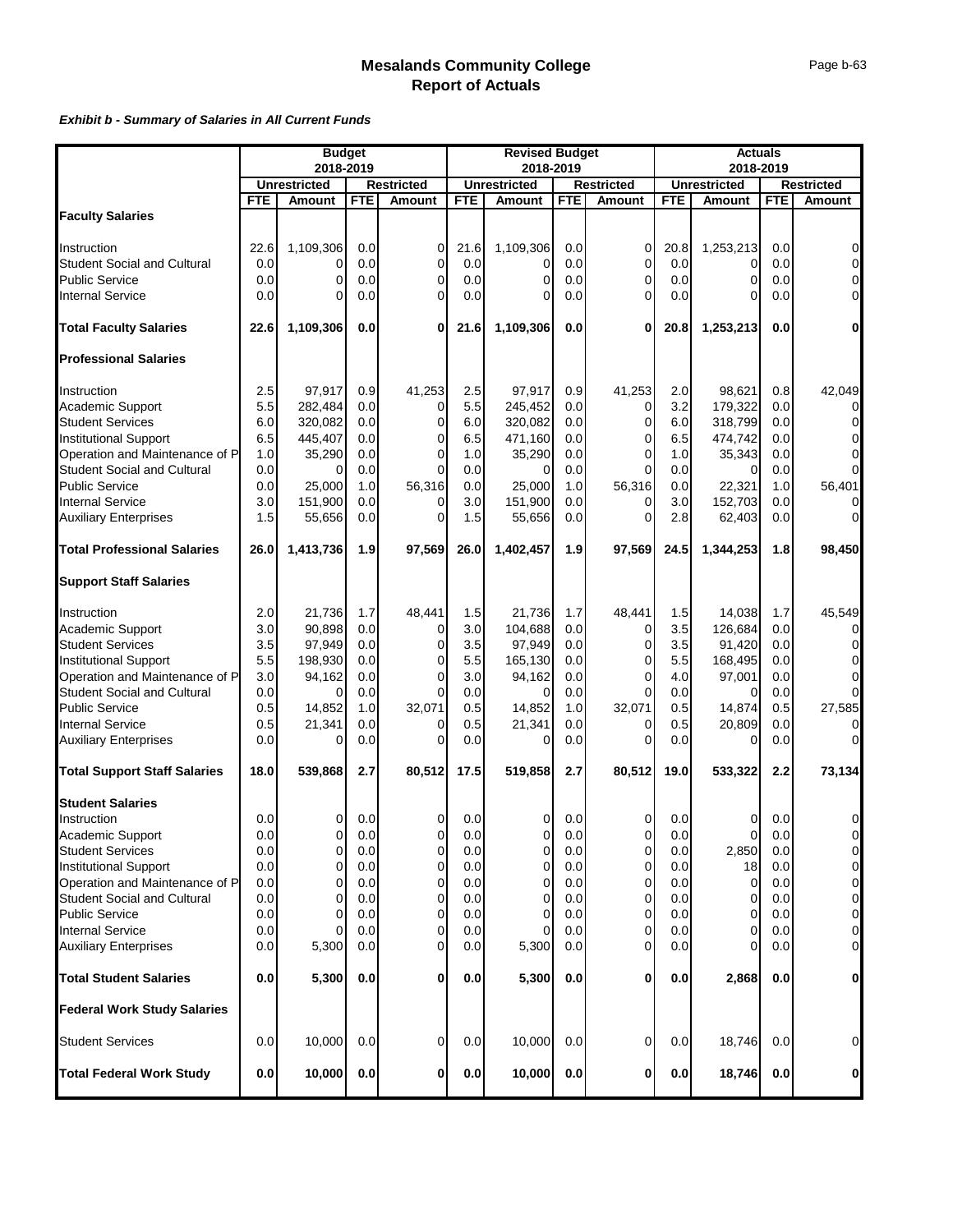#### *Exhibit b - Summary of Salaries in All Current Funds*

|                                                      |            | <b>Budget</b>       |            |                | <b>Revised Budget</b> |                     |            | <b>Actuals</b>    |            |                     |            |                               |
|------------------------------------------------------|------------|---------------------|------------|----------------|-----------------------|---------------------|------------|-------------------|------------|---------------------|------------|-------------------------------|
|                                                      |            | 2018-2019           |            |                |                       | 2018-2019           |            |                   | 2018-2019  |                     |            |                               |
|                                                      |            | <b>Unrestricted</b> |            | Restricted     |                       | <b>Unrestricted</b> |            | <b>Restricted</b> |            | <b>Unrestricted</b> |            | <b>Restricted</b>             |
|                                                      | <b>FTE</b> | Amount              | <b>FTE</b> | Amount         | <b>FTE</b>            | <b>Amount</b>       | <b>FTE</b> | <b>Amount</b>     | <b>FTE</b> | <b>Amount</b>       | <b>FTE</b> | <b>Amount</b>                 |
| <b>Faculty Salaries</b>                              |            |                     |            |                |                       |                     |            |                   |            |                     |            |                               |
| Instruction                                          | 22.6       | 1,109,306           | 0.0        | 0              | 21.6                  | 1,109,306           | 0.0        | $\mathbf 0$       | 20.8       | 1,253,213           | 0.0        | $\overline{O}$                |
| <b>Student Social and Cultural</b>                   | 0.0        | 0                   | 0.0        | $\overline{0}$ | 0.0                   | 0                   | 0.0        | $\mathbf 0$       | 0.0        | 0                   | 0.0        | $\overline{0}$                |
| <b>Public Service</b>                                | 0.0        | $\overline{0}$      | 0.0        | $\mathbf 0$    | 0.0                   | 0                   | 0.0        | 0                 | 0.0        | 0                   | 0.0        | $\overline{0}$                |
| <b>Internal Service</b>                              | 0.0        | $\Omega$            | 0.0        | 0              | 0.0                   | $\Omega$            | 0.0        | 0                 | 0.0        | 0                   | 0.0        | $\overline{0}$                |
| <b>Total Faculty Salaries</b>                        | 22.6       | 1,109,306           | 0.0        | $\mathbf{0}$   | 21.6                  | 1,109,306           | 0.0        | 0                 | 20.8       | 1,253,213           | 0.0        | $\mathbf{0}$                  |
| <b>Professional Salaries</b>                         |            |                     |            |                |                       |                     |            |                   |            |                     |            |                               |
| Instruction                                          | 2.5        | 97,917              | 0.9        | 41,253         | 2.5                   | 97,917              | 0.9        | 41,253            | 2.0        | 98,621              | 0.8        | 42,049                        |
| Academic Support                                     | 5.5        | 282,484             | 0.0        | 0              | 5.5                   | 245,452             | 0.0        | 0                 | 3.2        | 179,322             | 0.0        | $\overline{0}$                |
| <b>Student Services</b>                              | 6.0        | 320,082             | 0.0        | $\overline{0}$ | 6.0                   | 320,082             | 0.0        | 0                 | 6.0        | 318,799             | 0.0        | $\overline{O}$                |
| <b>Institutional Support</b>                         | 6.5        | 445,407             | 0.0        | 0              | 6.5                   | 471,160             | 0.0        | 0                 | 6.5        | 474,742             | 0.0        | $\overline{0}$                |
| Operation and Maintenance of P                       | 1.0        | 35,290              | 0.0        | $\Omega$       | 1.0                   | 35,290              | 0.0        | $\Omega$          | 1.0        | 35,343              | 0.0        | $\overline{O}$                |
| <b>Student Social and Cultural</b>                   | 0.0        |                     | 0.0        | $\Omega$       | 0.0                   | 0                   | 0.0        | 0                 | 0.0        |                     | 0.0        | $\overline{O}$                |
| <b>Public Service</b>                                | 0.0        | 25,000              | 1.0        | 56,316         | 0.0                   | 25,000              | 1.0        | 56,316            | 0.0        | 22,321              | 1.0        | 56,401                        |
| <b>Internal Service</b>                              | 3.0        | 151,900             | 0.0        | $\overline{0}$ | 3.0                   | 151,900             | 0.0        | $\Omega$          | 3.0        | 152,703             | 0.0        | $\overline{0}$                |
| <b>Auxiliary Enterprises</b>                         | 1.5        | 55,656              | 0.0        | 0              | 1.5                   | 55,656              | 0.0        | 0                 | 2.8        | 62,403              | 0.0        | $\overline{O}$                |
| <b>Total Professional Salaries</b>                   | 26.0       | 1,413,736           | 1.9        | 97,569         | 26.0                  | 1,402,457           | 1.9        | 97,569            | 24.5       | 1,344,253           | 1.8        | 98,450                        |
| <b>Support Staff Salaries</b>                        |            |                     |            |                |                       |                     |            |                   |            |                     |            |                               |
|                                                      |            |                     |            |                |                       |                     |            |                   |            |                     |            |                               |
| Instruction                                          | 2.0        | 21,736              | 1.7        | 48,441         | 1.5                   | 21,736              | 1.7        | 48,441            | 1.5        | 14,038              | 1.7        | 45,549                        |
| Academic Support                                     | 3.0        | 90,898              | 0.0        | $\overline{0}$ | 3.0                   | 104,688             | 0.0        | 0                 | 3.5        | 126,684             | 0.0        | $\overline{0}$                |
| <b>Student Services</b>                              | 3.5        | 97,949              | 0.0        | 0              | 3.5                   | 97,949              | 0.0        | 0                 | 3.5        | 91,420              | 0.0        | $\overline{0}$                |
| Institutional Support                                | 5.5        | 198,930             | 0.0        | 0              | 5.5                   | 165,130             | 0.0        | 0                 | 5.5        | 168,495             | 0.0        | $\overline{0}$                |
| Operation and Maintenance of P                       | 3.0        | 94,162              | 0.0        | $\mathbf{0}$   | 3.0                   | 94,162              | 0.0        | 0                 | 4.0        | 97,001              | 0.0        | $\mathbf 0$<br>$\overline{0}$ |
| <b>Student Social and Cultural</b><br>Public Service | 0.0        | $\Omega$            | 0.0        | $\Omega$       | 0.0                   | 0                   | 0.0        | $\Omega$          | 0.0        | $\Omega$            | 0.0        |                               |
|                                                      | 0.5        | 14,852              | 1.0        | 32,071         | 0.5                   | 14,852              | 1.0        | 32,071            | 0.5        | 14,874              | 0.5        | 27,585                        |
| <b>Internal Service</b>                              | 0.5        | 21,341              | 0.0        | $\overline{0}$ | 0.5                   | 21,341              | 0.0        | 0                 | 0.5        | 20,809              | 0.0        | $\overline{0}$                |
| <b>Auxiliary Enterprises</b>                         | 0.0        | 0                   | 0.0        | 0              | 0.0                   | 0                   | 0.0        | $\Omega$          | 0.0        | $\Omega$            | 0.0        | $\overline{0}$                |
| <b>Total Support Staff Salaries</b>                  | 18.0       | 539,868             | 2.7        | 80,512         | 17.5                  | 519,858             | 2.7        | 80,512            | 19.0       | 533,322             | 2.2        | 73,134                        |
| <b>Student Salaries</b>                              |            |                     |            |                |                       |                     |            |                   |            |                     |            |                               |
| Instruction                                          | 0.0        | 0                   | 0.0        | 0              | 0.0                   | 0                   | 0.0        | 0                 | 0.0        | 0                   | 0.0        | 0                             |
| Academic Support                                     | 0.0        | $\Omega$            | 0.0        | $\Omega$       | 0.0                   | $\Omega$            | 0.0        | $\Omega$          | 0.0        | $\Omega$            | 0.0        | $\overline{0}$                |
| <b>Student Services</b>                              | 0.0        | $\overline{0}$      | 0.0        | $\overline{0}$ | 0.0                   | 0                   | 0.0        | 0                 | 0.0        | 2,850               | 0.0        | $\overline{O}$                |
| <b>Institutional Support</b>                         | 0.0        | 0                   | 0.0        | 0              | 0.0                   | 0                   | 0.0        | 0                 | 0.0        | 18                  | 0.0        | $\overline{0}$                |
| Operation and Maintenance of P                       | 0.0        | 0                   | 0.0        | 0              | 0.0                   | 0                   | 0.0        | 0                 | 0.0        | 0                   | 0.0        | $\overline{0}$                |
| <b>Student Social and Cultural</b>                   | 0.0        | 0                   | 0.0        | 0              | 0.0                   | 0                   | 0.0        | 0                 | 0.0        | 0                   | 0.0        | $\overline{0}$                |
| <b>Public Service</b>                                | 0.0        | 0                   | 0.0        | 0              | 0.0                   | 0                   | 0.0        | 0                 | 0.0        | 0                   | 0.0        | $\overline{0}$                |
| <b>Internal Service</b>                              | 0.0        | 0                   | 0.0        | 0              | 0.0                   | 0                   | 0.0        | 0                 | 0.0        | 0                   | 0.0        | $\overline{O}$                |
| <b>Auxiliary Enterprises</b>                         | 0.0        | 5,300               | 0.0        | 0              | 0.0                   | 5,300               | 0.0        | 0                 | 0.0        | 0                   | 0.0        | $\overline{0}$                |
| <b>Total Student Salaries</b>                        | 0.0        | 5,300               | 0.0        | 0              | 0.0                   | 5,300               | 0.0        | 0                 | 0.0        | 2,868               | 0.0        | $\mathbf{0}$                  |
| <b>Federal Work Study Salaries</b>                   |            |                     |            |                |                       |                     |            |                   |            |                     |            |                               |
| <b>Student Services</b>                              | 0.0        | 10,000              | 0.0        | $\overline{0}$ | 0.0                   | 10,000              | 0.0        | 0                 | 0.0        | 18,746              | 0.0        | $\overline{0}$                |
| <b>Total Federal Work Study</b>                      | 0.0        | 10,000              | 0.0        | 0              | 0.0                   | 10,000              | $0.0\,$    | 0                 | 0.0        | 18,746              | 0.0        | $\mathbf{0}$                  |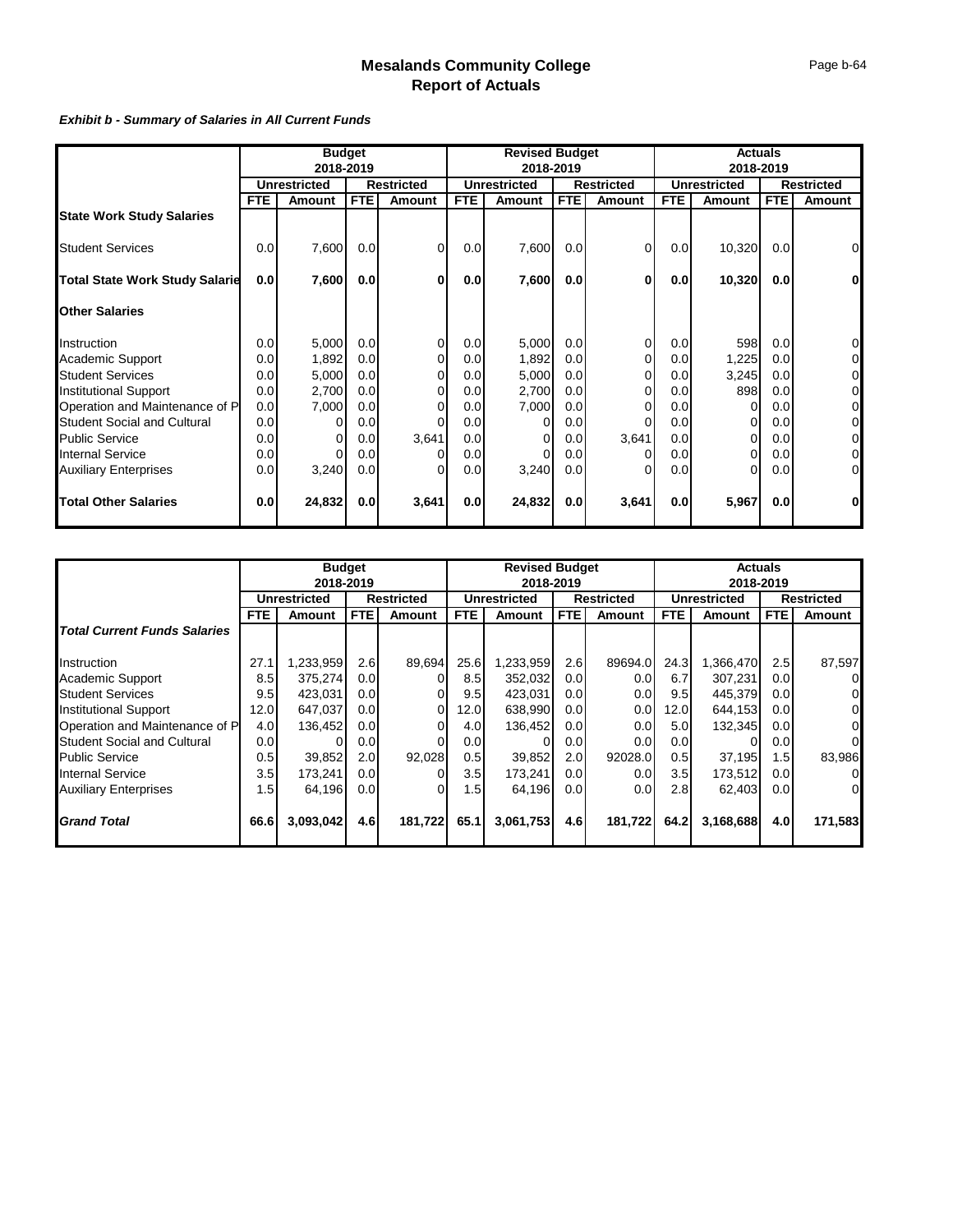#### *Exhibit b - Summary of Salaries in All Current Funds*

|                                       | <b>Budget</b> |                     |                  | <b>Revised Budget</b> |            |                     | <b>Actuals</b> |                   |                  |                     |            |                   |
|---------------------------------------|---------------|---------------------|------------------|-----------------------|------------|---------------------|----------------|-------------------|------------------|---------------------|------------|-------------------|
|                                       | 2018-2019     |                     |                  | 2018-2019             |            |                     | 2018-2019      |                   |                  |                     |            |                   |
|                                       |               | <b>Unrestricted</b> |                  | <b>Restricted</b>     |            | <b>Unrestricted</b> |                | <b>Restricted</b> |                  | <b>Unrestricted</b> |            | <b>Restricted</b> |
|                                       | <b>FTE</b>    | Amount              | FTE              | <b>Amount</b>         | <b>FTE</b> | Amount              | <b>FTE</b>     | Amount            | <b>FTE</b>       | Amount              | <b>FTE</b> | Amount            |
| <b>State Work Study Salaries</b>      |               |                     |                  |                       |            |                     |                |                   |                  |                     |            |                   |
| <b>Student Services</b>               | 0.0           | 7,600               | 0.0              | $\overline{0}$        | 0.0        | 7,600               | 0.0            | $\Omega$          | 0.0              | 10,320              | 0.0        | 0                 |
| <b>Total State Work Study Salarie</b> | 0.0           | 7,600               | 0.0 <sub>l</sub> | $\bf{0}$              | 0.0        | 7,600               | 0.0            | $\bf{0}$          | 0.0              | 10,320              | 0.0        | $\mathbf{0}$      |
| <b>Other Salaries</b>                 |               |                     |                  |                       |            |                     |                |                   |                  |                     |            |                   |
| Instruction                           | 0.0           | 5,000               | 0.0 <sub>l</sub> | $\Omega$              | 0.0        | 5,000               | 0.0            |                   | 0.0              | 598                 | 0.0        | $\overline{0}$    |
| <b>Academic Support</b>               | 0.0           | 1,892               | 0.0 <sub>l</sub> | ∩                     | 0.0        | 1,892               | 0.0            |                   | 0.0              | 1,225               | 0.0        | $\overline{O}$    |
| <b>Student Services</b>               | 0.0           | 5,000               | 0.0 <sub>l</sub> |                       | 0.0        | 5,000               | 0.0            |                   | 0.0              | 3,245               | 0.0        | $\overline{O}$    |
| <b>Institutional Support</b>          | 0.0           | 2,700               | 0.0 <sub>l</sub> |                       | 0.0        | 2,700               | 0.0            |                   | 0.0              | 898                 | 0.0        | $\overline{O}$    |
| Operation and Maintenance of P        | 0.0           | 7,000               | 0.0              |                       | 0.0        | 7,000               | 0.0            |                   | 0.0              |                     | 0.0        | $\overline{0}$    |
| <b>Student Social and Cultural</b>    | 0.0           | $\Omega$            | 0.0              |                       | 0.0        |                     | 0.0            | 0                 | 0.0              | 0                   | 0.0        | $\overline{O}$    |
| <b>Public Service</b>                 | 0.0           | $\Omega$            | 0.0              | 3,641                 | 0.0        |                     | 0.0            | 3,641             | 0.0 <sub>l</sub> |                     | 0.0        | $\overline{O}$    |
| <b>Internal Service</b>               | 0.0           | $\Omega$            | 0.0              |                       | 0.0        |                     | 0.0            |                   | 0.0              | 0                   | 0.0        | $\overline{O}$    |
| <b>Auxiliary Enterprises</b>          | 0.0           | 3,240               | 0.0              |                       | 0.0        | 3,240               | 0.0            |                   | 0.0              |                     | 0.0        | $\overline{O}$    |
| <b>Total Other Salaries</b>           | 0.0           | 24,832              | 0.0              | 3,641                 | 0.0        | 24,832              | 0.0            | 3,641             | 0.0              | 5,967               | 0.0        | $\mathbf{0}$      |

|                                     | <b>Budget</b>       |           |                   | <b>Revised Budget</b> |                     |           | <b>Actuals</b>    |               |                     |           |                   |                |
|-------------------------------------|---------------------|-----------|-------------------|-----------------------|---------------------|-----------|-------------------|---------------|---------------------|-----------|-------------------|----------------|
|                                     | 2018-2019           |           |                   | 2018-2019             |                     |           |                   | 2018-2019     |                     |           |                   |                |
|                                     | <b>Unrestricted</b> |           | <b>Restricted</b> |                       | <b>Unrestricted</b> |           | <b>Restricted</b> |               | <b>Unrestricted</b> |           | <b>Restricted</b> |                |
|                                     | <b>FTE</b>          | Amount    | <b>FTE</b>        | Amount                | <b>FTE</b>          | Amount    | FTE.              | <b>Amount</b> | FTE                 | Amount    | <b>FTE</b>        | Amount         |
| <b>Total Current Funds Salaries</b> |                     |           |                   |                       |                     |           |                   |               |                     |           |                   |                |
| Instruction                         | 27.1                | 1,233,959 | 2.6               | 89,694                | 25.6                | ,233,959  | 2.6               | 89694.0       | 24.3                | .366,470  | 2.5               | 87,597         |
| Academic Support                    | 8.5                 | 375,274   | 0.0 <sub>l</sub>  |                       | 8.5                 | 352,032   | 0.0               | 0.0           | 6.7                 | 307,231   | 0.0 <sub>l</sub>  | $\mathbf{0}$   |
| <b>Student Services</b>             | 9.5                 | 423,031   | 0.0 <sub>l</sub>  |                       | 9.5                 | 423,031   | 0.0               | 0.0           | 9.5                 | 445,379   | 0.01              | $\overline{0}$ |
| <b>Institutional Support</b>        | 12.0                | 647,037   | 0.0 <sub>l</sub>  |                       | 12.0                | 638,990   | 0.0 <sub>l</sub>  | 0.0           | 12.0                | 644,153   | 0.0 <sub>l</sub>  | $\overline{0}$ |
| Operation and Maintenance of P      | 4.0                 | 136,452   | 0.0 <sub>l</sub>  |                       | 4.0                 | 136,452   | 0.0 <sub>l</sub>  | 0.0           | 5.0 <sub>1</sub>    | 132,345   | 0.01              | $\overline{0}$ |
| <b>Student Social and Cultural</b>  | 0.0                 |           | 0.0 <sub>l</sub>  |                       | 0.0                 |           | 0.0               | 0.0           | 0.01                |           | 0.01              | $\overline{0}$ |
| <b>Public Service</b>               | 0.5                 | 39,852    | 2.0 <sub>l</sub>  | 92,028                | 0.5                 | 39,852    | 2.0               | 92028.0       | 0.5                 | 37,195    | 1.5               | 83,986         |
| <b>Internal Service</b>             | 3.5                 | 173,241   | 0.0 <sub>l</sub>  |                       | 3.5                 | 173,241   | 0.0               | 0.0           | 3.5                 | 173,512   | 0.0               | $\mathbf{0}$   |
| <b>Auxiliary Enterprises</b>        | 1.5                 | 64,196    | 0.0 <sub>l</sub>  |                       | 1.5                 | 64,196    | 0.0 <sub>l</sub>  | 0.0           | 2.81                | 62,403    | 0.0               | $\overline{0}$ |
| <b>Grand Total</b>                  | 66.6                | 3,093,042 | 4.6               | 181,722               | 65.1                | 3,061,753 | 4.6               | 181,722       | 64.2                | 3,168,688 | 4.0               | 171,583        |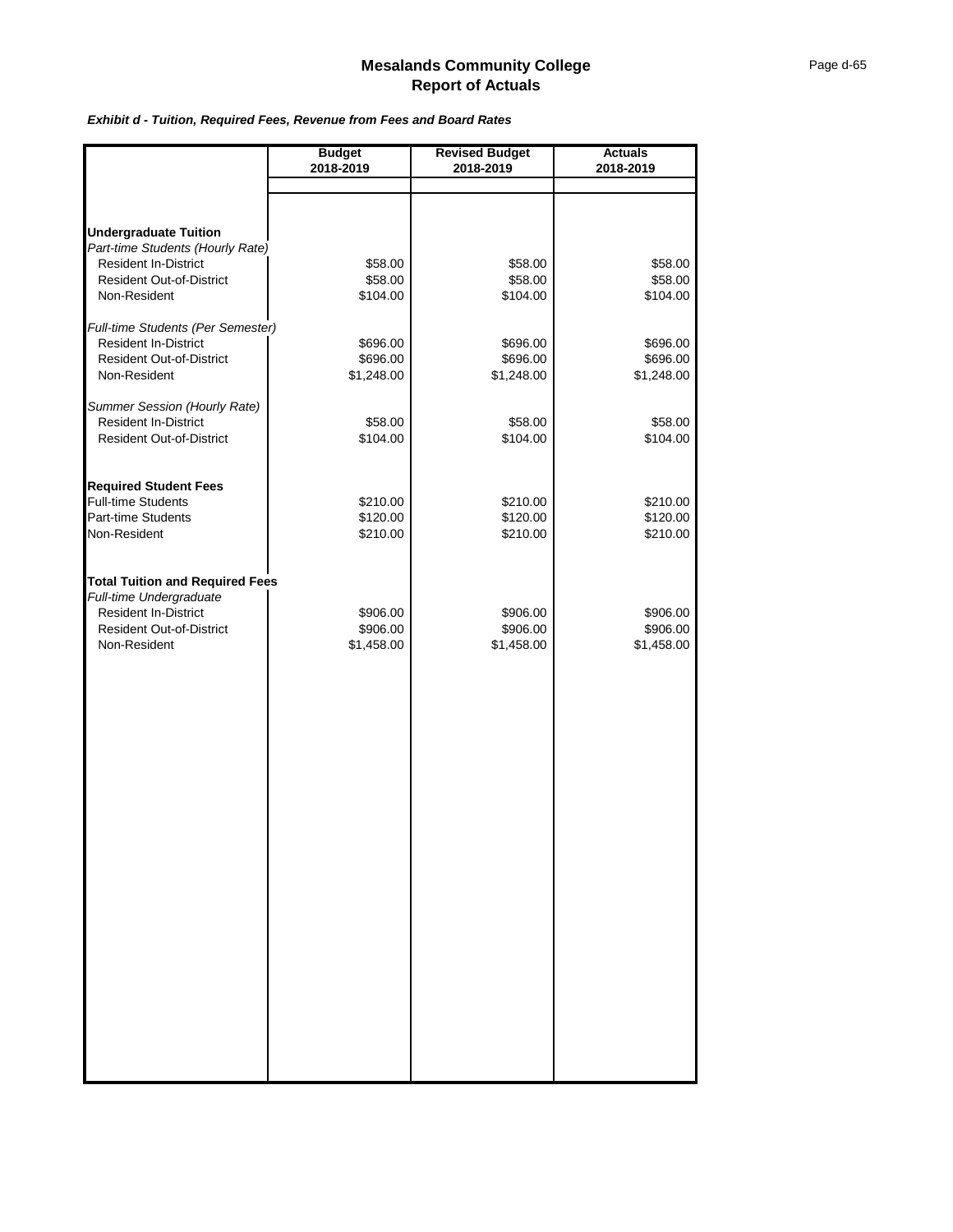#### *Exhibit d - Tuition, Required Fees, Revenue from Fees and Board Rates*

|                                                                                                  | <b>Budget</b><br>2018-2019 | <b>Revised Budget</b><br>2018-2019 | <b>Actuals</b><br>2018-2019 |
|--------------------------------------------------------------------------------------------------|----------------------------|------------------------------------|-----------------------------|
|                                                                                                  |                            |                                    |                             |
|                                                                                                  |                            |                                    |                             |
| <b>Undergraduate Tuition</b><br>Part-time Students (Hourly Rate)                                 |                            |                                    |                             |
| <b>Resident In-District</b>                                                                      | \$58.00                    | \$58.00                            | \$58.00                     |
| <b>Resident Out-of-District</b>                                                                  | \$58.00                    | \$58.00                            | \$58.00                     |
| Non-Resident                                                                                     | \$104.00                   | \$104.00                           | \$104.00                    |
| Full-time Students (Per Semester)                                                                |                            |                                    |                             |
| <b>Resident In-District</b>                                                                      | \$696.00                   | \$696.00                           | \$696.00                    |
| <b>Resident Out-of-District</b>                                                                  | \$696.00                   | \$696.00                           | \$696.00                    |
| Non-Resident                                                                                     | \$1,248.00                 | \$1,248.00                         | \$1,248.00                  |
|                                                                                                  |                            |                                    |                             |
| Summer Session (Hourly Rate)<br><b>Resident In-District</b>                                      | \$58.00                    | \$58.00                            | \$58.00                     |
| <b>Resident Out-of-District</b>                                                                  | \$104.00                   | \$104.00                           | \$104.00                    |
|                                                                                                  |                            |                                    |                             |
| <b>Required Student Fees</b>                                                                     |                            |                                    |                             |
| <b>Full-time Students</b>                                                                        | \$210.00                   | \$210.00                           | \$210.00                    |
| Part-time Students                                                                               | \$120.00                   | \$120.00                           | \$120.00                    |
| Non-Resident                                                                                     | \$210.00                   | \$210.00                           | \$210.00                    |
| <b>Total Tuition and Required Fees</b><br>Full-time Undergraduate<br><b>Resident In-District</b> | \$906.00                   | \$906.00                           | \$906.00                    |
| <b>Resident Out-of-District</b>                                                                  | \$906.00                   | \$906.00                           | \$906.00                    |
| Non-Resident                                                                                     | \$1,458.00                 | \$1,458.00                         | \$1,458.00                  |
|                                                                                                  |                            |                                    |                             |
|                                                                                                  |                            |                                    |                             |
|                                                                                                  |                            |                                    |                             |
|                                                                                                  |                            |                                    |                             |